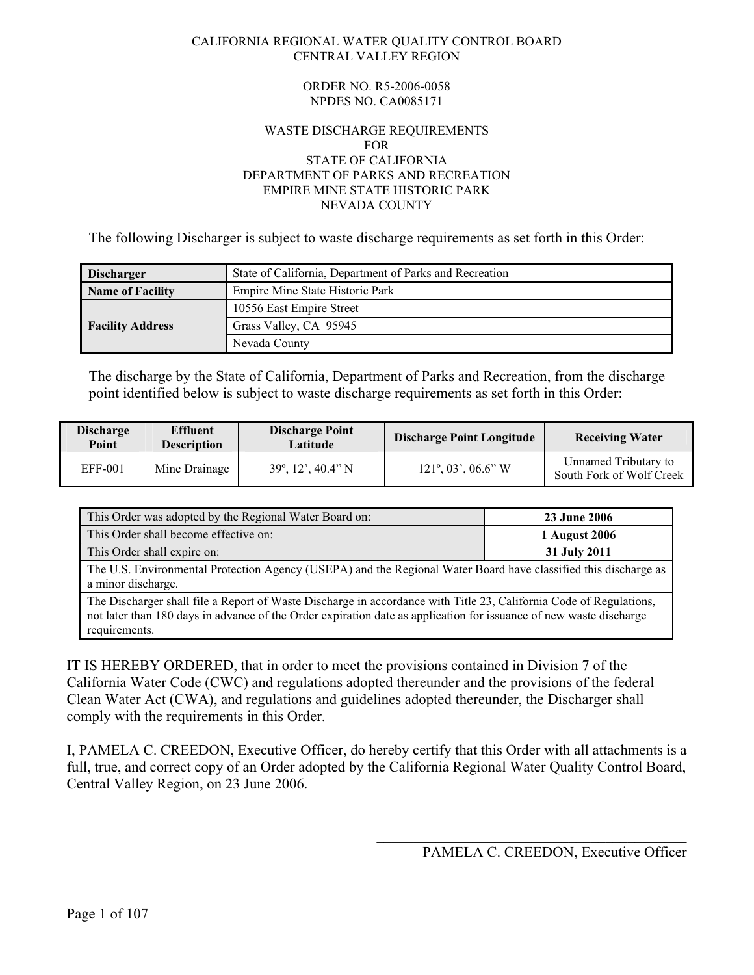#### CALIFORNIA REGIONAL WATER QUALITY CONTROL BOARD CENTRAL VALLEY REGION

#### ORDER NO. R5-2006-0058 NPDES NO. CA0085171

#### WASTE DISCHARGE REQUIREMENTS FOR STATE OF CALIFORNIA DEPARTMENT OF PARKS AND RECREATION EMPIRE MINE STATE HISTORIC PARK NEVADA COUNTY

The following Discharger is subject to waste discharge requirements as set forth in this Order:

| <b>Discharger</b>       | State of California, Department of Parks and Recreation |  |
|-------------------------|---------------------------------------------------------|--|
| Name of Facility        | Empire Mine State Historic Park                         |  |
|                         | 10556 East Empire Street                                |  |
| <b>Facility Address</b> | Grass Valley, CA 95945                                  |  |
|                         | Nevada County                                           |  |

The discharge by the State of California, Department of Parks and Recreation, from the discharge point identified below is subject to waste discharge requirements as set forth in this Order:

| <b>Discharge</b><br>Point | <b>Effluent</b><br><b>Description</b> | <b>Discharge Point</b><br>Latitude | <b>Discharge Point Longitude</b>      | <b>Receiving Water</b>                           |
|---------------------------|---------------------------------------|------------------------------------|---------------------------------------|--------------------------------------------------|
| <b>EFF-001</b>            | Mine Drainage                         | $39^\circ$ , 12', 40.4" N          | $121^\circ, 03^\prime, 06.6^\prime$ W | Unnamed Tributary to<br>South Fork of Wolf Creek |

| This Order was adopted by the Regional Water Board on:                                                                                | <b>23 June 2006</b> |  |
|---------------------------------------------------------------------------------------------------------------------------------------|---------------------|--|
| This Order shall become effective on:                                                                                                 | 1 August 2006       |  |
| This Order shall expire on:                                                                                                           | 31 July 2011        |  |
| The U.S. Environmental Protection Agency (USEPA) and the Regional Water Board have classified this discharge as<br>a minor discharge. |                     |  |
| The Discharger shall file a Report of Waste Discharge in accordance with Title 23, California Code of Regulations,                    |                     |  |

not later than 180 days in advance of the Order expiration date as application for issuance of new waste discharge requirements.

IT IS HEREBY ORDERED, that in order to meet the provisions contained in Division 7 of the California Water Code (CWC) and regulations adopted thereunder and the provisions of the federal Clean Water Act (CWA), and regulations and guidelines adopted thereunder, the Discharger shall comply with the requirements in this Order.

I, PAMELA C. CREEDON, Executive Officer, do hereby certify that this Order with all attachments is a full, true, and correct copy of an Order adopted by the California Regional Water Quality Control Board, Central Valley Region, on 23 June 2006.

 $\mathcal{L}_\mathcal{L}$  , which is a set of the set of the set of the set of the set of the set of the set of the set of the set of the set of the set of the set of the set of the set of the set of the set of the set of the set of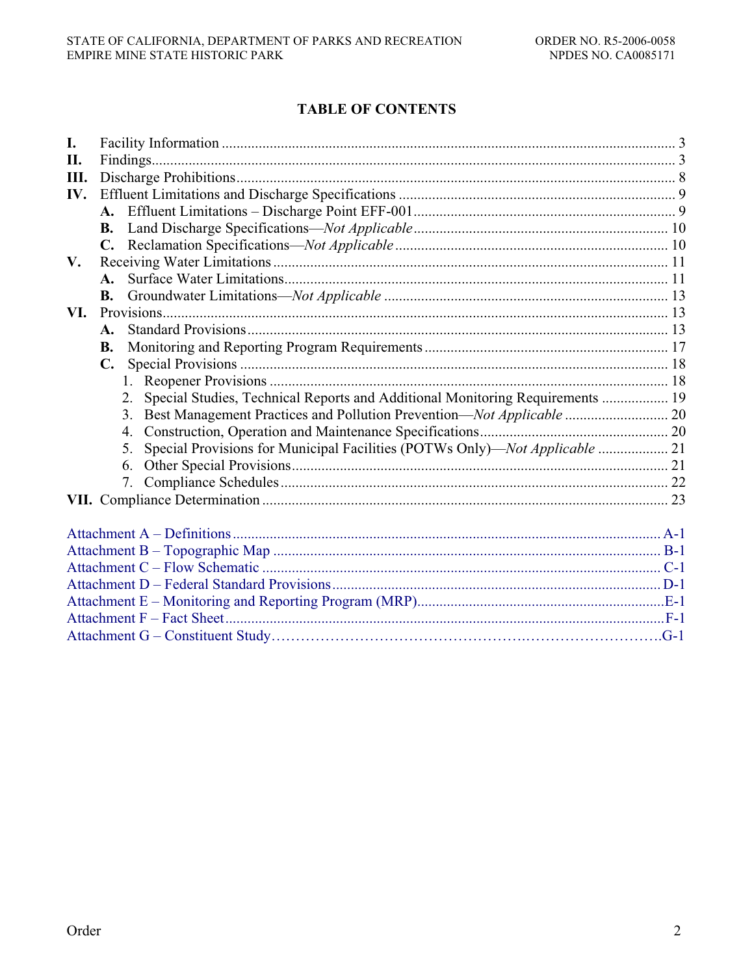# **TABLE OF CONTENTS**

| I.   |                |                                                                                     |  |
|------|----------------|-------------------------------------------------------------------------------------|--|
| II.  |                |                                                                                     |  |
| III. |                |                                                                                     |  |
| IV.  |                |                                                                                     |  |
|      |                |                                                                                     |  |
|      | <b>B.</b>      |                                                                                     |  |
|      |                |                                                                                     |  |
| V.   |                |                                                                                     |  |
|      |                |                                                                                     |  |
|      | <b>B.</b>      |                                                                                     |  |
| VI.  |                |                                                                                     |  |
|      | $\mathbf{A}$ . |                                                                                     |  |
|      | B.             |                                                                                     |  |
|      | $\mathbf{C}$ . |                                                                                     |  |
|      |                |                                                                                     |  |
|      |                | Special Studies, Technical Reports and Additional Monitoring Requirements  19<br>2. |  |
|      |                | Best Management Practices and Pollution Prevention—Not Applicable  20<br>3.         |  |
|      |                | 4.                                                                                  |  |
|      |                | Special Provisions for Municipal Facilities (POTWs Only)—Not Applicable  21<br>5.   |  |
|      |                | 6.                                                                                  |  |
|      |                | 7.                                                                                  |  |
|      |                |                                                                                     |  |
|      |                |                                                                                     |  |
|      |                |                                                                                     |  |
|      |                |                                                                                     |  |
|      |                |                                                                                     |  |
|      |                |                                                                                     |  |
|      |                |                                                                                     |  |
|      |                |                                                                                     |  |
|      |                |                                                                                     |  |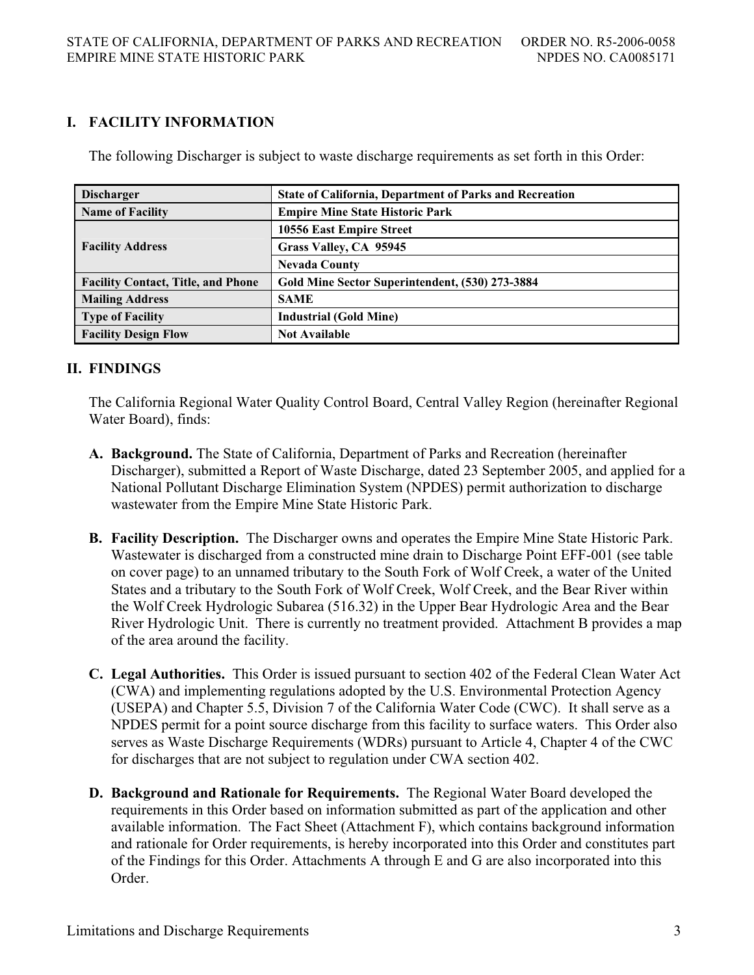# **I. FACILITY INFORMATION**

The following Discharger is subject to waste discharge requirements as set forth in this Order:

| <b>Discharger</b>                         | <b>State of California, Department of Parks and Recreation</b> |
|-------------------------------------------|----------------------------------------------------------------|
| <b>Name of Facility</b>                   | <b>Empire Mine State Historic Park</b>                         |
|                                           | 10556 East Empire Street                                       |
| <b>Facility Address</b>                   | Grass Valley, CA 95945                                         |
|                                           | <b>Nevada County</b>                                           |
| <b>Facility Contact, Title, and Phone</b> | Gold Mine Sector Superintendent, (530) 273-3884                |
| <b>Mailing Address</b>                    | <b>SAME</b>                                                    |
| <b>Type of Facility</b>                   | <b>Industrial (Gold Mine)</b>                                  |
| <b>Facility Design Flow</b>               | <b>Not Available</b>                                           |

## **II. FINDINGS**

The California Regional Water Quality Control Board, Central Valley Region (hereinafter Regional Water Board), finds:

- **A. Background.** The State of California, Department of Parks and Recreation (hereinafter Discharger), submitted a Report of Waste Discharge, dated 23 September 2005, and applied for a National Pollutant Discharge Elimination System (NPDES) permit authorization to discharge wastewater from the Empire Mine State Historic Park.
- **B. Facility Description.** The Discharger owns and operates the Empire Mine State Historic Park. Wastewater is discharged from a constructed mine drain to Discharge Point EFF-001 (see table on cover page) to an unnamed tributary to the South Fork of Wolf Creek, a water of the United States and a tributary to the South Fork of Wolf Creek, Wolf Creek, and the Bear River within the Wolf Creek Hydrologic Subarea (516.32) in the Upper Bear Hydrologic Area and the Bear River Hydrologic Unit. There is currently no treatment provided. Attachment B provides a map of the area around the facility.
- **C. Legal Authorities.** This Order is issued pursuant to section 402 of the Federal Clean Water Act (CWA) and implementing regulations adopted by the U.S. Environmental Protection Agency (USEPA) and Chapter 5.5, Division 7 of the California Water Code (CWC). It shall serve as a NPDES permit for a point source discharge from this facility to surface waters. This Order also serves as Waste Discharge Requirements (WDRs) pursuant to Article 4, Chapter 4 of the CWC for discharges that are not subject to regulation under CWA section 402.
- **D. Background and Rationale for Requirements.** The Regional Water Board developed the requirements in this Order based on information submitted as part of the application and other available information. The Fact Sheet (Attachment F), which contains background information and rationale for Order requirements, is hereby incorporated into this Order and constitutes part of the Findings for this Order. Attachments A through E and G are also incorporated into this Order.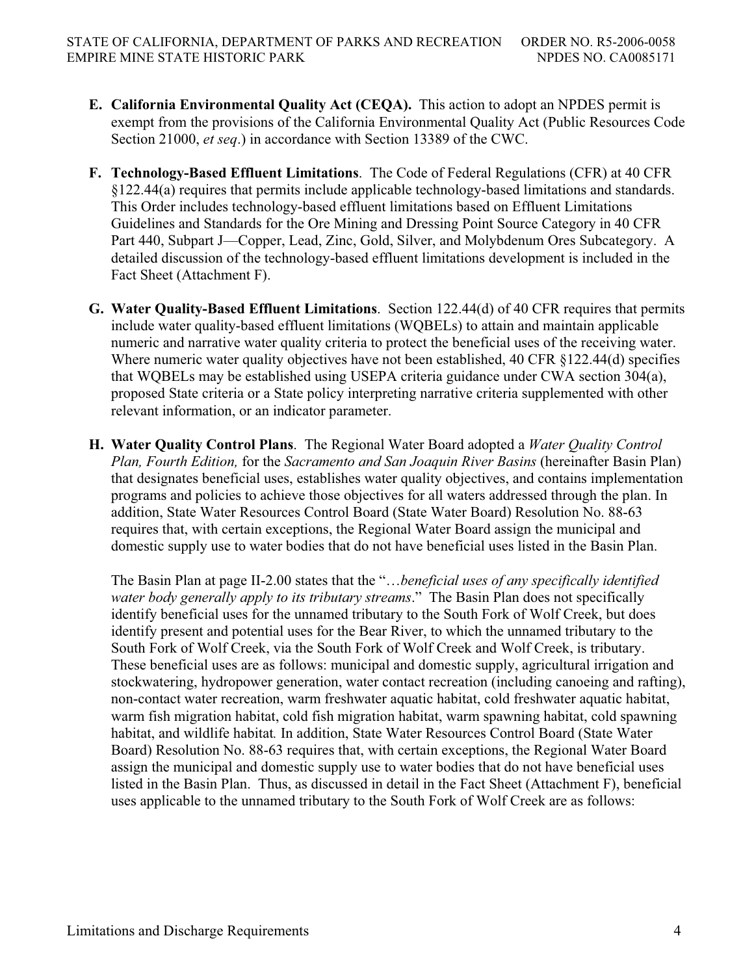- **E. California Environmental Quality Act (CEQA).** This action to adopt an NPDES permit is exempt from the provisions of the California Environmental Quality Act (Public Resources Code Section 21000, *et seq*.) in accordance with Section 13389 of the CWC.
- **F. Technology-Based Effluent Limitations**. The Code of Federal Regulations (CFR) at 40 CFR §122.44(a) requires that permits include applicable technology-based limitations and standards. This Order includes technology-based effluent limitations based on Effluent Limitations Guidelines and Standards for the Ore Mining and Dressing Point Source Category in 40 CFR Part 440, Subpart J—Copper, Lead, Zinc, Gold, Silver, and Molybdenum Ores Subcategory. A detailed discussion of the technology-based effluent limitations development is included in the Fact Sheet (Attachment F).
- **G. Water Quality-Based Effluent Limitations**. Section 122.44(d) of 40 CFR requires that permits include water quality-based effluent limitations (WQBELs) to attain and maintain applicable numeric and narrative water quality criteria to protect the beneficial uses of the receiving water. Where numeric water quality objectives have not been established, 40 CFR §122.44(d) specifies that WQBELs may be established using USEPA criteria guidance under CWA section 304(a), proposed State criteria or a State policy interpreting narrative criteria supplemented with other relevant information, or an indicator parameter.
- **H. Water Quality Control Plans**. The Regional Water Board adopted a *Water Quality Control Plan, Fourth Edition,* for the *Sacramento and San Joaquin River Basins* (hereinafter Basin Plan) that designates beneficial uses, establishes water quality objectives, and contains implementation programs and policies to achieve those objectives for all waters addressed through the plan. In addition, State Water Resources Control Board (State Water Board) Resolution No. 88-63 requires that, with certain exceptions, the Regional Water Board assign the municipal and domestic supply use to water bodies that do not have beneficial uses listed in the Basin Plan.

The Basin Plan at page II-2.00 states that the "…*beneficial uses of any specifically identified water body generally apply to its tributary streams*." The Basin Plan does not specifically identify beneficial uses for the unnamed tributary to the South Fork of Wolf Creek, but does identify present and potential uses for the Bear River, to which the unnamed tributary to the South Fork of Wolf Creek, via the South Fork of Wolf Creek and Wolf Creek, is tributary. These beneficial uses are as follows: municipal and domestic supply, agricultural irrigation and stockwatering, hydropower generation, water contact recreation (including canoeing and rafting), non-contact water recreation, warm freshwater aquatic habitat, cold freshwater aquatic habitat, warm fish migration habitat, cold fish migration habitat, warm spawning habitat, cold spawning habitat, and wildlife habitat*.* In addition, State Water Resources Control Board (State Water Board) Resolution No. 88-63 requires that, with certain exceptions, the Regional Water Board assign the municipal and domestic supply use to water bodies that do not have beneficial uses listed in the Basin Plan. Thus, as discussed in detail in the Fact Sheet (Attachment F), beneficial uses applicable to the unnamed tributary to the South Fork of Wolf Creek are as follows: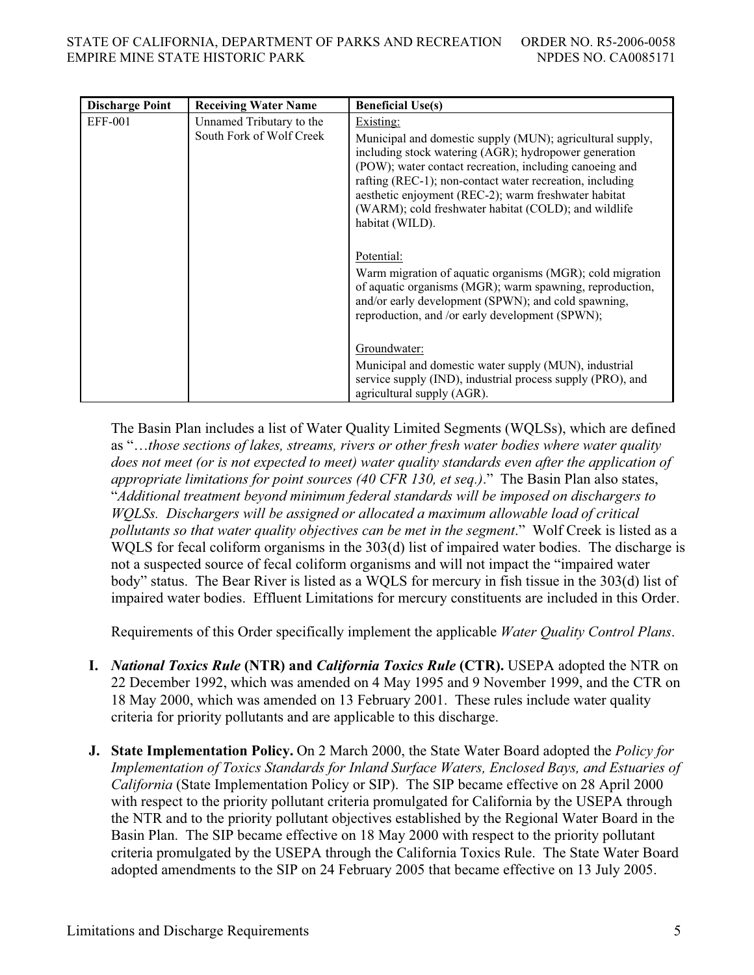| <b>Discharge Point</b> | <b>Receiving Water Name</b>                          | <b>Beneficial Use(s)</b>                                                                                                                                                                                                                                                                                                                                                                  |
|------------------------|------------------------------------------------------|-------------------------------------------------------------------------------------------------------------------------------------------------------------------------------------------------------------------------------------------------------------------------------------------------------------------------------------------------------------------------------------------|
| EFF-001                | Unnamed Tributary to the<br>South Fork of Wolf Creek | Existing:<br>Municipal and domestic supply (MUN); agricultural supply,<br>including stock watering (AGR); hydropower generation<br>(POW); water contact recreation, including canoeing and<br>rafting (REC-1); non-contact water recreation, including<br>aesthetic enjoyment (REC-2); warm freshwater habitat<br>(WARM); cold freshwater habitat (COLD); and wildlife<br>habitat (WILD). |
|                        |                                                      | Potential:<br>Warm migration of aquatic organisms (MGR); cold migration<br>of aquatic organisms (MGR); warm spawning, reproduction,<br>and/or early development (SPWN); and cold spawning,<br>reproduction, and /or early development (SPWN);<br>Groundwater:<br>Municipal and domestic water supply (MUN), industrial<br>service supply (IND), industrial process supply (PRO), and      |
|                        |                                                      | agricultural supply (AGR).                                                                                                                                                                                                                                                                                                                                                                |

The Basin Plan includes a list of Water Quality Limited Segments (WQLSs), which are defined as "…*those sections of lakes, streams, rivers or other fresh water bodies where water quality does not meet (or is not expected to meet) water quality standards even after the application of appropriate limitations for point sources (40 CFR 130, et seq.)*." The Basin Plan also states, "*Additional treatment beyond minimum federal standards will be imposed on dischargers to WQLSs. Dischargers will be assigned or allocated a maximum allowable load of critical pollutants so that water quality objectives can be met in the segment*." Wolf Creek is listed as a WQLS for fecal coliform organisms in the 303(d) list of impaired water bodies. The discharge is not a suspected source of fecal coliform organisms and will not impact the "impaired water body" status. The Bear River is listed as a WQLS for mercury in fish tissue in the 303(d) list of impaired water bodies. Effluent Limitations for mercury constituents are included in this Order.

Requirements of this Order specifically implement the applicable *Water Quality Control Plans*.

- **I.** *National Toxics Rule* **(NTR) and** *California Toxics Rule* **(CTR).** USEPA adopted the NTR on 22 December 1992, which was amended on 4 May 1995 and 9 November 1999, and the CTR on 18 May 2000, which was amended on 13 February 2001. These rules include water quality criteria for priority pollutants and are applicable to this discharge.
- **J. State Implementation Policy.** On 2 March 2000, the State Water Board adopted the *Policy for Implementation of Toxics Standards for Inland Surface Waters, Enclosed Bays, and Estuaries of California* (State Implementation Policy or SIP). The SIP became effective on 28 April 2000 with respect to the priority pollutant criteria promulgated for California by the USEPA through the NTR and to the priority pollutant objectives established by the Regional Water Board in the Basin Plan. The SIP became effective on 18 May 2000 with respect to the priority pollutant criteria promulgated by the USEPA through the California Toxics Rule. The State Water Board adopted amendments to the SIP on 24 February 2005 that became effective on 13 July 2005.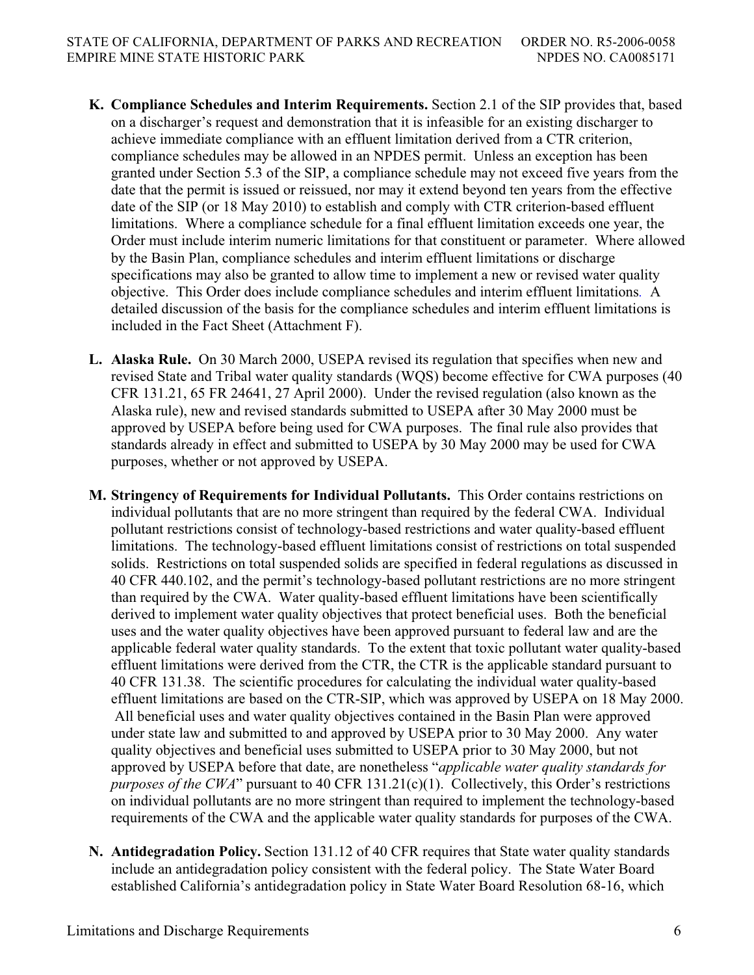- **K. Compliance Schedules and Interim Requirements.** Section 2.1 of the SIP provides that, based on a discharger's request and demonstration that it is infeasible for an existing discharger to achieve immediate compliance with an effluent limitation derived from a CTR criterion, compliance schedules may be allowed in an NPDES permit. Unless an exception has been granted under Section 5.3 of the SIP, a compliance schedule may not exceed five years from the date that the permit is issued or reissued, nor may it extend beyond ten years from the effective date of the SIP (or 18 May 2010) to establish and comply with CTR criterion-based effluent limitations. Where a compliance schedule for a final effluent limitation exceeds one year, the Order must include interim numeric limitations for that constituent or parameter. Where allowed by the Basin Plan, compliance schedules and interim effluent limitations or discharge specifications may also be granted to allow time to implement a new or revised water quality objective. This Order does include compliance schedules and interim effluent limitations*.* A detailed discussion of the basis for the compliance schedules and interim effluent limitations is included in the Fact Sheet (Attachment F).
- **L. Alaska Rule.** On 30 March 2000, USEPA revised its regulation that specifies when new and revised State and Tribal water quality standards (WQS) become effective for CWA purposes (40 CFR 131.21, 65 FR 24641, 27 April 2000). Under the revised regulation (also known as the Alaska rule), new and revised standards submitted to USEPA after 30 May 2000 must be approved by USEPA before being used for CWA purposes. The final rule also provides that standards already in effect and submitted to USEPA by 30 May 2000 may be used for CWA purposes, whether or not approved by USEPA.
- **M. Stringency of Requirements for Individual Pollutants.** This Order contains restrictions on individual pollutants that are no more stringent than required by the federal CWA. Individual pollutant restrictions consist of technology-based restrictions and water quality-based effluent limitations. The technology-based effluent limitations consist of restrictions on total suspended solids. Restrictions on total suspended solids are specified in federal regulations as discussed in 40 CFR 440.102, and the permit's technology-based pollutant restrictions are no more stringent than required by the CWA. Water quality-based effluent limitations have been scientifically derived to implement water quality objectives that protect beneficial uses. Both the beneficial uses and the water quality objectives have been approved pursuant to federal law and are the applicable federal water quality standards. To the extent that toxic pollutant water quality-based effluent limitations were derived from the CTR, the CTR is the applicable standard pursuant to 40 CFR 131.38. The scientific procedures for calculating the individual water quality-based effluent limitations are based on the CTR-SIP, which was approved by USEPA on 18 May 2000. All beneficial uses and water quality objectives contained in the Basin Plan were approved under state law and submitted to and approved by USEPA prior to 30 May 2000. Any water quality objectives and beneficial uses submitted to USEPA prior to 30 May 2000, but not approved by USEPA before that date, are nonetheless "*applicable water quality standards for purposes of the CWA*" pursuant to 40 CFR 131.21(c)(1). Collectively, this Order's restrictions on individual pollutants are no more stringent than required to implement the technology-based requirements of the CWA and the applicable water quality standards for purposes of the CWA.
- **N. Antidegradation Policy.** Section 131.12 of 40 CFR requires that State water quality standards include an antidegradation policy consistent with the federal policy. The State Water Board established California's antidegradation policy in State Water Board Resolution 68-16, which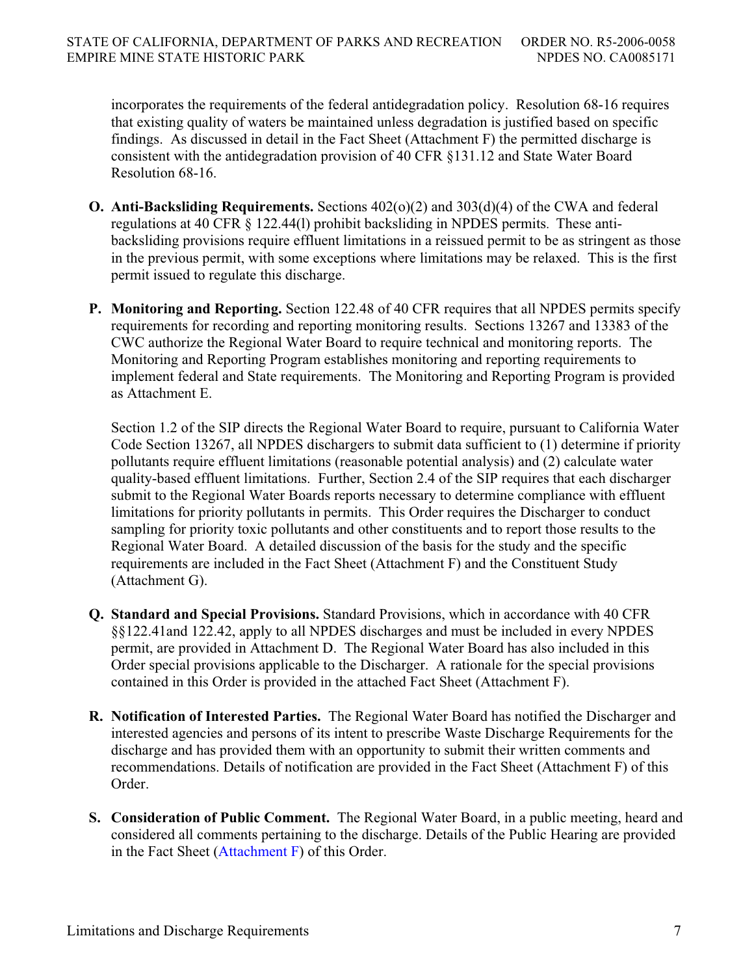incorporates the requirements of the federal antidegradation policy. Resolution 68-16 requires that existing quality of waters be maintained unless degradation is justified based on specific findings. As discussed in detail in the Fact Sheet (Attachment F) the permitted discharge is consistent with the antidegradation provision of 40 CFR §131.12 and State Water Board Resolution 68-16.

- **O. Anti-Backsliding Requirements.** Sections 402(o)(2) and 303(d)(4) of the CWA and federal regulations at 40 CFR § 122.44(l) prohibit backsliding in NPDES permits. These antibacksliding provisions require effluent limitations in a reissued permit to be as stringent as those in the previous permit, with some exceptions where limitations may be relaxed. This is the first permit issued to regulate this discharge.
- **P. Monitoring and Reporting.** Section 122.48 of 40 CFR requires that all NPDES permits specify requirements for recording and reporting monitoring results. Sections 13267 and 13383 of the CWC authorize the Regional Water Board to require technical and monitoring reports. The Monitoring and Reporting Program establishes monitoring and reporting requirements to implement federal and State requirements. The Monitoring and Reporting Program is provided as Attachment E.

Section 1.2 of the SIP directs the Regional Water Board to require, pursuant to California Water Code Section 13267, all NPDES dischargers to submit data sufficient to (1) determine if priority pollutants require effluent limitations (reasonable potential analysis) and (2) calculate water quality-based effluent limitations. Further, Section 2.4 of the SIP requires that each discharger submit to the Regional Water Boards reports necessary to determine compliance with effluent limitations for priority pollutants in permits. This Order requires the Discharger to conduct sampling for priority toxic pollutants and other constituents and to report those results to the Regional Water Board. A detailed discussion of the basis for the study and the specific requirements are included in the Fact Sheet (Attachment F) and the Constituent Study (Attachment G).

- **Q. Standard and Special Provisions.** Standard Provisions, which in accordance with 40 CFR §§122.41and 122.42, apply to all NPDES discharges and must be included in every NPDES permit, are provided in Attachment D. The Regional Water Board has also included in this Order special provisions applicable to the Discharger. A rationale for the special provisions contained in this Order is provided in the attached Fact Sheet (Attachment F).
- **R. Notification of Interested Parties.** The Regional Water Board has notified the Discharger and interested agencies and persons of its intent to prescribe Waste Discharge Requirements for the discharge and has provided them with an opportunity to submit their written comments and recommendations. Details of notification are provided in the Fact Sheet (Attachment F) of this Order.
- **S. Consideration of Public Comment.** The Regional Water Board, in a public meeting, heard and considered all comments pertaining to the discharge. Details of the Public Hearing are provided in the Fact Sheet (Attachment F) of this Order.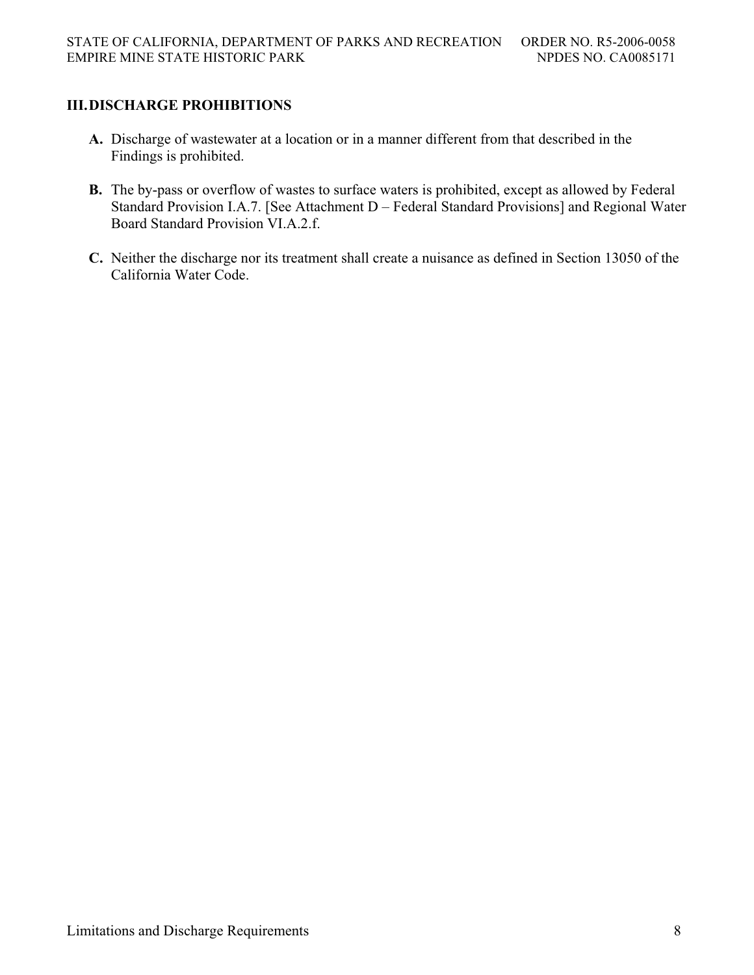# **III. DISCHARGE PROHIBITIONS**

- **A.** Discharge of wastewater at a location or in a manner different from that described in the Findings is prohibited.
- **B.** The by-pass or overflow of wastes to surface waters is prohibited, except as allowed by Federal Standard Provision I.A.7. [See Attachment D – Federal Standard Provisions] and Regional Water Board Standard Provision VI.A.2.f.
- **C.** Neither the discharge nor its treatment shall create a nuisance as defined in Section 13050 of the California Water Code.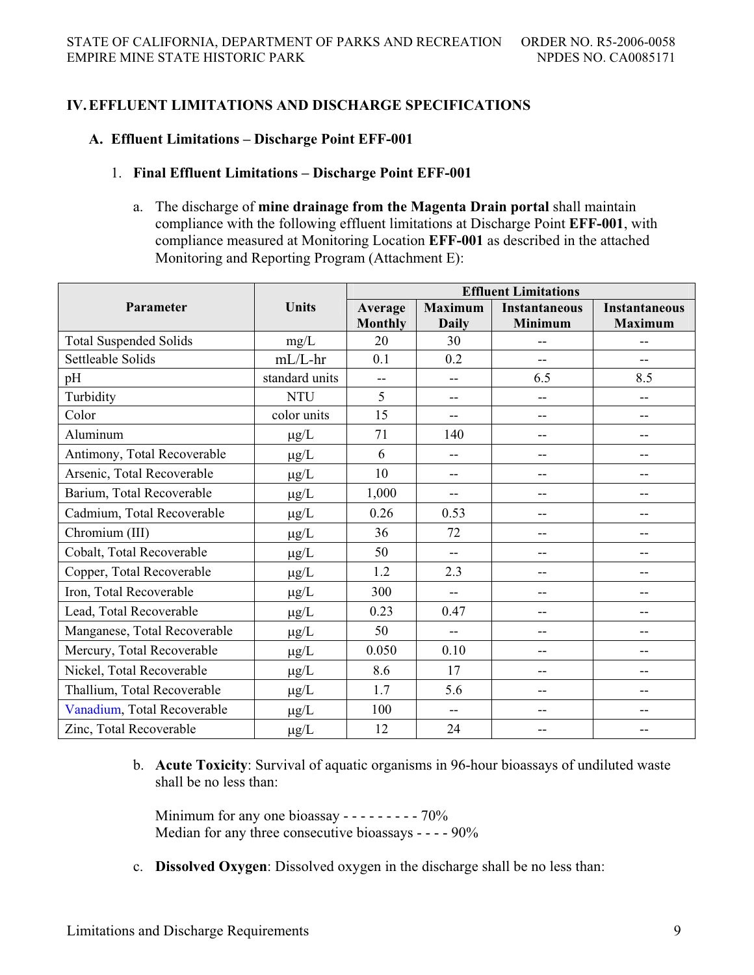# **IV. EFFLUENT LIMITATIONS AND DISCHARGE SPECIFICATIONS**

## **A. Effluent Limitations – Discharge Point EFF-001**

### 1. **Final Effluent Limitations – Discharge Point EFF-001**

a. The discharge of **mine drainage from the Magenta Drain portal** shall maintain compliance with the following effluent limitations at Discharge Point **EFF-001**, with compliance measured at Monitoring Location **EFF-001** as described in the attached Monitoring and Reporting Program (Attachment E):

|                               | <b>Units</b>   | <b>Effluent Limitations</b> |                          |                      |                      |
|-------------------------------|----------------|-----------------------------|--------------------------|----------------------|----------------------|
| Parameter                     |                | Average                     | <b>Maximum</b>           | <b>Instantaneous</b> | <b>Instantaneous</b> |
|                               |                | <b>Monthly</b>              | <b>Daily</b>             | <b>Minimum</b>       | <b>Maximum</b>       |
| <b>Total Suspended Solids</b> | mg/L           | 20                          | 30                       | $-$                  | $-$                  |
| Settleable Solids             | $mL/L-hr$      | 0.1                         | 0.2                      | $-$                  |                      |
| pH                            | standard units | --                          | --                       | 6.5                  | 8.5                  |
| Turbidity                     | <b>NTU</b>     | 5                           | --                       | --                   | --                   |
| Color                         | color units    | 15                          | --                       | --                   | --                   |
| Aluminum                      | $\mu$ g/L      | 71                          | 140                      | $-$                  | $-$                  |
| Antimony, Total Recoverable   | $\mu g/L$      | 6                           | $\overline{\phantom{a}}$ | --                   | $-$                  |
| Arsenic, Total Recoverable    | $\mu g/L$      | 10                          | --                       | --                   | $-$                  |
| Barium, Total Recoverable     | $\mu$ g/L      | 1,000                       | --                       | --                   | $-$                  |
| Cadmium, Total Recoverable    | $\mu$ g/L      | 0.26                        | 0.53                     | --                   | --                   |
| Chromium (III)                | $\mu g/L$      | 36                          | 72                       | --                   | --                   |
| Cobalt, Total Recoverable     | $\mu g/L$      | 50                          | $\overline{\phantom{a}}$ | $-$                  | $-$                  |
| Copper, Total Recoverable     | $\mu g/L$      | 1.2                         | 2.3                      | --                   | $-$                  |
| Iron, Total Recoverable       | $\mu g/L$      | 300                         | $-$                      | --                   | --                   |
| Lead, Total Recoverable       | $\mu g/L$      | 0.23                        | 0.47                     | --                   | --                   |
| Manganese, Total Recoverable  | $\mu g/L$      | 50                          | $\overline{a}$           | --                   | --                   |
| Mercury, Total Recoverable    | $\mu g/L$      | 0.050                       | 0.10                     | --                   | $-$                  |
| Nickel, Total Recoverable     | $\mu g/L$      | 8.6                         | 17                       | --                   | $-$                  |
| Thallium, Total Recoverable   | $\mu$ g/L      | 1.7                         | 5.6                      | --                   | --                   |
| Vanadium, Total Recoverable   | $\mu$ g/L      | 100                         | --                       | --                   | $-$                  |
| Zinc, Total Recoverable       | $\mu g/L$      | 12                          | 24                       | --                   |                      |

b. **Acute Toxicity**: Survival of aquatic organisms in 96-hour bioassays of undiluted waste shall be no less than:

Minimum for any one bioassay  $- - - - - - - - - - - -$ Median for any three consecutive bioassays - - - - 90%

c. **Dissolved Oxygen**: Dissolved oxygen in the discharge shall be no less than: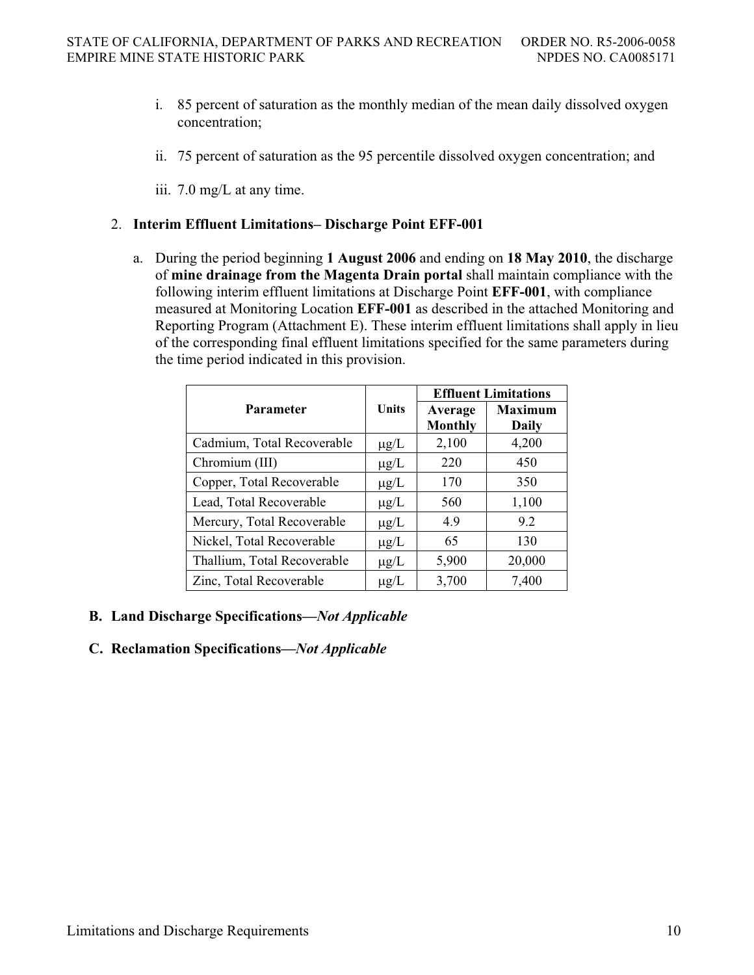- i. 85 percent of saturation as the monthly median of the mean daily dissolved oxygen concentration;
- ii. 75 percent of saturation as the 95 percentile dissolved oxygen concentration; and

iii. 7.0 mg/L at any time.

## 2. **Interim Effluent Limitations– Discharge Point EFF-001**

a. During the period beginning **1 August 2006** and ending on **18 May 2010**, the discharge of **mine drainage from the Magenta Drain portal** shall maintain compliance with the following interim effluent limitations at Discharge Point **EFF-001**, with compliance measured at Monitoring Location **EFF-001** as described in the attached Monitoring and Reporting Program (Attachment E). These interim effluent limitations shall apply in lieu of the corresponding final effluent limitations specified for the same parameters during the time period indicated in this provision.

|                             |              | <b>Effluent Limitations</b> |                |  |
|-----------------------------|--------------|-----------------------------|----------------|--|
| <b>Parameter</b>            | <b>Units</b> | Average                     | <b>Maximum</b> |  |
|                             |              | <b>Monthly</b>              | Daily          |  |
| Cadmium, Total Recoverable  | $\mu$ g/L    | 2,100                       | 4,200          |  |
| Chromium (III)              | $\mu$ g/L    | 220                         | 450            |  |
| Copper, Total Recoverable   | $\mu$ g/L    | 170                         | 350            |  |
| Lead, Total Recoverable     | $\mu$ g/L    | 560                         | 1,100          |  |
| Mercury, Total Recoverable  | $\mu$ g/L    | 4.9                         | 9.2            |  |
| Nickel, Total Recoverable   | $\mu$ g/L    | 65                          | 130            |  |
| Thallium, Total Recoverable | $\mu$ g/L    | 5,900                       | 20,000         |  |
| Zinc, Total Recoverable     | $\mu$ g/L    | 3,700                       | 7,400          |  |

# **B. Land Discharge Specifications—***Not Applicable*

# **C. Reclamation Specifications—***Not Applicable*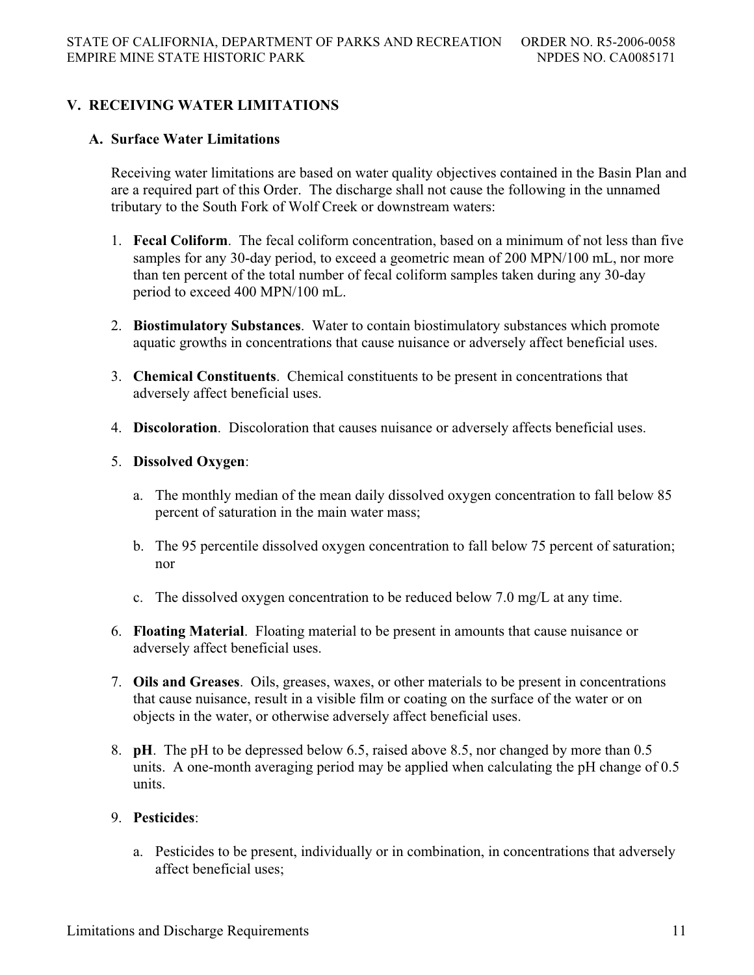# **V. RECEIVING WATER LIMITATIONS**

## **A. Surface Water Limitations**

Receiving water limitations are based on water quality objectives contained in the Basin Plan and are a required part of this Order. The discharge shall not cause the following in the unnamed tributary to the South Fork of Wolf Creek or downstream waters:

- 1. **Fecal Coliform**. The fecal coliform concentration, based on a minimum of not less than five samples for any 30-day period, to exceed a geometric mean of 200 MPN/100 mL, nor more than ten percent of the total number of fecal coliform samples taken during any 30-day period to exceed 400 MPN/100 mL.
- 2. **Biostimulatory Substances**. Water to contain biostimulatory substances which promote aquatic growths in concentrations that cause nuisance or adversely affect beneficial uses.
- 3. **Chemical Constituents**. Chemical constituents to be present in concentrations that adversely affect beneficial uses.
- 4. **Discoloration**. Discoloration that causes nuisance or adversely affects beneficial uses.

## 5. **Dissolved Oxygen**:

- a. The monthly median of the mean daily dissolved oxygen concentration to fall below 85 percent of saturation in the main water mass;
- b. The 95 percentile dissolved oxygen concentration to fall below 75 percent of saturation; nor
- c. The dissolved oxygen concentration to be reduced below 7.0 mg/L at any time.
- 6. **Floating Material**. Floating material to be present in amounts that cause nuisance or adversely affect beneficial uses.
- 7. **Oils and Greases**. Oils, greases, waxes, or other materials to be present in concentrations that cause nuisance, result in a visible film or coating on the surface of the water or on objects in the water, or otherwise adversely affect beneficial uses.
- 8. **pH**. The pH to be depressed below 6.5, raised above 8.5, nor changed by more than 0.5 units. A one-month averaging period may be applied when calculating the pH change of 0.5 units.

## 9. **Pesticides**:

a. Pesticides to be present, individually or in combination, in concentrations that adversely affect beneficial uses;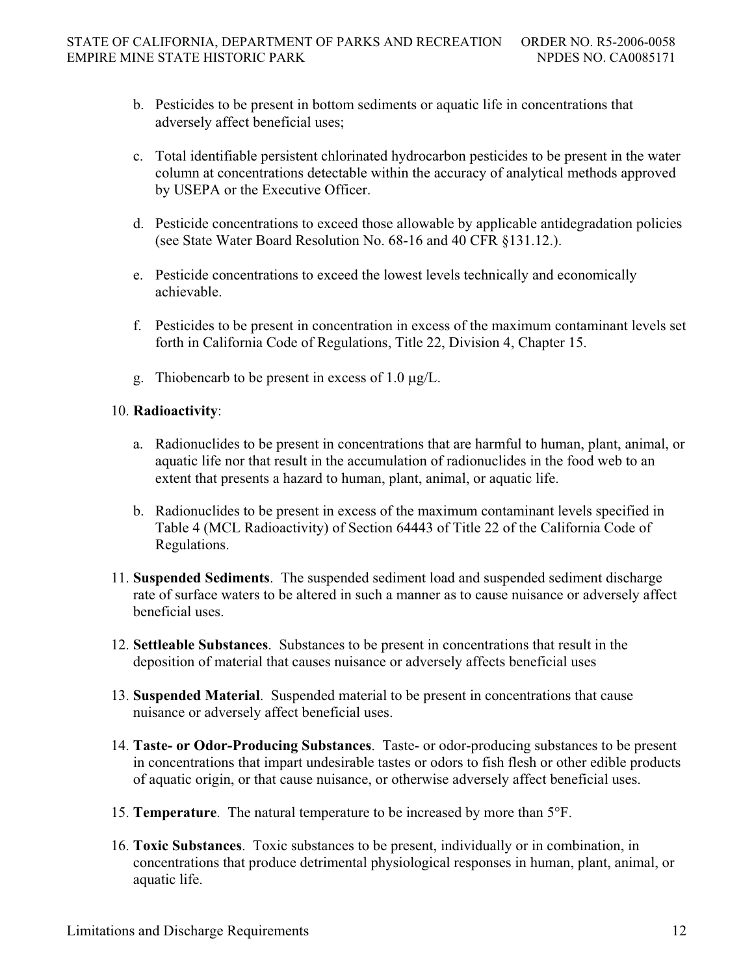- b. Pesticides to be present in bottom sediments or aquatic life in concentrations that adversely affect beneficial uses;
- c. Total identifiable persistent chlorinated hydrocarbon pesticides to be present in the water column at concentrations detectable within the accuracy of analytical methods approved by USEPA or the Executive Officer.
- d. Pesticide concentrations to exceed those allowable by applicable antidegradation policies (see State Water Board Resolution No. 68-16 and 40 CFR §131.12.).
- e. Pesticide concentrations to exceed the lowest levels technically and economically achievable.
- f. Pesticides to be present in concentration in excess of the maximum contaminant levels set forth in California Code of Regulations, Title 22, Division 4, Chapter 15.
- g. Thiobencarb to be present in excess of 1.0  $\mu$ g/L.

# 10. **Radioactivity**:

- a. Radionuclides to be present in concentrations that are harmful to human, plant, animal, or aquatic life nor that result in the accumulation of radionuclides in the food web to an extent that presents a hazard to human, plant, animal, or aquatic life.
- b. Radionuclides to be present in excess of the maximum contaminant levels specified in Table 4 (MCL Radioactivity) of Section 64443 of Title 22 of the California Code of Regulations.
- 11. **Suspended Sediments**. The suspended sediment load and suspended sediment discharge rate of surface waters to be altered in such a manner as to cause nuisance or adversely affect beneficial uses.
- 12. **Settleable Substances**. Substances to be present in concentrations that result in the deposition of material that causes nuisance or adversely affects beneficial uses
- 13. **Suspended Material**. Suspended material to be present in concentrations that cause nuisance or adversely affect beneficial uses.
- 14. **Taste- or Odor-Producing Substances**. Taste- or odor-producing substances to be present in concentrations that impart undesirable tastes or odors to fish flesh or other edible products of aquatic origin, or that cause nuisance, or otherwise adversely affect beneficial uses.
- 15. **Temperature**. The natural temperature to be increased by more than 5°F.
- 16. **Toxic Substances**. Toxic substances to be present, individually or in combination, in concentrations that produce detrimental physiological responses in human, plant, animal, or aquatic life.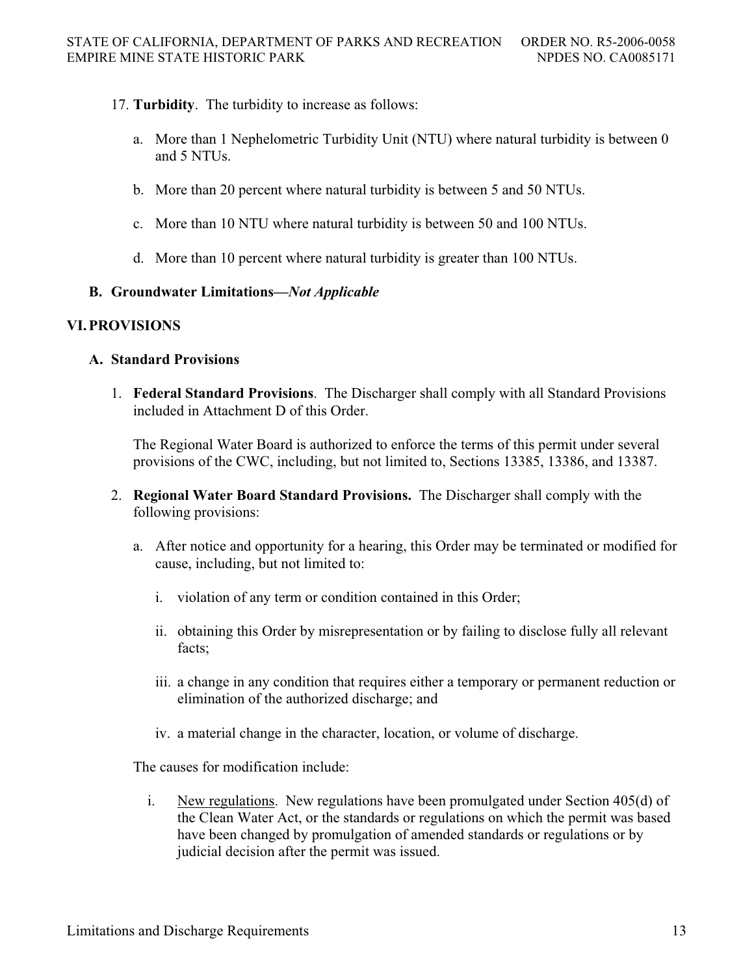- 17. **Turbidity**. The turbidity to increase as follows:
	- a. More than 1 Nephelometric Turbidity Unit (NTU) where natural turbidity is between 0 and 5 NTUs.
	- b. More than 20 percent where natural turbidity is between 5 and 50 NTUs.
	- c. More than 10 NTU where natural turbidity is between 50 and 100 NTUs.
	- d. More than 10 percent where natural turbidity is greater than 100 NTUs.

## **B. Groundwater Limitations—***Not Applicable*

## **VI. PROVISIONS**

## **A. Standard Provisions**

1. **Federal Standard Provisions**. The Discharger shall comply with all Standard Provisions included in Attachment D of this Order.

The Regional Water Board is authorized to enforce the terms of this permit under several provisions of the CWC, including, but not limited to, Sections 13385, 13386, and 13387.

- 2. **Regional Water Board Standard Provisions.** The Discharger shall comply with the following provisions:
	- a. After notice and opportunity for a hearing, this Order may be terminated or modified for cause, including, but not limited to:
		- i. violation of any term or condition contained in this Order;
		- ii. obtaining this Order by misrepresentation or by failing to disclose fully all relevant facts;
		- iii. a change in any condition that requires either a temporary or permanent reduction or elimination of the authorized discharge; and
		- iv. a material change in the character, location, or volume of discharge.

The causes for modification include:

i. New regulations. New regulations have been promulgated under Section 405(d) of the Clean Water Act, or the standards or regulations on which the permit was based have been changed by promulgation of amended standards or regulations or by judicial decision after the permit was issued.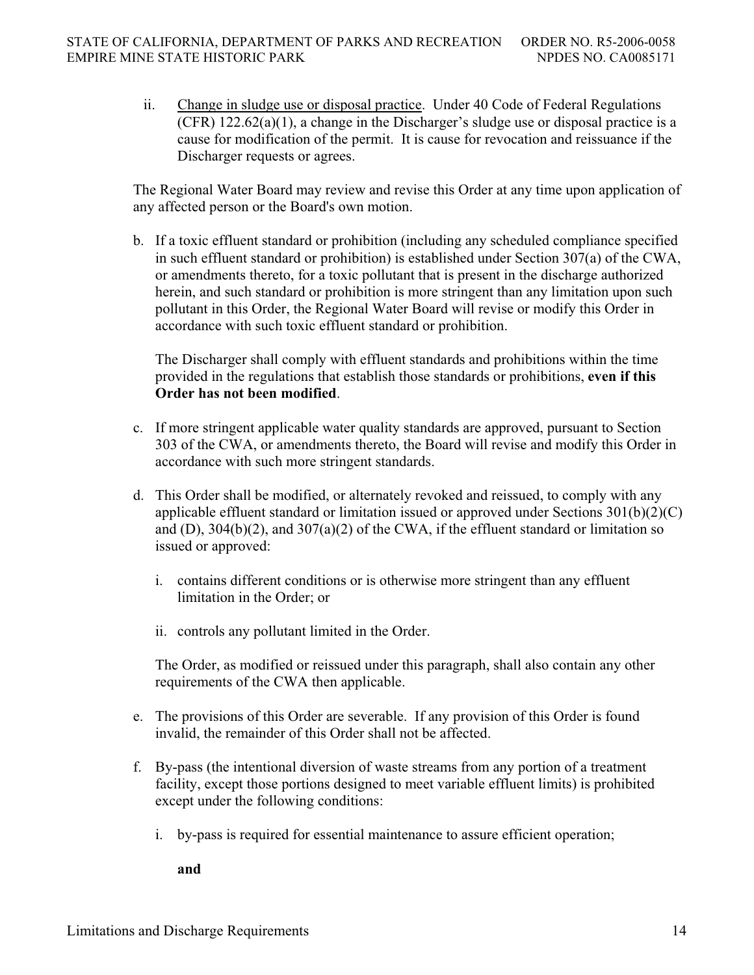ii. Change in sludge use or disposal practice. Under 40 Code of Federal Regulations (CFR) 122.62(a)(1), a change in the Discharger's sludge use or disposal practice is a cause for modification of the permit. It is cause for revocation and reissuance if the Discharger requests or agrees.

The Regional Water Board may review and revise this Order at any time upon application of any affected person or the Board's own motion.

b. If a toxic effluent standard or prohibition (including any scheduled compliance specified in such effluent standard or prohibition) is established under Section 307(a) of the CWA, or amendments thereto, for a toxic pollutant that is present in the discharge authorized herein, and such standard or prohibition is more stringent than any limitation upon such pollutant in this Order, the Regional Water Board will revise or modify this Order in accordance with such toxic effluent standard or prohibition.

The Discharger shall comply with effluent standards and prohibitions within the time provided in the regulations that establish those standards or prohibitions, **even if this Order has not been modified**.

- c. If more stringent applicable water quality standards are approved, pursuant to Section 303 of the CWA, or amendments thereto, the Board will revise and modify this Order in accordance with such more stringent standards.
- d. This Order shall be modified, or alternately revoked and reissued, to comply with any applicable effluent standard or limitation issued or approved under Sections  $301(b)(2)(C)$ and (D),  $304(b)(2)$ , and  $307(a)(2)$  of the CWA, if the effluent standard or limitation so issued or approved:
	- i. contains different conditions or is otherwise more stringent than any effluent limitation in the Order; or
	- ii. controls any pollutant limited in the Order.

The Order, as modified or reissued under this paragraph, shall also contain any other requirements of the CWA then applicable.

- e. The provisions of this Order are severable. If any provision of this Order is found invalid, the remainder of this Order shall not be affected.
- f. By-pass (the intentional diversion of waste streams from any portion of a treatment facility, except those portions designed to meet variable effluent limits) is prohibited except under the following conditions:
	- i. by-pass is required for essential maintenance to assure efficient operation;

**and**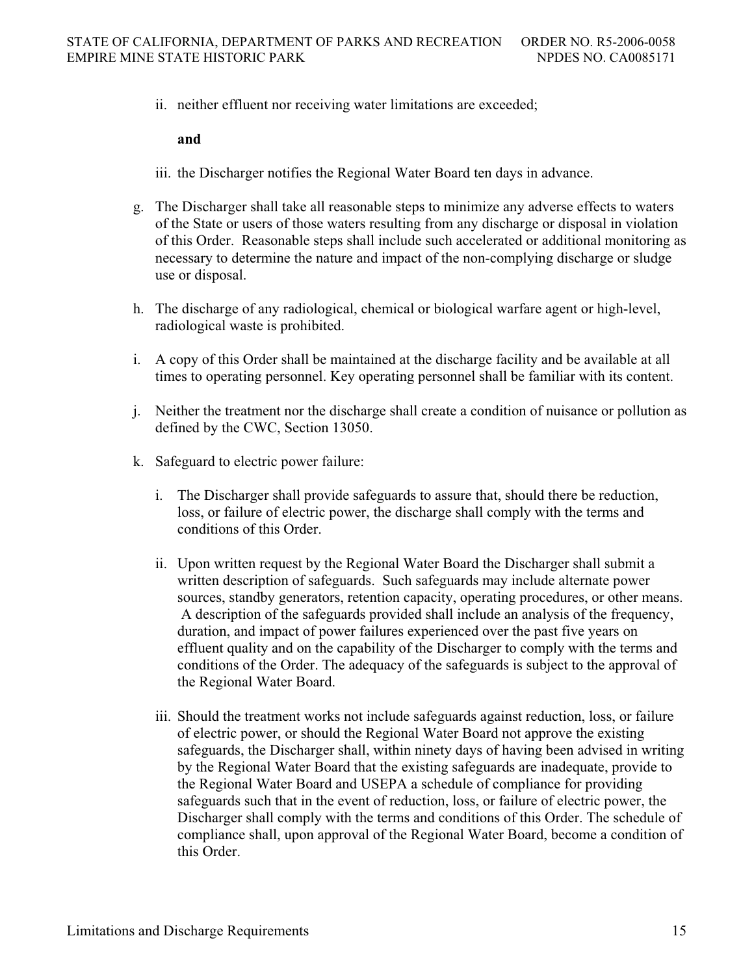ii. neither effluent nor receiving water limitations are exceeded;

#### **and**

- iii. the Discharger notifies the Regional Water Board ten days in advance.
- g. The Discharger shall take all reasonable steps to minimize any adverse effects to waters of the State or users of those waters resulting from any discharge or disposal in violation of this Order. Reasonable steps shall include such accelerated or additional monitoring as necessary to determine the nature and impact of the non-complying discharge or sludge use or disposal.
- h. The discharge of any radiological, chemical or biological warfare agent or high-level, radiological waste is prohibited.
- i. A copy of this Order shall be maintained at the discharge facility and be available at all times to operating personnel. Key operating personnel shall be familiar with its content.
- j. Neither the treatment nor the discharge shall create a condition of nuisance or pollution as defined by the CWC, Section 13050.
- k. Safeguard to electric power failure:
	- i. The Discharger shall provide safeguards to assure that, should there be reduction, loss, or failure of electric power, the discharge shall comply with the terms and conditions of this Order.
	- ii. Upon written request by the Regional Water Board the Discharger shall submit a written description of safeguards. Such safeguards may include alternate power sources, standby generators, retention capacity, operating procedures, or other means. A description of the safeguards provided shall include an analysis of the frequency, duration, and impact of power failures experienced over the past five years on effluent quality and on the capability of the Discharger to comply with the terms and conditions of the Order. The adequacy of the safeguards is subject to the approval of the Regional Water Board.
	- iii. Should the treatment works not include safeguards against reduction, loss, or failure of electric power, or should the Regional Water Board not approve the existing safeguards, the Discharger shall, within ninety days of having been advised in writing by the Regional Water Board that the existing safeguards are inadequate, provide to the Regional Water Board and USEPA a schedule of compliance for providing safeguards such that in the event of reduction, loss, or failure of electric power, the Discharger shall comply with the terms and conditions of this Order. The schedule of compliance shall, upon approval of the Regional Water Board, become a condition of this Order.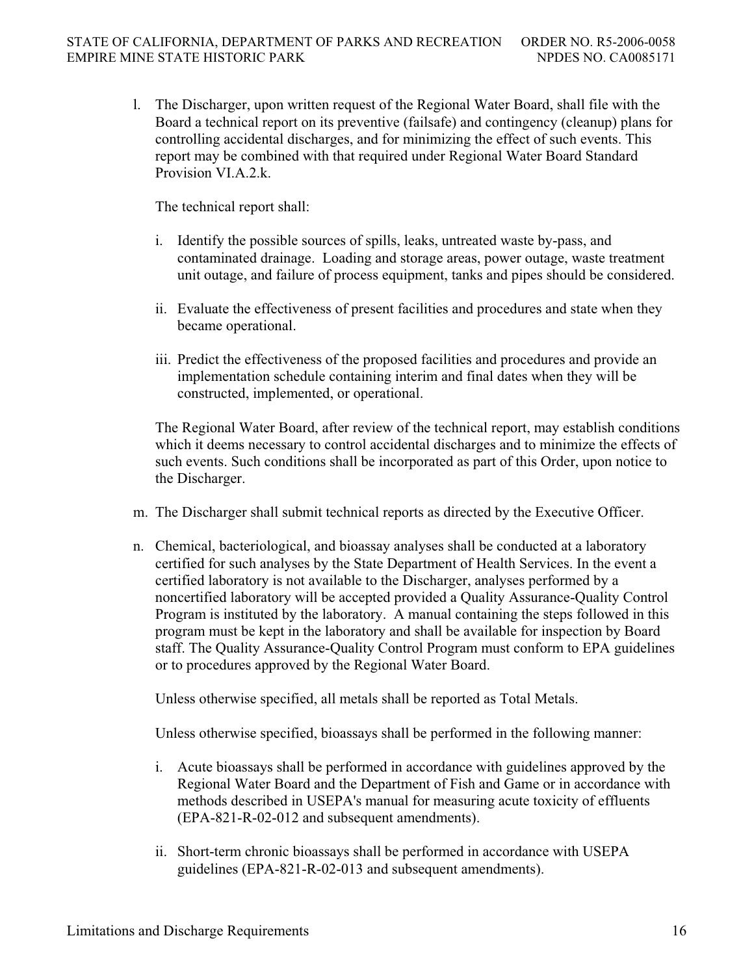l. The Discharger, upon written request of the Regional Water Board, shall file with the Board a technical report on its preventive (failsafe) and contingency (cleanup) plans for controlling accidental discharges, and for minimizing the effect of such events. This report may be combined with that required under Regional Water Board Standard Provision VI.A.2.k.

The technical report shall:

- i. Identify the possible sources of spills, leaks, untreated waste by-pass, and contaminated drainage. Loading and storage areas, power outage, waste treatment unit outage, and failure of process equipment, tanks and pipes should be considered.
- ii. Evaluate the effectiveness of present facilities and procedures and state when they became operational.
- iii. Predict the effectiveness of the proposed facilities and procedures and provide an implementation schedule containing interim and final dates when they will be constructed, implemented, or operational.

The Regional Water Board, after review of the technical report, may establish conditions which it deems necessary to control accidental discharges and to minimize the effects of such events. Such conditions shall be incorporated as part of this Order, upon notice to the Discharger.

- m. The Discharger shall submit technical reports as directed by the Executive Officer.
- n. Chemical, bacteriological, and bioassay analyses shall be conducted at a laboratory certified for such analyses by the State Department of Health Services. In the event a certified laboratory is not available to the Discharger, analyses performed by a noncertified laboratory will be accepted provided a Quality Assurance-Quality Control Program is instituted by the laboratory. A manual containing the steps followed in this program must be kept in the laboratory and shall be available for inspection by Board staff. The Quality Assurance-Quality Control Program must conform to EPA guidelines or to procedures approved by the Regional Water Board.

Unless otherwise specified, all metals shall be reported as Total Metals.

Unless otherwise specified, bioassays shall be performed in the following manner:

- i. Acute bioassays shall be performed in accordance with guidelines approved by the Regional Water Board and the Department of Fish and Game or in accordance with methods described in USEPA's manual for measuring acute toxicity of effluents (EPA-821-R-02-012 and subsequent amendments).
- ii. Short-term chronic bioassays shall be performed in accordance with USEPA guidelines (EPA-821-R-02-013 and subsequent amendments).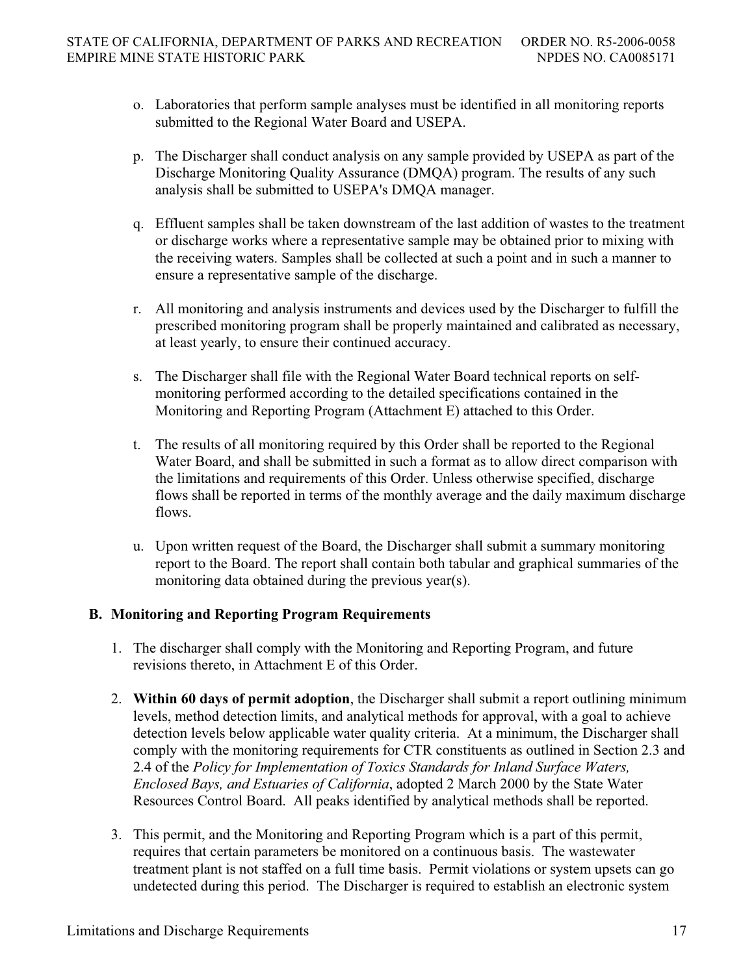- o. Laboratories that perform sample analyses must be identified in all monitoring reports submitted to the Regional Water Board and USEPA.
- p. The Discharger shall conduct analysis on any sample provided by USEPA as part of the Discharge Monitoring Quality Assurance (DMQA) program. The results of any such analysis shall be submitted to USEPA's DMQA manager.
- q. Effluent samples shall be taken downstream of the last addition of wastes to the treatment or discharge works where a representative sample may be obtained prior to mixing with the receiving waters. Samples shall be collected at such a point and in such a manner to ensure a representative sample of the discharge.
- r. All monitoring and analysis instruments and devices used by the Discharger to fulfill the prescribed monitoring program shall be properly maintained and calibrated as necessary, at least yearly, to ensure their continued accuracy.
- s. The Discharger shall file with the Regional Water Board technical reports on selfmonitoring performed according to the detailed specifications contained in the Monitoring and Reporting Program (Attachment E) attached to this Order.
- t. The results of all monitoring required by this Order shall be reported to the Regional Water Board, and shall be submitted in such a format as to allow direct comparison with the limitations and requirements of this Order. Unless otherwise specified, discharge flows shall be reported in terms of the monthly average and the daily maximum discharge flows.
- u. Upon written request of the Board, the Discharger shall submit a summary monitoring report to the Board. The report shall contain both tabular and graphical summaries of the monitoring data obtained during the previous year(s).

# **B. Monitoring and Reporting Program Requirements**

- 1. The discharger shall comply with the Monitoring and Reporting Program, and future revisions thereto, in Attachment E of this Order.
- 2. **Within 60 days of permit adoption**, the Discharger shall submit a report outlining minimum levels, method detection limits, and analytical methods for approval, with a goal to achieve detection levels below applicable water quality criteria. At a minimum, the Discharger shall comply with the monitoring requirements for CTR constituents as outlined in Section 2.3 and 2.4 of the *Policy for Implementation of Toxics Standards for Inland Surface Waters, Enclosed Bays, and Estuaries of California*, adopted 2 March 2000 by the State Water Resources Control Board. All peaks identified by analytical methods shall be reported.
- 3. This permit, and the Monitoring and Reporting Program which is a part of this permit, requires that certain parameters be monitored on a continuous basis. The wastewater treatment plant is not staffed on a full time basis. Permit violations or system upsets can go undetected during this period. The Discharger is required to establish an electronic system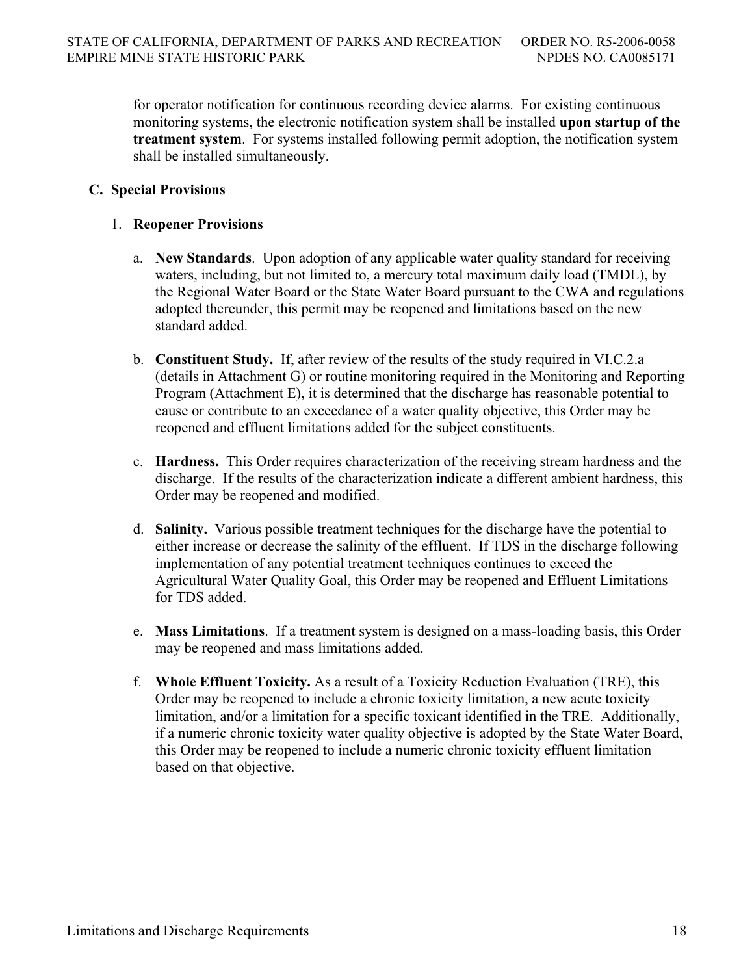for operator notification for continuous recording device alarms. For existing continuous monitoring systems, the electronic notification system shall be installed **upon startup of the treatment system**. For systems installed following permit adoption, the notification system shall be installed simultaneously.

## **C. Special Provisions**

## 1. **Reopener Provisions**

- a. **New Standards**. Upon adoption of any applicable water quality standard for receiving waters, including, but not limited to, a mercury total maximum daily load (TMDL), by the Regional Water Board or the State Water Board pursuant to the CWA and regulations adopted thereunder, this permit may be reopened and limitations based on the new standard added.
- b. **Constituent Study.** If, after review of the results of the study required in VI.C.2.a (details in Attachment G) or routine monitoring required in the Monitoring and Reporting Program (Attachment E), it is determined that the discharge has reasonable potential to cause or contribute to an exceedance of a water quality objective, this Order may be reopened and effluent limitations added for the subject constituents.
- c. **Hardness.** This Order requires characterization of the receiving stream hardness and the discharge. If the results of the characterization indicate a different ambient hardness, this Order may be reopened and modified.
- d. **Salinity.** Various possible treatment techniques for the discharge have the potential to either increase or decrease the salinity of the effluent. If TDS in the discharge following implementation of any potential treatment techniques continues to exceed the Agricultural Water Quality Goal, this Order may be reopened and Effluent Limitations for TDS added.
- e. **Mass Limitations**. If a treatment system is designed on a mass-loading basis, this Order may be reopened and mass limitations added.
- f. **Whole Effluent Toxicity.** As a result of a Toxicity Reduction Evaluation (TRE), this Order may be reopened to include a chronic toxicity limitation, a new acute toxicity limitation, and/or a limitation for a specific toxicant identified in the TRE. Additionally, if a numeric chronic toxicity water quality objective is adopted by the State Water Board, this Order may be reopened to include a numeric chronic toxicity effluent limitation based on that objective.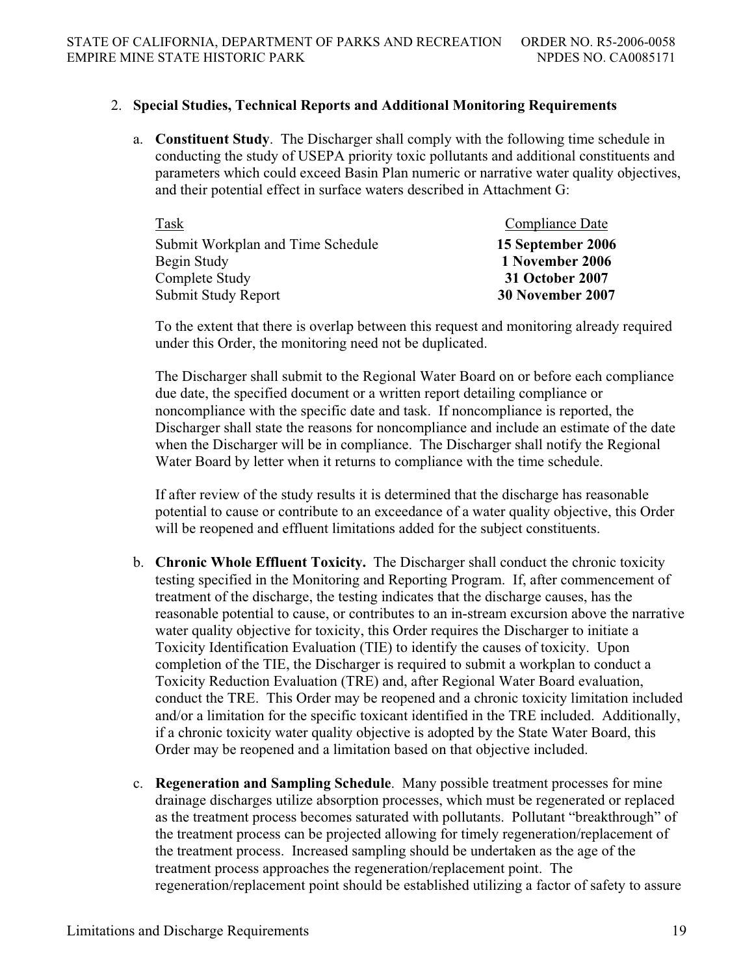## 2. **Special Studies, Technical Reports and Additional Monitoring Requirements**

a. **Constituent Study**. The Discharger shall comply with the following time schedule in conducting the study of USEPA priority toxic pollutants and additional constituents and parameters which could exceed Basin Plan numeric or narrative water quality objectives, and their potential effect in surface waters described in Attachment G:

| Task                              | Compliance Date   |
|-----------------------------------|-------------------|
| Submit Workplan and Time Schedule | 15 September 2006 |
| Begin Study                       | 1 November 2006   |
| Complete Study                    | 31 October 2007   |
| Submit Study Report               | 30 November 2007  |

To the extent that there is overlap between this request and monitoring already required under this Order, the monitoring need not be duplicated.

The Discharger shall submit to the Regional Water Board on or before each compliance due date, the specified document or a written report detailing compliance or noncompliance with the specific date and task. If noncompliance is reported, the Discharger shall state the reasons for noncompliance and include an estimate of the date when the Discharger will be in compliance. The Discharger shall notify the Regional Water Board by letter when it returns to compliance with the time schedule.

If after review of the study results it is determined that the discharge has reasonable potential to cause or contribute to an exceedance of a water quality objective, this Order will be reopened and effluent limitations added for the subject constituents.

- b. **Chronic Whole Effluent Toxicity.** The Discharger shall conduct the chronic toxicity testing specified in the Monitoring and Reporting Program. If, after commencement of treatment of the discharge, the testing indicates that the discharge causes, has the reasonable potential to cause, or contributes to an in-stream excursion above the narrative water quality objective for toxicity, this Order requires the Discharger to initiate a Toxicity Identification Evaluation (TIE) to identify the causes of toxicity. Upon completion of the TIE, the Discharger is required to submit a workplan to conduct a Toxicity Reduction Evaluation (TRE) and, after Regional Water Board evaluation, conduct the TRE. This Order may be reopened and a chronic toxicity limitation included and/or a limitation for the specific toxicant identified in the TRE included. Additionally, if a chronic toxicity water quality objective is adopted by the State Water Board, this Order may be reopened and a limitation based on that objective included.
- c. **Regeneration and Sampling Schedule**. Many possible treatment processes for mine drainage discharges utilize absorption processes, which must be regenerated or replaced as the treatment process becomes saturated with pollutants. Pollutant "breakthrough" of the treatment process can be projected allowing for timely regeneration/replacement of the treatment process. Increased sampling should be undertaken as the age of the treatment process approaches the regeneration/replacement point. The regeneration/replacement point should be established utilizing a factor of safety to assure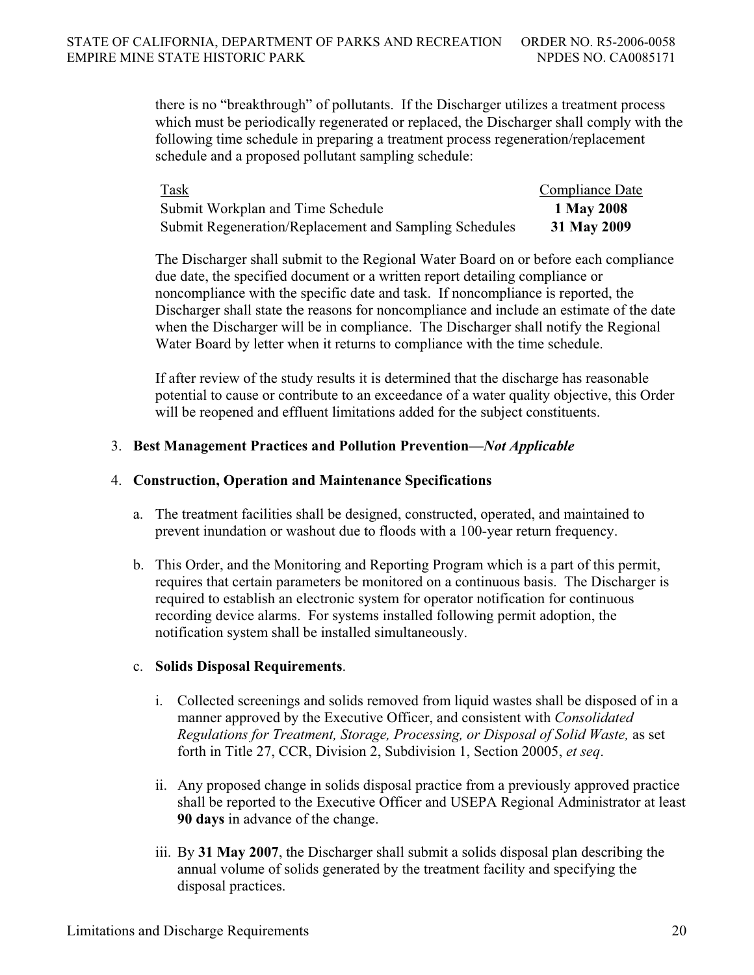there is no "breakthrough" of pollutants. If the Discharger utilizes a treatment process which must be periodically regenerated or replaced, the Discharger shall comply with the following time schedule in preparing a treatment process regeneration/replacement schedule and a proposed pollutant sampling schedule:

| Task                                                          | <b>Compliance Date</b> |
|---------------------------------------------------------------|------------------------|
| Submit Workplan and Time Schedule                             | 1 May 2008             |
| <b>Submit Regeneration/Replacement and Sampling Schedules</b> | 31 May 2009            |

The Discharger shall submit to the Regional Water Board on or before each compliance due date, the specified document or a written report detailing compliance or noncompliance with the specific date and task. If noncompliance is reported, the Discharger shall state the reasons for noncompliance and include an estimate of the date when the Discharger will be in compliance. The Discharger shall notify the Regional Water Board by letter when it returns to compliance with the time schedule.

If after review of the study results it is determined that the discharge has reasonable potential to cause or contribute to an exceedance of a water quality objective, this Order will be reopened and effluent limitations added for the subject constituents.

## 3. **Best Management Practices and Pollution Prevention—***Not Applicable*

### 4. **Construction, Operation and Maintenance Specifications**

- a. The treatment facilities shall be designed, constructed, operated, and maintained to prevent inundation or washout due to floods with a 100-year return frequency.
- b. This Order, and the Monitoring and Reporting Program which is a part of this permit, requires that certain parameters be monitored on a continuous basis. The Discharger is required to establish an electronic system for operator notification for continuous recording device alarms. For systems installed following permit adoption, the notification system shall be installed simultaneously.

## c. **Solids Disposal Requirements**.

- i. Collected screenings and solids removed from liquid wastes shall be disposed of in a manner approved by the Executive Officer, and consistent with *Consolidated Regulations for Treatment, Storage, Processing, or Disposal of Solid Waste,* as set forth in Title 27, CCR, Division 2, Subdivision 1, Section 20005, *et seq*.
- ii. Any proposed change in solids disposal practice from a previously approved practice shall be reported to the Executive Officer and USEPA Regional Administrator at least **90 days** in advance of the change.
- iii. By **31 May 2007**, the Discharger shall submit a solids disposal plan describing the annual volume of solids generated by the treatment facility and specifying the disposal practices.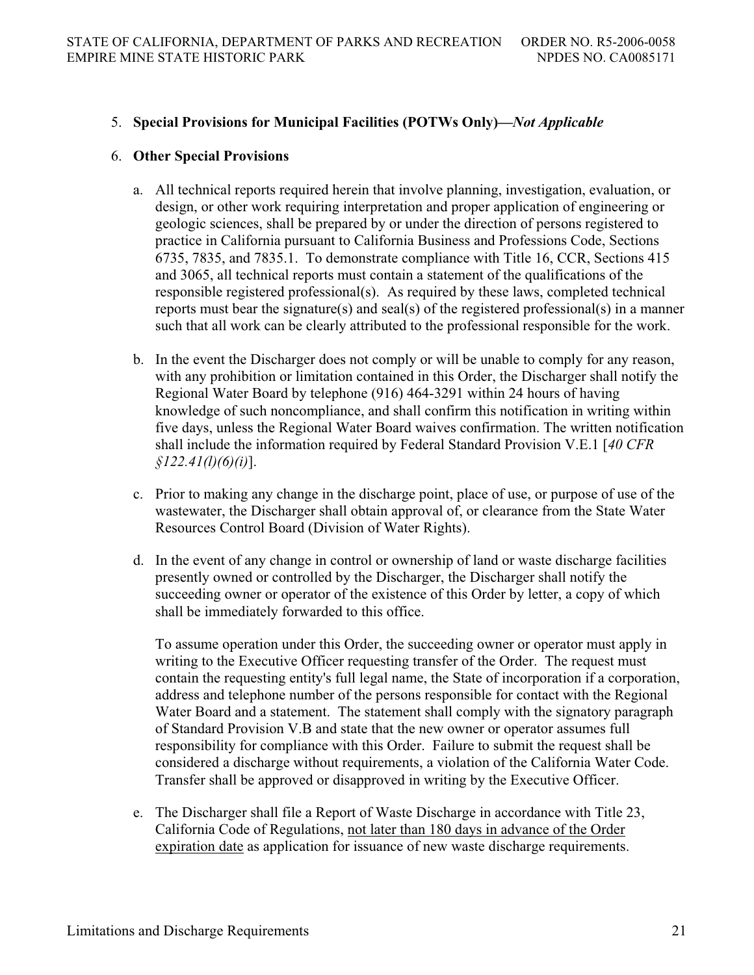## 5. **Special Provisions for Municipal Facilities (POTWs Only)—***Not Applicable*

## 6. **Other Special Provisions**

- a. All technical reports required herein that involve planning, investigation, evaluation, or design, or other work requiring interpretation and proper application of engineering or geologic sciences, shall be prepared by or under the direction of persons registered to practice in California pursuant to California Business and Professions Code, Sections 6735, 7835, and 7835.1. To demonstrate compliance with Title 16, CCR, Sections 415 and 3065, all technical reports must contain a statement of the qualifications of the responsible registered professional(s). As required by these laws, completed technical reports must bear the signature(s) and seal(s) of the registered professional(s) in a manner such that all work can be clearly attributed to the professional responsible for the work.
- b. In the event the Discharger does not comply or will be unable to comply for any reason, with any prohibition or limitation contained in this Order, the Discharger shall notify the Regional Water Board by telephone (916) 464-3291 within 24 hours of having knowledge of such noncompliance, and shall confirm this notification in writing within five days, unless the Regional Water Board waives confirmation. The written notification shall include the information required by Federal Standard Provision V.E.1 [*40 CFR §122.41(l)(6)(i)*].
- c. Prior to making any change in the discharge point, place of use, or purpose of use of the wastewater, the Discharger shall obtain approval of, or clearance from the State Water Resources Control Board (Division of Water Rights).
- d. In the event of any change in control or ownership of land or waste discharge facilities presently owned or controlled by the Discharger, the Discharger shall notify the succeeding owner or operator of the existence of this Order by letter, a copy of which shall be immediately forwarded to this office.

To assume operation under this Order, the succeeding owner or operator must apply in writing to the Executive Officer requesting transfer of the Order. The request must contain the requesting entity's full legal name, the State of incorporation if a corporation, address and telephone number of the persons responsible for contact with the Regional Water Board and a statement. The statement shall comply with the signatory paragraph of Standard Provision V.B and state that the new owner or operator assumes full responsibility for compliance with this Order. Failure to submit the request shall be considered a discharge without requirements, a violation of the California Water Code. Transfer shall be approved or disapproved in writing by the Executive Officer.

e. The Discharger shall file a Report of Waste Discharge in accordance with Title 23, California Code of Regulations, not later than 180 days in advance of the Order expiration date as application for issuance of new waste discharge requirements.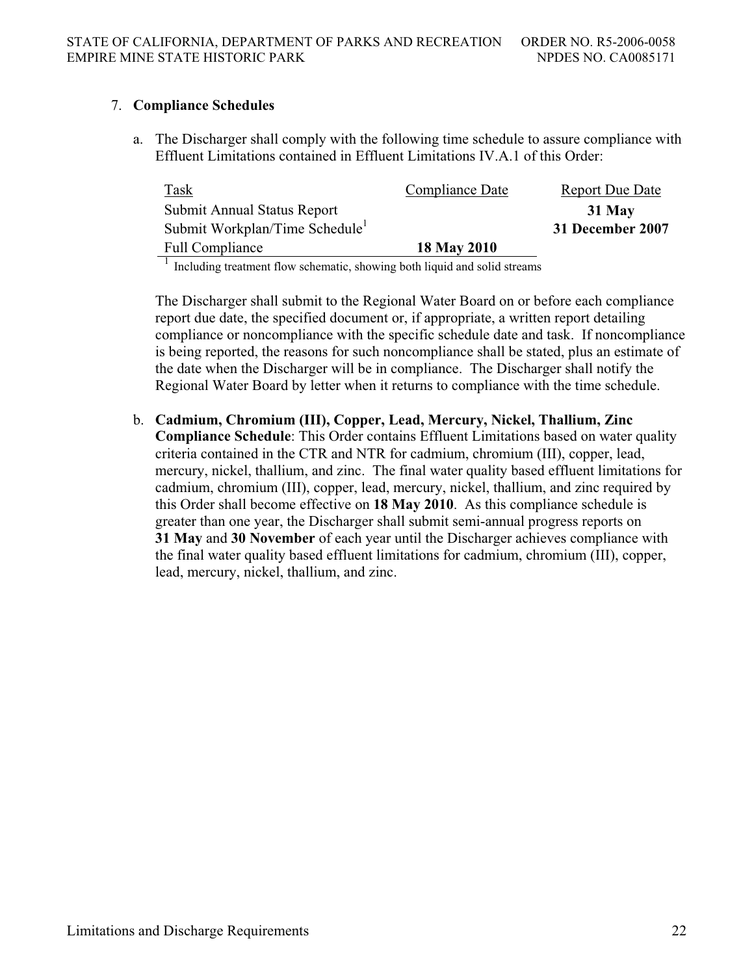## 7. **Compliance Schedules**

a. The Discharger shall comply with the following time schedule to assure compliance with Effluent Limitations contained in Effluent Limitations IV.A.1 of this Order:

| <b>Task</b>                                | Compliance Date | <b>Report Due Date</b> |
|--------------------------------------------|-----------------|------------------------|
| Submit Annual Status Report                |                 | 31 May                 |
| Submit Workplan/Time Schedule <sup>1</sup> |                 | 31 December 2007       |
| <b>Full Compliance</b>                     | 18 May 2010     |                        |
|                                            |                 |                        |

<sup>1</sup> Including treatment flow schematic, showing both liquid and solid streams

The Discharger shall submit to the Regional Water Board on or before each compliance report due date, the specified document or, if appropriate, a written report detailing compliance or noncompliance with the specific schedule date and task. If noncompliance is being reported, the reasons for such noncompliance shall be stated, plus an estimate of the date when the Discharger will be in compliance. The Discharger shall notify the Regional Water Board by letter when it returns to compliance with the time schedule.

b. **Cadmium, Chromium (III), Copper, Lead, Mercury, Nickel, Thallium, Zinc Compliance Schedule**: This Order contains Effluent Limitations based on water quality criteria contained in the CTR and NTR for cadmium, chromium (III), copper, lead, mercury, nickel, thallium, and zinc. The final water quality based effluent limitations for cadmium, chromium (III), copper, lead, mercury, nickel, thallium, and zinc required by this Order shall become effective on **18 May 2010**. As this compliance schedule is greater than one year, the Discharger shall submit semi-annual progress reports on **31 May** and **30 November** of each year until the Discharger achieves compliance with the final water quality based effluent limitations for cadmium, chromium (III), copper, lead, mercury, nickel, thallium, and zinc.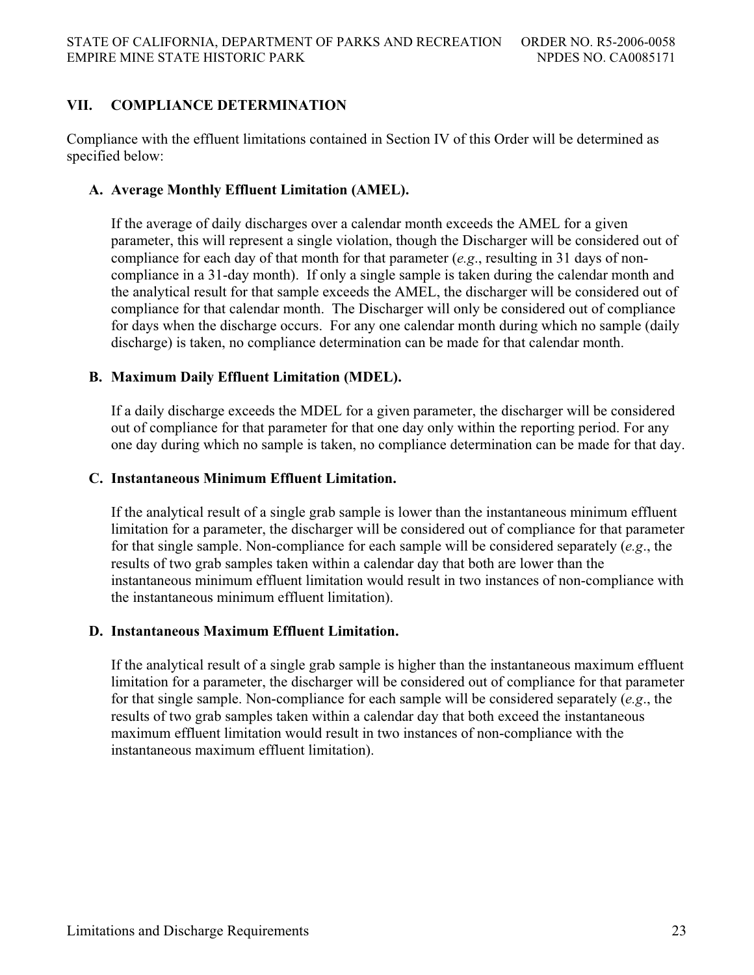# **VII. COMPLIANCE DETERMINATION**

Compliance with the effluent limitations contained in Section IV of this Order will be determined as specified below:

## **A. Average Monthly Effluent Limitation (AMEL).**

If the average of daily discharges over a calendar month exceeds the AMEL for a given parameter, this will represent a single violation, though the Discharger will be considered out of compliance for each day of that month for that parameter (*e.g*., resulting in 31 days of noncompliance in a 31-day month). If only a single sample is taken during the calendar month and the analytical result for that sample exceeds the AMEL, the discharger will be considered out of compliance for that calendar month. The Discharger will only be considered out of compliance for days when the discharge occurs. For any one calendar month during which no sample (daily discharge) is taken, no compliance determination can be made for that calendar month.

## **B. Maximum Daily Effluent Limitation (MDEL).**

If a daily discharge exceeds the MDEL for a given parameter, the discharger will be considered out of compliance for that parameter for that one day only within the reporting period. For any one day during which no sample is taken, no compliance determination can be made for that day.

## **C. Instantaneous Minimum Effluent Limitation.**

If the analytical result of a single grab sample is lower than the instantaneous minimum effluent limitation for a parameter, the discharger will be considered out of compliance for that parameter for that single sample. Non-compliance for each sample will be considered separately (*e.g*., the results of two grab samples taken within a calendar day that both are lower than the instantaneous minimum effluent limitation would result in two instances of non-compliance with the instantaneous minimum effluent limitation).

## **D. Instantaneous Maximum Effluent Limitation.**

If the analytical result of a single grab sample is higher than the instantaneous maximum effluent limitation for a parameter, the discharger will be considered out of compliance for that parameter for that single sample. Non-compliance for each sample will be considered separately (*e.g*., the results of two grab samples taken within a calendar day that both exceed the instantaneous maximum effluent limitation would result in two instances of non-compliance with the instantaneous maximum effluent limitation).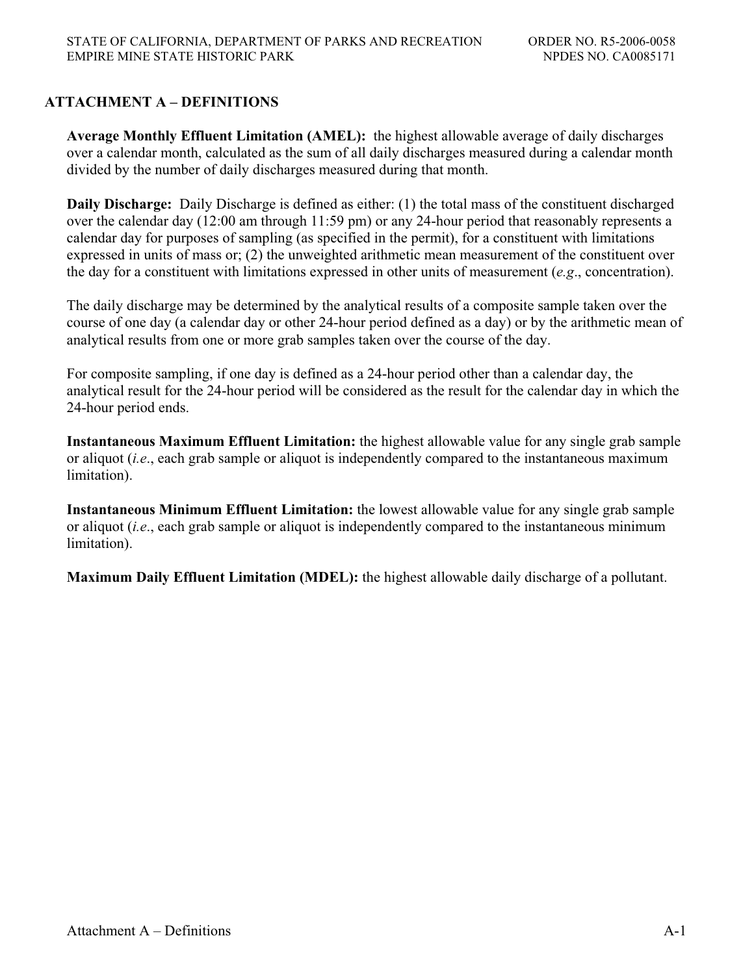# **ATTACHMENT A – DEFINITIONS**

**Average Monthly Effluent Limitation (AMEL):** the highest allowable average of daily discharges over a calendar month, calculated as the sum of all daily discharges measured during a calendar month divided by the number of daily discharges measured during that month.

**Daily Discharge:** Daily Discharge is defined as either: (1) the total mass of the constituent discharged over the calendar day (12:00 am through 11:59 pm) or any 24-hour period that reasonably represents a calendar day for purposes of sampling (as specified in the permit), for a constituent with limitations expressed in units of mass or; (2) the unweighted arithmetic mean measurement of the constituent over the day for a constituent with limitations expressed in other units of measurement (*e.g*., concentration).

The daily discharge may be determined by the analytical results of a composite sample taken over the course of one day (a calendar day or other 24-hour period defined as a day) or by the arithmetic mean of analytical results from one or more grab samples taken over the course of the day.

For composite sampling, if one day is defined as a 24-hour period other than a calendar day, the analytical result for the 24-hour period will be considered as the result for the calendar day in which the 24-hour period ends.

**Instantaneous Maximum Effluent Limitation:** the highest allowable value for any single grab sample or aliquot (*i.e*., each grab sample or aliquot is independently compared to the instantaneous maximum limitation).

**Instantaneous Minimum Effluent Limitation:** the lowest allowable value for any single grab sample or aliquot (*i.e*., each grab sample or aliquot is independently compared to the instantaneous minimum limitation).

**Maximum Daily Effluent Limitation (MDEL):** the highest allowable daily discharge of a pollutant.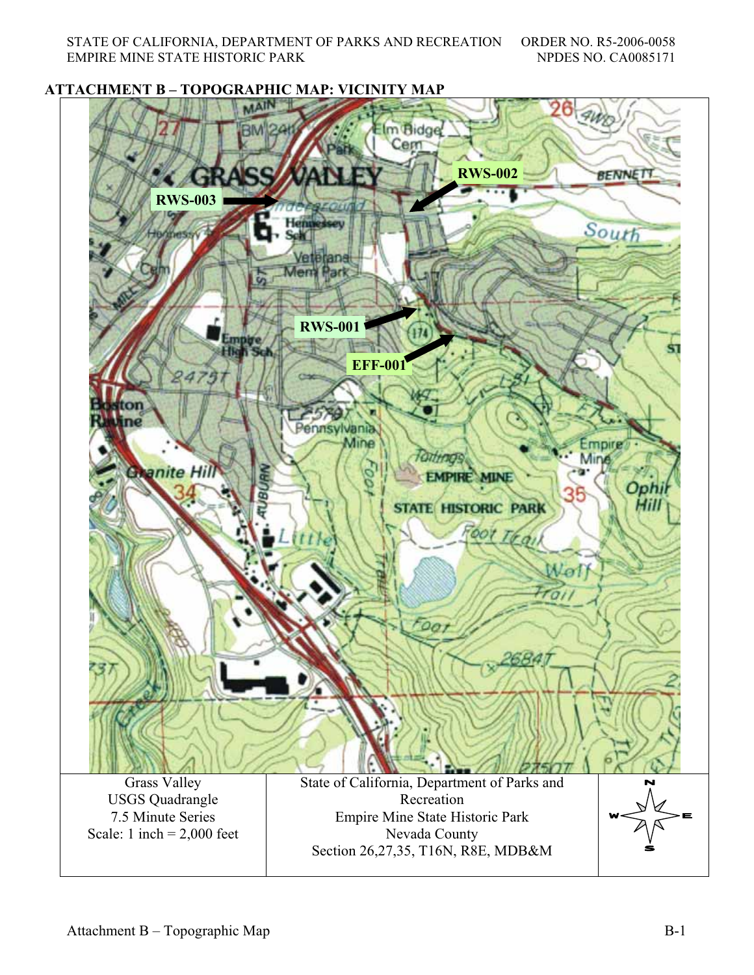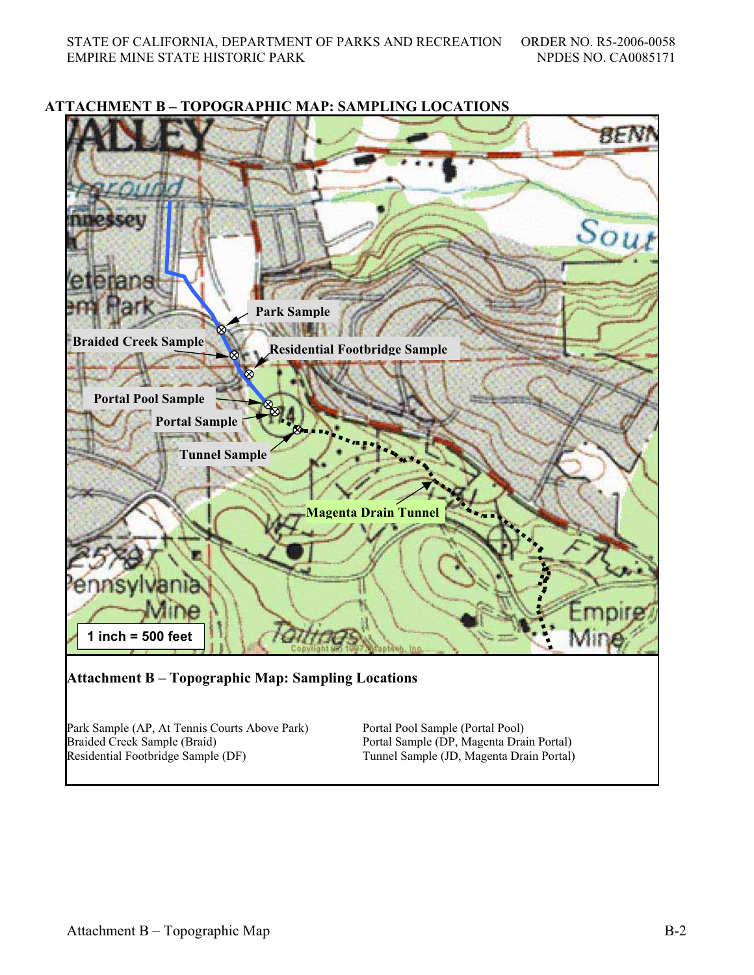

### **ATTACHMENT B – TOPOGRAPHIC MAP: SAMPLING LOCATIONS**

Braided Creek Sample (Braid) Residential Footbridge Sample (DF)

Portal Sample (DP, Magenta Drain Portal) Tunnel Sample (JD, Magenta Drain Portal)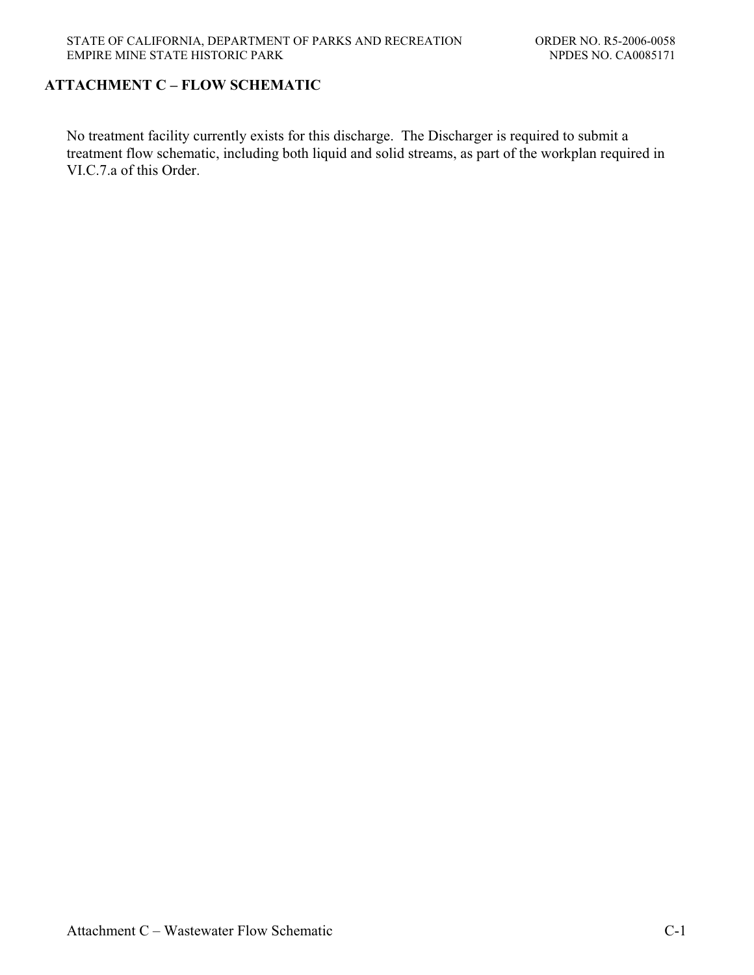## **ATTACHMENT C – FLOW SCHEMATIC**

No treatment facility currently exists for this discharge. The Discharger is required to submit a treatment flow schematic, including both liquid and solid streams, as part of the workplan required in VI.C.7.a of this Order.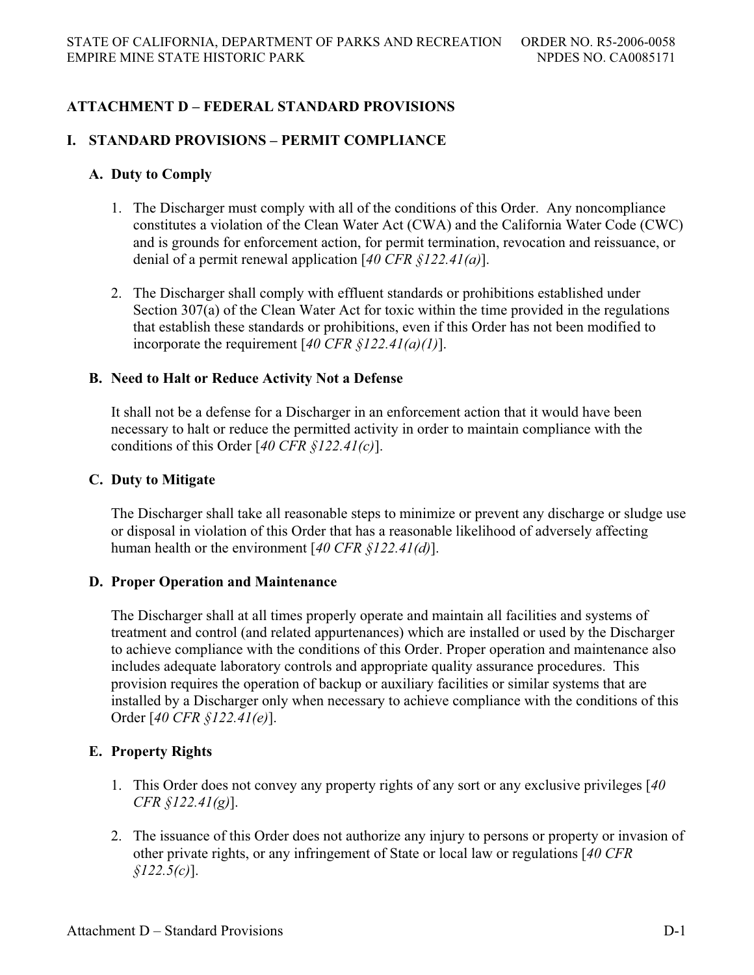# **ATTACHMENT D – FEDERAL STANDARD PROVISIONS**

## **I. STANDARD PROVISIONS – PERMIT COMPLIANCE**

## **A. Duty to Comply**

- 1. The Discharger must comply with all of the conditions of this Order. Any noncompliance constitutes a violation of the Clean Water Act (CWA) and the California Water Code (CWC) and is grounds for enforcement action, for permit termination, revocation and reissuance, or denial of a permit renewal application [*40 CFR §122.41(a)*].
- 2. The Discharger shall comply with effluent standards or prohibitions established under Section 307(a) of the Clean Water Act for toxic within the time provided in the regulations that establish these standards or prohibitions, even if this Order has not been modified to incorporate the requirement [*40 CFR §122.41(a)(1)*].

### **B. Need to Halt or Reduce Activity Not a Defense**

It shall not be a defense for a Discharger in an enforcement action that it would have been necessary to halt or reduce the permitted activity in order to maintain compliance with the conditions of this Order [*40 CFR §122.41(c)*].

### **C. Duty to Mitigate**

The Discharger shall take all reasonable steps to minimize or prevent any discharge or sludge use or disposal in violation of this Order that has a reasonable likelihood of adversely affecting human health or the environment [*40 CFR §122.41(d)*].

## **D. Proper Operation and Maintenance**

The Discharger shall at all times properly operate and maintain all facilities and systems of treatment and control (and related appurtenances) which are installed or used by the Discharger to achieve compliance with the conditions of this Order. Proper operation and maintenance also includes adequate laboratory controls and appropriate quality assurance procedures. This provision requires the operation of backup or auxiliary facilities or similar systems that are installed by a Discharger only when necessary to achieve compliance with the conditions of this Order [*40 CFR §122.41(e)*].

## **E. Property Rights**

- 1. This Order does not convey any property rights of any sort or any exclusive privileges [*40 CFR §122.41(g)*].
- 2. The issuance of this Order does not authorize any injury to persons or property or invasion of other private rights, or any infringement of State or local law or regulations [*40 CFR §122.5(c)*].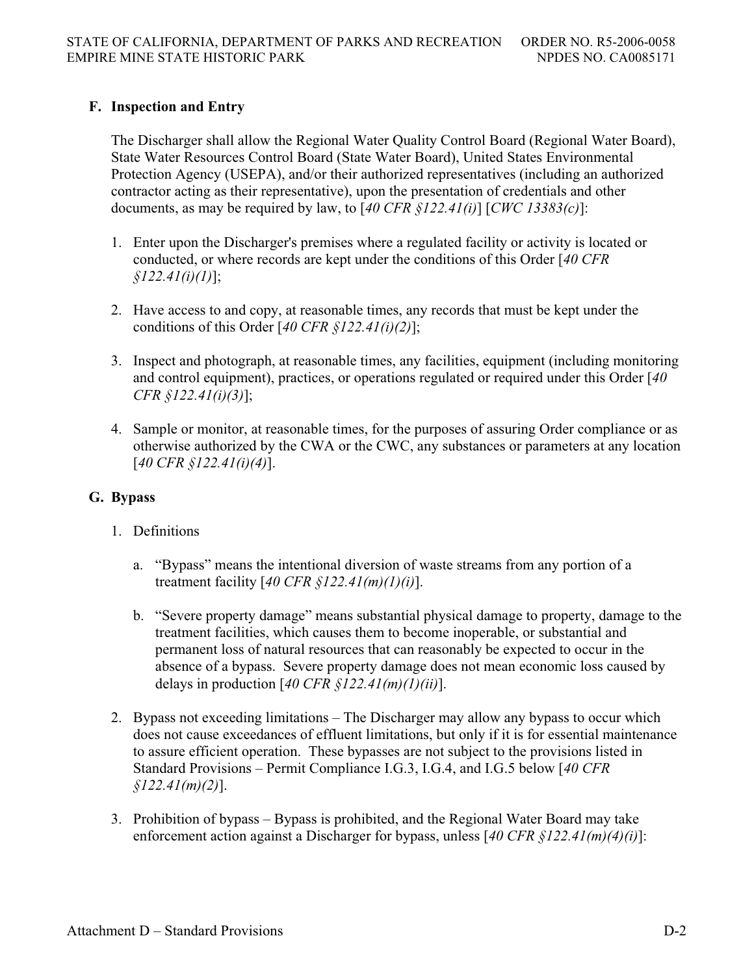# **F. Inspection and Entry**

The Discharger shall allow the Regional Water Quality Control Board (Regional Water Board), State Water Resources Control Board (State Water Board), United States Environmental Protection Agency (USEPA), and/or their authorized representatives (including an authorized contractor acting as their representative), upon the presentation of credentials and other documents, as may be required by law, to [*40 CFR §122.41(i)*] [*CWC 13383(c)*]:

- 1. Enter upon the Discharger's premises where a regulated facility or activity is located or conducted, or where records are kept under the conditions of this Order [*40 CFR §122.41(i)(1)*];
- 2. Have access to and copy, at reasonable times, any records that must be kept under the conditions of this Order [*40 CFR §122.41(i)(2)*];
- 3. Inspect and photograph, at reasonable times, any facilities, equipment (including monitoring and control equipment), practices, or operations regulated or required under this Order [*40 CFR §122.41(i)(3)*];
- 4. Sample or monitor, at reasonable times, for the purposes of assuring Order compliance or as otherwise authorized by the CWA or the CWC, any substances or parameters at any location [*40 CFR §122.41(i)(4)*].

# **G. Bypass**

- 1. Definitions
	- a. "Bypass" means the intentional diversion of waste streams from any portion of a treatment facility [*40 CFR §122.41(m)(1)(i)*].
	- b. "Severe property damage" means substantial physical damage to property, damage to the treatment facilities, which causes them to become inoperable, or substantial and permanent loss of natural resources that can reasonably be expected to occur in the absence of a bypass. Severe property damage does not mean economic loss caused by delays in production [*40 CFR §122.41(m)(1)(ii)*].
- 2. Bypass not exceeding limitations The Discharger may allow any bypass to occur which does not cause exceedances of effluent limitations, but only if it is for essential maintenance to assure efficient operation. These bypasses are not subject to the provisions listed in Standard Provisions – Permit Compliance I.G.3, I.G.4, and I.G.5 below [*40 CFR §122.41(m)(2)*].
- 3. Prohibition of bypass Bypass is prohibited, and the Regional Water Board may take enforcement action against a Discharger for bypass, unless [*40 CFR §122.41(m)(4)(i)*]: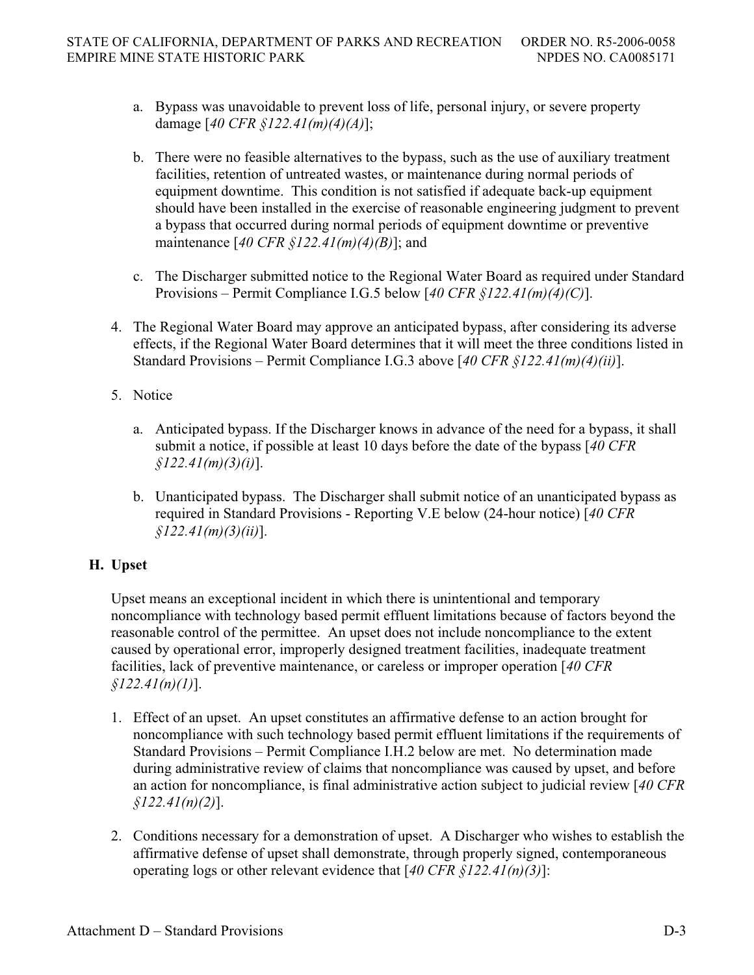- a. Bypass was unavoidable to prevent loss of life, personal injury, or severe property damage [*40 CFR §122.41(m)(4)(A)*];
- b. There were no feasible alternatives to the bypass, such as the use of auxiliary treatment facilities, retention of untreated wastes, or maintenance during normal periods of equipment downtime. This condition is not satisfied if adequate back-up equipment should have been installed in the exercise of reasonable engineering judgment to prevent a bypass that occurred during normal periods of equipment downtime or preventive maintenance [*40 CFR §122.41(m)(4)(B)*]; and
- c. The Discharger submitted notice to the Regional Water Board as required under Standard Provisions – Permit Compliance I.G.5 below [*40 CFR §122.41(m)(4)(C)*].
- 4. The Regional Water Board may approve an anticipated bypass, after considering its adverse effects, if the Regional Water Board determines that it will meet the three conditions listed in Standard Provisions – Permit Compliance I.G.3 above [*40 CFR §122.41(m)(4)(ii)*].
- 5. Notice
	- a. Anticipated bypass. If the Discharger knows in advance of the need for a bypass, it shall submit a notice, if possible at least 10 days before the date of the bypass [*40 CFR §122.41(m)(3)(i)*].
	- b. Unanticipated bypass. The Discharger shall submit notice of an unanticipated bypass as required in Standard Provisions - Reporting V.E below (24-hour notice) [*40 CFR §122.41(m)(3)(ii)*].

# **H. Upset**

Upset means an exceptional incident in which there is unintentional and temporary noncompliance with technology based permit effluent limitations because of factors beyond the reasonable control of the permittee. An upset does not include noncompliance to the extent caused by operational error, improperly designed treatment facilities, inadequate treatment facilities, lack of preventive maintenance, or careless or improper operation [*40 CFR §122.41(n)(1)*].

- 1. Effect of an upset. An upset constitutes an affirmative defense to an action brought for noncompliance with such technology based permit effluent limitations if the requirements of Standard Provisions – Permit Compliance I.H.2 below are met. No determination made during administrative review of claims that noncompliance was caused by upset, and before an action for noncompliance, is final administrative action subject to judicial review [*40 CFR §122.41(n)(2)*].
- 2. Conditions necessary for a demonstration of upset. A Discharger who wishes to establish the affirmative defense of upset shall demonstrate, through properly signed, contemporaneous operating logs or other relevant evidence that [*40 CFR §122.41(n)(3)*]: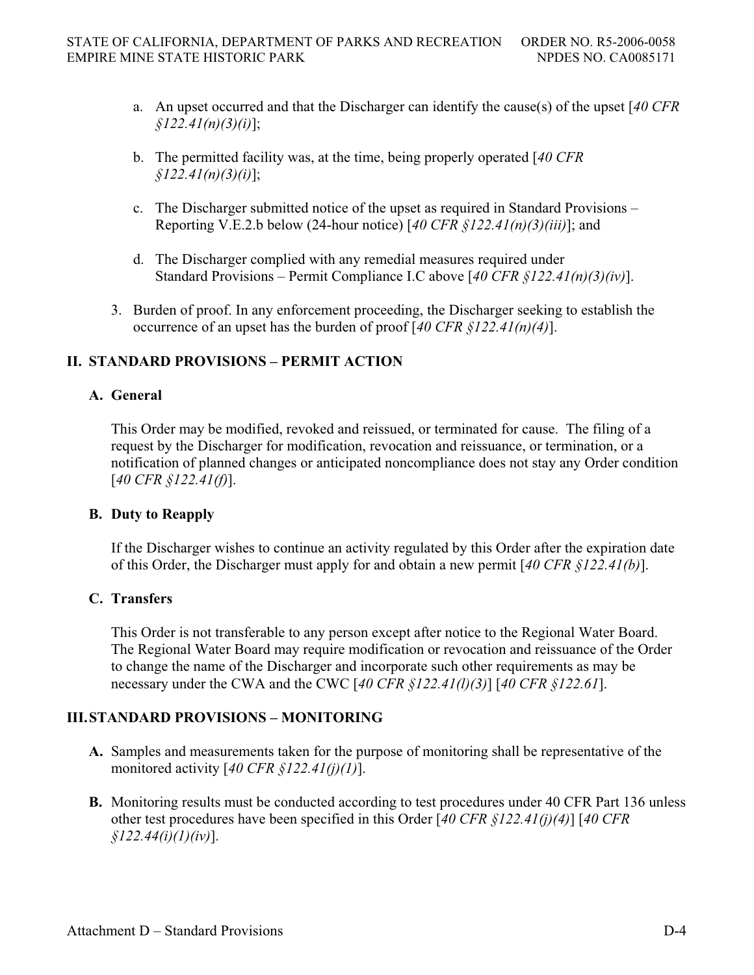- a. An upset occurred and that the Discharger can identify the cause(s) of the upset [*40 CFR §122.41(n)(3)(i)*];
- b. The permitted facility was, at the time, being properly operated [*40 CFR §122.41(n)(3)(i)*];
- c. The Discharger submitted notice of the upset as required in Standard Provisions Reporting V.E.2.b below (24-hour notice) [*40 CFR §122.41(n)(3)(iii)*]; and
- d. The Discharger complied with any remedial measures required under Standard Provisions – Permit Compliance I.C above [*40 CFR §122.41(n)(3)(iv)*].
- 3. Burden of proof. In any enforcement proceeding, the Discharger seeking to establish the occurrence of an upset has the burden of proof [*40 CFR §122.41(n)(4)*].

# **II. STANDARD PROVISIONS – PERMIT ACTION**

# **A. General**

This Order may be modified, revoked and reissued, or terminated for cause. The filing of a request by the Discharger for modification, revocation and reissuance, or termination, or a notification of planned changes or anticipated noncompliance does not stay any Order condition [*40 CFR §122.41(f)*].

## **B. Duty to Reapply**

If the Discharger wishes to continue an activity regulated by this Order after the expiration date of this Order, the Discharger must apply for and obtain a new permit [*40 CFR §122.41(b)*].

# **C. Transfers**

This Order is not transferable to any person except after notice to the Regional Water Board. The Regional Water Board may require modification or revocation and reissuance of the Order to change the name of the Discharger and incorporate such other requirements as may be necessary under the CWA and the CWC [*40 CFR §122.41(l)(3)*] [*40 CFR §122.61*].

# **III. STANDARD PROVISIONS – MONITORING**

- **A.** Samples and measurements taken for the purpose of monitoring shall be representative of the monitored activity [*40 CFR §122.41(j)(1)*].
- **B.** Monitoring results must be conducted according to test procedures under 40 CFR Part 136 unless other test procedures have been specified in this Order [*40 CFR §122.41(j)(4)*] [*40 CFR §122.44(i)(1)(iv)*].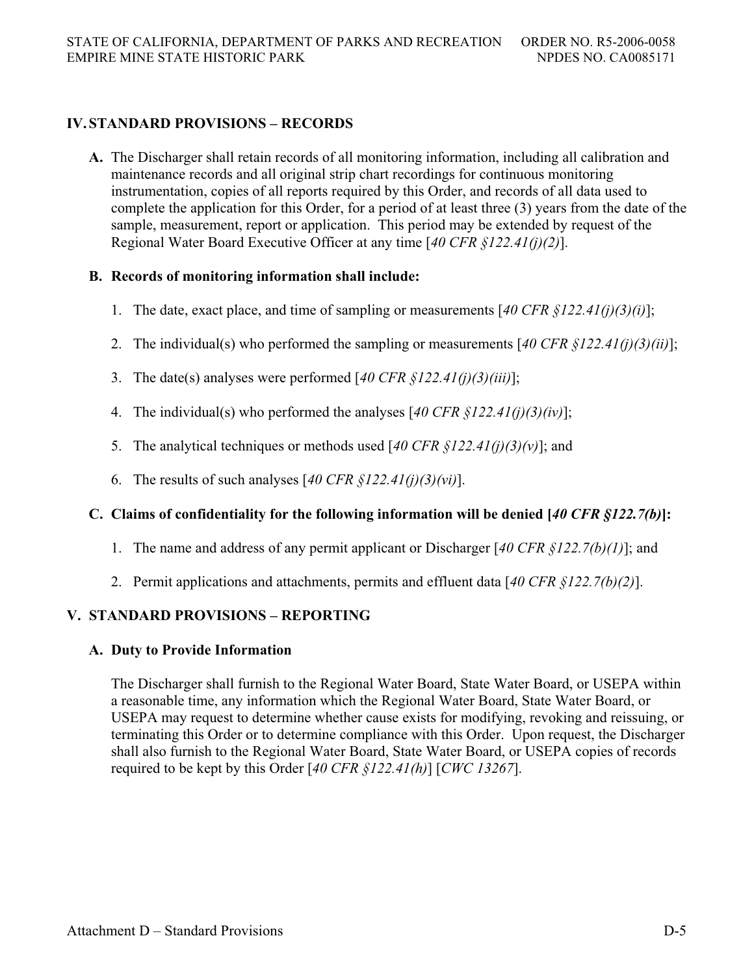# **IV. STANDARD PROVISIONS – RECORDS**

**A.** The Discharger shall retain records of all monitoring information, including all calibration and maintenance records and all original strip chart recordings for continuous monitoring instrumentation, copies of all reports required by this Order, and records of all data used to complete the application for this Order, for a period of at least three (3) years from the date of the sample, measurement, report or application. This period may be extended by request of the Regional Water Board Executive Officer at any time [*40 CFR §122.41(j)(2)*].

# **B. Records of monitoring information shall include:**

- 1. The date, exact place, and time of sampling or measurements [*40 CFR §122.41(j)(3)(i)*];
- 2. The individual(s) who performed the sampling or measurements [*40 CFR §122.41(j)(3)(ii)*];
- 3. The date(s) analyses were performed [*40 CFR §122.41(j)(3)(iii)*];
- 4. The individual(s) who performed the analyses [*40 CFR §122.41(j)(3)(iv)*];
- 5. The analytical techniques or methods used [*40 CFR §122.41(j)(3)(v)*]; and
- 6. The results of such analyses [*40 CFR §122.41(j)(3)(vi)*].

# **C. Claims of confidentiality for the following information will be denied [***40 CFR §122.7(b)***]:**

- 1. The name and address of any permit applicant or Discharger [*40 CFR §122.7(b)(1)*]; and
- 2. Permit applications and attachments, permits and effluent data [*40 CFR §122.7(b)(2)*].

# **V. STANDARD PROVISIONS – REPORTING**

## **A. Duty to Provide Information**

The Discharger shall furnish to the Regional Water Board, State Water Board, or USEPA within a reasonable time, any information which the Regional Water Board, State Water Board, or USEPA may request to determine whether cause exists for modifying, revoking and reissuing, or terminating this Order or to determine compliance with this Order. Upon request, the Discharger shall also furnish to the Regional Water Board, State Water Board, or USEPA copies of records required to be kept by this Order [*40 CFR §122.41(h)*] [*CWC 13267*].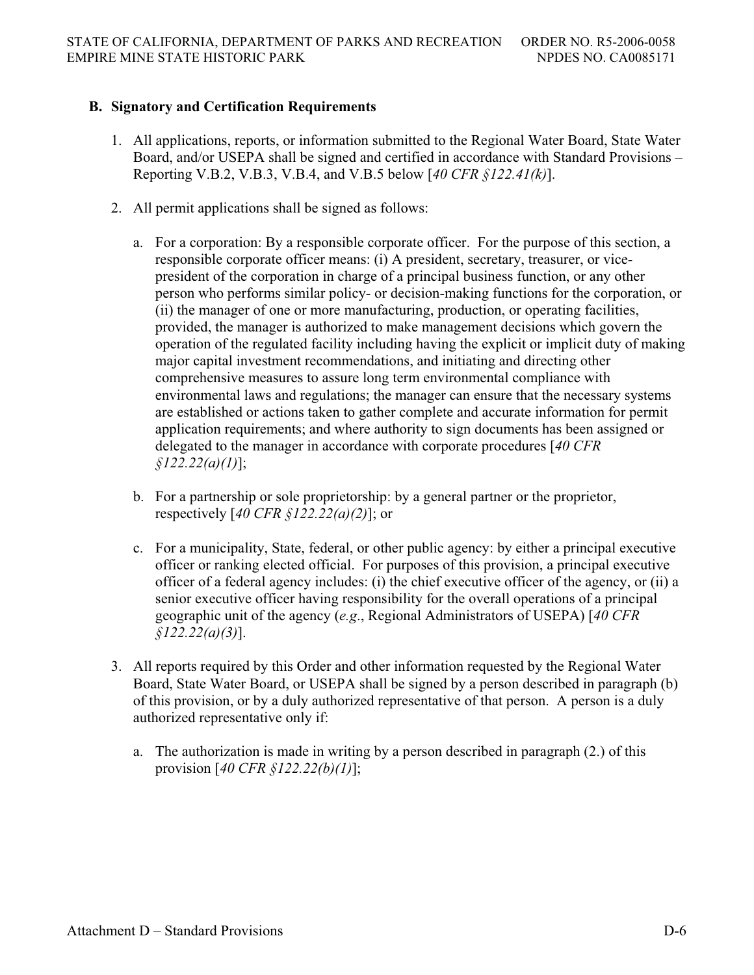## **B. Signatory and Certification Requirements**

- 1. All applications, reports, or information submitted to the Regional Water Board, State Water Board, and/or USEPA shall be signed and certified in accordance with Standard Provisions – Reporting V.B.2, V.B.3, V.B.4, and V.B.5 below [*40 CFR §122.41(k)*].
- 2. All permit applications shall be signed as follows:
	- a. For a corporation: By a responsible corporate officer. For the purpose of this section, a responsible corporate officer means: (i) A president, secretary, treasurer, or vicepresident of the corporation in charge of a principal business function, or any other person who performs similar policy- or decision-making functions for the corporation, or (ii) the manager of one or more manufacturing, production, or operating facilities, provided, the manager is authorized to make management decisions which govern the operation of the regulated facility including having the explicit or implicit duty of making major capital investment recommendations, and initiating and directing other comprehensive measures to assure long term environmental compliance with environmental laws and regulations; the manager can ensure that the necessary systems are established or actions taken to gather complete and accurate information for permit application requirements; and where authority to sign documents has been assigned or delegated to the manager in accordance with corporate procedures [*40 CFR §122.22(a)(1)*];
	- b. For a partnership or sole proprietorship: by a general partner or the proprietor, respectively [*40 CFR §122.22(a)(2)*]; or
	- c. For a municipality, State, federal, or other public agency: by either a principal executive officer or ranking elected official. For purposes of this provision, a principal executive officer of a federal agency includes: (i) the chief executive officer of the agency, or (ii) a senior executive officer having responsibility for the overall operations of a principal geographic unit of the agency (*e.g*., Regional Administrators of USEPA) [*40 CFR §122.22(a)(3)*].
- 3. All reports required by this Order and other information requested by the Regional Water Board, State Water Board, or USEPA shall be signed by a person described in paragraph (b) of this provision, or by a duly authorized representative of that person. A person is a duly authorized representative only if:
	- a. The authorization is made in writing by a person described in paragraph (2.) of this provision [*40 CFR §122.22(b)(1)*];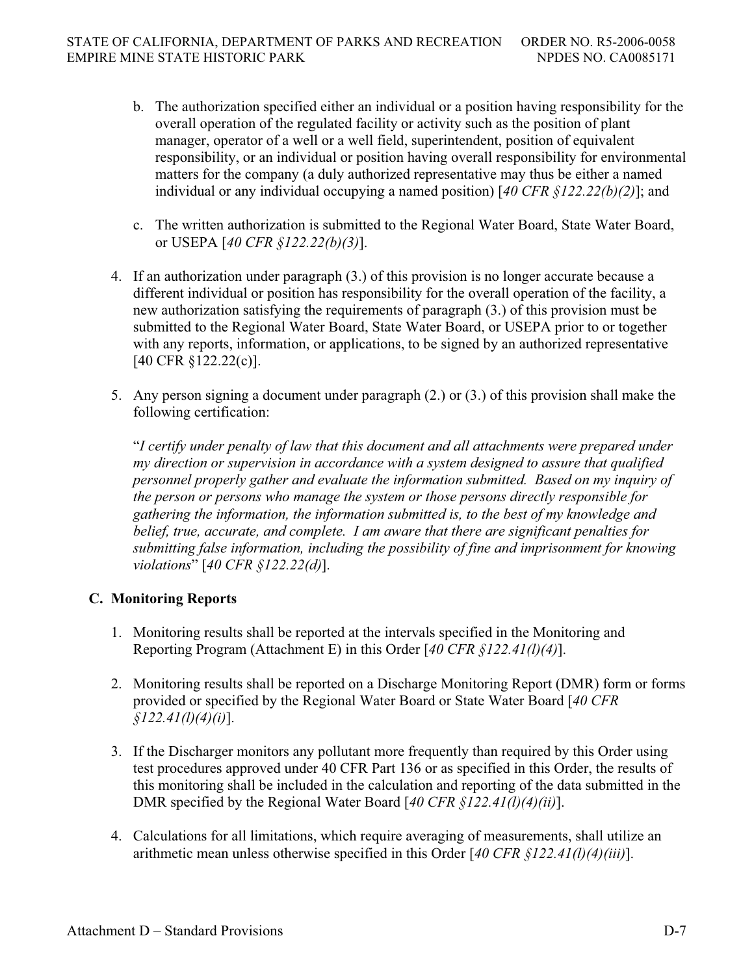- b. The authorization specified either an individual or a position having responsibility for the overall operation of the regulated facility or activity such as the position of plant manager, operator of a well or a well field, superintendent, position of equivalent responsibility, or an individual or position having overall responsibility for environmental matters for the company (a duly authorized representative may thus be either a named individual or any individual occupying a named position) [*40 CFR §122.22(b)(2)*]; and
- c. The written authorization is submitted to the Regional Water Board, State Water Board, or USEPA [*40 CFR §122.22(b)(3)*].
- 4. If an authorization under paragraph (3.) of this provision is no longer accurate because a different individual or position has responsibility for the overall operation of the facility, a new authorization satisfying the requirements of paragraph (3.) of this provision must be submitted to the Regional Water Board, State Water Board, or USEPA prior to or together with any reports, information, or applications, to be signed by an authorized representative [40 CFR §122.22(c)].
- 5. Any person signing a document under paragraph (2.) or (3.) of this provision shall make the following certification:

"*I certify under penalty of law that this document and all attachments were prepared under my direction or supervision in accordance with a system designed to assure that qualified personnel properly gather and evaluate the information submitted. Based on my inquiry of the person or persons who manage the system or those persons directly responsible for gathering the information, the information submitted is, to the best of my knowledge and belief, true, accurate, and complete. I am aware that there are significant penalties for submitting false information, including the possibility of fine and imprisonment for knowing violations*" [*40 CFR §122.22(d)*].

# **C. Monitoring Reports**

- 1. Monitoring results shall be reported at the intervals specified in the Monitoring and Reporting Program (Attachment E) in this Order [*40 CFR §122.41(l)(4)*].
- 2. Monitoring results shall be reported on a Discharge Monitoring Report (DMR) form or forms provided or specified by the Regional Water Board or State Water Board [*40 CFR §122.41(l)(4)(i)*].
- 3. If the Discharger monitors any pollutant more frequently than required by this Order using test procedures approved under 40 CFR Part 136 or as specified in this Order, the results of this monitoring shall be included in the calculation and reporting of the data submitted in the DMR specified by the Regional Water Board [*40 CFR §122.41(l)(4)(ii)*].
- 4. Calculations for all limitations, which require averaging of measurements, shall utilize an arithmetic mean unless otherwise specified in this Order [*40 CFR §122.41(l)(4)(iii)*].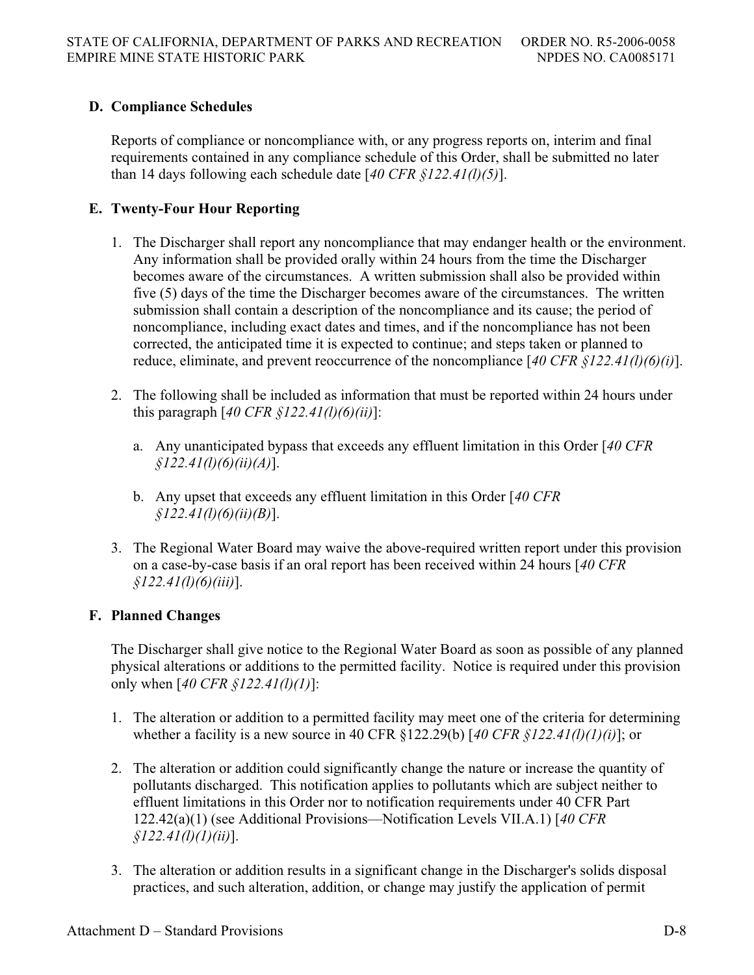# **D. Compliance Schedules**

Reports of compliance or noncompliance with, or any progress reports on, interim and final requirements contained in any compliance schedule of this Order, shall be submitted no later than 14 days following each schedule date [*40 CFR §122.41(l)(5)*].

# **E. Twenty-Four Hour Reporting**

- 1. The Discharger shall report any noncompliance that may endanger health or the environment. Any information shall be provided orally within 24 hours from the time the Discharger becomes aware of the circumstances. A written submission shall also be provided within five (5) days of the time the Discharger becomes aware of the circumstances. The written submission shall contain a description of the noncompliance and its cause; the period of noncompliance, including exact dates and times, and if the noncompliance has not been corrected, the anticipated time it is expected to continue; and steps taken or planned to reduce, eliminate, and prevent reoccurrence of the noncompliance [*40 CFR §122.41(l)(6)(i)*].
- 2. The following shall be included as information that must be reported within 24 hours under this paragraph [*40 CFR §122.41(l)(6)(ii)*]:
	- a. Any unanticipated bypass that exceeds any effluent limitation in this Order [*40 CFR §122.41(l)(6)(ii)(A)*].
	- b. Any upset that exceeds any effluent limitation in this Order [*40 CFR §122.41(l)(6)(ii)(B)*].
- 3. The Regional Water Board may waive the above-required written report under this provision on a case-by-case basis if an oral report has been received within 24 hours [*40 CFR §122.41(l)(6)(iii)*].

# **F. Planned Changes**

The Discharger shall give notice to the Regional Water Board as soon as possible of any planned physical alterations or additions to the permitted facility. Notice is required under this provision only when [*40 CFR §122.41(l)(1)*]:

- 1. The alteration or addition to a permitted facility may meet one of the criteria for determining whether a facility is a new source in 40 CFR §122.29(b) [*40 CFR §122.41(l)(1)(i)*]; or
- 2. The alteration or addition could significantly change the nature or increase the quantity of pollutants discharged. This notification applies to pollutants which are subject neither to effluent limitations in this Order nor to notification requirements under 40 CFR Part 122.42(a)(1) (see Additional Provisions—Notification Levels VII.A.1) [*40 CFR §122.41(l)(1)(ii)*].
- 3. The alteration or addition results in a significant change in the Discharger's solids disposal practices, and such alteration, addition, or change may justify the application of permit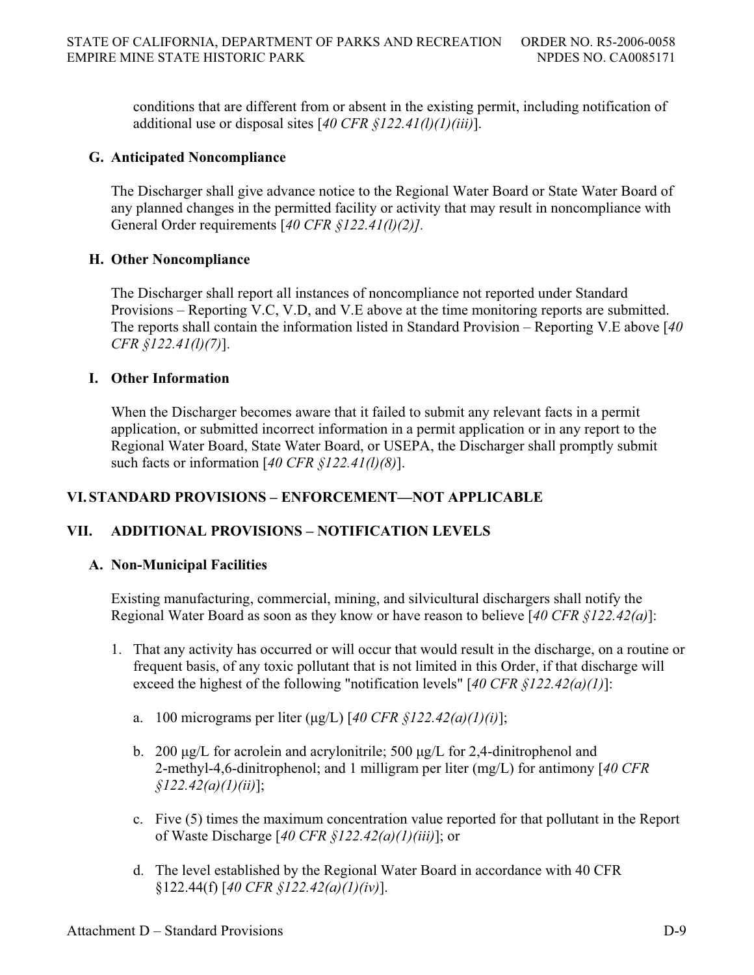conditions that are different from or absent in the existing permit, including notification of additional use or disposal sites [*40 CFR §122.41(l)(1)(iii)*].

# **G. Anticipated Noncompliance**

The Discharger shall give advance notice to the Regional Water Board or State Water Board of any planned changes in the permitted facility or activity that may result in noncompliance with General Order requirements [*40 CFR §122.41(l)(2)].*

# **H. Other Noncompliance**

The Discharger shall report all instances of noncompliance not reported under Standard Provisions – Reporting V.C, V.D, and V.E above at the time monitoring reports are submitted. The reports shall contain the information listed in Standard Provision – Reporting V.E above [*40 CFR §122.41(l)(7)*].

# **I. Other Information**

When the Discharger becomes aware that it failed to submit any relevant facts in a permit application, or submitted incorrect information in a permit application or in any report to the Regional Water Board, State Water Board, or USEPA, the Discharger shall promptly submit such facts or information [*40 CFR §122.41(l)(8)*].

# **VI. STANDARD PROVISIONS – ENFORCEMENT—NOT APPLICABLE**

# **VII. ADDITIONAL PROVISIONS – NOTIFICATION LEVELS**

# **A. Non-Municipal Facilities**

Existing manufacturing, commercial, mining, and silvicultural dischargers shall notify the Regional Water Board as soon as they know or have reason to believe [*40 CFR §122.42(a)*]:

- 1. That any activity has occurred or will occur that would result in the discharge, on a routine or frequent basis, of any toxic pollutant that is not limited in this Order, if that discharge will exceed the highest of the following "notification levels" [*40 CFR §122.42(a)(1)*]:
	- a. 100 micrograms per liter  $(\mu g/L)$  [40 CFR §122.42(a)(1)(i)];
	- b. 200  $\mu$ g/L for acrolein and acrylonitrile; 500  $\mu$ g/L for 2,4-dinitrophenol and 2-methyl-4,6-dinitrophenol; and 1 milligram per liter (mg/L) for antimony [*40 CFR §122.42(a)(1)(ii)*];
	- c. Five (5) times the maximum concentration value reported for that pollutant in the Report of Waste Discharge [*40 CFR §122.42(a)(1)(iii)*]; or
	- d. The level established by the Regional Water Board in accordance with 40 CFR §122.44(f) [*40 CFR §122.42(a)(1)(iv)*].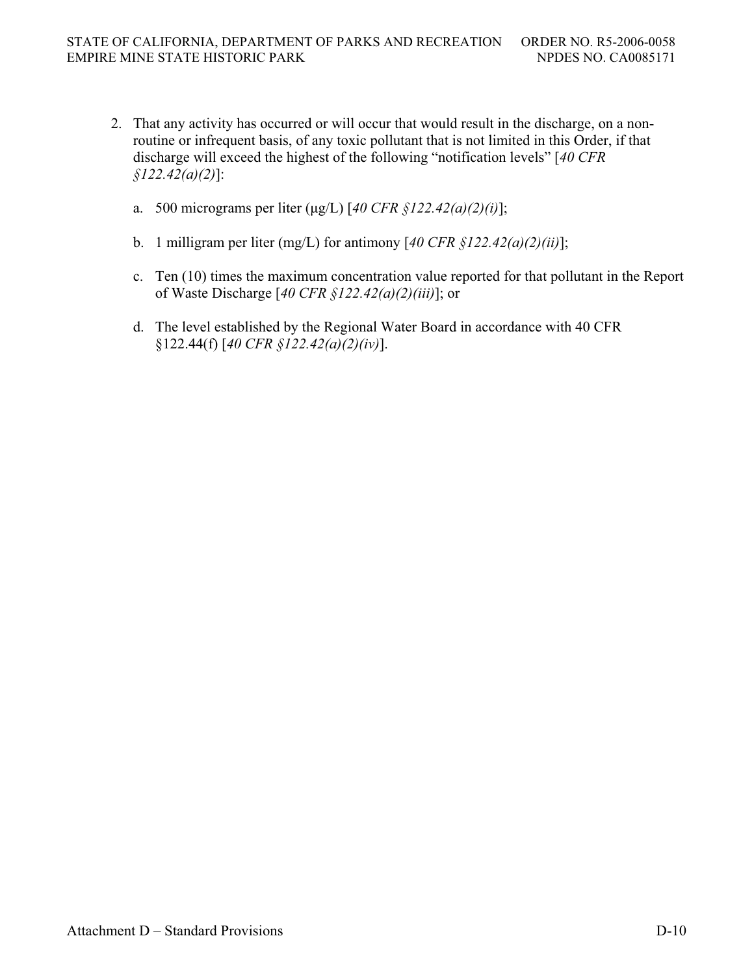- 2. That any activity has occurred or will occur that would result in the discharge, on a nonroutine or infrequent basis, of any toxic pollutant that is not limited in this Order, if that discharge will exceed the highest of the following "notification levels" [*40 CFR §122.42(a)(2)*]:
	- a. 500 micrograms per liter (ȝg/L) [*40 CFR §122.42(a)(2)(i)*];
	- b. 1 milligram per liter (mg/L) for antimony [*40 CFR §122.42(a)(2)(ii)*];
	- c. Ten (10) times the maximum concentration value reported for that pollutant in the Report of Waste Discharge [*40 CFR §122.42(a)(2)(iii)*]; or
	- d. The level established by the Regional Water Board in accordance with 40 CFR §122.44(f) [*40 CFR §122.42(a)(2)(iv)*].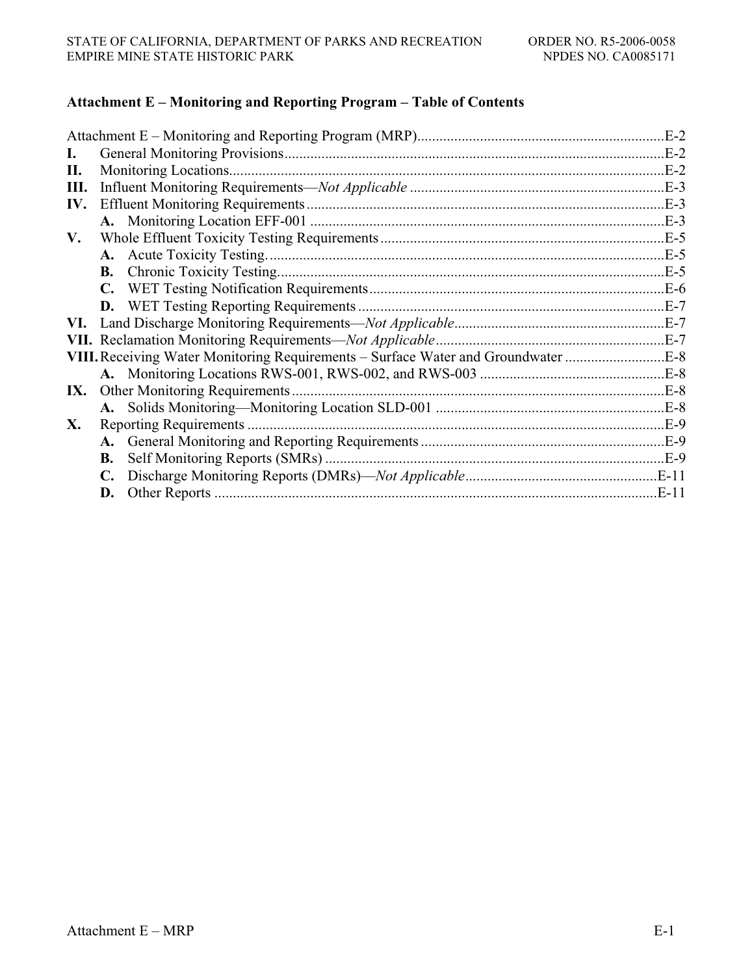## **Attachment E – Monitoring and Reporting Program – Table of Contents**

| L.  |           |                                                                                   |  |
|-----|-----------|-----------------------------------------------------------------------------------|--|
| П.  |           |                                                                                   |  |
| Ш.  |           |                                                                                   |  |
| IV. |           |                                                                                   |  |
|     |           |                                                                                   |  |
| V.  |           |                                                                                   |  |
|     |           |                                                                                   |  |
|     | <b>B.</b> |                                                                                   |  |
|     |           |                                                                                   |  |
|     |           |                                                                                   |  |
| VI. |           |                                                                                   |  |
|     |           |                                                                                   |  |
|     |           | VIII. Receiving Water Monitoring Requirements - Surface Water and Groundwater E-8 |  |
|     |           |                                                                                   |  |
| IX. |           |                                                                                   |  |
|     |           |                                                                                   |  |
| X.  |           |                                                                                   |  |
|     |           |                                                                                   |  |
|     | В.        |                                                                                   |  |
|     |           |                                                                                   |  |
|     | D.        |                                                                                   |  |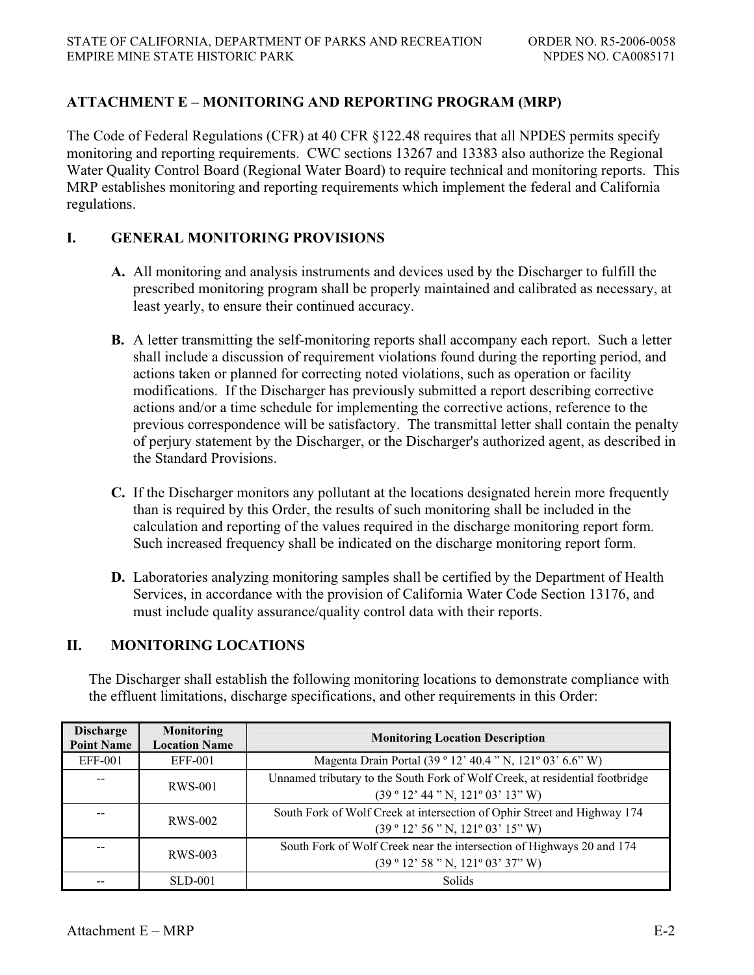# **ATTACHMENT E – MONITORING AND REPORTING PROGRAM (MRP)**

The Code of Federal Regulations (CFR) at 40 CFR §122.48 requires that all NPDES permits specify monitoring and reporting requirements. CWC sections 13267 and 13383 also authorize the Regional Water Quality Control Board (Regional Water Board) to require technical and monitoring reports. This MRP establishes monitoring and reporting requirements which implement the federal and California regulations.

# **I. GENERAL MONITORING PROVISIONS**

- **A.** All monitoring and analysis instruments and devices used by the Discharger to fulfill the prescribed monitoring program shall be properly maintained and calibrated as necessary, at least yearly, to ensure their continued accuracy.
- **B.** A letter transmitting the self-monitoring reports shall accompany each report. Such a letter shall include a discussion of requirement violations found during the reporting period, and actions taken or planned for correcting noted violations, such as operation or facility modifications. If the Discharger has previously submitted a report describing corrective actions and/or a time schedule for implementing the corrective actions, reference to the previous correspondence will be satisfactory. The transmittal letter shall contain the penalty of perjury statement by the Discharger, or the Discharger's authorized agent, as described in the Standard Provisions.
- **C.** If the Discharger monitors any pollutant at the locations designated herein more frequently than is required by this Order, the results of such monitoring shall be included in the calculation and reporting of the values required in the discharge monitoring report form. Such increased frequency shall be indicated on the discharge monitoring report form.
- **D.** Laboratories analyzing monitoring samples shall be certified by the Department of Health Services, in accordance with the provision of California Water Code Section 13176, and must include quality assurance/quality control data with their reports.

# **II. MONITORING LOCATIONS**

The Discharger shall establish the following monitoring locations to demonstrate compliance with the effluent limitations, discharge specifications, and other requirements in this Order:

| <b>Discharge</b><br><b>Point Name</b> | <b>Monitoring</b><br><b>Location Name</b> | <b>Monitoring Location Description</b>                                                                        |  |
|---------------------------------------|-------------------------------------------|---------------------------------------------------------------------------------------------------------------|--|
| <b>EFF-001</b>                        | EFF-001                                   | Magenta Drain Portal (39 ° 12' 40.4 " N, 121° 03' 6.6" W)                                                     |  |
|                                       | <b>RWS-001</b>                            | Unnamed tributary to the South Fork of Wolf Creek, at residential footbridge<br>(39°12' 44" N, 121°03' 13" W) |  |
|                                       | <b>RWS-002</b>                            | South Fork of Wolf Creek at intersection of Ophir Street and Highway 174<br>(39°12'56"N, 121°03'15"W)         |  |
|                                       | RWS-003                                   | South Fork of Wolf Creek near the intersection of Highways 20 and 174<br>(39°12' 58" N, 121°03' 37" W)        |  |
|                                       | <b>SLD-001</b>                            | Solids                                                                                                        |  |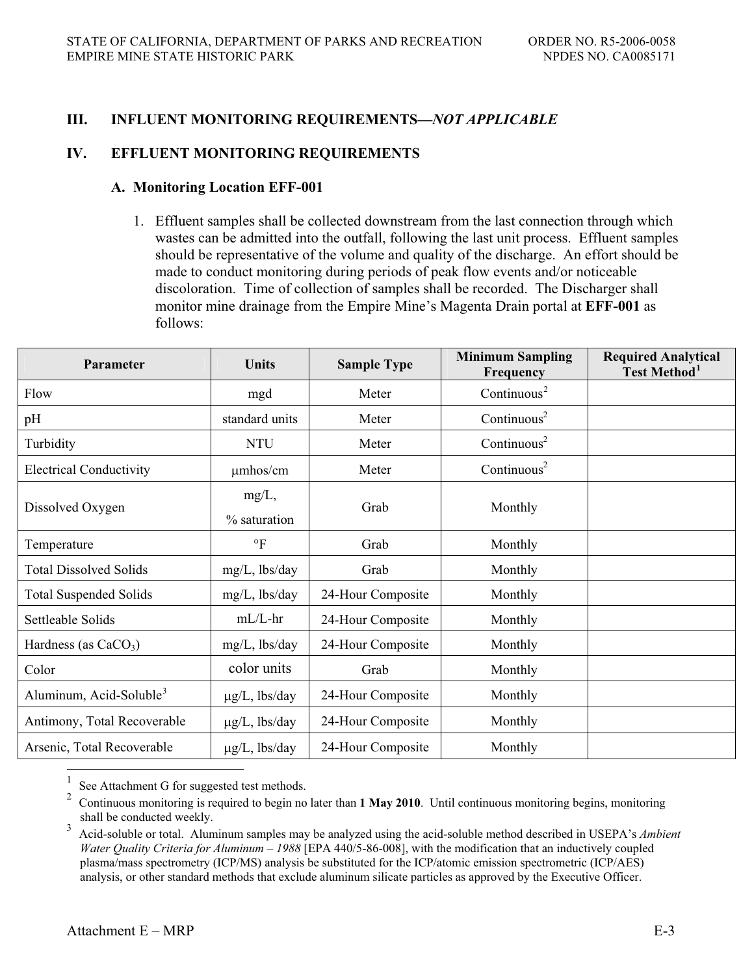# **III. INFLUENT MONITORING REQUIREMENTS—***NOT APPLICABLE*

### **IV. EFFLUENT MONITORING REQUIREMENTS**

#### **A. Monitoring Location EFF-001**

1. Effluent samples shall be collected downstream from the last connection through which wastes can be admitted into the outfall, following the last unit process. Effluent samples should be representative of the volume and quality of the discharge. An effort should be made to conduct monitoring during periods of peak flow events and/or noticeable discoloration. Time of collection of samples shall be recorded. The Discharger shall monitor mine drainage from the Empire Mine's Magenta Drain portal at **EFF-001** as follows:

| <b>Parameter</b>                    | <b>Units</b>       | <b>Sample Type</b> | <b>Minimum Sampling</b><br>Frequency | <b>Required Analytical</b><br>Test Method <sup>1</sup> |
|-------------------------------------|--------------------|--------------------|--------------------------------------|--------------------------------------------------------|
| Flow                                | mgd                | Meter              | Continuous <sup>2</sup>              |                                                        |
| pH                                  | standard units     | Meter              | Continuous <sup>2</sup>              |                                                        |
| Turbidity                           | <b>NTU</b>         | Meter              | Continuous <sup>2</sup>              |                                                        |
| <b>Electrical Conductivity</b>      | $\mu$ mhos/cm      | Meter              | Continuous <sup>2</sup>              |                                                        |
| Dissolved Oxygen                    | $mg/L$ ,           | Grab               | Monthly                              |                                                        |
|                                     | % saturation       |                    |                                      |                                                        |
| Temperature                         | $\circ$ F          | Grab               | Monthly                              |                                                        |
| <b>Total Dissolved Solids</b>       | $mg/L$ , lbs/day   | Grab               | Monthly                              |                                                        |
| <b>Total Suspended Solids</b>       | $mg/L$ , lbs/day   | 24-Hour Composite  | Monthly                              |                                                        |
| Settleable Solids                   | $mL/L$ -hr         | 24-Hour Composite  | Monthly                              |                                                        |
| Hardness (as $CaCO3$ )              | $mg/L$ , lbs/day   | 24-Hour Composite  | Monthly                              |                                                        |
| Color                               | color units        | Grab               | Monthly                              |                                                        |
| Aluminum, Acid-Soluble <sup>3</sup> | $\mu$ g/L, lbs/day | 24-Hour Composite  | Monthly                              |                                                        |
| Antimony, Total Recoverable         | $\mu$ g/L, lbs/day | 24-Hour Composite  | Monthly                              |                                                        |
| Arsenic, Total Recoverable          | $\mu$ g/L, lbs/day | 24-Hour Composite  | Monthly                              |                                                        |

<sup>1</sup> See Attachment G for suggested test methods.<br><sup>2</sup> Continuous monitoring is required to begin no

<sup>2</sup> Continuous monitoring is required to begin no later than **1 May 2010**. Until continuous monitoring begins, monitoring shall be conducted weekly.

<sup>3</sup> Acid-soluble or total. Aluminum samples may be analyzed using the acid-soluble method described in USEPA's *Ambient Water Quality Criteria for Aluminum – 1988* [EPA 440/5-86-008], with the modification that an inductively coupled plasma/mass spectrometry (ICP/MS) analysis be substituted for the ICP/atomic emission spectrometric (ICP/AES) analysis, or other standard methods that exclude aluminum silicate particles as approved by the Executive Officer.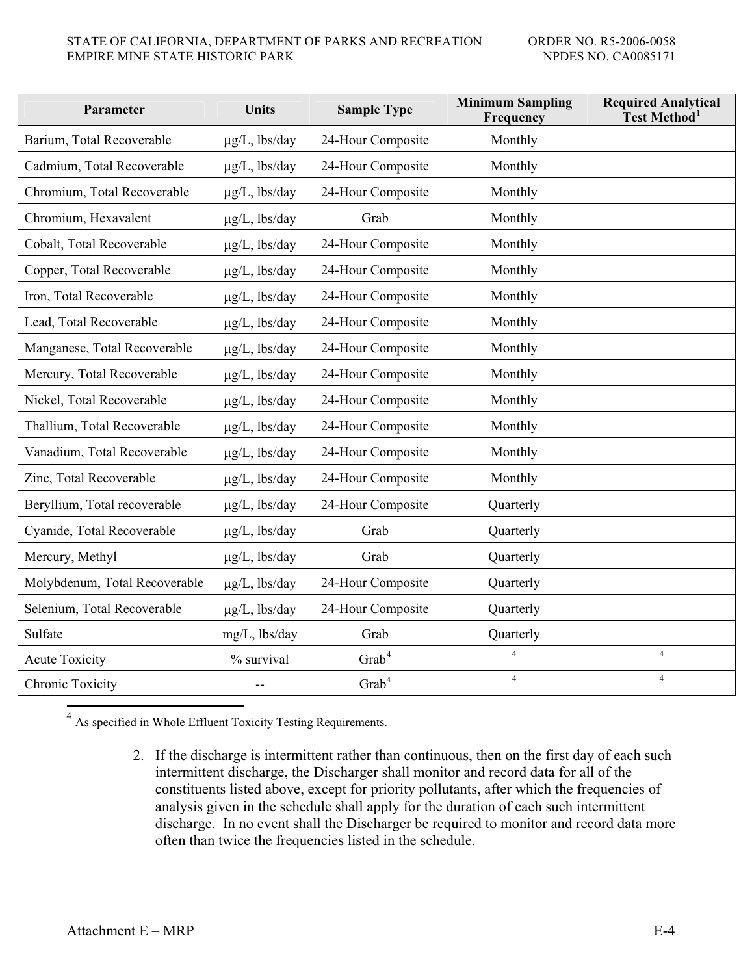| Parameter                     | <b>Units</b>       | <b>Sample Type</b> | <b>Minimum Sampling</b><br>Frequency | <b>Required Analytical</b><br>Test Method <sup>1</sup> |
|-------------------------------|--------------------|--------------------|--------------------------------------|--------------------------------------------------------|
| Barium, Total Recoverable     | $\mu$ g/L, lbs/day | 24-Hour Composite  | Monthly                              |                                                        |
| Cadmium, Total Recoverable    | $\mu$ g/L, lbs/day | 24-Hour Composite  | Monthly                              |                                                        |
| Chromium, Total Recoverable   | $\mu$ g/L, lbs/day | 24-Hour Composite  | Monthly                              |                                                        |
| Chromium, Hexavalent          | $\mu$ g/L, lbs/day | Grab               | Monthly                              |                                                        |
| Cobalt, Total Recoverable     | $\mu$ g/L, lbs/day | 24-Hour Composite  | Monthly                              |                                                        |
| Copper, Total Recoverable     | $\mu$ g/L, lbs/day | 24-Hour Composite  | Monthly                              |                                                        |
| Iron, Total Recoverable       | $\mu$ g/L, lbs/day | 24-Hour Composite  | Monthly                              |                                                        |
| Lead, Total Recoverable       | $\mu$ g/L, lbs/day | 24-Hour Composite  | Monthly                              |                                                        |
| Manganese, Total Recoverable  | $\mu$ g/L, lbs/day | 24-Hour Composite  | Monthly                              |                                                        |
| Mercury, Total Recoverable    | $\mu$ g/L, lbs/day | 24-Hour Composite  | Monthly                              |                                                        |
| Nickel, Total Recoverable     | $\mu$ g/L, lbs/day | 24-Hour Composite  | Monthly                              |                                                        |
| Thallium, Total Recoverable   | $\mu$ g/L, lbs/day | 24-Hour Composite  | Monthly                              |                                                        |
| Vanadium, Total Recoverable   | $\mu$ g/L, lbs/day | 24-Hour Composite  | Monthly                              |                                                        |
| Zinc, Total Recoverable       | $\mu$ g/L, lbs/day | 24-Hour Composite  | Monthly                              |                                                        |
| Beryllium, Total recoverable  | $\mu$ g/L, lbs/day | 24-Hour Composite  | Quarterly                            |                                                        |
| Cyanide, Total Recoverable    | $\mu$ g/L, lbs/day | Grab               | Quarterly                            |                                                        |
| Mercury, Methyl               | $\mu$ g/L, lbs/day | Grab               | Quarterly                            |                                                        |
| Molybdenum, Total Recoverable | $\mu$ g/L, lbs/day | 24-Hour Composite  | Quarterly                            |                                                        |
| Selenium, Total Recoverable   | $\mu$ g/L, lbs/day | 24-Hour Composite  | Quarterly                            |                                                        |
| Sulfate                       | mg/L, lbs/day      | Grab               | Quarterly                            |                                                        |
| <b>Acute Toxicity</b>         | % survival         | $\mathrm{Grab}^4$  | $\overline{4}$                       | $\overline{4}$                                         |
| Chronic Toxicity              |                    | Grab <sup>4</sup>  | $\overline{4}$                       | $\overline{4}$                                         |

 $^4$  As specified in Whole Effluent Toxicity Testing Requirements.

2. If the discharge is intermittent rather than continuous, then on the first day of each such intermittent discharge, the Discharger shall monitor and record data for all of the constituents listed above, except for priority pollutants, after which the frequencies of analysis given in the schedule shall apply for the duration of each such intermittent discharge. In no event shall the Discharger be required to monitor and record data more often than twice the frequencies listed in the schedule.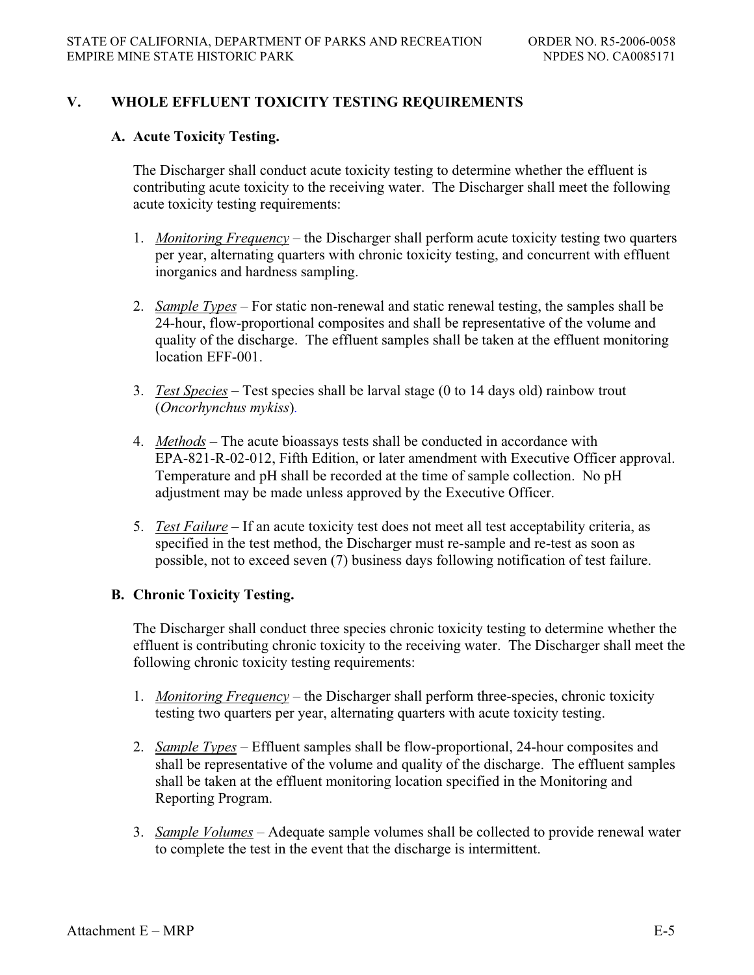# **V. WHOLE EFFLUENT TOXICITY TESTING REQUIREMENTS**

## **A. Acute Toxicity Testing.**

The Discharger shall conduct acute toxicity testing to determine whether the effluent is contributing acute toxicity to the receiving water. The Discharger shall meet the following acute toxicity testing requirements:

- 1. *Monitoring Frequency* the Discharger shall perform acute toxicity testing two quarters per year, alternating quarters with chronic toxicity testing, and concurrent with effluent inorganics and hardness sampling.
- 2. *Sample Types* For static non-renewal and static renewal testing, the samples shall be 24-hour, flow-proportional composites and shall be representative of the volume and quality of the discharge. The effluent samples shall be taken at the effluent monitoring location EFF-001.
- 3. *Test Species* Test species shall be larval stage (0 to 14 days old) rainbow trout (*Oncorhynchus mykiss*)*.*
- 4. *Methods* The acute bioassays tests shall be conducted in accordance with EPA-821-R-02-012, Fifth Edition, or later amendment with Executive Officer approval. Temperature and pH shall be recorded at the time of sample collection. No pH adjustment may be made unless approved by the Executive Officer.
- 5. *Test Failure* If an acute toxicity test does not meet all test acceptability criteria, as specified in the test method, the Discharger must re-sample and re-test as soon as possible, not to exceed seven (7) business days following notification of test failure.

# **B. Chronic Toxicity Testing.**

The Discharger shall conduct three species chronic toxicity testing to determine whether the effluent is contributing chronic toxicity to the receiving water. The Discharger shall meet the following chronic toxicity testing requirements:

- 1. *Monitoring Frequency* the Discharger shall perform three-species, chronic toxicity testing two quarters per year, alternating quarters with acute toxicity testing.
- 2. *Sample Types* Effluent samples shall be flow-proportional, 24-hour composites and shall be representative of the volume and quality of the discharge. The effluent samples shall be taken at the effluent monitoring location specified in the Monitoring and Reporting Program.
- 3. *Sample Volumes* Adequate sample volumes shall be collected to provide renewal water to complete the test in the event that the discharge is intermittent.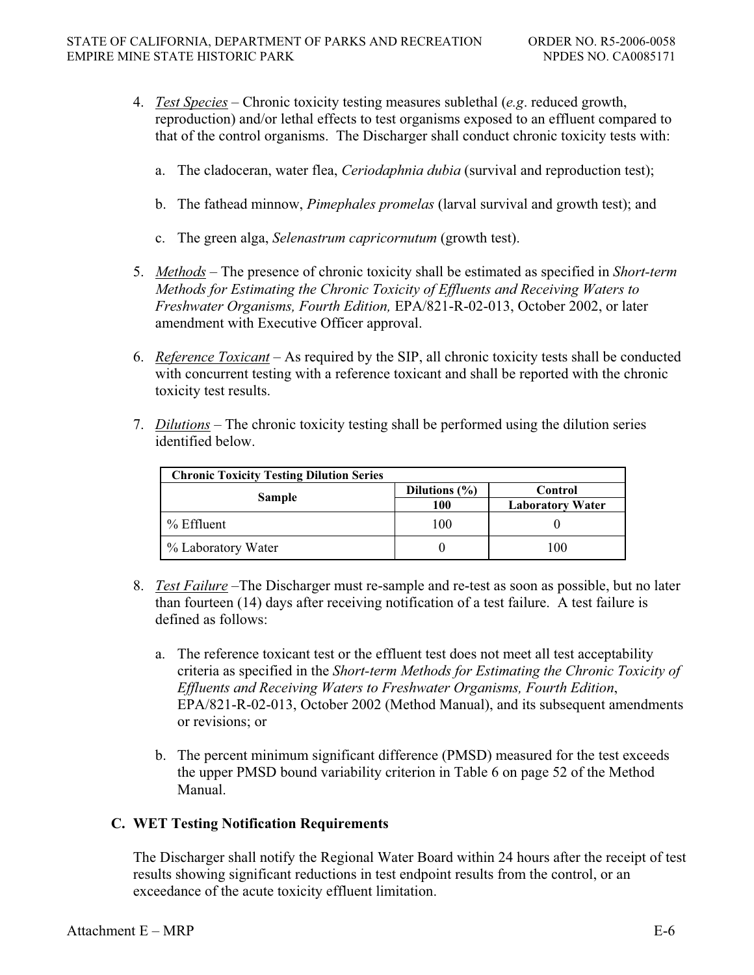- 4. *Test Species* Chronic toxicity testing measures sublethal (*e.g*. reduced growth, reproduction) and/or lethal effects to test organisms exposed to an effluent compared to that of the control organisms. The Discharger shall conduct chronic toxicity tests with:
	- a. The cladoceran, water flea, *Ceriodaphnia dubia* (survival and reproduction test);
	- b. The fathead minnow, *Pimephales promelas* (larval survival and growth test); and
	- c. The green alga, *Selenastrum capricornutum* (growth test).
- 5. *Methods* The presence of chronic toxicity shall be estimated as specified in *Short-term Methods for Estimating the Chronic Toxicity of Effluents and Receiving Waters to Freshwater Organisms, Fourth Edition,* EPA/821-R-02-013, October 2002, or later amendment with Executive Officer approval.
- 6. *Reference Toxicant* As required by the SIP, all chronic toxicity tests shall be conducted with concurrent testing with a reference toxicant and shall be reported with the chronic toxicity test results.
- 7. *Dilutions* The chronic toxicity testing shall be performed using the dilution series identified below.

| <b>Chronic Toxicity Testing Dilution Series</b> |                   |                         |
|-------------------------------------------------|-------------------|-------------------------|
| Sample                                          | Dilutions $(\% )$ | Control                 |
|                                                 | 100               | <b>Laboratory Water</b> |
| $%$ Effluent                                    | 100               |                         |
| % Laboratory Water                              |                   | 100                     |

- 8. *Test Failure* –The Discharger must re-sample and re-test as soon as possible, but no later than fourteen (14) days after receiving notification of a test failure. A test failure is defined as follows:
	- a. The reference toxicant test or the effluent test does not meet all test acceptability criteria as specified in the *Short-term Methods for Estimating the Chronic Toxicity of Effluents and Receiving Waters to Freshwater Organisms, Fourth Edition*, EPA/821-R-02-013, October 2002 (Method Manual), and its subsequent amendments or revisions; or
	- b. The percent minimum significant difference (PMSD) measured for the test exceeds the upper PMSD bound variability criterion in Table 6 on page 52 of the Method Manual.

#### **C. WET Testing Notification Requirements**

The Discharger shall notify the Regional Water Board within 24 hours after the receipt of test results showing significant reductions in test endpoint results from the control, or an exceedance of the acute toxicity effluent limitation.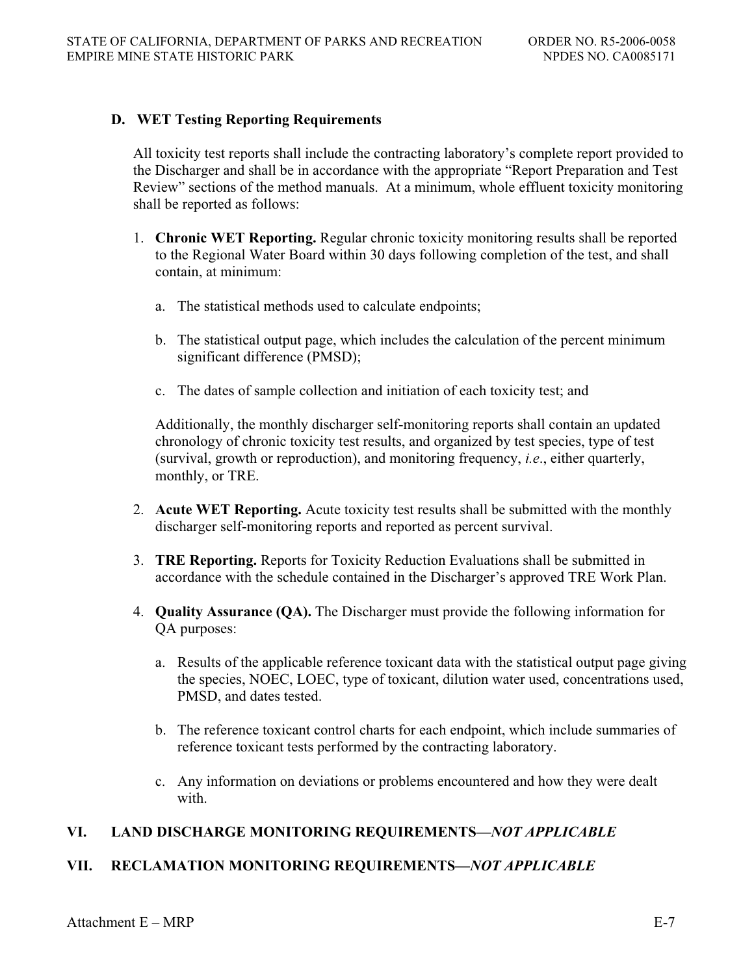## **D. WET Testing Reporting Requirements**

All toxicity test reports shall include the contracting laboratory's complete report provided to the Discharger and shall be in accordance with the appropriate "Report Preparation and Test Review" sections of the method manuals. At a minimum, whole effluent toxicity monitoring shall be reported as follows:

- 1. **Chronic WET Reporting.** Regular chronic toxicity monitoring results shall be reported to the Regional Water Board within 30 days following completion of the test, and shall contain, at minimum:
	- a. The statistical methods used to calculate endpoints;
	- b. The statistical output page, which includes the calculation of the percent minimum significant difference (PMSD);
	- c. The dates of sample collection and initiation of each toxicity test; and

Additionally, the monthly discharger self-monitoring reports shall contain an updated chronology of chronic toxicity test results, and organized by test species, type of test (survival, growth or reproduction), and monitoring frequency, *i.e*., either quarterly, monthly, or TRE.

- 2. **Acute WET Reporting.** Acute toxicity test results shall be submitted with the monthly discharger self-monitoring reports and reported as percent survival.
- 3. **TRE Reporting.** Reports for Toxicity Reduction Evaluations shall be submitted in accordance with the schedule contained in the Discharger's approved TRE Work Plan.
- 4. **Quality Assurance (QA).** The Discharger must provide the following information for QA purposes:
	- a. Results of the applicable reference toxicant data with the statistical output page giving the species, NOEC, LOEC, type of toxicant, dilution water used, concentrations used, PMSD, and dates tested.
	- b. The reference toxicant control charts for each endpoint, which include summaries of reference toxicant tests performed by the contracting laboratory.
	- c. Any information on deviations or problems encountered and how they were dealt with.

# **VI. LAND DISCHARGE MONITORING REQUIREMENTS—***NOT APPLICABLE*

# **VII. RECLAMATION MONITORING REQUIREMENTS—***NOT APPLICABLE*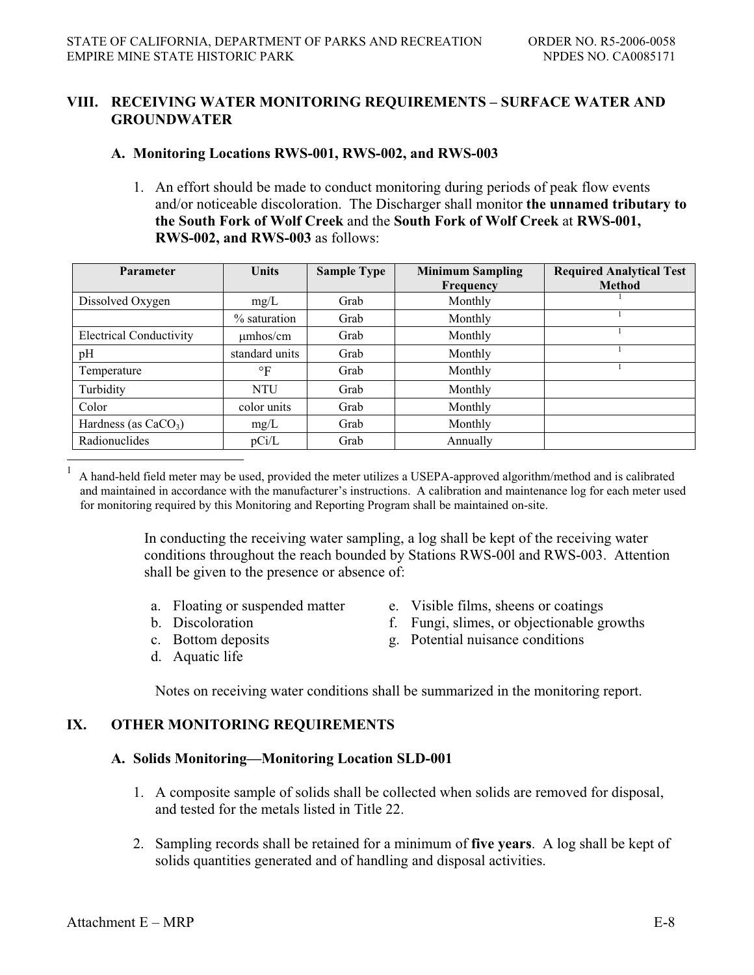## **VIII. RECEIVING WATER MONITORING REQUIREMENTS – SURFACE WATER AND GROUNDWATER**

### **A. Monitoring Locations RWS-001, RWS-002, and RWS-003**

1. An effort should be made to conduct monitoring during periods of peak flow events and/or noticeable discoloration. The Discharger shall monitor **the unnamed tributary to the South Fork of Wolf Creek** and the **South Fork of Wolf Creek** at **RWS-001, RWS-002, and RWS-003** as follows:

| Parameter                      | <b>Units</b>    | <b>Sample Type</b> | <b>Minimum Sampling</b> | <b>Required Analytical Test</b> |
|--------------------------------|-----------------|--------------------|-------------------------|---------------------------------|
|                                |                 |                    | Frequency               | <b>Method</b>                   |
| Dissolved Oxygen               | mg/L            | Grab               | Monthly                 |                                 |
|                                | $\%$ saturation | Grab               | Monthly                 |                                 |
| <b>Electrical Conductivity</b> | $\mu$ mhos/cm   | Grab               | Monthly                 |                                 |
| pH                             | standard units  | Grab               | Monthly                 |                                 |
| Temperature                    | $\circ$ F       | Grab               | Monthly                 |                                 |
| Turbidity                      | <b>NTU</b>      | Grab               | Monthly                 |                                 |
| Color                          | color units     | Grab               | Monthly                 |                                 |
| Hardness (as $CaCO3$ )         | mg/L            | Grab               | Monthly                 |                                 |
| Radionuclides                  | pCi/L           | Grab               | Annually                |                                 |

 $1 \text{ A}$  hand-held field meter may be used, provided the meter utilizes a USEPA-approved algorithm/method and is calibrated and maintained in accordance with the manufacturer's instructions. A calibration and maintenance log for each meter used for monitoring required by this Monitoring and Reporting Program shall be maintained on-site.

> In conducting the receiving water sampling, a log shall be kept of the receiving water conditions throughout the reach bounded by Stations RWS-00l and RWS-003. Attention shall be given to the presence or absence of:

- 
- 
- 
- d. Aquatic life
- a. Floating or suspended matter e. Visible films, sheens or coatings
- b. Discoloration f. Fungi, slimes, or objectionable growths
- c. Bottom deposits g. Potential nuisance conditions

Notes on receiving water conditions shall be summarized in the monitoring report.

# **IX. OTHER MONITORING REQUIREMENTS**

#### **A. Solids Monitoring—Monitoring Location SLD-001**

- 1. A composite sample of solids shall be collected when solids are removed for disposal, and tested for the metals listed in Title 22.
- 2. Sampling records shall be retained for a minimum of **five years**. A log shall be kept of solids quantities generated and of handling and disposal activities.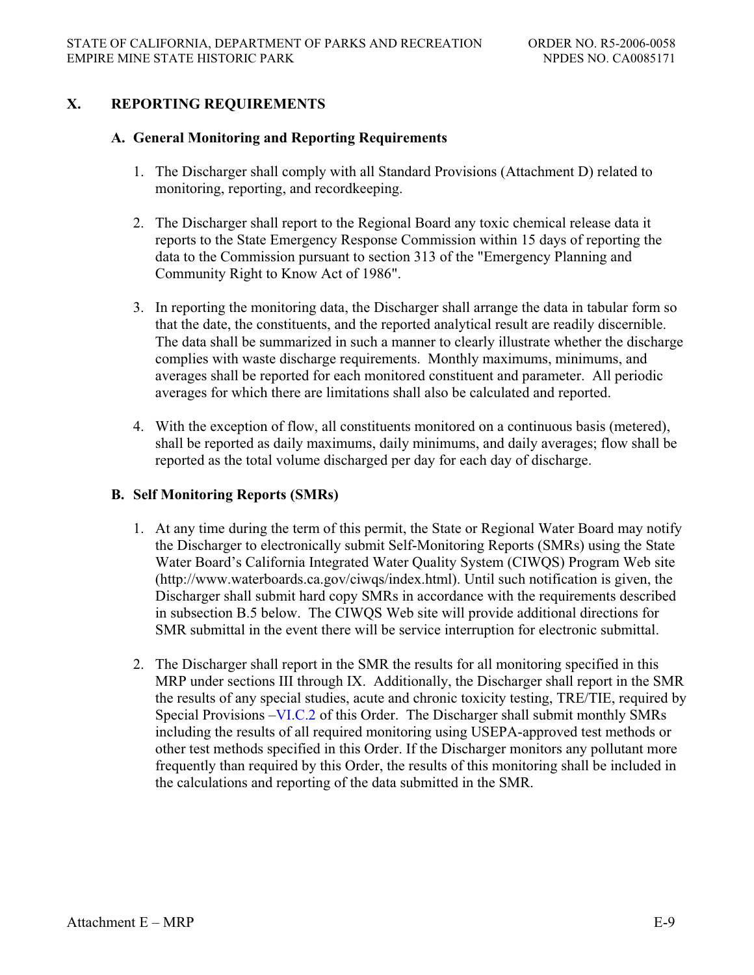# **X. REPORTING REQUIREMENTS**

#### **A. General Monitoring and Reporting Requirements**

- 1. The Discharger shall comply with all Standard Provisions (Attachment D) related to monitoring, reporting, and recordkeeping.
- 2. The Discharger shall report to the Regional Board any toxic chemical release data it reports to the State Emergency Response Commission within 15 days of reporting the data to the Commission pursuant to section 313 of the "Emergency Planning and Community Right to Know Act of 1986".
- 3. In reporting the monitoring data, the Discharger shall arrange the data in tabular form so that the date, the constituents, and the reported analytical result are readily discernible. The data shall be summarized in such a manner to clearly illustrate whether the discharge complies with waste discharge requirements. Monthly maximums, minimums, and averages shall be reported for each monitored constituent and parameter. All periodic averages for which there are limitations shall also be calculated and reported.
- 4. With the exception of flow, all constituents monitored on a continuous basis (metered), shall be reported as daily maximums, daily minimums, and daily averages; flow shall be reported as the total volume discharged per day for each day of discharge.

#### **B. Self Monitoring Reports (SMRs)**

- 1. At any time during the term of this permit, the State or Regional Water Board may notify the Discharger to electronically submit Self-Monitoring Reports (SMRs) using the State Water Board's California Integrated Water Quality System (CIWQS) Program Web site (http://www.waterboards.ca.gov/ciwqs/index.html). Until such notification is given, the Discharger shall submit hard copy SMRs in accordance with the requirements described in subsection B.5 below. The CIWQS Web site will provide additional directions for SMR submittal in the event there will be service interruption for electronic submittal.
- 2. The Discharger shall report in the SMR the results for all monitoring specified in this MRP under sections III through IX. Additionally, the Discharger shall report in the SMR the results of any special studies, acute and chronic toxicity testing, TRE/TIE, required by Special Provisions –VI.C.2 of this Order. The Discharger shall submit monthly SMRs including the results of all required monitoring using USEPA-approved test methods or other test methods specified in this Order. If the Discharger monitors any pollutant more frequently than required by this Order, the results of this monitoring shall be included in the calculations and reporting of the data submitted in the SMR.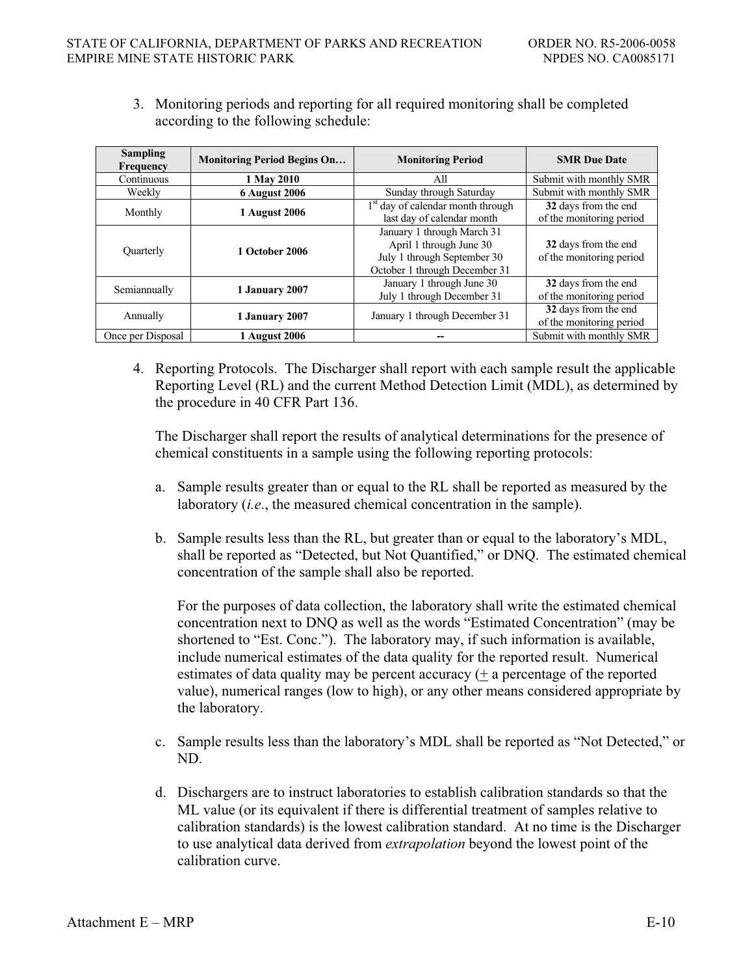3. Monitoring periods and reporting for all required monitoring shall be completed according to the following schedule:

| <b>Sampling</b><br><b>Frequency</b> | <b>Monitoring Period Begins On</b> | <b>Monitoring Period</b>                      | <b>SMR</b> Due Date      |
|-------------------------------------|------------------------------------|-----------------------------------------------|--------------------------|
| Continuous                          | 1 May 2010                         | All                                           | Submit with monthly SMR  |
| Weekly                              | <b>6 August 2006</b>               | Sunday through Saturday                       | Submit with monthly SMR  |
| Monthly                             |                                    | 1 <sup>st</sup> day of calendar month through | 32 days from the end     |
|                                     | <b>1 August 2006</b>               | last day of calendar month                    | of the monitoring period |
|                                     | <b>1 October 2006</b>              | January 1 through March 31                    |                          |
|                                     |                                    | April 1 through June 30                       | 32 days from the end     |
| Quarterly                           |                                    | July 1 through September 30                   | of the monitoring period |
|                                     |                                    | October 1 through December 31                 |                          |
| Semiannually                        |                                    | January 1 through June 30                     | 32 days from the end     |
|                                     | 1 January 2007                     | July 1 through December 31                    | of the monitoring period |
| Annually                            |                                    | January 1 through December 31                 | 32 days from the end     |
|                                     | 1 January 2007                     |                                               | of the monitoring period |
| Once per Disposal                   | 1 August 2006                      |                                               | Submit with monthly SMR  |

4. Reporting Protocols. The Discharger shall report with each sample result the applicable Reporting Level (RL) and the current Method Detection Limit (MDL), as determined by the procedure in 40 CFR Part 136.

The Discharger shall report the results of analytical determinations for the presence of chemical constituents in a sample using the following reporting protocols:

- a. Sample results greater than or equal to the RL shall be reported as measured by the laboratory (*i.e*., the measured chemical concentration in the sample).
- b. Sample results less than the RL, but greater than or equal to the laboratory's MDL, shall be reported as "Detected, but Not Quantified," or DNQ. The estimated chemical concentration of the sample shall also be reported.

For the purposes of data collection, the laboratory shall write the estimated chemical concentration next to DNQ as well as the words "Estimated Concentration" (may be shortened to "Est. Conc."). The laboratory may, if such information is available, include numerical estimates of the data quality for the reported result. Numerical estimates of data quality may be percent accuracy (+ a percentage of the reported value), numerical ranges (low to high), or any other means considered appropriate by the laboratory.

- c. Sample results less than the laboratory's MDL shall be reported as "Not Detected," or ND.
- d. Dischargers are to instruct laboratories to establish calibration standards so that the ML value (or its equivalent if there is differential treatment of samples relative to calibration standards) is the lowest calibration standard. At no time is the Discharger to use analytical data derived from *extrapolation* beyond the lowest point of the calibration curve.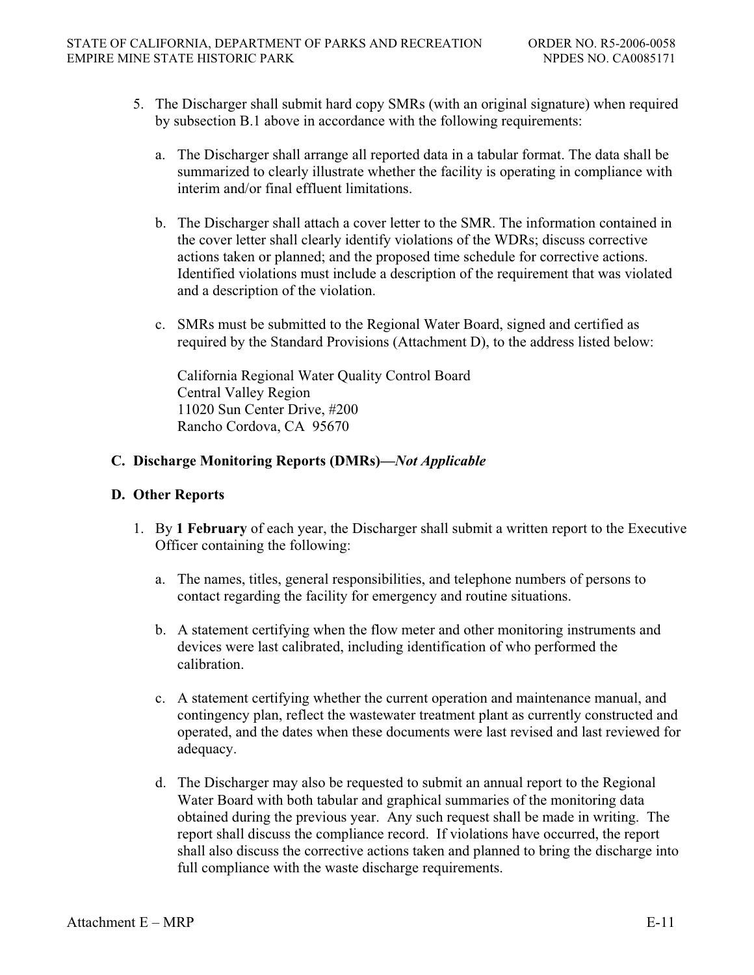- 5. The Discharger shall submit hard copy SMRs (with an original signature) when required by subsection B.1 above in accordance with the following requirements:
	- a. The Discharger shall arrange all reported data in a tabular format. The data shall be summarized to clearly illustrate whether the facility is operating in compliance with interim and/or final effluent limitations.
	- b. The Discharger shall attach a cover letter to the SMR. The information contained in the cover letter shall clearly identify violations of the WDRs; discuss corrective actions taken or planned; and the proposed time schedule for corrective actions. Identified violations must include a description of the requirement that was violated and a description of the violation.
	- c. SMRs must be submitted to the Regional Water Board, signed and certified as required by the Standard Provisions (Attachment D), to the address listed below:

California Regional Water Quality Control Board Central Valley Region 11020 Sun Center Drive, #200 Rancho Cordova, CA 95670

# **C. Discharge Monitoring Reports (DMRs)—***Not Applicable*

#### **D. Other Reports**

- 1. By **1 February** of each year, the Discharger shall submit a written report to the Executive Officer containing the following:
	- a. The names, titles, general responsibilities, and telephone numbers of persons to contact regarding the facility for emergency and routine situations.
	- b. A statement certifying when the flow meter and other monitoring instruments and devices were last calibrated, including identification of who performed the calibration.
	- c. A statement certifying whether the current operation and maintenance manual, and contingency plan, reflect the wastewater treatment plant as currently constructed and operated, and the dates when these documents were last revised and last reviewed for adequacy.
	- d. The Discharger may also be requested to submit an annual report to the Regional Water Board with both tabular and graphical summaries of the monitoring data obtained during the previous year. Any such request shall be made in writing. The report shall discuss the compliance record. If violations have occurred, the report shall also discuss the corrective actions taken and planned to bring the discharge into full compliance with the waste discharge requirements.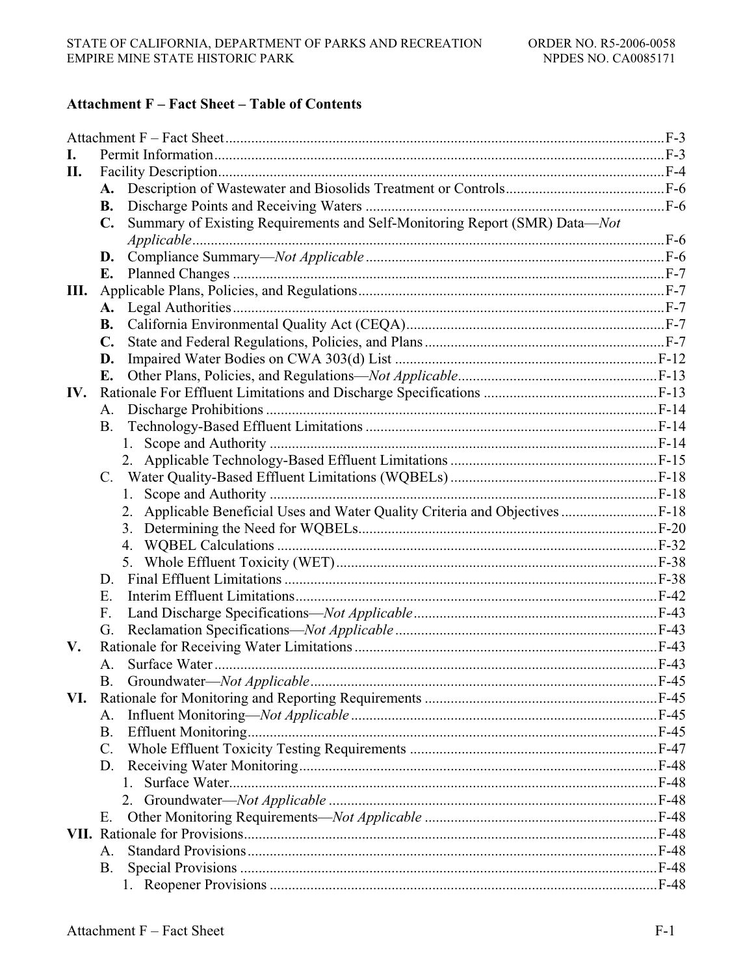## **Attachment F - Fact Sheet - Table of Contents**

| I.  |                |                                                                               |  |
|-----|----------------|-------------------------------------------------------------------------------|--|
| П.  |                |                                                                               |  |
|     |                |                                                                               |  |
|     | <b>B.</b>      |                                                                               |  |
|     | $\mathbf{C}$ . | Summary of Existing Requirements and Self-Monitoring Report (SMR) Data-Not    |  |
|     |                |                                                                               |  |
|     | D.             |                                                                               |  |
|     | Е.             |                                                                               |  |
| Ш.  |                |                                                                               |  |
|     | A.             |                                                                               |  |
|     | <b>B.</b>      |                                                                               |  |
|     | $\mathbf{C}$ . |                                                                               |  |
|     | D.             |                                                                               |  |
|     | E.             |                                                                               |  |
| IV. |                |                                                                               |  |
|     | A.             |                                                                               |  |
|     | B.             |                                                                               |  |
|     |                |                                                                               |  |
|     |                |                                                                               |  |
|     |                |                                                                               |  |
|     |                |                                                                               |  |
|     |                | 2. Applicable Beneficial Uses and Water Quality Criteria and Objectives  F-18 |  |
|     |                |                                                                               |  |
|     |                | 4.                                                                            |  |
|     |                | 5.                                                                            |  |
|     | D.             |                                                                               |  |
|     | Ε.             |                                                                               |  |
|     | F.             |                                                                               |  |
|     | G.             |                                                                               |  |
| V.  |                |                                                                               |  |
|     | A.             |                                                                               |  |
|     |                |                                                                               |  |
| VI. |                |                                                                               |  |
|     | А.             |                                                                               |  |
|     | <b>B.</b>      |                                                                               |  |
|     | C.             |                                                                               |  |
|     | D.             |                                                                               |  |
|     |                |                                                                               |  |
|     |                |                                                                               |  |
|     | Е.             |                                                                               |  |
|     |                |                                                                               |  |
|     | Α.             |                                                                               |  |
|     | Β.             |                                                                               |  |
|     |                |                                                                               |  |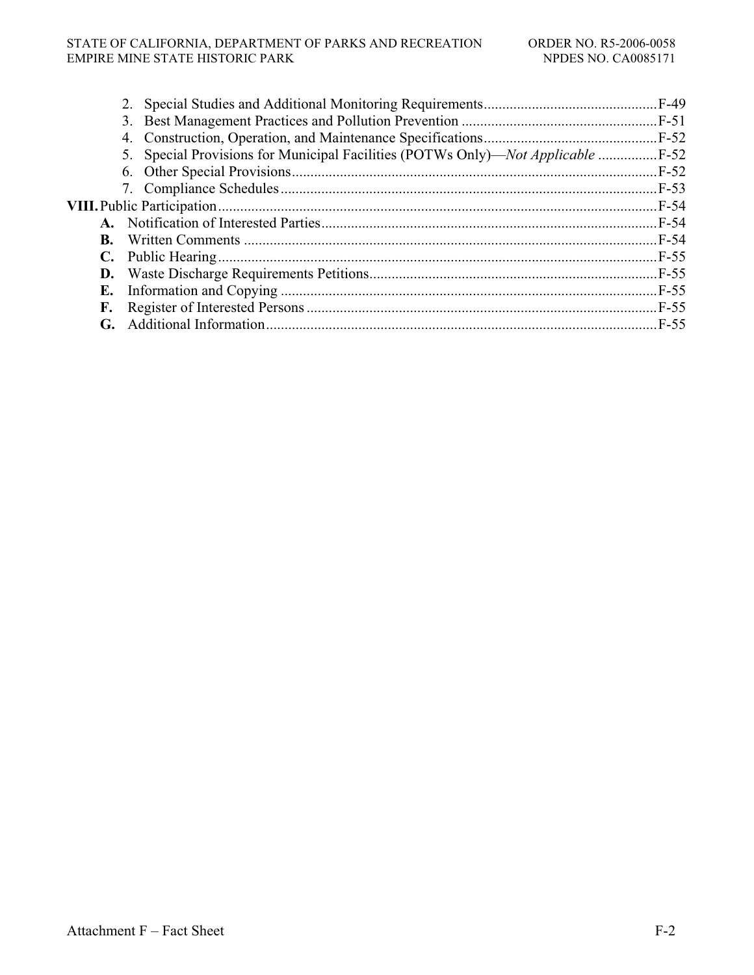#### STATE OF CALIFORNIA, DEPARTMENT OF PARKS AND RECREATION ORDER NO. R5-2006-0058 EMPIRE MINE STATE HISTORIC PARK NPDES NO. CA0085171

|           | 5. Special Provisions for Municipal Facilities (POTWs Only)—Not Applicable |  |
|-----------|----------------------------------------------------------------------------|--|
|           |                                                                            |  |
|           |                                                                            |  |
|           |                                                                            |  |
|           |                                                                            |  |
| <b>B.</b> |                                                                            |  |
|           |                                                                            |  |
|           |                                                                            |  |
| Е.        |                                                                            |  |
| F.        |                                                                            |  |
|           |                                                                            |  |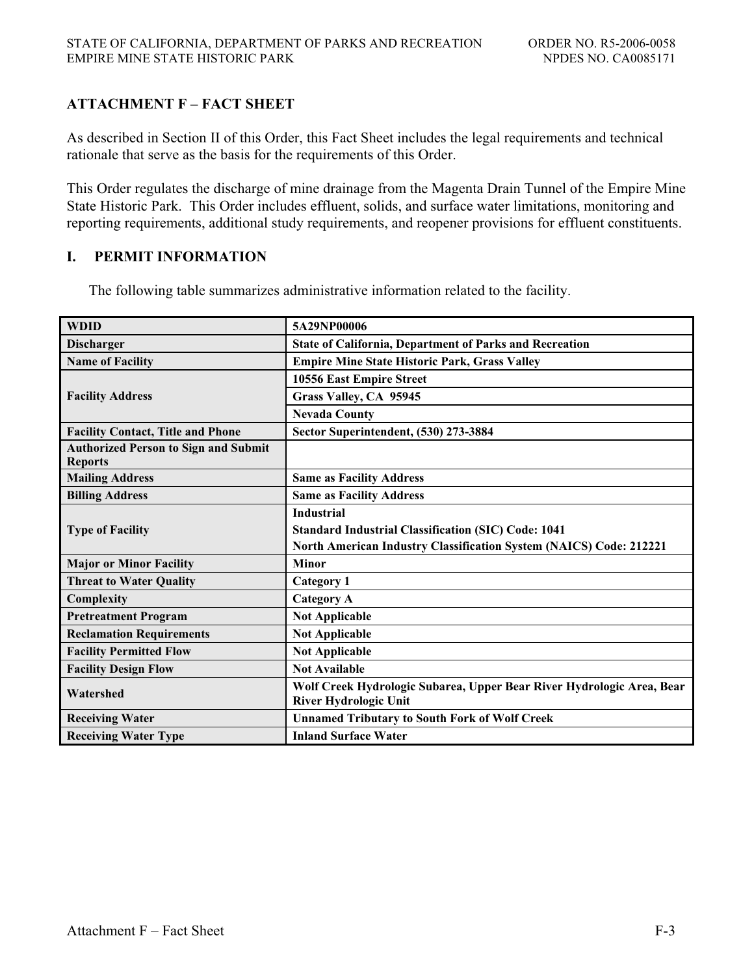# **ATTACHMENT F – FACT SHEET**

As described in Section II of this Order, this Fact Sheet includes the legal requirements and technical rationale that serve as the basis for the requirements of this Order.

This Order regulates the discharge of mine drainage from the Magenta Drain Tunnel of the Empire Mine State Historic Park. This Order includes effluent, solids, and surface water limitations, monitoring and reporting requirements, additional study requirements, and reopener provisions for effluent constituents.

### **I. PERMIT INFORMATION**

The following table summarizes administrative information related to the facility.

| <b>WDID</b>                                                   | 5A29NP00006                                                                                           |
|---------------------------------------------------------------|-------------------------------------------------------------------------------------------------------|
| <b>Discharger</b>                                             | <b>State of California, Department of Parks and Recreation</b>                                        |
| <b>Name of Facility</b>                                       | <b>Empire Mine State Historic Park, Grass Valley</b>                                                  |
|                                                               | 10556 East Empire Street                                                                              |
| <b>Facility Address</b>                                       | Grass Valley, CA 95945                                                                                |
|                                                               | <b>Nevada County</b>                                                                                  |
| <b>Facility Contact, Title and Phone</b>                      | Sector Superintendent, (530) 273-3884                                                                 |
| <b>Authorized Person to Sign and Submit</b><br><b>Reports</b> |                                                                                                       |
| <b>Mailing Address</b>                                        | <b>Same as Facility Address</b>                                                                       |
| <b>Billing Address</b>                                        | <b>Same as Facility Address</b>                                                                       |
|                                                               | <b>Industrial</b>                                                                                     |
| <b>Type of Facility</b>                                       | <b>Standard Industrial Classification (SIC) Code: 1041</b>                                            |
|                                                               | <b>North American Industry Classification System (NAICS) Code: 212221</b>                             |
| <b>Major or Minor Facility</b>                                | <b>Minor</b>                                                                                          |
| <b>Threat to Water Quality</b>                                | <b>Category 1</b>                                                                                     |
| Complexity                                                    | <b>Category A</b>                                                                                     |
| <b>Pretreatment Program</b>                                   | <b>Not Applicable</b>                                                                                 |
| <b>Reclamation Requirements</b>                               | <b>Not Applicable</b>                                                                                 |
| <b>Facility Permitted Flow</b>                                | <b>Not Applicable</b>                                                                                 |
| <b>Facility Design Flow</b>                                   | <b>Not Available</b>                                                                                  |
| Watershed                                                     | Wolf Creek Hydrologic Subarea, Upper Bear River Hydrologic Area, Bear<br><b>River Hydrologic Unit</b> |
| <b>Receiving Water</b>                                        | <b>Unnamed Tributary to South Fork of Wolf Creek</b>                                                  |
| <b>Receiving Water Type</b>                                   | <b>Inland Surface Water</b>                                                                           |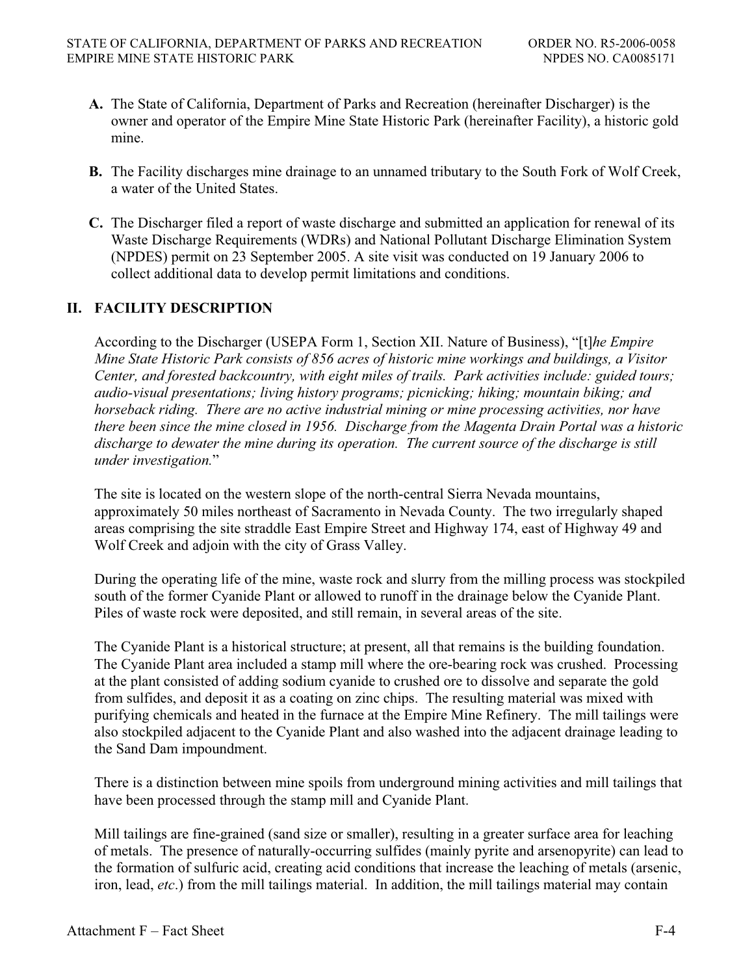- **A.** The State of California, Department of Parks and Recreation (hereinafter Discharger) is the owner and operator of the Empire Mine State Historic Park (hereinafter Facility), a historic gold mine.
- **B.** The Facility discharges mine drainage to an unnamed tributary to the South Fork of Wolf Creek, a water of the United States.
- **C.** The Discharger filed a report of waste discharge and submitted an application for renewal of its Waste Discharge Requirements (WDRs) and National Pollutant Discharge Elimination System (NPDES) permit on 23 September 2005. A site visit was conducted on 19 January 2006 to collect additional data to develop permit limitations and conditions.

# **II. FACILITY DESCRIPTION**

According to the Discharger (USEPA Form 1, Section XII. Nature of Business), "[t]*he Empire Mine State Historic Park consists of 856 acres of historic mine workings and buildings, a Visitor Center, and forested backcountry, with eight miles of trails. Park activities include: guided tours; audio-visual presentations; living history programs; picnicking; hiking; mountain biking; and horseback riding. There are no active industrial mining or mine processing activities, nor have there been since the mine closed in 1956. Discharge from the Magenta Drain Portal was a historic discharge to dewater the mine during its operation. The current source of the discharge is still under investigation.*"

The site is located on the western slope of the north-central Sierra Nevada mountains, approximately 50 miles northeast of Sacramento in Nevada County. The two irregularly shaped areas comprising the site straddle East Empire Street and Highway 174, east of Highway 49 and Wolf Creek and adjoin with the city of Grass Valley.

During the operating life of the mine, waste rock and slurry from the milling process was stockpiled south of the former Cyanide Plant or allowed to runoff in the drainage below the Cyanide Plant. Piles of waste rock were deposited, and still remain, in several areas of the site.

The Cyanide Plant is a historical structure; at present, all that remains is the building foundation. The Cyanide Plant area included a stamp mill where the ore-bearing rock was crushed. Processing at the plant consisted of adding sodium cyanide to crushed ore to dissolve and separate the gold from sulfides, and deposit it as a coating on zinc chips. The resulting material was mixed with purifying chemicals and heated in the furnace at the Empire Mine Refinery. The mill tailings were also stockpiled adjacent to the Cyanide Plant and also washed into the adjacent drainage leading to the Sand Dam impoundment.

There is a distinction between mine spoils from underground mining activities and mill tailings that have been processed through the stamp mill and Cyanide Plant.

Mill tailings are fine-grained (sand size or smaller), resulting in a greater surface area for leaching of metals. The presence of naturally-occurring sulfides (mainly pyrite and arsenopyrite) can lead to the formation of sulfuric acid, creating acid conditions that increase the leaching of metals (arsenic, iron, lead, *etc*.) from the mill tailings material. In addition, the mill tailings material may contain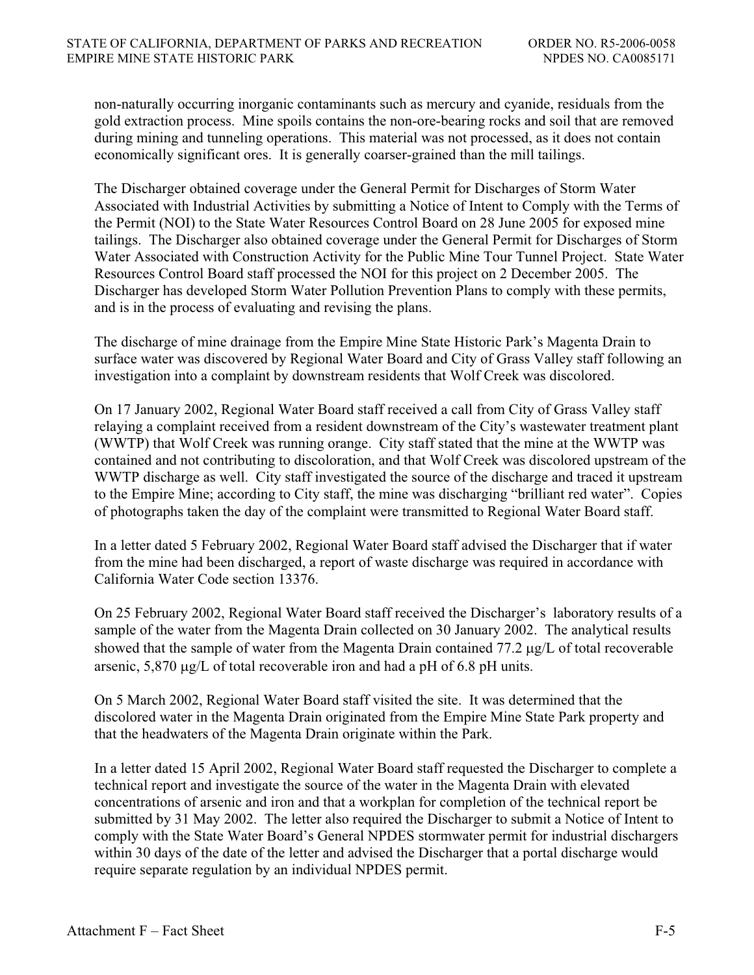non-naturally occurring inorganic contaminants such as mercury and cyanide, residuals from the gold extraction process. Mine spoils contains the non-ore-bearing rocks and soil that are removed during mining and tunneling operations. This material was not processed, as it does not contain economically significant ores. It is generally coarser-grained than the mill tailings.

The Discharger obtained coverage under the General Permit for Discharges of Storm Water Associated with Industrial Activities by submitting a Notice of Intent to Comply with the Terms of the Permit (NOI) to the State Water Resources Control Board on 28 June 2005 for exposed mine tailings. The Discharger also obtained coverage under the General Permit for Discharges of Storm Water Associated with Construction Activity for the Public Mine Tour Tunnel Project. State Water Resources Control Board staff processed the NOI for this project on 2 December 2005. The Discharger has developed Storm Water Pollution Prevention Plans to comply with these permits, and is in the process of evaluating and revising the plans.

The discharge of mine drainage from the Empire Mine State Historic Park's Magenta Drain to surface water was discovered by Regional Water Board and City of Grass Valley staff following an investigation into a complaint by downstream residents that Wolf Creek was discolored.

On 17 January 2002, Regional Water Board staff received a call from City of Grass Valley staff relaying a complaint received from a resident downstream of the City's wastewater treatment plant (WWTP) that Wolf Creek was running orange. City staff stated that the mine at the WWTP was contained and not contributing to discoloration, and that Wolf Creek was discolored upstream of the WWTP discharge as well. City staff investigated the source of the discharge and traced it upstream to the Empire Mine; according to City staff, the mine was discharging "brilliant red water". Copies of photographs taken the day of the complaint were transmitted to Regional Water Board staff.

In a letter dated 5 February 2002, Regional Water Board staff advised the Discharger that if water from the mine had been discharged, a report of waste discharge was required in accordance with California Water Code section 13376.

On 25 February 2002, Regional Water Board staff received the Discharger's laboratory results of a sample of the water from the Magenta Drain collected on 30 January 2002. The analytical results showed that the sample of water from the Magenta Drain contained  $77.2 \mu g/L$  of total recoverable arsenic,  $5,870 \mu$ g/L of total recoverable iron and had a pH of 6.8 pH units.

On 5 March 2002, Regional Water Board staff visited the site. It was determined that the discolored water in the Magenta Drain originated from the Empire Mine State Park property and that the headwaters of the Magenta Drain originate within the Park.

In a letter dated 15 April 2002, Regional Water Board staff requested the Discharger to complete a technical report and investigate the source of the water in the Magenta Drain with elevated concentrations of arsenic and iron and that a workplan for completion of the technical report be submitted by 31 May 2002. The letter also required the Discharger to submit a Notice of Intent to comply with the State Water Board's General NPDES stormwater permit for industrial dischargers within 30 days of the date of the letter and advised the Discharger that a portal discharge would require separate regulation by an individual NPDES permit.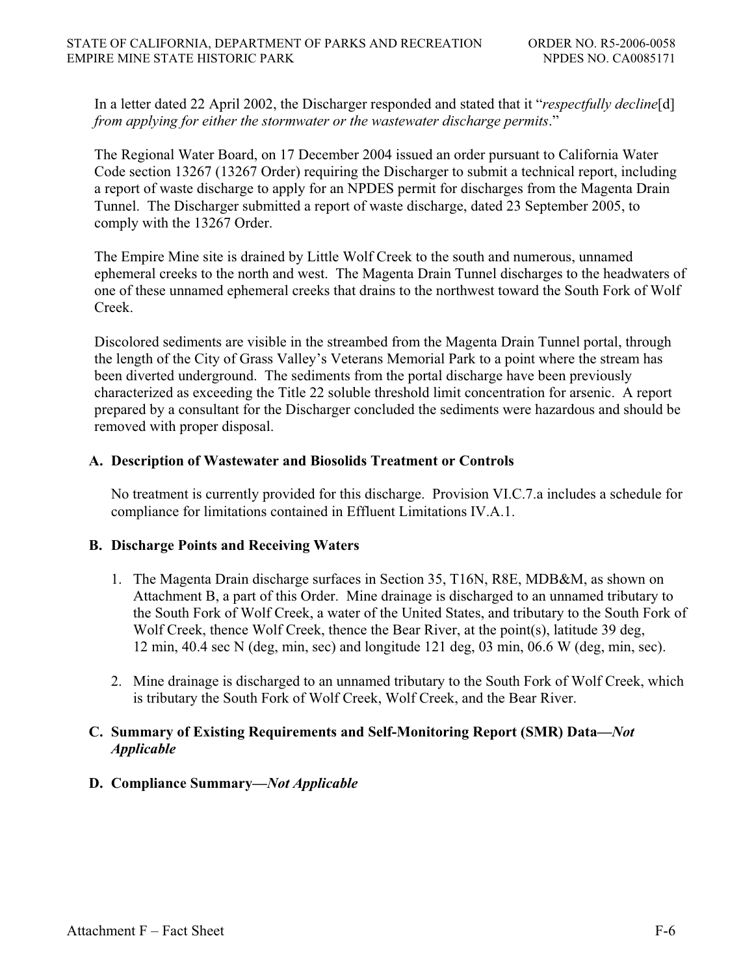In a letter dated 22 April 2002, the Discharger responded and stated that it "*respectfully decline*[d] *from applying for either the stormwater or the wastewater discharge permits*."

The Regional Water Board, on 17 December 2004 issued an order pursuant to California Water Code section 13267 (13267 Order) requiring the Discharger to submit a technical report, including a report of waste discharge to apply for an NPDES permit for discharges from the Magenta Drain Tunnel. The Discharger submitted a report of waste discharge, dated 23 September 2005, to comply with the 13267 Order.

The Empire Mine site is drained by Little Wolf Creek to the south and numerous, unnamed ephemeral creeks to the north and west. The Magenta Drain Tunnel discharges to the headwaters of one of these unnamed ephemeral creeks that drains to the northwest toward the South Fork of Wolf Creek.

Discolored sediments are visible in the streambed from the Magenta Drain Tunnel portal, through the length of the City of Grass Valley's Veterans Memorial Park to a point where the stream has been diverted underground. The sediments from the portal discharge have been previously characterized as exceeding the Title 22 soluble threshold limit concentration for arsenic. A report prepared by a consultant for the Discharger concluded the sediments were hazardous and should be removed with proper disposal.

### **A. Description of Wastewater and Biosolids Treatment or Controls**

No treatment is currently provided for this discharge. Provision VI.C.7.a includes a schedule for compliance for limitations contained in Effluent Limitations IV.A.1.

#### **B. Discharge Points and Receiving Waters**

- 1. The Magenta Drain discharge surfaces in Section 35, T16N, R8E, MDB&M, as shown on Attachment B, a part of this Order. Mine drainage is discharged to an unnamed tributary to the South Fork of Wolf Creek, a water of the United States, and tributary to the South Fork of Wolf Creek, thence Wolf Creek, thence the Bear River, at the point(s), latitude 39 deg, 12 min, 40.4 sec N (deg, min, sec) and longitude 121 deg, 03 min, 06.6 W (deg, min, sec).
- 2. Mine drainage is discharged to an unnamed tributary to the South Fork of Wolf Creek, which is tributary the South Fork of Wolf Creek, Wolf Creek, and the Bear River.

### **C. Summary of Existing Requirements and Self-Monitoring Report (SMR) Data—***Not Applicable*

#### **D. Compliance Summary—***Not Applicable*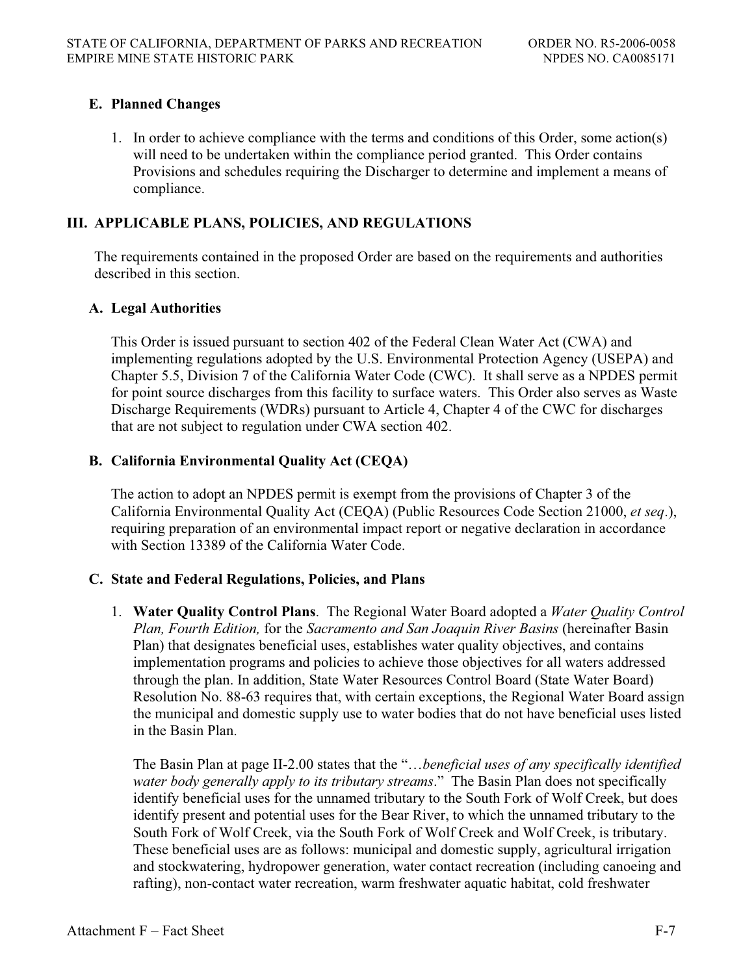# **E. Planned Changes**

1. In order to achieve compliance with the terms and conditions of this Order, some action(s) will need to be undertaken within the compliance period granted. This Order contains Provisions and schedules requiring the Discharger to determine and implement a means of compliance.

# **III. APPLICABLE PLANS, POLICIES, AND REGULATIONS**

The requirements contained in the proposed Order are based on the requirements and authorities described in this section.

# **A. Legal Authorities**

This Order is issued pursuant to section 402 of the Federal Clean Water Act (CWA) and implementing regulations adopted by the U.S. Environmental Protection Agency (USEPA) and Chapter 5.5, Division 7 of the California Water Code (CWC). It shall serve as a NPDES permit for point source discharges from this facility to surface waters. This Order also serves as Waste Discharge Requirements (WDRs) pursuant to Article 4, Chapter 4 of the CWC for discharges that are not subject to regulation under CWA section 402.

# **B. California Environmental Quality Act (CEQA)**

The action to adopt an NPDES permit is exempt from the provisions of Chapter 3 of the California Environmental Quality Act (CEQA) (Public Resources Code Section 21000, *et seq*.), requiring preparation of an environmental impact report or negative declaration in accordance with Section 13389 of the California Water Code.

# **C. State and Federal Regulations, Policies, and Plans**

1. **Water Quality Control Plans**. The Regional Water Board adopted a *Water Quality Control Plan, Fourth Edition,* for the *Sacramento and San Joaquin River Basins* (hereinafter Basin Plan) that designates beneficial uses, establishes water quality objectives, and contains implementation programs and policies to achieve those objectives for all waters addressed through the plan. In addition, State Water Resources Control Board (State Water Board) Resolution No. 88-63 requires that, with certain exceptions, the Regional Water Board assign the municipal and domestic supply use to water bodies that do not have beneficial uses listed in the Basin Plan.

The Basin Plan at page II-2.00 states that the "…*beneficial uses of any specifically identified water body generally apply to its tributary streams*." The Basin Plan does not specifically identify beneficial uses for the unnamed tributary to the South Fork of Wolf Creek, but does identify present and potential uses for the Bear River, to which the unnamed tributary to the South Fork of Wolf Creek, via the South Fork of Wolf Creek and Wolf Creek, is tributary. These beneficial uses are as follows: municipal and domestic supply, agricultural irrigation and stockwatering, hydropower generation, water contact recreation (including canoeing and rafting), non-contact water recreation, warm freshwater aquatic habitat, cold freshwater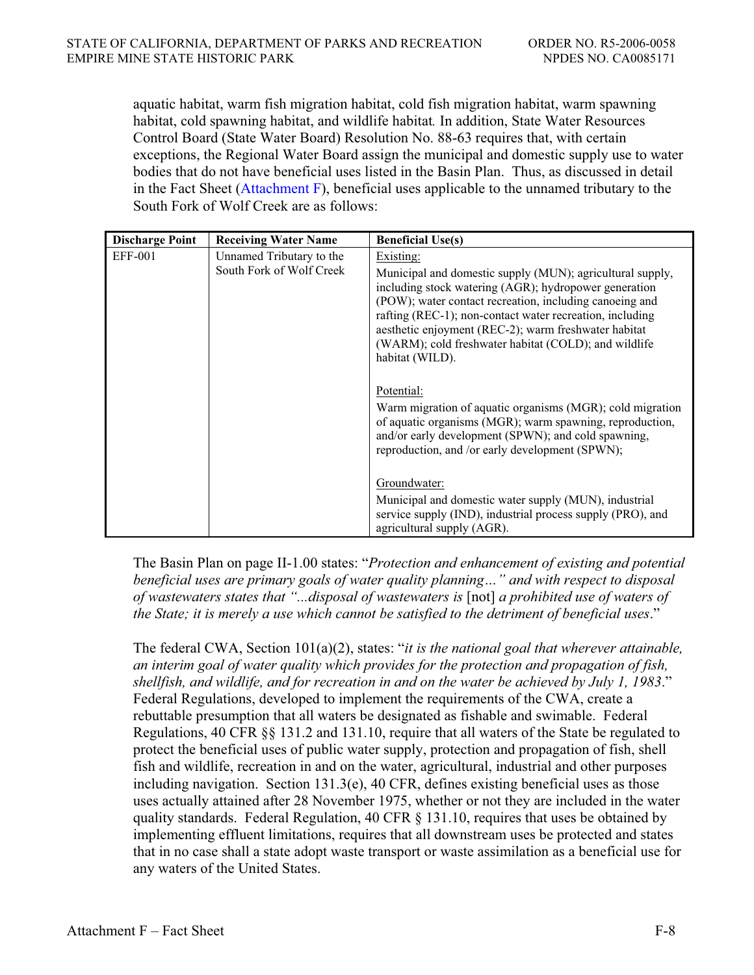aquatic habitat, warm fish migration habitat, cold fish migration habitat, warm spawning habitat, cold spawning habitat, and wildlife habitat*.* In addition, State Water Resources Control Board (State Water Board) Resolution No. 88-63 requires that, with certain exceptions, the Regional Water Board assign the municipal and domestic supply use to water bodies that do not have beneficial uses listed in the Basin Plan. Thus, as discussed in detail in the Fact Sheet (Attachment F), beneficial uses applicable to the unnamed tributary to the South Fork of Wolf Creek are as follows:

| <b>Discharge Point</b> | <b>Receiving Water Name</b>                          | <b>Beneficial Use(s)</b>                                                                                                                                                                                                                                                                                                                                                                  |
|------------------------|------------------------------------------------------|-------------------------------------------------------------------------------------------------------------------------------------------------------------------------------------------------------------------------------------------------------------------------------------------------------------------------------------------------------------------------------------------|
| <b>EFF-001</b>         | Unnamed Tributary to the<br>South Fork of Wolf Creek | Existing:<br>Municipal and domestic supply (MUN); agricultural supply,<br>including stock watering (AGR); hydropower generation<br>(POW); water contact recreation, including canoeing and<br>rafting (REC-1); non-contact water recreation, including<br>aesthetic enjoyment (REC-2); warm freshwater habitat<br>(WARM); cold freshwater habitat (COLD); and wildlife<br>habitat (WILD). |
|                        |                                                      | Potential:<br>Warm migration of aquatic organisms (MGR); cold migration<br>of aquatic organisms (MGR); warm spawning, reproduction,<br>and/or early development (SPWN); and cold spawning,<br>reproduction, and /or early development (SPWN);<br>Groundwater:<br>Municipal and domestic water supply (MUN), industrial<br>service supply (IND), industrial process supply (PRO), and      |
|                        |                                                      | agricultural supply (AGR).                                                                                                                                                                                                                                                                                                                                                                |

The Basin Plan on page II-1.00 states: "*Protection and enhancement of existing and potential beneficial uses are primary goals of water quality planning…" and with respect to disposal of wastewaters states that "...disposal of wastewaters is* [not] *a prohibited use of waters of the State; it is merely a use which cannot be satisfied to the detriment of beneficial uses*."

The federal CWA, Section 101(a)(2), states: "*it is the national goal that wherever attainable, an interim goal of water quality which provides for the protection and propagation of fish, shellfish, and wildlife, and for recreation in and on the water be achieved by July 1, 1983*." Federal Regulations, developed to implement the requirements of the CWA, create a rebuttable presumption that all waters be designated as fishable and swimable. Federal Regulations, 40 CFR §§ 131.2 and 131.10, require that all waters of the State be regulated to protect the beneficial uses of public water supply, protection and propagation of fish, shell fish and wildlife, recreation in and on the water, agricultural, industrial and other purposes including navigation. Section 131.3(e), 40 CFR, defines existing beneficial uses as those uses actually attained after 28 November 1975, whether or not they are included in the water quality standards. Federal Regulation, 40 CFR  $\S$  131.10, requires that uses be obtained by implementing effluent limitations, requires that all downstream uses be protected and states that in no case shall a state adopt waste transport or waste assimilation as a beneficial use for any waters of the United States.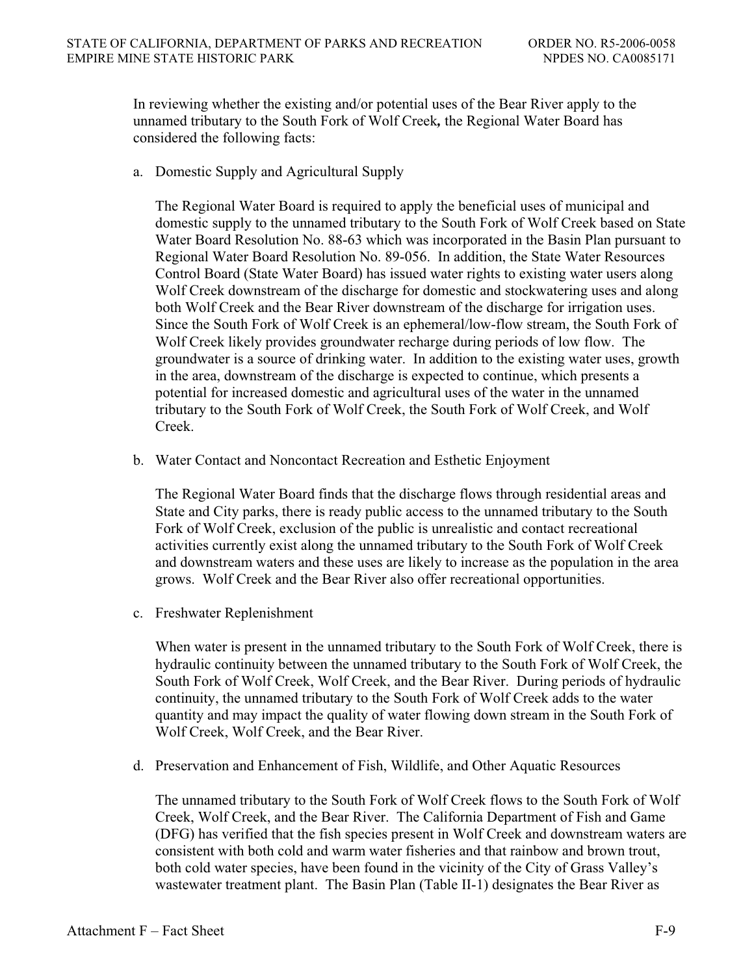In reviewing whether the existing and/or potential uses of the Bear River apply to the unnamed tributary to the South Fork of Wolf Creek*,* the Regional Water Board has considered the following facts:

a. Domestic Supply and Agricultural Supply

The Regional Water Board is required to apply the beneficial uses of municipal and domestic supply to the unnamed tributary to the South Fork of Wolf Creek based on State Water Board Resolution No. 88-63 which was incorporated in the Basin Plan pursuant to Regional Water Board Resolution No. 89-056. In addition, the State Water Resources Control Board (State Water Board) has issued water rights to existing water users along Wolf Creek downstream of the discharge for domestic and stockwatering uses and along both Wolf Creek and the Bear River downstream of the discharge for irrigation uses. Since the South Fork of Wolf Creek is an ephemeral/low-flow stream, the South Fork of Wolf Creek likely provides groundwater recharge during periods of low flow. The groundwater is a source of drinking water. In addition to the existing water uses, growth in the area, downstream of the discharge is expected to continue, which presents a potential for increased domestic and agricultural uses of the water in the unnamed tributary to the South Fork of Wolf Creek, the South Fork of Wolf Creek, and Wolf Creek.

b. Water Contact and Noncontact Recreation and Esthetic Enjoyment

The Regional Water Board finds that the discharge flows through residential areas and State and City parks, there is ready public access to the unnamed tributary to the South Fork of Wolf Creek, exclusion of the public is unrealistic and contact recreational activities currently exist along the unnamed tributary to the South Fork of Wolf Creek and downstream waters and these uses are likely to increase as the population in the area grows. Wolf Creek and the Bear River also offer recreational opportunities.

c. Freshwater Replenishment

When water is present in the unnamed tributary to the South Fork of Wolf Creek, there is hydraulic continuity between the unnamed tributary to the South Fork of Wolf Creek, the South Fork of Wolf Creek, Wolf Creek, and the Bear River. During periods of hydraulic continuity, the unnamed tributary to the South Fork of Wolf Creek adds to the water quantity and may impact the quality of water flowing down stream in the South Fork of Wolf Creek, Wolf Creek, and the Bear River.

d. Preservation and Enhancement of Fish, Wildlife, and Other Aquatic Resources

The unnamed tributary to the South Fork of Wolf Creek flows to the South Fork of Wolf Creek, Wolf Creek, and the Bear River. The California Department of Fish and Game (DFG) has verified that the fish species present in Wolf Creek and downstream waters are consistent with both cold and warm water fisheries and that rainbow and brown trout, both cold water species, have been found in the vicinity of the City of Grass Valley's wastewater treatment plant. The Basin Plan (Table II-1) designates the Bear River as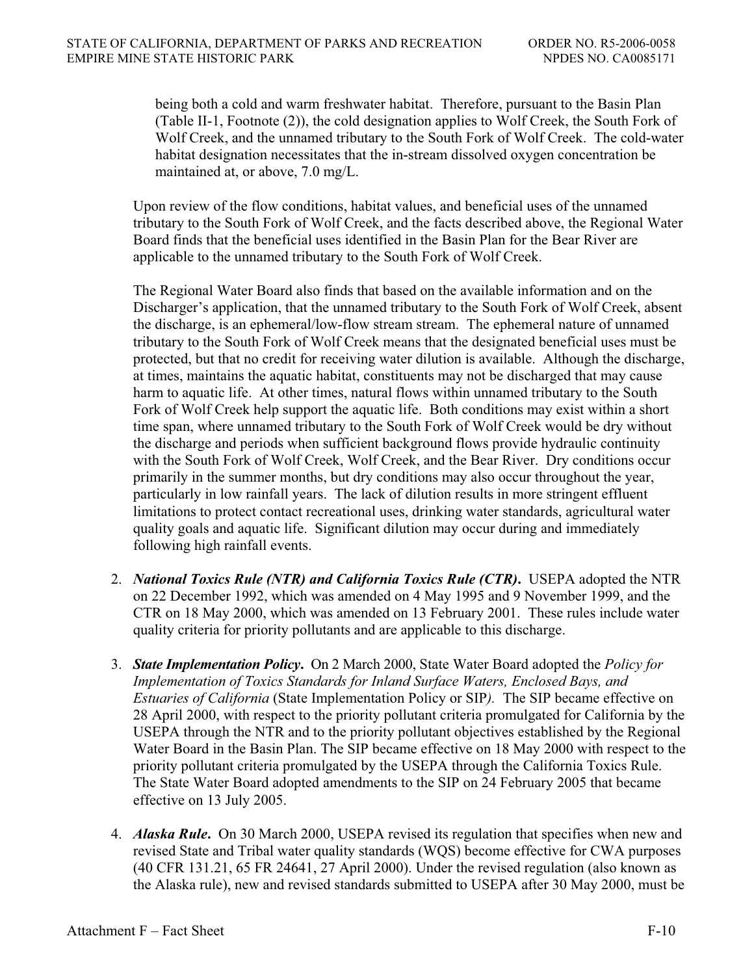being both a cold and warm freshwater habitat. Therefore, pursuant to the Basin Plan (Table II-1, Footnote (2)), the cold designation applies to Wolf Creek, the South Fork of Wolf Creek, and the unnamed tributary to the South Fork of Wolf Creek. The cold-water habitat designation necessitates that the in-stream dissolved oxygen concentration be maintained at, or above, 7.0 mg/L.

Upon review of the flow conditions, habitat values, and beneficial uses of the unnamed tributary to the South Fork of Wolf Creek, and the facts described above, the Regional Water Board finds that the beneficial uses identified in the Basin Plan for the Bear River are applicable to the unnamed tributary to the South Fork of Wolf Creek.

The Regional Water Board also finds that based on the available information and on the Discharger's application, that the unnamed tributary to the South Fork of Wolf Creek, absent the discharge, is an ephemeral/low-flow stream stream. The ephemeral nature of unnamed tributary to the South Fork of Wolf Creek means that the designated beneficial uses must be protected, but that no credit for receiving water dilution is available. Although the discharge, at times, maintains the aquatic habitat, constituents may not be discharged that may cause harm to aquatic life. At other times, natural flows within unnamed tributary to the South Fork of Wolf Creek help support the aquatic life. Both conditions may exist within a short time span, where unnamed tributary to the South Fork of Wolf Creek would be dry without the discharge and periods when sufficient background flows provide hydraulic continuity with the South Fork of Wolf Creek, Wolf Creek, and the Bear River. Dry conditions occur primarily in the summer months, but dry conditions may also occur throughout the year, particularly in low rainfall years. The lack of dilution results in more stringent effluent limitations to protect contact recreational uses, drinking water standards, agricultural water quality goals and aquatic life. Significant dilution may occur during and immediately following high rainfall events.

- 2. *National Toxics Rule (NTR) and California Toxics Rule (CTR)***.** USEPA adopted the NTR on 22 December 1992, which was amended on 4 May 1995 and 9 November 1999, and the CTR on 18 May 2000, which was amended on 13 February 2001. These rules include water quality criteria for priority pollutants and are applicable to this discharge.
- 3. *State Implementation Policy***.** On 2 March 2000, State Water Board adopted the *Policy for Implementation of Toxics Standards for Inland Surface Waters, Enclosed Bays, and Estuaries of California* (State Implementation Policy or SIP*).* The SIP became effective on 28 April 2000, with respect to the priority pollutant criteria promulgated for California by the USEPA through the NTR and to the priority pollutant objectives established by the Regional Water Board in the Basin Plan. The SIP became effective on 18 May 2000 with respect to the priority pollutant criteria promulgated by the USEPA through the California Toxics Rule. The State Water Board adopted amendments to the SIP on 24 February 2005 that became effective on 13 July 2005.
- 4. *Alaska Rule***.** On 30 March 2000, USEPA revised its regulation that specifies when new and revised State and Tribal water quality standards (WQS) become effective for CWA purposes (40 CFR 131.21, 65 FR 24641, 27 April 2000). Under the revised regulation (also known as the Alaska rule), new and revised standards submitted to USEPA after 30 May 2000, must be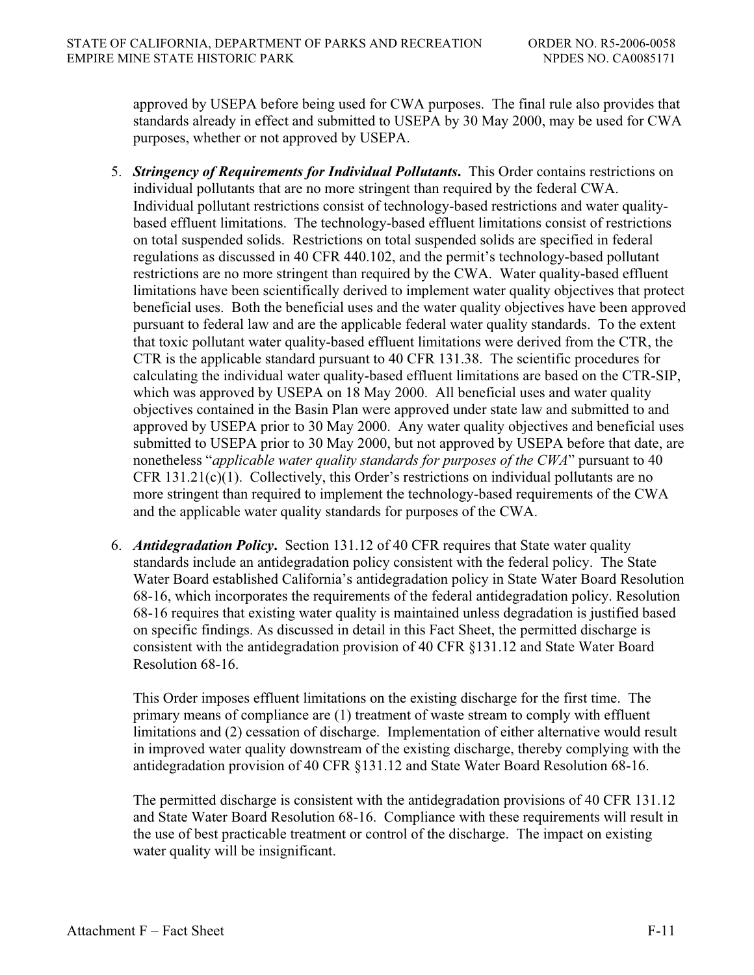approved by USEPA before being used for CWA purposes. The final rule also provides that standards already in effect and submitted to USEPA by 30 May 2000, may be used for CWA purposes, whether or not approved by USEPA.

- 5. *Stringency of Requirements for Individual Pollutants***.** This Order contains restrictions on individual pollutants that are no more stringent than required by the federal CWA. Individual pollutant restrictions consist of technology-based restrictions and water qualitybased effluent limitations. The technology-based effluent limitations consist of restrictions on total suspended solids. Restrictions on total suspended solids are specified in federal regulations as discussed in 40 CFR 440.102, and the permit's technology-based pollutant restrictions are no more stringent than required by the CWA. Water quality-based effluent limitations have been scientifically derived to implement water quality objectives that protect beneficial uses. Both the beneficial uses and the water quality objectives have been approved pursuant to federal law and are the applicable federal water quality standards. To the extent that toxic pollutant water quality-based effluent limitations were derived from the CTR, the CTR is the applicable standard pursuant to 40 CFR 131.38. The scientific procedures for calculating the individual water quality-based effluent limitations are based on the CTR-SIP, which was approved by USEPA on 18 May 2000. All beneficial uses and water quality objectives contained in the Basin Plan were approved under state law and submitted to and approved by USEPA prior to 30 May 2000. Any water quality objectives and beneficial uses submitted to USEPA prior to 30 May 2000, but not approved by USEPA before that date, are nonetheless "*applicable water quality standards for purposes of the CWA*" pursuant to 40 CFR 131.21(c)(1). Collectively, this Order's restrictions on individual pollutants are no more stringent than required to implement the technology-based requirements of the CWA and the applicable water quality standards for purposes of the CWA.
- 6. *Antidegradation Policy***.** Section 131.12 of 40 CFR requires that State water quality standards include an antidegradation policy consistent with the federal policy. The State Water Board established California's antidegradation policy in State Water Board Resolution 68-16, which incorporates the requirements of the federal antidegradation policy. Resolution 68-16 requires that existing water quality is maintained unless degradation is justified based on specific findings. As discussed in detail in this Fact Sheet, the permitted discharge is consistent with the antidegradation provision of 40 CFR §131.12 and State Water Board Resolution 68-16.

This Order imposes effluent limitations on the existing discharge for the first time. The primary means of compliance are (1) treatment of waste stream to comply with effluent limitations and (2) cessation of discharge. Implementation of either alternative would result in improved water quality downstream of the existing discharge, thereby complying with the antidegradation provision of 40 CFR §131.12 and State Water Board Resolution 68-16.

The permitted discharge is consistent with the antidegradation provisions of 40 CFR 131.12 and State Water Board Resolution 68-16. Compliance with these requirements will result in the use of best practicable treatment or control of the discharge. The impact on existing water quality will be insignificant.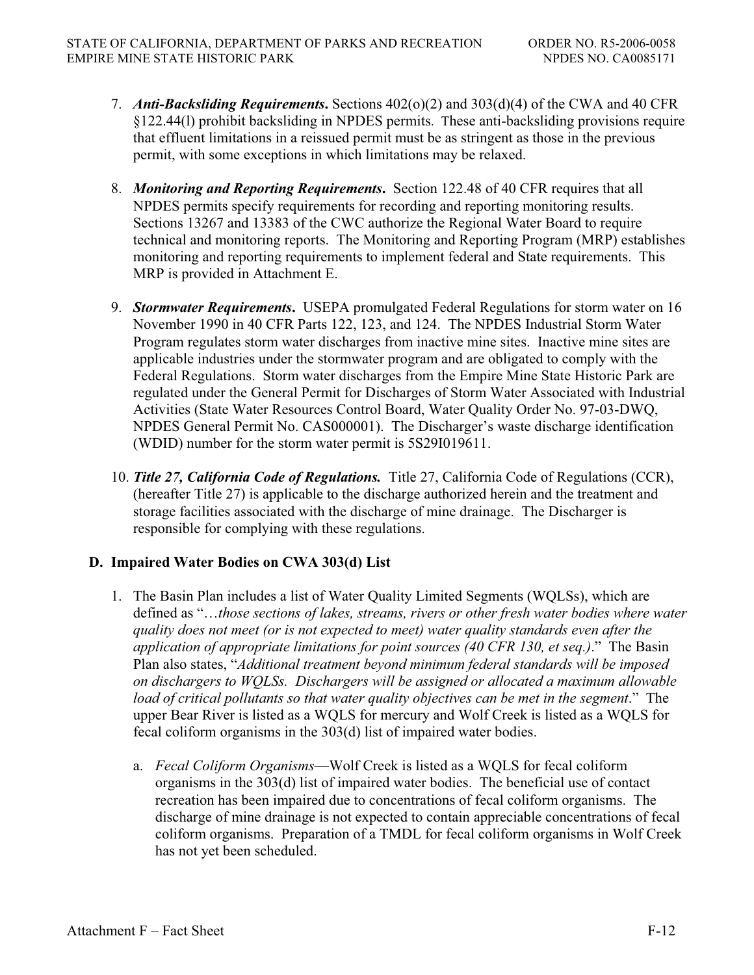- 7. *Anti-Backsliding Requirements***.** Sections 402(o)(2) and 303(d)(4) of the CWA and 40 CFR §122.44(l) prohibit backsliding in NPDES permits. These anti-backsliding provisions require that effluent limitations in a reissued permit must be as stringent as those in the previous permit, with some exceptions in which limitations may be relaxed.
- 8. *Monitoring and Reporting Requirements***.** Section 122.48 of 40 CFR requires that all NPDES permits specify requirements for recording and reporting monitoring results. Sections 13267 and 13383 of the CWC authorize the Regional Water Board to require technical and monitoring reports. The Monitoring and Reporting Program (MRP) establishes monitoring and reporting requirements to implement federal and State requirements. This MRP is provided in Attachment E.
- 9. *Stormwater Requirements***.** USEPA promulgated Federal Regulations for storm water on 16 November 1990 in 40 CFR Parts 122, 123, and 124. The NPDES Industrial Storm Water Program regulates storm water discharges from inactive mine sites. Inactive mine sites are applicable industries under the stormwater program and are obligated to comply with the Federal Regulations. Storm water discharges from the Empire Mine State Historic Park are regulated under the General Permit for Discharges of Storm Water Associated with Industrial Activities (State Water Resources Control Board, Water Quality Order No. 97-03-DWQ, NPDES General Permit No. CAS000001). The Discharger's waste discharge identification (WDID) number for the storm water permit is 5S29I019611.
- 10. *Title 27, California Code of Regulations.* Title 27, California Code of Regulations (CCR), (hereafter Title 27) is applicable to the discharge authorized herein and the treatment and storage facilities associated with the discharge of mine drainage. The Discharger is responsible for complying with these regulations.

# **D. Impaired Water Bodies on CWA 303(d) List**

- 1. The Basin Plan includes a list of Water Quality Limited Segments (WQLSs), which are defined as "…*those sections of lakes, streams, rivers or other fresh water bodies where water quality does not meet (or is not expected to meet) water quality standards even after the application of appropriate limitations for point sources (40 CFR 130, et seq.)*." The Basin Plan also states, "*Additional treatment beyond minimum federal standards will be imposed on dischargers to WQLSs. Dischargers will be assigned or allocated a maximum allowable load of critical pollutants so that water quality objectives can be met in the segment*." The upper Bear River is listed as a WQLS for mercury and Wolf Creek is listed as a WQLS for fecal coliform organisms in the 303(d) list of impaired water bodies.
	- a. *Fecal Coliform Organisms*—Wolf Creek is listed as a WQLS for fecal coliform organisms in the 303(d) list of impaired water bodies. The beneficial use of contact recreation has been impaired due to concentrations of fecal coliform organisms. The discharge of mine drainage is not expected to contain appreciable concentrations of fecal coliform organisms. Preparation of a TMDL for fecal coliform organisms in Wolf Creek has not yet been scheduled.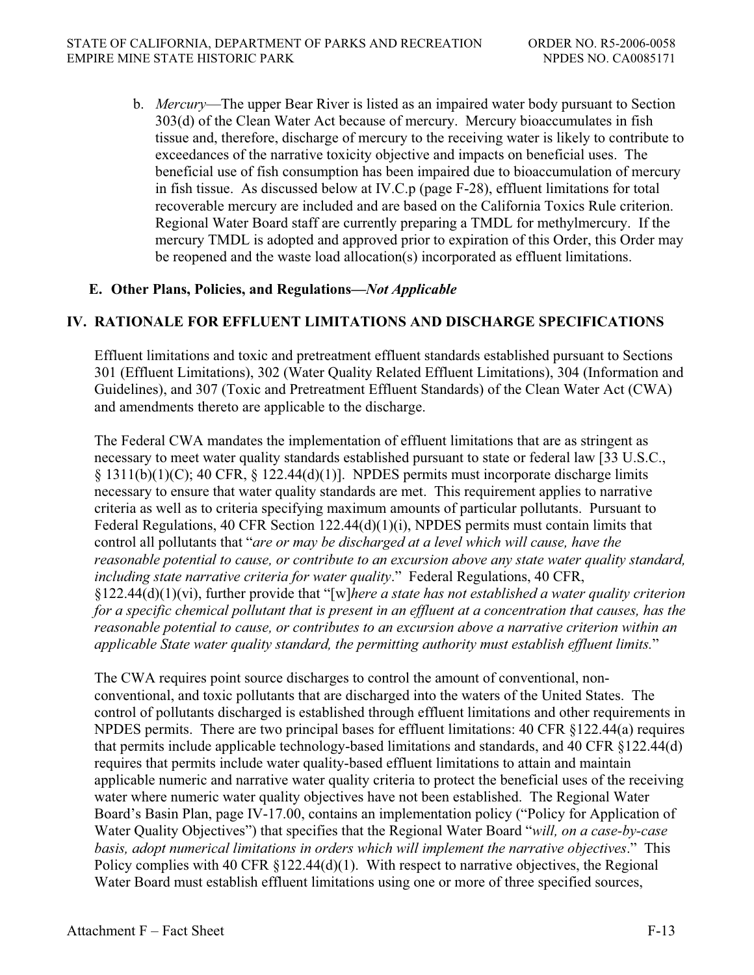b. *Mercury*—The upper Bear River is listed as an impaired water body pursuant to Section 303(d) of the Clean Water Act because of mercury. Mercury bioaccumulates in fish tissue and, therefore, discharge of mercury to the receiving water is likely to contribute to exceedances of the narrative toxicity objective and impacts on beneficial uses. The beneficial use of fish consumption has been impaired due to bioaccumulation of mercury in fish tissue. As discussed below at IV.C.p (page F-28), effluent limitations for total recoverable mercury are included and are based on the California Toxics Rule criterion. Regional Water Board staff are currently preparing a TMDL for methylmercury. If the mercury TMDL is adopted and approved prior to expiration of this Order, this Order may be reopened and the waste load allocation(s) incorporated as effluent limitations.

### **E. Other Plans, Policies, and Regulations—***Not Applicable*

# **IV. RATIONALE FOR EFFLUENT LIMITATIONS AND DISCHARGE SPECIFICATIONS**

Effluent limitations and toxic and pretreatment effluent standards established pursuant to Sections 301 (Effluent Limitations), 302 (Water Quality Related Effluent Limitations), 304 (Information and Guidelines), and 307 (Toxic and Pretreatment Effluent Standards) of the Clean Water Act (CWA) and amendments thereto are applicable to the discharge.

The Federal CWA mandates the implementation of effluent limitations that are as stringent as necessary to meet water quality standards established pursuant to state or federal law [33 U.S.C.,  $\S 1311(b)(1)(C)$ ; 40 CFR,  $\S 122.44(d)(1)$ . NPDES permits must incorporate discharge limits necessary to ensure that water quality standards are met. This requirement applies to narrative criteria as well as to criteria specifying maximum amounts of particular pollutants. Pursuant to Federal Regulations, 40 CFR Section 122.44(d)(1)(i), NPDES permits must contain limits that control all pollutants that "*are or may be discharged at a level which will cause, have the reasonable potential to cause, or contribute to an excursion above any state water quality standard, including state narrative criteria for water quality*." Federal Regulations, 40 CFR, §122.44(d)(1)(vi), further provide that "[w]*here a state has not established a water quality criterion for a specific chemical pollutant that is present in an effluent at a concentration that causes, has the reasonable potential to cause, or contributes to an excursion above a narrative criterion within an applicable State water quality standard, the permitting authority must establish effluent limits.*"

The CWA requires point source discharges to control the amount of conventional, nonconventional, and toxic pollutants that are discharged into the waters of the United States. The control of pollutants discharged is established through effluent limitations and other requirements in NPDES permits. There are two principal bases for effluent limitations: 40 CFR §122.44(a) requires that permits include applicable technology-based limitations and standards, and 40 CFR §122.44(d) requires that permits include water quality-based effluent limitations to attain and maintain applicable numeric and narrative water quality criteria to protect the beneficial uses of the receiving water where numeric water quality objectives have not been established. The Regional Water Board's Basin Plan, page IV-17.00, contains an implementation policy ("Policy for Application of Water Quality Objectives") that specifies that the Regional Water Board "*will, on a case-by-case basis, adopt numerical limitations in orders which will implement the narrative objectives*." This Policy complies with 40 CFR §122.44(d)(1). With respect to narrative objectives, the Regional Water Board must establish effluent limitations using one or more of three specified sources,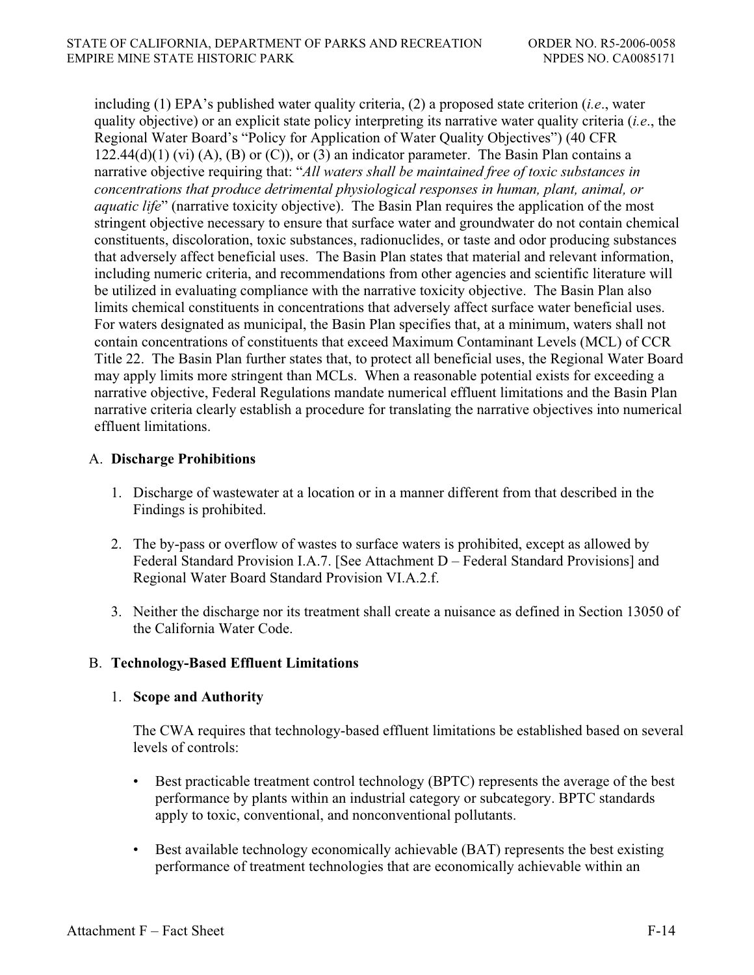including (1) EPA's published water quality criteria, (2) a proposed state criterion (*i.e*., water quality objective) or an explicit state policy interpreting its narrative water quality criteria (*i.e*., the Regional Water Board's "Policy for Application of Water Quality Objectives") (40 CFR  $122.44(d)(1)$  (vi) (A), (B) or (C)), or (3) an indicator parameter. The Basin Plan contains a narrative objective requiring that: "*All waters shall be maintained free of toxic substances in concentrations that produce detrimental physiological responses in human, plant, animal, or aquatic life*" (narrative toxicity objective). The Basin Plan requires the application of the most stringent objective necessary to ensure that surface water and groundwater do not contain chemical constituents, discoloration, toxic substances, radionuclides, or taste and odor producing substances that adversely affect beneficial uses. The Basin Plan states that material and relevant information, including numeric criteria, and recommendations from other agencies and scientific literature will be utilized in evaluating compliance with the narrative toxicity objective. The Basin Plan also limits chemical constituents in concentrations that adversely affect surface water beneficial uses. For waters designated as municipal, the Basin Plan specifies that, at a minimum, waters shall not contain concentrations of constituents that exceed Maximum Contaminant Levels (MCL) of CCR Title 22. The Basin Plan further states that, to protect all beneficial uses, the Regional Water Board may apply limits more stringent than MCLs. When a reasonable potential exists for exceeding a narrative objective, Federal Regulations mandate numerical effluent limitations and the Basin Plan narrative criteria clearly establish a procedure for translating the narrative objectives into numerical effluent limitations.

# A. **Discharge Prohibitions**

- 1. Discharge of wastewater at a location or in a manner different from that described in the Findings is prohibited.
- 2. The by-pass or overflow of wastes to surface waters is prohibited, except as allowed by Federal Standard Provision I.A.7. [See Attachment D – Federal Standard Provisions] and Regional Water Board Standard Provision VI.A.2.f.
- 3. Neither the discharge nor its treatment shall create a nuisance as defined in Section 13050 of the California Water Code.

# B. **Technology-Based Effluent Limitations**

# 1. **Scope and Authority**

The CWA requires that technology-based effluent limitations be established based on several levels of controls:

- Best practicable treatment control technology (BPTC) represents the average of the best performance by plants within an industrial category or subcategory. BPTC standards apply to toxic, conventional, and nonconventional pollutants.
- Best available technology economically achievable (BAT) represents the best existing performance of treatment technologies that are economically achievable within an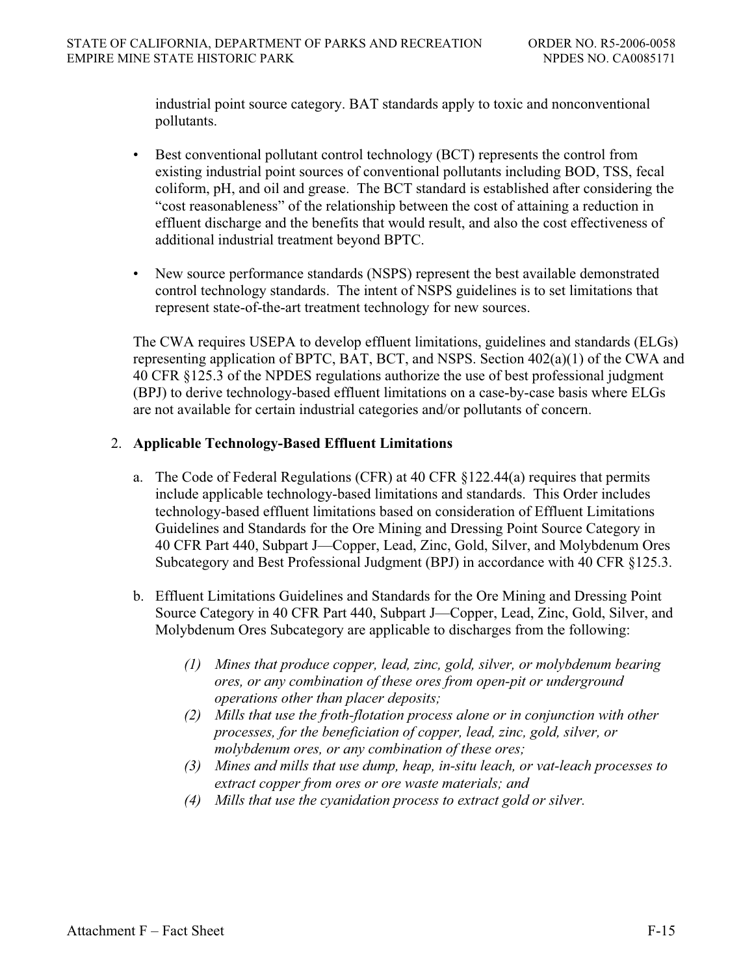industrial point source category. BAT standards apply to toxic and nonconventional pollutants.

- Best conventional pollutant control technology (BCT) represents the control from existing industrial point sources of conventional pollutants including BOD, TSS, fecal coliform, pH, and oil and grease. The BCT standard is established after considering the "cost reasonableness" of the relationship between the cost of attaining a reduction in effluent discharge and the benefits that would result, and also the cost effectiveness of additional industrial treatment beyond BPTC.
- New source performance standards (NSPS) represent the best available demonstrated control technology standards. The intent of NSPS guidelines is to set limitations that represent state-of-the-art treatment technology for new sources.

The CWA requires USEPA to develop effluent limitations, guidelines and standards (ELGs) representing application of BPTC, BAT, BCT, and NSPS. Section 402(a)(1) of the CWA and 40 CFR §125.3 of the NPDES regulations authorize the use of best professional judgment (BPJ) to derive technology-based effluent limitations on a case-by-case basis where ELGs are not available for certain industrial categories and/or pollutants of concern.

### 2. **Applicable Technology-Based Effluent Limitations**

- a. The Code of Federal Regulations (CFR) at 40 CFR §122.44(a) requires that permits include applicable technology-based limitations and standards. This Order includes technology-based effluent limitations based on consideration of Effluent Limitations Guidelines and Standards for the Ore Mining and Dressing Point Source Category in 40 CFR Part 440, Subpart J—Copper, Lead, Zinc, Gold, Silver, and Molybdenum Ores Subcategory and Best Professional Judgment (BPJ) in accordance with 40 CFR §125.3.
- b. Effluent Limitations Guidelines and Standards for the Ore Mining and Dressing Point Source Category in 40 CFR Part 440, Subpart J—Copper, Lead, Zinc, Gold, Silver, and Molybdenum Ores Subcategory are applicable to discharges from the following:
	- *(1) Mines that produce copper, lead, zinc, gold, silver, or molybdenum bearing ores, or any combination of these ores from open-pit or underground operations other than placer deposits;*
	- *(2) Mills that use the froth-flotation process alone or in conjunction with other processes, for the beneficiation of copper, lead, zinc, gold, silver, or molybdenum ores, or any combination of these ores;*
	- *(3) Mines and mills that use dump, heap, in-situ leach, or vat-leach processes to extract copper from ores or ore waste materials; and*
	- *(4) Mills that use the cyanidation process to extract gold or silver.*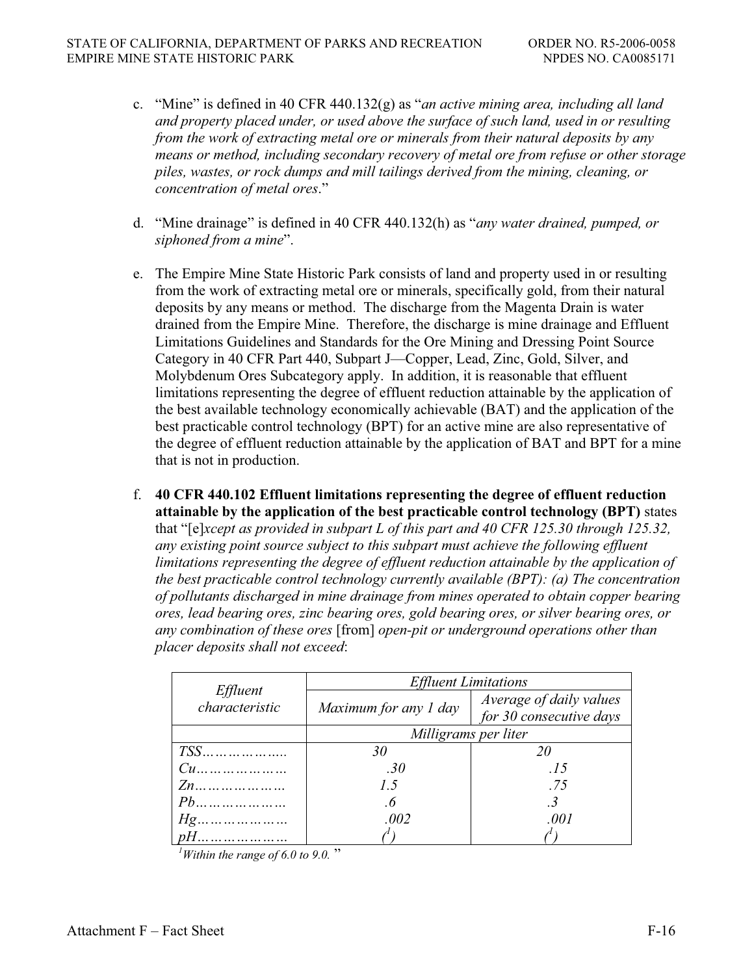- c. "Mine" is defined in 40 CFR 440.132(g) as "*an active mining area, including all land and property placed under, or used above the surface of such land, used in or resulting from the work of extracting metal ore or minerals from their natural deposits by any means or method, including secondary recovery of metal ore from refuse or other storage piles, wastes, or rock dumps and mill tailings derived from the mining, cleaning, or concentration of metal ores*."
- d. "Mine drainage" is defined in 40 CFR 440.132(h) as "*any water drained, pumped, or siphoned from a mine*".
- e. The Empire Mine State Historic Park consists of land and property used in or resulting from the work of extracting metal ore or minerals, specifically gold, from their natural deposits by any means or method. The discharge from the Magenta Drain is water drained from the Empire Mine. Therefore, the discharge is mine drainage and Effluent Limitations Guidelines and Standards for the Ore Mining and Dressing Point Source Category in 40 CFR Part 440, Subpart J—Copper, Lead, Zinc, Gold, Silver, and Molybdenum Ores Subcategory apply. In addition, it is reasonable that effluent limitations representing the degree of effluent reduction attainable by the application of the best available technology economically achievable (BAT) and the application of the best practicable control technology (BPT) for an active mine are also representative of the degree of effluent reduction attainable by the application of BAT and BPT for a mine that is not in production.
- f. **40 CFR 440.102 Effluent limitations representing the degree of effluent reduction attainable by the application of the best practicable control technology (BPT)** states that "[e]*xcept as provided in subpart L of this part and 40 CFR 125.30 through 125.32, any existing point source subject to this subpart must achieve the following effluent limitations representing the degree of effluent reduction attainable by the application of the best practicable control technology currently available (BPT): (a) The concentration of pollutants discharged in mine drainage from mines operated to obtain copper bearing ores, lead bearing ores, zinc bearing ores, gold bearing ores, or silver bearing ores, or any combination of these ores* [from] *open-pit or underground operations other than placer deposits shall not exceed*:

|                                   | <b>Effluent Limitations</b> |                                                    |  |
|-----------------------------------|-----------------------------|----------------------------------------------------|--|
| <i>Effluent</i><br>characteristic | Maximum for any 1 day       | Average of daily values<br>for 30 consecutive days |  |
|                                   | Milligrams per liter        |                                                    |  |
|                                   | 30                          | 20                                                 |  |
|                                   | .30                         | .15                                                |  |
|                                   | $1\,5$                      | .75                                                |  |
| $Pb$                              | $\cdot$ 6                   | $\cdot$ 3                                          |  |
|                                   | .002                        | .001                                               |  |
| $pH$                              |                             |                                                    |  |

 $1$ <sup> $1$ </sup>Within the range of 6.0 to 9.0."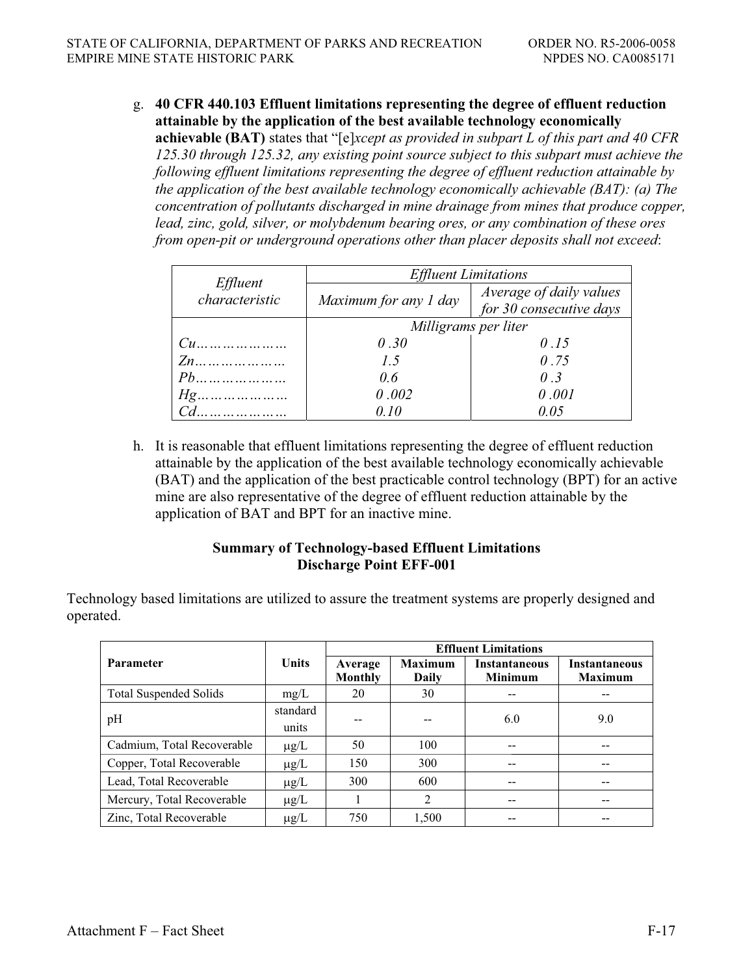g. **40 CFR 440.103 Effluent limitations representing the degree of effluent reduction attainable by the application of the best available technology economically** 

**achievable (BAT)** states that "[e]*xcept as provided in subpart L of this part and 40 CFR 125.30 through 125.32, any existing point source subject to this subpart must achieve the following effluent limitations representing the degree of effluent reduction attainable by the application of the best available technology economically achievable (BAT): (a) The concentration of pollutants discharged in mine drainage from mines that produce copper, lead, zinc, gold, silver, or molybdenum bearing ores, or any combination of these ores from open-pit or underground operations other than placer deposits shall not exceed*:

|                            | <b>Effluent Limitations</b> |                                                    |  |
|----------------------------|-----------------------------|----------------------------------------------------|--|
| Effluent<br>characteristic | Maximum for any 1 day       | Average of daily values<br>for 30 consecutive days |  |
|                            | Milligrams per liter        |                                                    |  |
| $Cu$                       | 0.30                        | 0.15                                               |  |
|                            | 1.5                         | 0.75                                               |  |
|                            | 0.6                         | 0.3                                                |  |
|                            | 0.002                       | 0.001                                              |  |
|                            | O 10                        | 0.05                                               |  |

h. It is reasonable that effluent limitations representing the degree of effluent reduction attainable by the application of the best available technology economically achievable (BAT) and the application of the best practicable control technology (BPT) for an active mine are also representative of the degree of effluent reduction attainable by the application of BAT and BPT for an inactive mine.

### **Summary of Technology-based Effluent Limitations Discharge Point EFF-001**

Technology based limitations are utilized to assure the treatment systems are properly designed and operated.

|                               |              | <b>Effluent Limitations</b> |         |                      |                      |
|-------------------------------|--------------|-----------------------------|---------|----------------------|----------------------|
| <b>Parameter</b>              | <b>Units</b> | Average                     | Maximum | <b>Instantaneous</b> | <b>Instantaneous</b> |
|                               |              | Monthly                     | Daily   | <b>Minimum</b>       | <b>Maximum</b>       |
| <b>Total Suspended Solids</b> | mg/L         | 20                          | 30      |                      |                      |
| pH                            | standard     |                             |         | 6.0                  | 9.0                  |
|                               | units        |                             |         |                      |                      |
| Cadmium, Total Recoverable    | $\mu$ g/L    | 50                          | 100     |                      |                      |
| Copper, Total Recoverable     | $\mu$ g/L    | 150                         | 300     |                      |                      |
| Lead, Total Recoverable       | $\mu$ g/L    | 300                         | 600     |                      |                      |
| Mercury, Total Recoverable    | $\mu$ g/L    |                             | 2       |                      | --                   |
| Zinc, Total Recoverable       | $\mu$ g/L    | 750                         | 1,500   |                      |                      |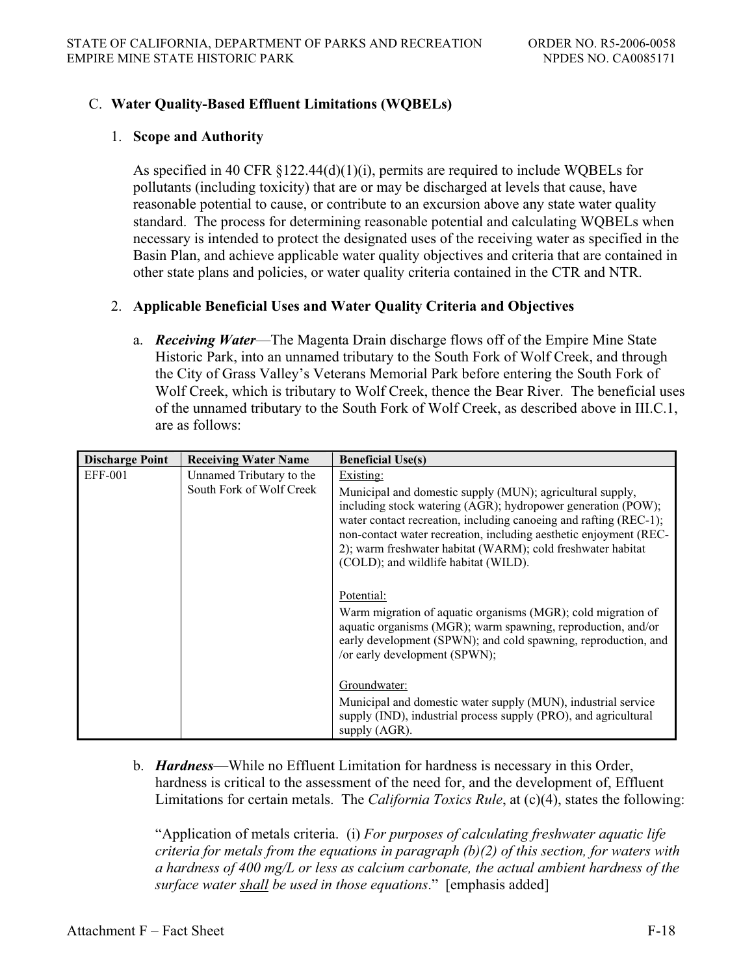## C. **Water Quality-Based Effluent Limitations (WQBELs)**

#### 1. **Scope and Authority**

As specified in 40 CFR  $\S 122.44(d)(1)(i)$ , permits are required to include WOBELs for pollutants (including toxicity) that are or may be discharged at levels that cause, have reasonable potential to cause, or contribute to an excursion above any state water quality standard. The process for determining reasonable potential and calculating WQBELs when necessary is intended to protect the designated uses of the receiving water as specified in the Basin Plan, and achieve applicable water quality objectives and criteria that are contained in other state plans and policies, or water quality criteria contained in the CTR and NTR.

#### 2. **Applicable Beneficial Uses and Water Quality Criteria and Objectives**

a. *Receiving Water*—The Magenta Drain discharge flows off of the Empire Mine State Historic Park, into an unnamed tributary to the South Fork of Wolf Creek, and through the City of Grass Valley's Veterans Memorial Park before entering the South Fork of Wolf Creek, which is tributary to Wolf Creek, thence the Bear River. The beneficial uses of the unnamed tributary to the South Fork of Wolf Creek, as described above in III.C.1, are as follows:

| <b>Discharge Point</b> | <b>Receiving Water Name</b>                          | <b>Beneficial Use(s)</b>                                                                                                                                                                                                                                                                                                                                                                |
|------------------------|------------------------------------------------------|-----------------------------------------------------------------------------------------------------------------------------------------------------------------------------------------------------------------------------------------------------------------------------------------------------------------------------------------------------------------------------------------|
| <b>EFF-001</b>         | Unnamed Tributary to the<br>South Fork of Wolf Creek | Existing:<br>Municipal and domestic supply (MUN); agricultural supply,<br>including stock watering (AGR); hydropower generation (POW);<br>water contact recreation, including canoeing and rafting (REC-1);<br>non-contact water recreation, including aesthetic enjoyment (REC-<br>2); warm freshwater habitat (WARM); cold freshwater habitat<br>(COLD); and wildlife habitat (WILD). |
|                        |                                                      | Potential:<br>Warm migration of aquatic organisms (MGR); cold migration of<br>aquatic organisms (MGR); warm spawning, reproduction, and/or<br>early development (SPWN); and cold spawning, reproduction, and<br>/or early development (SPWN);                                                                                                                                           |
|                        |                                                      | Groundwater:<br>Municipal and domestic water supply (MUN), industrial service<br>supply (IND), industrial process supply (PRO), and agricultural<br>supply (AGR).                                                                                                                                                                                                                       |

b. *Hardness*—While no Effluent Limitation for hardness is necessary in this Order, hardness is critical to the assessment of the need for, and the development of, Effluent Limitations for certain metals. The *California Toxics Rule*, at (c)(4), states the following:

"Application of metals criteria. (i) *For purposes of calculating freshwater aquatic life criteria for metals from the equations in paragraph (b)(2) of this section, for waters with a hardness of 400 mg/L or less as calcium carbonate, the actual ambient hardness of the surface water shall be used in those equations*." [emphasis added]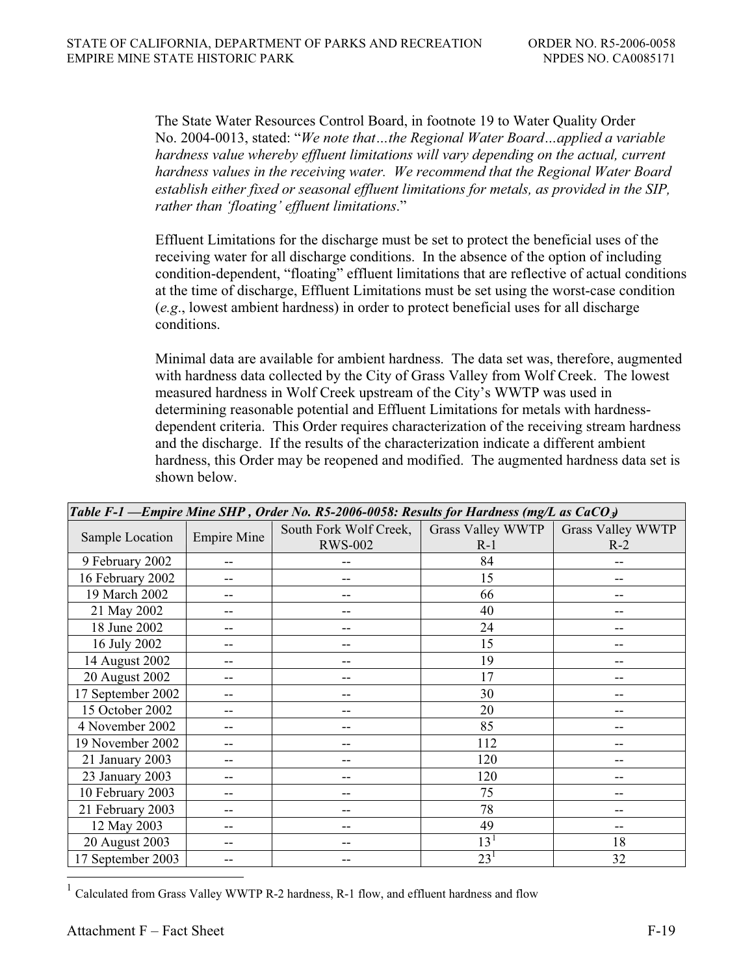The State Water Resources Control Board, in footnote 19 to Water Quality Order No. 2004-0013, stated: "*We note that…the Regional Water Board…applied a variable hardness value whereby effluent limitations will vary depending on the actual, current hardness values in the receiving water. We recommend that the Regional Water Board establish either fixed or seasonal effluent limitations for metals, as provided in the SIP, rather than 'floating' effluent limitations*."

Effluent Limitations for the discharge must be set to protect the beneficial uses of the receiving water for all discharge conditions. In the absence of the option of including condition-dependent, "floating" effluent limitations that are reflective of actual conditions at the time of discharge, Effluent Limitations must be set using the worst-case condition (*e.g*., lowest ambient hardness) in order to protect beneficial uses for all discharge conditions.

Minimal data are available for ambient hardness. The data set was, therefore, augmented with hardness data collected by the City of Grass Valley from Wolf Creek. The lowest measured hardness in Wolf Creek upstream of the City's WWTP was used in determining reasonable potential and Effluent Limitations for metals with hardnessdependent criteria. This Order requires characterization of the receiving stream hardness and the discharge. If the results of the characterization indicate a different ambient hardness, this Order may be reopened and modified. The augmented hardness data set is shown below.

| Table F-1 — Empire Mine SHP, Order No. R5-2006-0058: Results for Hardness (mg/L as CaCO <sub>3</sub> ) |                    |                        |                   |                          |
|--------------------------------------------------------------------------------------------------------|--------------------|------------------------|-------------------|--------------------------|
|                                                                                                        |                    | South Fork Wolf Creek, | Grass Valley WWTP | <b>Grass Valley WWTP</b> |
| Sample Location                                                                                        | <b>Empire Mine</b> | <b>RWS-002</b>         | $R-1$             | $R-2$                    |
| 9 February 2002                                                                                        |                    |                        | 84                | --                       |
| 16 February 2002                                                                                       |                    |                        | 15                |                          |
| 19 March 2002                                                                                          |                    |                        | 66                |                          |
| 21 May 2002                                                                                            | --                 |                        | 40                | --                       |
| 18 June 2002                                                                                           |                    |                        | 24                |                          |
| 16 July 2002                                                                                           |                    |                        | 15                |                          |
| 14 August 2002                                                                                         |                    |                        | 19                | --                       |
| 20 August 2002                                                                                         |                    |                        | 17                |                          |
| 17 September 2002                                                                                      |                    |                        | 30                |                          |
| 15 October 2002                                                                                        |                    |                        | 20                |                          |
| 4 November 2002                                                                                        | --                 |                        | 85                | --                       |
| 19 November 2002                                                                                       |                    |                        | 112               |                          |
| 21 January 2003                                                                                        |                    |                        | 120               |                          |
| 23 January 2003                                                                                        |                    |                        | 120               | --                       |
| 10 February 2003                                                                                       |                    |                        | 75                |                          |
| 21 February 2003                                                                                       |                    |                        | 78                |                          |
| 12 May 2003                                                                                            | --                 | --                     | 49                | --                       |
| 20 August 2003                                                                                         |                    |                        | $13^{1}$          | 18                       |
| 17 September 2003                                                                                      |                    |                        | 23 <sup>1</sup>   | 32                       |

 $1$  Calculated from Grass Valley WWTP R-2 hardness, R-1 flow, and effluent hardness and flow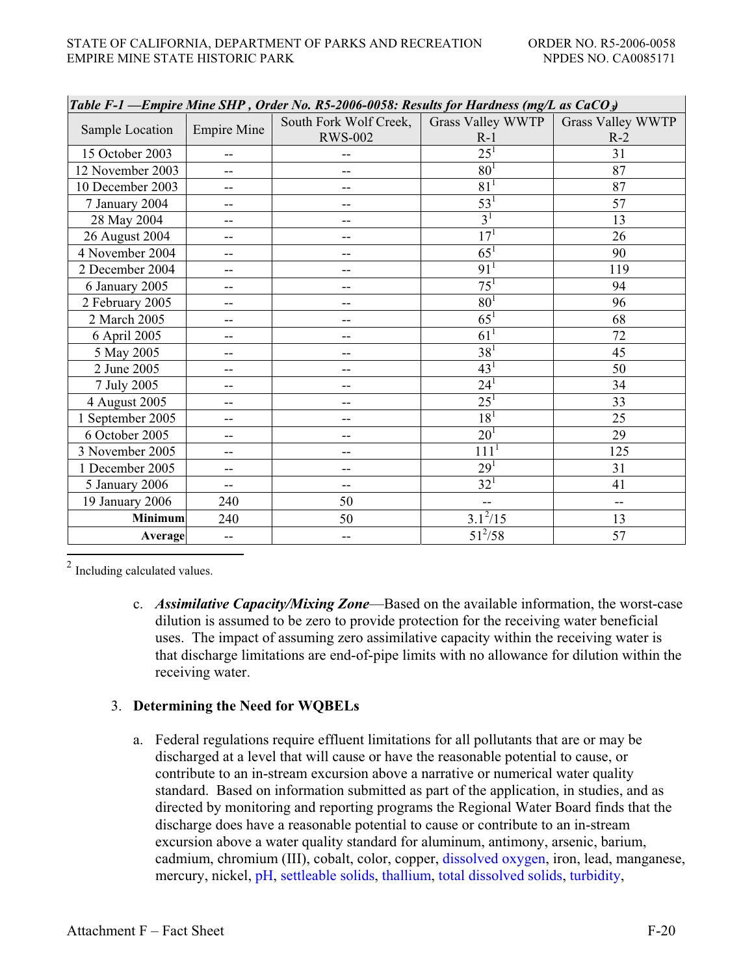| Table F-1 — Empire Mine SHP, Order No. R5-2006-0058: Results for Hardness (mg/L as $CaCO3$ ) |                          |                        |                          |                          |
|----------------------------------------------------------------------------------------------|--------------------------|------------------------|--------------------------|--------------------------|
| Sample Location                                                                              |                          | South Fork Wolf Creek, | <b>Grass Valley WWTP</b> | <b>Grass Valley WWTP</b> |
|                                                                                              | <b>Empire Mine</b>       | <b>RWS-002</b>         | $R-1$                    | $R-2$                    |
| 15 October 2003                                                                              | $-$                      |                        | $\overline{25^1}$        | 31                       |
| 12 November 2003                                                                             |                          |                        | 80 <sup>1</sup>          | 87                       |
| 10 December 2003                                                                             | --                       |                        | $81^{1}$                 | 87                       |
| 7 January 2004                                                                               | --                       |                        | $\overline{53}^1$        | 57                       |
| 28 May 2004                                                                                  | $-$                      | $-$                    | $\overline{3^1}$         | 13                       |
| 26 August 2004                                                                               |                          |                        | 17 <sup>1</sup>          | 26                       |
| 4 November 2004                                                                              |                          |                        | $65^1$                   | 90                       |
| 2 December 2004                                                                              | $-$                      |                        | 91 <sup>1</sup>          | 119                      |
| 6 January 2005                                                                               | $-$                      | --                     | 75 <sup>1</sup>          | 94                       |
| 2 February 2005                                                                              | --                       |                        | 80 <sup>1</sup>          | 96                       |
| 2 March 2005                                                                                 | $-$                      | --                     | $\overline{65}^1$        | 68                       |
| 6 April 2005                                                                                 | $-$                      | --                     | 61 <sup>1</sup>          | 72                       |
| 5 May 2005                                                                                   | $-$                      | --                     | $\overline{38^1}$        | 45                       |
| 2 June 2005                                                                                  |                          |                        | 43 <sup>1</sup>          | 50                       |
| 7 July 2005                                                                                  |                          | --                     | $24^{1}$                 | 34                       |
| 4 August 2005                                                                                | $-$                      | --                     | $\overline{25^1}$        | 33                       |
| 1 September 2005                                                                             | --                       | --                     | $\overline{18^1}$        | 25                       |
| 6 October 2005                                                                               |                          |                        | $20^{1}$                 | 29                       |
| 3 November 2005                                                                              |                          |                        | 111 <sup>1</sup>         | 125                      |
| 1 December 2005                                                                              |                          |                        | 29 <sup>1</sup>          | 31                       |
| 5 January 2006                                                                               | $\overline{\phantom{m}}$ | --                     | $32^{1}$                 | 41                       |
| 19 January 2006                                                                              | 240                      | 50                     |                          | $\overline{\phantom{a}}$ |
| <b>Minimum</b>                                                                               | 240                      | 50                     | $3.1^{2}/15$             | 13                       |
| <b>Average</b>                                                                               | --                       | --                     | $51^{2}/58$              | 57                       |

<sup>2</sup> Including calculated values.

c. *Assimilative Capacity/Mixing Zone*—Based on the available information, the worst-case dilution is assumed to be zero to provide protection for the receiving water beneficial uses. The impact of assuming zero assimilative capacity within the receiving water is that discharge limitations are end-of-pipe limits with no allowance for dilution within the receiving water.

# 3. **Determining the Need for WQBELs**

a. Federal regulations require effluent limitations for all pollutants that are or may be discharged at a level that will cause or have the reasonable potential to cause, or contribute to an in-stream excursion above a narrative or numerical water quality standard. Based on information submitted as part of the application, in studies, and as directed by monitoring and reporting programs the Regional Water Board finds that the discharge does have a reasonable potential to cause or contribute to an in-stream excursion above a water quality standard for aluminum, antimony, arsenic, barium, cadmium, chromium (III), cobalt, color, copper, dissolved oxygen, iron, lead, manganese, mercury, nickel, pH, settleable solids, thallium, total dissolved solids, turbidity,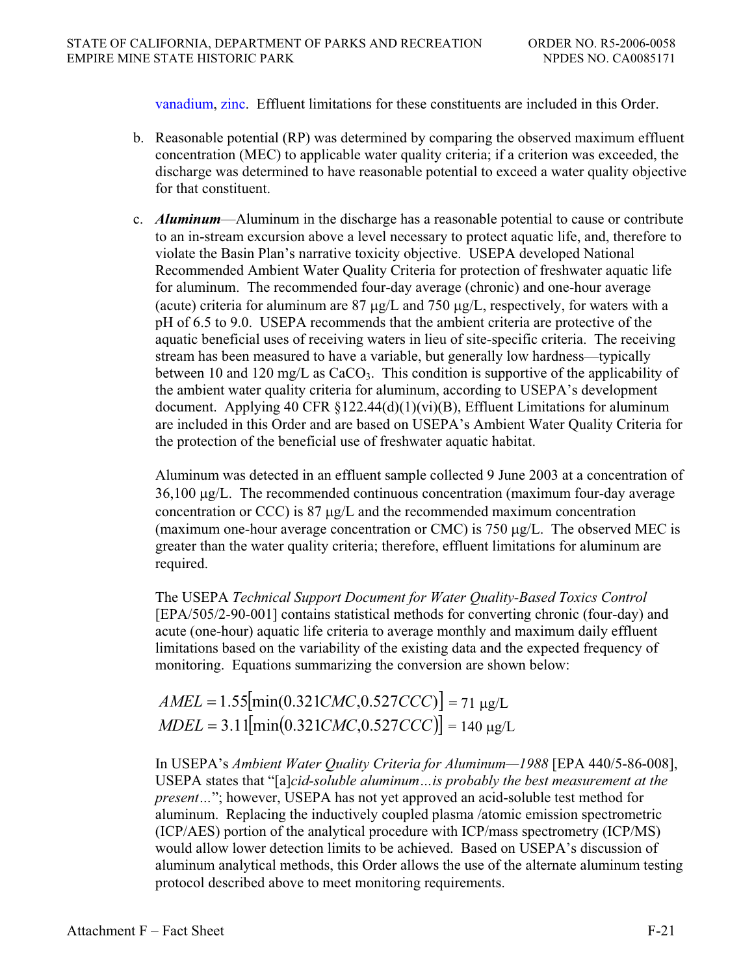vanadium, zinc. Effluent limitations for these constituents are included in this Order.

- b. Reasonable potential (RP) was determined by comparing the observed maximum effluent concentration (MEC) to applicable water quality criteria; if a criterion was exceeded, the discharge was determined to have reasonable potential to exceed a water quality objective for that constituent.
- c. *Aluminum*—Aluminum in the discharge has a reasonable potential to cause or contribute to an in-stream excursion above a level necessary to protect aquatic life, and, therefore to violate the Basin Plan's narrative toxicity objective. USEPA developed National Recommended Ambient Water Quality Criteria for protection of freshwater aquatic life for aluminum. The recommended four-day average (chronic) and one-hour average (acute) criteria for aluminum are  $87 \mu g/L$  and  $750 \mu g/L$ , respectively, for waters with a pH of 6.5 to 9.0. USEPA recommends that the ambient criteria are protective of the aquatic beneficial uses of receiving waters in lieu of site-specific criteria. The receiving stream has been measured to have a variable, but generally low hardness—typically between 10 and 120 mg/L as  $CaCO<sub>3</sub>$ . This condition is supportive of the applicability of the ambient water quality criteria for aluminum, according to USEPA's development document. Applying 40 CFR  $\S 122.44(d)(1)(vi)(B)$ , Effluent Limitations for aluminum are included in this Order and are based on USEPA's Ambient Water Quality Criteria for the protection of the beneficial use of freshwater aquatic habitat.

Aluminum was detected in an effluent sample collected 9 June 2003 at a concentration of  $36,100 \mu g/L$ . The recommended continuous concentration (maximum four-day average concentration or CCC) is  $87 \mu g/L$  and the recommended maximum concentration (maximum one-hour average concentration or CMC) is 750  $\mu$ g/L. The observed MEC is greater than the water quality criteria; therefore, effluent limitations for aluminum are required.

The USEPA *Technical Support Document for Water Quality-Based Toxics Control* [EPA/505/2-90-001] contains statistical methods for converting chronic (four-day) and acute (one-hour) aquatic life criteria to average monthly and maximum daily effluent limitations based on the variability of the existing data and the expected frequency of monitoring. Equations summarizing the conversion are shown below:

 $AMEL = 1.55$ [min(0.321*CMC*,0.527*CCC*)] = 71 µg/L  $MDEL = 3.11$ [min(0.321*CMC*,0.527*CCC*)] = 140 µg/L

In USEPA's *Ambient Water Quality Criteria for Aluminum—1988* [EPA 440/5-86-008], USEPA states that "[a]*cid-soluble aluminum…is probably the best measurement at the present…*"; however, USEPA has not yet approved an acid-soluble test method for aluminum. Replacing the inductively coupled plasma /atomic emission spectrometric (ICP/AES) portion of the analytical procedure with ICP/mass spectrometry (ICP/MS) would allow lower detection limits to be achieved. Based on USEPA's discussion of aluminum analytical methods, this Order allows the use of the alternate aluminum testing protocol described above to meet monitoring requirements.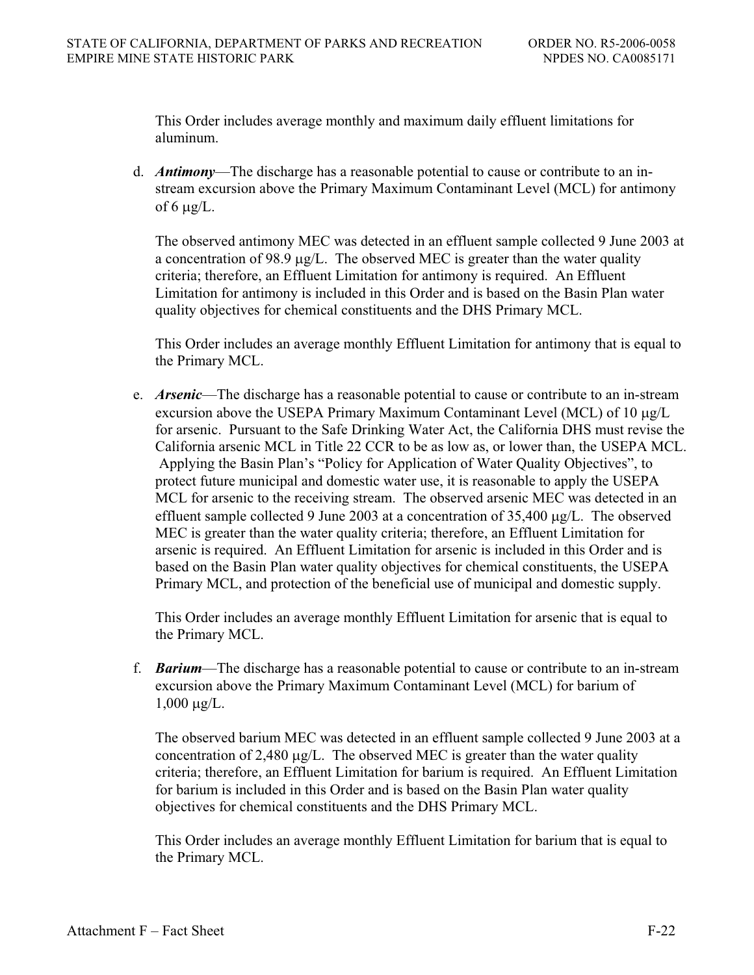This Order includes average monthly and maximum daily effluent limitations for aluminum.

d. *Antimony*—The discharge has a reasonable potential to cause or contribute to an instream excursion above the Primary Maximum Contaminant Level (MCL) for antimony of 6  $\mu$ g/L.

The observed antimony MEC was detected in an effluent sample collected 9 June 2003 at a concentration of 98.9  $\mu$ g/L. The observed MEC is greater than the water quality criteria; therefore, an Effluent Limitation for antimony is required. An Effluent Limitation for antimony is included in this Order and is based on the Basin Plan water quality objectives for chemical constituents and the DHS Primary MCL.

This Order includes an average monthly Effluent Limitation for antimony that is equal to the Primary MCL.

e. *Arsenic*—The discharge has a reasonable potential to cause or contribute to an in-stream excursion above the USEPA Primary Maximum Contaminant Level (MCL) of  $10 \mu g/L$ for arsenic. Pursuant to the Safe Drinking Water Act, the California DHS must revise the California arsenic MCL in Title 22 CCR to be as low as, or lower than, the USEPA MCL. Applying the Basin Plan's "Policy for Application of Water Quality Objectives", to protect future municipal and domestic water use, it is reasonable to apply the USEPA MCL for arsenic to the receiving stream. The observed arsenic MEC was detected in an effluent sample collected 9 June 2003 at a concentration of  $35,400 \mu g/L$ . The observed MEC is greater than the water quality criteria; therefore, an Effluent Limitation for arsenic is required. An Effluent Limitation for arsenic is included in this Order and is based on the Basin Plan water quality objectives for chemical constituents, the USEPA Primary MCL, and protection of the beneficial use of municipal and domestic supply.

This Order includes an average monthly Effluent Limitation for arsenic that is equal to the Primary MCL.

f. *Barium*—The discharge has a reasonable potential to cause or contribute to an in-stream excursion above the Primary Maximum Contaminant Level (MCL) for barium of  $1,000 \mu g/L$ .

The observed barium MEC was detected in an effluent sample collected 9 June 2003 at a concentration of 2,480  $\mu$ g/L. The observed MEC is greater than the water quality criteria; therefore, an Effluent Limitation for barium is required. An Effluent Limitation for barium is included in this Order and is based on the Basin Plan water quality objectives for chemical constituents and the DHS Primary MCL.

This Order includes an average monthly Effluent Limitation for barium that is equal to the Primary MCL.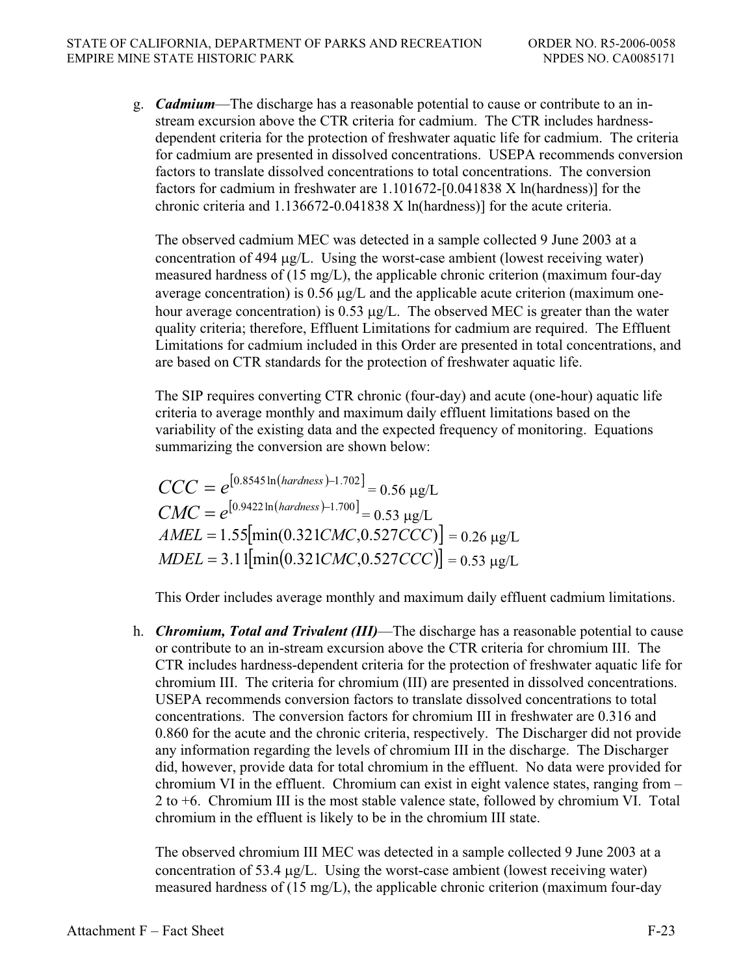g. *Cadmium*—The discharge has a reasonable potential to cause or contribute to an instream excursion above the CTR criteria for cadmium. The CTR includes hardnessdependent criteria for the protection of freshwater aquatic life for cadmium. The criteria for cadmium are presented in dissolved concentrations. USEPA recommends conversion factors to translate dissolved concentrations to total concentrations. The conversion factors for cadmium in freshwater are 1.101672-[0.041838 X ln(hardness)] for the chronic criteria and 1.136672-0.041838 X ln(hardness)] for the acute criteria.

The observed cadmium MEC was detected in a sample collected 9 June 2003 at a concentration of 494  $\mu$ g/L. Using the worst-case ambient (lowest receiving water) measured hardness of (15 mg/L), the applicable chronic criterion (maximum four-day average concentration) is  $0.56 \mu g/L$  and the applicable acute criterion (maximum onehour average concentration) is 0.53  $\mu$ g/L. The observed MEC is greater than the water quality criteria; therefore, Effluent Limitations for cadmium are required. The Effluent Limitations for cadmium included in this Order are presented in total concentrations, and are based on CTR standards for the protection of freshwater aquatic life.

The SIP requires converting CTR chronic (four-day) and acute (one-hour) aquatic life criteria to average monthly and maximum daily effluent limitations based on the variability of the existing data and the expected frequency of monitoring. Equations summarizing the conversion are shown below:

 $CCC = e^{[0.8545 \ln(hardness) - 1.702]} = 0.56 \text{ µg/L}$  $CMC = e^{[0.9422 \ln(hardness) - 1.700]} = 0.53 \text{ }\mu\text{g/L}$  $AMEL = 1.55$ [min(0.321*CMC*,0.527*CCC*)] = 0.26 µg/L  $MDEL = 3.11$ [min(0.321*CMC*,0.527*CCC*)] = 0.53 µg/L

This Order includes average monthly and maximum daily effluent cadmium limitations.

h. *Chromium, Total and Trivalent (III)*—The discharge has a reasonable potential to cause or contribute to an in-stream excursion above the CTR criteria for chromium III. The CTR includes hardness-dependent criteria for the protection of freshwater aquatic life for chromium III. The criteria for chromium (III) are presented in dissolved concentrations. USEPA recommends conversion factors to translate dissolved concentrations to total concentrations. The conversion factors for chromium III in freshwater are 0.316 and 0.860 for the acute and the chronic criteria, respectively. The Discharger did not provide any information regarding the levels of chromium III in the discharge. The Discharger did, however, provide data for total chromium in the effluent. No data were provided for chromium VI in the effluent. Chromium can exist in eight valence states, ranging from – 2 to +6. Chromium III is the most stable valence state, followed by chromium VI. Total chromium in the effluent is likely to be in the chromium III state.

The observed chromium III MEC was detected in a sample collected 9 June 2003 at a concentration of 53.4  $\mu$ g/L. Using the worst-case ambient (lowest receiving water) measured hardness of (15 mg/L), the applicable chronic criterion (maximum four-day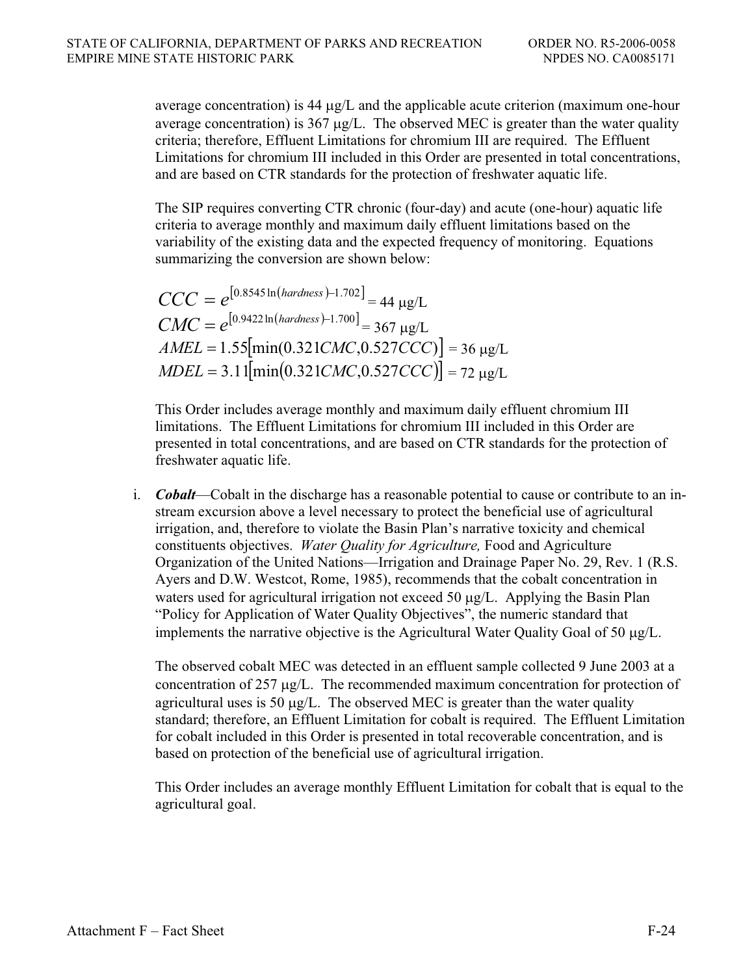average concentration) is 44  $\mu$ g/L and the applicable acute criterion (maximum one-hour average concentration) is  $367 \mu g/L$ . The observed MEC is greater than the water quality criteria; therefore, Effluent Limitations for chromium III are required. The Effluent Limitations for chromium III included in this Order are presented in total concentrations, and are based on CTR standards for the protection of freshwater aquatic life.

The SIP requires converting CTR chronic (four-day) and acute (one-hour) aquatic life criteria to average monthly and maximum daily effluent limitations based on the variability of the existing data and the expected frequency of monitoring. Equations summarizing the conversion are shown below:

 $CCC = e^{[0.8545 \ln (hardness) - 1.702]} = 44 \text{ kg/L}$  $CMC = e^{[0.9422 \ln(hardness) - 1.700]} = 367 \text{ µg/L}$  $AMEL = 1.55$ [min(0.321*CMC*,0.527*CCC*)] = 36 µg/L  $\text{MDEL} = 3.11 \left[ \text{min}(0.321 \text{CMC}, 0.527 \text{CC}) \right] = 72 \text{ µg/L}$ 

This Order includes average monthly and maximum daily effluent chromium III limitations. The Effluent Limitations for chromium III included in this Order are presented in total concentrations, and are based on CTR standards for the protection of freshwater aquatic life.

i. *Cobalt*—Cobalt in the discharge has a reasonable potential to cause or contribute to an instream excursion above a level necessary to protect the beneficial use of agricultural irrigation, and, therefore to violate the Basin Plan's narrative toxicity and chemical constituents objectives. *Water Quality for Agriculture,* Food and Agriculture Organization of the United Nations—Irrigation and Drainage Paper No. 29, Rev. 1 (R.S. Ayers and D.W. Westcot, Rome, 1985), recommends that the cobalt concentration in waters used for agricultural irrigation not exceed 50  $\mu$ g/L. Applying the Basin Plan "Policy for Application of Water Quality Objectives", the numeric standard that implements the narrative objective is the Agricultural Water Ouality Goal of 50  $\mu$ g/L.

The observed cobalt MEC was detected in an effluent sample collected 9 June 2003 at a concentration of 257  $\mu$ g/L. The recommended maximum concentration for protection of agricultural uses is 50  $\mu$ g/L. The observed MEC is greater than the water quality standard; therefore, an Effluent Limitation for cobalt is required. The Effluent Limitation for cobalt included in this Order is presented in total recoverable concentration, and is based on protection of the beneficial use of agricultural irrigation.

This Order includes an average monthly Effluent Limitation for cobalt that is equal to the agricultural goal.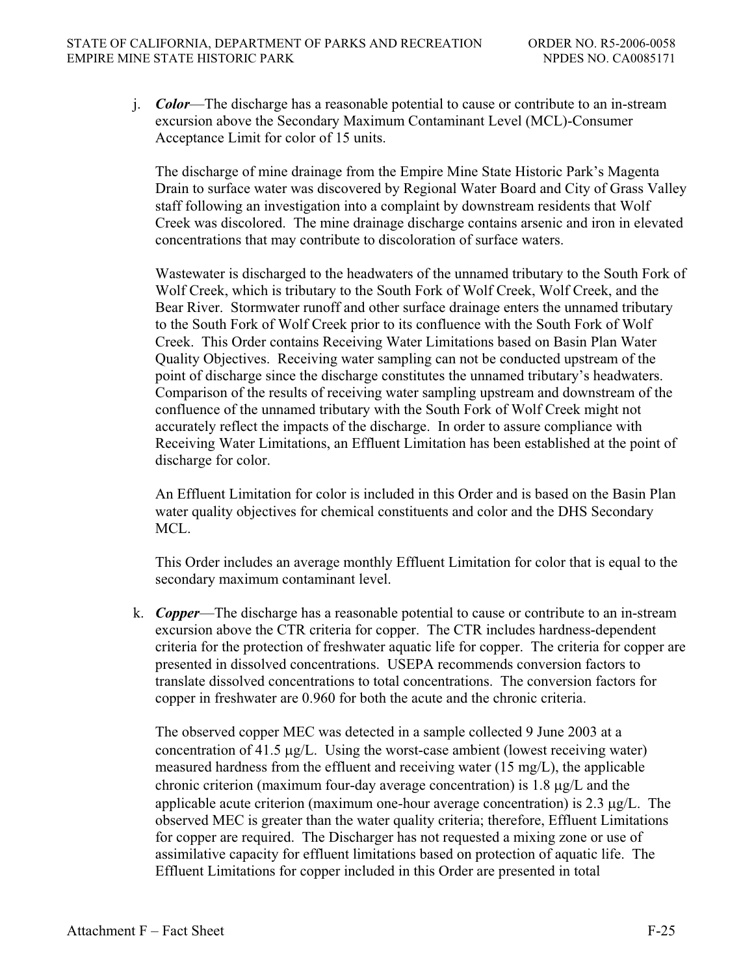j. *Color*—The discharge has a reasonable potential to cause or contribute to an in-stream excursion above the Secondary Maximum Contaminant Level (MCL)-Consumer Acceptance Limit for color of 15 units.

The discharge of mine drainage from the Empire Mine State Historic Park's Magenta Drain to surface water was discovered by Regional Water Board and City of Grass Valley staff following an investigation into a complaint by downstream residents that Wolf Creek was discolored. The mine drainage discharge contains arsenic and iron in elevated concentrations that may contribute to discoloration of surface waters.

Wastewater is discharged to the headwaters of the unnamed tributary to the South Fork of Wolf Creek, which is tributary to the South Fork of Wolf Creek, Wolf Creek, and the Bear River. Stormwater runoff and other surface drainage enters the unnamed tributary to the South Fork of Wolf Creek prior to its confluence with the South Fork of Wolf Creek. This Order contains Receiving Water Limitations based on Basin Plan Water Quality Objectives. Receiving water sampling can not be conducted upstream of the point of discharge since the discharge constitutes the unnamed tributary's headwaters. Comparison of the results of receiving water sampling upstream and downstream of the confluence of the unnamed tributary with the South Fork of Wolf Creek might not accurately reflect the impacts of the discharge. In order to assure compliance with Receiving Water Limitations, an Effluent Limitation has been established at the point of discharge for color.

An Effluent Limitation for color is included in this Order and is based on the Basin Plan water quality objectives for chemical constituents and color and the DHS Secondary MCL.

This Order includes an average monthly Effluent Limitation for color that is equal to the secondary maximum contaminant level.

k. *Copper*—The discharge has a reasonable potential to cause or contribute to an in-stream excursion above the CTR criteria for copper. The CTR includes hardness-dependent criteria for the protection of freshwater aquatic life for copper. The criteria for copper are presented in dissolved concentrations. USEPA recommends conversion factors to translate dissolved concentrations to total concentrations. The conversion factors for copper in freshwater are 0.960 for both the acute and the chronic criteria.

The observed copper MEC was detected in a sample collected 9 June 2003 at a concentration of 41.5  $\mu$ g/L. Using the worst-case ambient (lowest receiving water) measured hardness from the effluent and receiving water (15 mg/L), the applicable chronic criterion (maximum four-day average concentration) is  $1.8 \mu g/L$  and the applicable acute criterion (maximum one-hour average concentration) is  $2.3 \mu g/L$ . The observed MEC is greater than the water quality criteria; therefore, Effluent Limitations for copper are required. The Discharger has not requested a mixing zone or use of assimilative capacity for effluent limitations based on protection of aquatic life. The Effluent Limitations for copper included in this Order are presented in total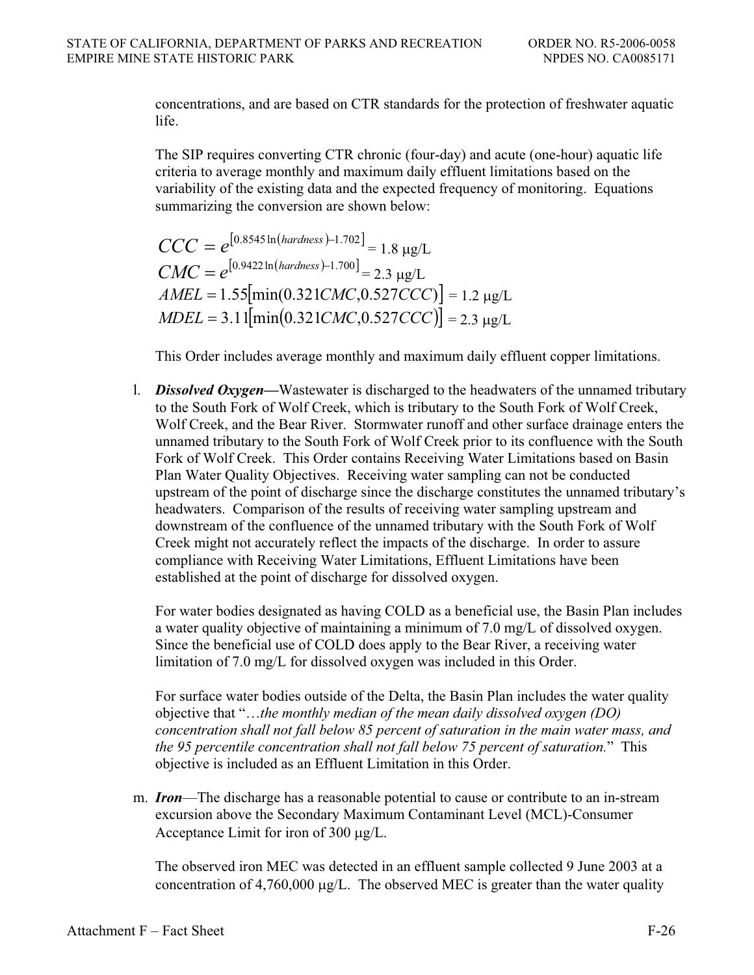concentrations, and are based on CTR standards for the protection of freshwater aquatic life.

The SIP requires converting CTR chronic (four-day) and acute (one-hour) aquatic life criteria to average monthly and maximum daily effluent limitations based on the variability of the existing data and the expected frequency of monitoring. Equations summarizing the conversion are shown below:

$$
CCC = e^{[0.8545 \ln(hardness) - 1.702]} = 1.8 \text{ µg/L}
$$
  
\n
$$
CMC = e^{[0.9422 \ln(hardness) - 1.700]} = 2.3 \text{ µg/L}
$$
  
\n
$$
AMEL = 1.55[\text{min}(0.321CMC, 0.527CCC)] = 1.2 \text{ µg/L}
$$
  
\n
$$
ADEL = 3.11[\text{min}(0.321CMC, 0.527CCC)] = 2.3 \text{ µg/L}
$$

This Order includes average monthly and maximum daily effluent copper limitations.

l. *Dissolved Oxygen—*Wastewater is discharged to the headwaters of the unnamed tributary to the South Fork of Wolf Creek, which is tributary to the South Fork of Wolf Creek, Wolf Creek, and the Bear River. Stormwater runoff and other surface drainage enters the unnamed tributary to the South Fork of Wolf Creek prior to its confluence with the South Fork of Wolf Creek. This Order contains Receiving Water Limitations based on Basin Plan Water Quality Objectives. Receiving water sampling can not be conducted upstream of the point of discharge since the discharge constitutes the unnamed tributary's headwaters. Comparison of the results of receiving water sampling upstream and downstream of the confluence of the unnamed tributary with the South Fork of Wolf Creek might not accurately reflect the impacts of the discharge. In order to assure compliance with Receiving Water Limitations, Effluent Limitations have been established at the point of discharge for dissolved oxygen.

For water bodies designated as having COLD as a beneficial use, the Basin Plan includes a water quality objective of maintaining a minimum of 7.0 mg/L of dissolved oxygen. Since the beneficial use of COLD does apply to the Bear River, a receiving water limitation of 7.0 mg/L for dissolved oxygen was included in this Order.

For surface water bodies outside of the Delta, the Basin Plan includes the water quality objective that "…*the monthly median of the mean daily dissolved oxygen (DO) concentration shall not fall below 85 percent of saturation in the main water mass, and the 95 percentile concentration shall not fall below 75 percent of saturation.*" This objective is included as an Effluent Limitation in this Order.

m. *Iron*—The discharge has a reasonable potential to cause or contribute to an in-stream excursion above the Secondary Maximum Contaminant Level (MCL)-Consumer Acceptance Limit for iron of  $300 \mu g/L$ .

The observed iron MEC was detected in an effluent sample collected 9 June 2003 at a concentration of  $4,760,000 \mu g/L$ . The observed MEC is greater than the water quality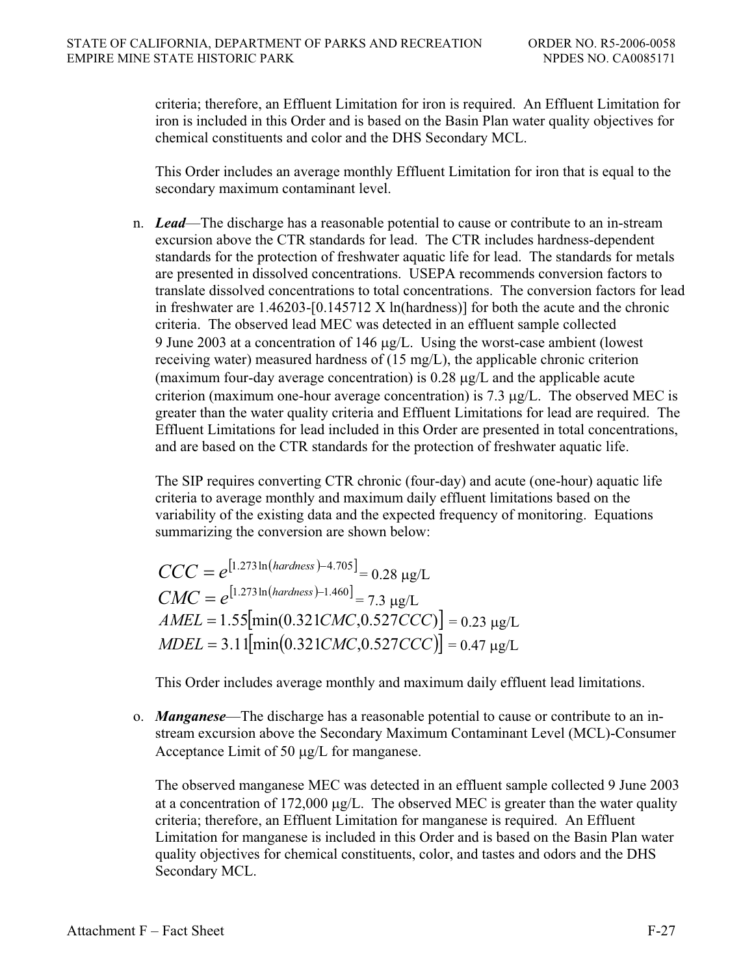criteria; therefore, an Effluent Limitation for iron is required. An Effluent Limitation for iron is included in this Order and is based on the Basin Plan water quality objectives for chemical constituents and color and the DHS Secondary MCL.

This Order includes an average monthly Effluent Limitation for iron that is equal to the secondary maximum contaminant level.

n. *Lead*—The discharge has a reasonable potential to cause or contribute to an in-stream excursion above the CTR standards for lead. The CTR includes hardness-dependent standards for the protection of freshwater aquatic life for lead. The standards for metals are presented in dissolved concentrations. USEPA recommends conversion factors to translate dissolved concentrations to total concentrations. The conversion factors for lead in freshwater are  $1.46203$ -[0.145712 X ln(hardness)] for both the acute and the chronic criteria. The observed lead MEC was detected in an effluent sample collected 9 June 2003 at a concentration of 146  $\mu$ g/L. Using the worst-case ambient (lowest receiving water) measured hardness of (15 mg/L), the applicable chronic criterion (maximum four-day average concentration) is  $0.28 \mu g/L$  and the applicable acute criterion (maximum one-hour average concentration) is 7.3  $\mu$ g/L. The observed MEC is greater than the water quality criteria and Effluent Limitations for lead are required. The Effluent Limitations for lead included in this Order are presented in total concentrations, and are based on the CTR standards for the protection of freshwater aquatic life.

The SIP requires converting CTR chronic (four-day) and acute (one-hour) aquatic life criteria to average monthly and maximum daily effluent limitations based on the variability of the existing data and the expected frequency of monitoring. Equations summarizing the conversion are shown below:

$$
CCC = e^{[1.273 \ln(hardness) - 4.705]} = 0.28 \text{ µg/L}
$$
  
\n
$$
CMC = e^{[1.273 \ln(hardness) - 1.460]} = 7.3 \text{ µg/L}
$$
  
\n
$$
AMEL = 1.55[\min(0.321CMC, 0.527CCC)] = 0.23 \text{ µg/L}
$$
  
\n
$$
MDEL = 3.11[\min(0.321CMC, 0.527CCC)] = 0.47 \text{ µg/L}
$$

This Order includes average monthly and maximum daily effluent lead limitations.

o. *Manganese*—The discharge has a reasonable potential to cause or contribute to an instream excursion above the Secondary Maximum Contaminant Level (MCL)-Consumer Acceptance Limit of 50  $\mu$ g/L for manganese.

The observed manganese MEC was detected in an effluent sample collected 9 June 2003 at a concentration of 172,000  $\mu$ g/L. The observed MEC is greater than the water quality criteria; therefore, an Effluent Limitation for manganese is required. An Effluent Limitation for manganese is included in this Order and is based on the Basin Plan water quality objectives for chemical constituents, color, and tastes and odors and the DHS Secondary MCL.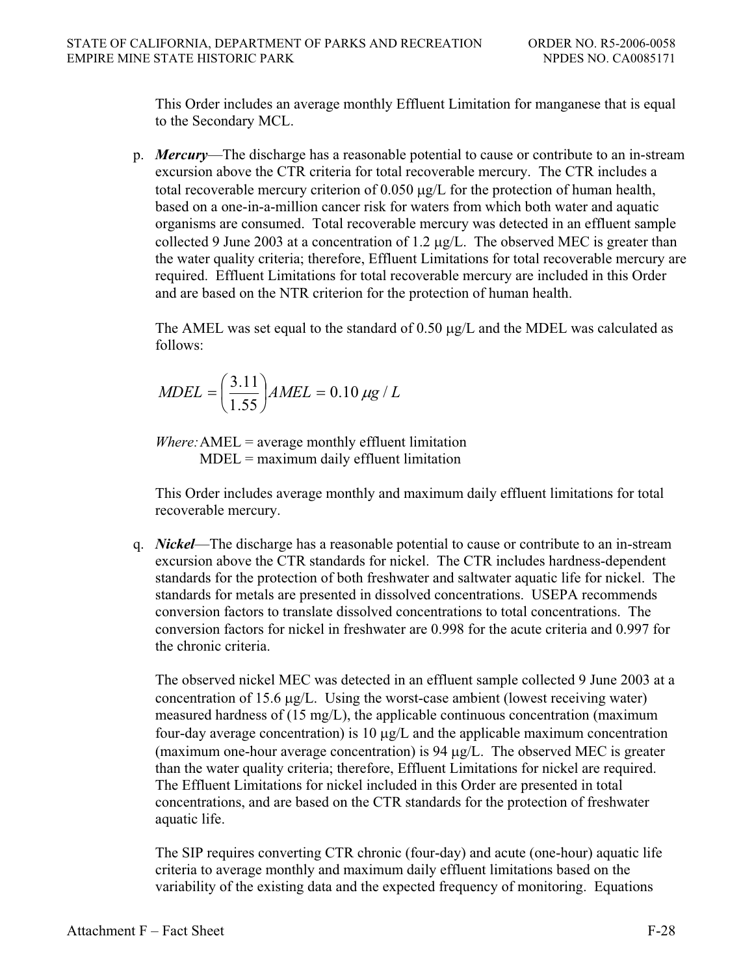This Order includes an average monthly Effluent Limitation for manganese that is equal to the Secondary MCL.

p. *Mercury*—The discharge has a reasonable potential to cause or contribute to an in-stream excursion above the CTR criteria for total recoverable mercury. The CTR includes a total recoverable mercury criterion of  $0.050 \mu g/L$  for the protection of human health, based on a one-in-a-million cancer risk for waters from which both water and aquatic organisms are consumed. Total recoverable mercury was detected in an effluent sample collected 9 June 2003 at a concentration of 1.2  $\mu$ g/L. The observed MEC is greater than the water quality criteria; therefore, Effluent Limitations for total recoverable mercury are required. Effluent Limitations for total recoverable mercury are included in this Order and are based on the NTR criterion for the protection of human health.

The AMEL was set equal to the standard of  $0.50 \mu g/L$  and the MDEL was calculated as follows:

$$
MDEL = \left(\frac{3.11}{1.55}\right) AMEL = 0.10 \,\mu g / L
$$

*Where:* AMEL = average monthly effluent limitation MDEL = maximum daily effluent limitation

This Order includes average monthly and maximum daily effluent limitations for total recoverable mercury.

q. *Nickel*—The discharge has a reasonable potential to cause or contribute to an in-stream excursion above the CTR standards for nickel. The CTR includes hardness-dependent standards for the protection of both freshwater and saltwater aquatic life for nickel. The standards for metals are presented in dissolved concentrations. USEPA recommends conversion factors to translate dissolved concentrations to total concentrations. The conversion factors for nickel in freshwater are 0.998 for the acute criteria and 0.997 for the chronic criteria.

The observed nickel MEC was detected in an effluent sample collected 9 June 2003 at a concentration of 15.6  $\mu$ g/L. Using the worst-case ambient (lowest receiving water) measured hardness of (15 mg/L), the applicable continuous concentration (maximum four-day average concentration) is 10  $\mu$ g/L and the applicable maximum concentration (maximum one-hour average concentration) is 94  $\mu$ g/L. The observed MEC is greater than the water quality criteria; therefore, Effluent Limitations for nickel are required. The Effluent Limitations for nickel included in this Order are presented in total concentrations, and are based on the CTR standards for the protection of freshwater aquatic life.

The SIP requires converting CTR chronic (four-day) and acute (one-hour) aquatic life criteria to average monthly and maximum daily effluent limitations based on the variability of the existing data and the expected frequency of monitoring. Equations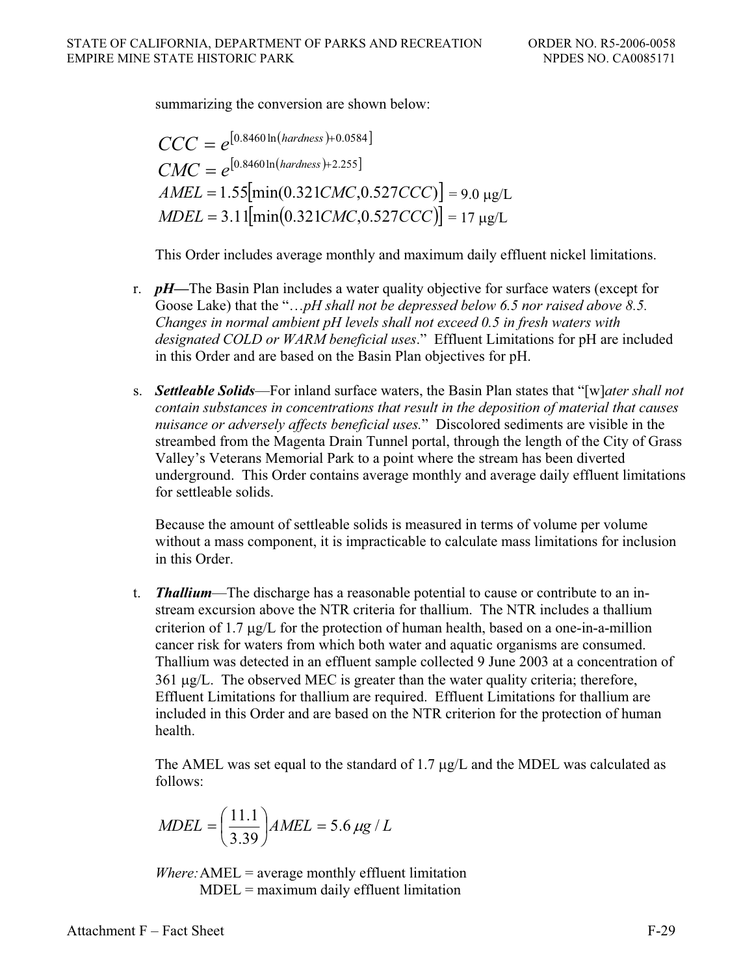summarizing the conversion are shown below:

$$
CCC = e^{[0.8460 \ln(hardness) + 0.0584]}
$$
  
\n
$$
CMC = e^{[0.8460 \ln(hardness) + 2.255]}
$$
  
\n
$$
AMEL = 1.55[\min(0.321CMC, 0.527CCC)] = 9.0 \text{ µg/L}
$$
  
\n
$$
MDEL = 3.11[\min(0.321CMC, 0.527CCC)] = 17 \text{ µg/L}
$$

This Order includes average monthly and maximum daily effluent nickel limitations.

- r. *pH—*The Basin Plan includes a water quality objective for surface waters (except for Goose Lake) that the "…*pH shall not be depressed below 6.5 nor raised above 8.5. Changes in normal ambient pH levels shall not exceed 0.5 in fresh waters with designated COLD or WARM beneficial uses*." Effluent Limitations for pH are included in this Order and are based on the Basin Plan objectives for pH.
- s. *Settleable Solids*—For inland surface waters, the Basin Plan states that "[w]*ater shall not contain substances in concentrations that result in the deposition of material that causes nuisance or adversely affects beneficial uses.*" Discolored sediments are visible in the streambed from the Magenta Drain Tunnel portal, through the length of the City of Grass Valley's Veterans Memorial Park to a point where the stream has been diverted underground. This Order contains average monthly and average daily effluent limitations for settleable solids.

Because the amount of settleable solids is measured in terms of volume per volume without a mass component, it is impracticable to calculate mass limitations for inclusion in this Order.

t. *Thallium*—The discharge has a reasonable potential to cause or contribute to an instream excursion above the NTR criteria for thallium. The NTR includes a thallium criterion of 1.7  $\mu$ g/L for the protection of human health, based on a one-in-a-million cancer risk for waters from which both water and aquatic organisms are consumed. Thallium was detected in an effluent sample collected 9 June 2003 at a concentration of  $361 \mu g/L$ . The observed MEC is greater than the water quality criteria; therefore, Effluent Limitations for thallium are required. Effluent Limitations for thallium are included in this Order and are based on the NTR criterion for the protection of human health.

The AMEL was set equal to the standard of 1.7  $\mu$ g/L and the MDEL was calculated as follows:

$$
MDEL = \left(\frac{11.1}{3.39}\right) AMEL = 5.6 \,\mu\text{g} / L
$$

*Where:*AMEL = average monthly effluent limitation  $MDEL =$  maximum daily effluent limitation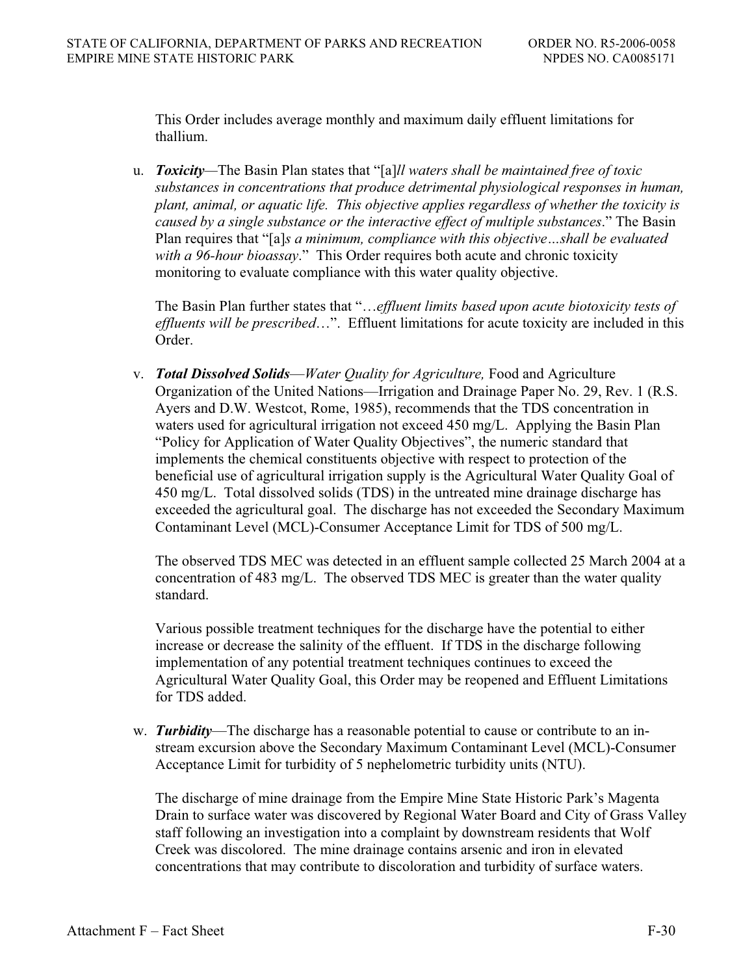This Order includes average monthly and maximum daily effluent limitations for thallium.

u. *Toxicity—*The Basin Plan states that "[a]*ll waters shall be maintained free of toxic substances in concentrations that produce detrimental physiological responses in human, plant, animal, or aquatic life. This objective applies regardless of whether the toxicity is caused by a single substance or the interactive effect of multiple substances*." The Basin Plan requires that "[a]*s a minimum, compliance with this objective…shall be evaluated with a 96-hour bioassay*." This Order requires both acute and chronic toxicity monitoring to evaluate compliance with this water quality objective.

The Basin Plan further states that "…*effluent limits based upon acute biotoxicity tests of effluents will be prescribed*…". Effluent limitations for acute toxicity are included in this Order.

v. *Total Dissolved Solids*—*Water Quality for Agriculture,* Food and Agriculture Organization of the United Nations—Irrigation and Drainage Paper No. 29, Rev. 1 (R.S. Ayers and D.W. Westcot, Rome, 1985), recommends that the TDS concentration in waters used for agricultural irrigation not exceed 450 mg/L. Applying the Basin Plan "Policy for Application of Water Quality Objectives", the numeric standard that implements the chemical constituents objective with respect to protection of the beneficial use of agricultural irrigation supply is the Agricultural Water Quality Goal of 450 mg/L. Total dissolved solids (TDS) in the untreated mine drainage discharge has exceeded the agricultural goal. The discharge has not exceeded the Secondary Maximum Contaminant Level (MCL)-Consumer Acceptance Limit for TDS of 500 mg/L.

The observed TDS MEC was detected in an effluent sample collected 25 March 2004 at a concentration of 483 mg/L. The observed TDS MEC is greater than the water quality standard.

Various possible treatment techniques for the discharge have the potential to either increase or decrease the salinity of the effluent. If TDS in the discharge following implementation of any potential treatment techniques continues to exceed the Agricultural Water Quality Goal, this Order may be reopened and Effluent Limitations for TDS added.

w. *Turbidity*—The discharge has a reasonable potential to cause or contribute to an instream excursion above the Secondary Maximum Contaminant Level (MCL)-Consumer Acceptance Limit for turbidity of 5 nephelometric turbidity units (NTU).

The discharge of mine drainage from the Empire Mine State Historic Park's Magenta Drain to surface water was discovered by Regional Water Board and City of Grass Valley staff following an investigation into a complaint by downstream residents that Wolf Creek was discolored. The mine drainage contains arsenic and iron in elevated concentrations that may contribute to discoloration and turbidity of surface waters.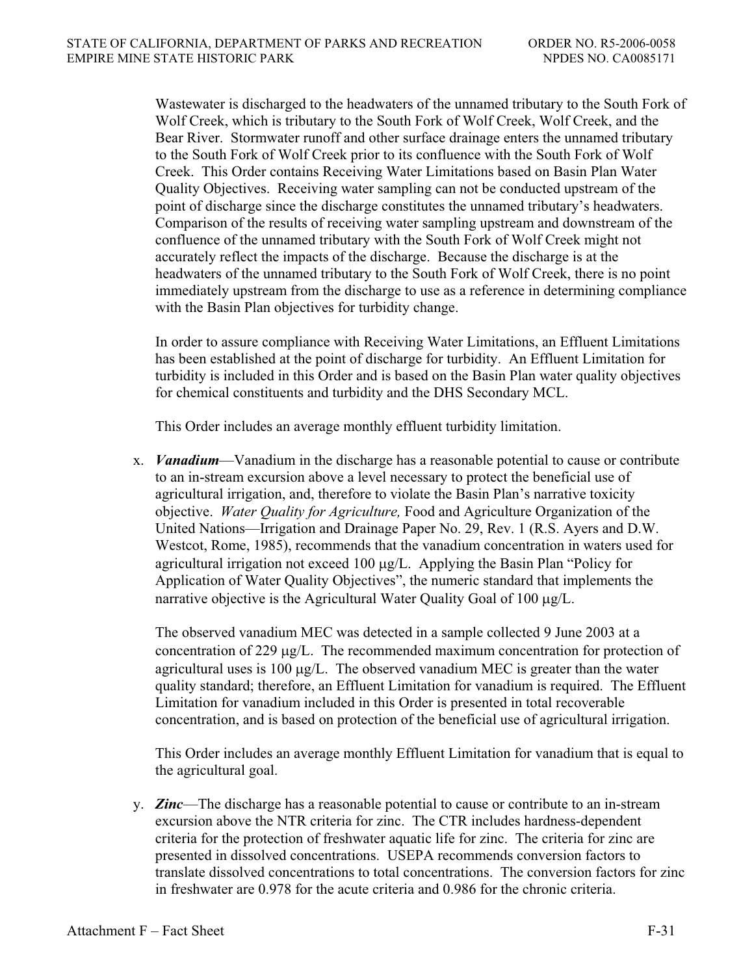Wastewater is discharged to the headwaters of the unnamed tributary to the South Fork of Wolf Creek, which is tributary to the South Fork of Wolf Creek, Wolf Creek, and the Bear River. Stormwater runoff and other surface drainage enters the unnamed tributary to the South Fork of Wolf Creek prior to its confluence with the South Fork of Wolf Creek. This Order contains Receiving Water Limitations based on Basin Plan Water Quality Objectives. Receiving water sampling can not be conducted upstream of the point of discharge since the discharge constitutes the unnamed tributary's headwaters. Comparison of the results of receiving water sampling upstream and downstream of the confluence of the unnamed tributary with the South Fork of Wolf Creek might not accurately reflect the impacts of the discharge. Because the discharge is at the headwaters of the unnamed tributary to the South Fork of Wolf Creek, there is no point immediately upstream from the discharge to use as a reference in determining compliance with the Basin Plan objectives for turbidity change.

In order to assure compliance with Receiving Water Limitations, an Effluent Limitations has been established at the point of discharge for turbidity. An Effluent Limitation for turbidity is included in this Order and is based on the Basin Plan water quality objectives for chemical constituents and turbidity and the DHS Secondary MCL.

This Order includes an average monthly effluent turbidity limitation.

x. *Vanadium*—Vanadium in the discharge has a reasonable potential to cause or contribute to an in-stream excursion above a level necessary to protect the beneficial use of agricultural irrigation, and, therefore to violate the Basin Plan's narrative toxicity objective. *Water Quality for Agriculture,* Food and Agriculture Organization of the United Nations—Irrigation and Drainage Paper No. 29, Rev. 1 (R.S. Ayers and D.W. Westcot, Rome, 1985), recommends that the vanadium concentration in waters used for agricultural irrigation not exceed 100  $\mu$ g/L. Applying the Basin Plan "Policy for Application of Water Quality Objectives", the numeric standard that implements the narrative objective is the Agricultural Water Quality Goal of  $100 \mu g/L$ .

The observed vanadium MEC was detected in a sample collected 9 June 2003 at a concentration of 229  $\mu$ g/L. The recommended maximum concentration for protection of agricultural uses is 100  $\mu$ g/L. The observed vanadium MEC is greater than the water quality standard; therefore, an Effluent Limitation for vanadium is required. The Effluent Limitation for vanadium included in this Order is presented in total recoverable concentration, and is based on protection of the beneficial use of agricultural irrigation.

This Order includes an average monthly Effluent Limitation for vanadium that is equal to the agricultural goal.

y. *Zinc*—The discharge has a reasonable potential to cause or contribute to an in-stream excursion above the NTR criteria for zinc. The CTR includes hardness-dependent criteria for the protection of freshwater aquatic life for zinc. The criteria for zinc are presented in dissolved concentrations. USEPA recommends conversion factors to translate dissolved concentrations to total concentrations. The conversion factors for zinc in freshwater are 0.978 for the acute criteria and 0.986 for the chronic criteria.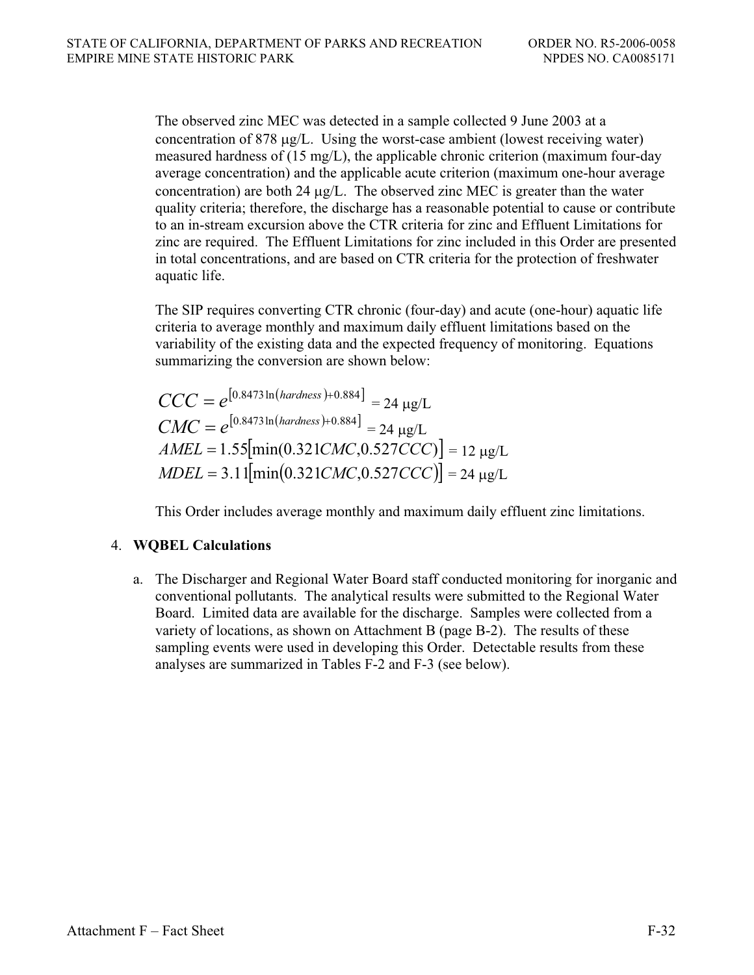The observed zinc MEC was detected in a sample collected 9 June 2003 at a concentration of 878  $\mu$ g/L. Using the worst-case ambient (lowest receiving water) measured hardness of (15 mg/L), the applicable chronic criterion (maximum four-day average concentration) and the applicable acute criterion (maximum one-hour average concentration) are both  $24 \mu g/L$ . The observed zinc MEC is greater than the water quality criteria; therefore, the discharge has a reasonable potential to cause or contribute to an in-stream excursion above the CTR criteria for zinc and Effluent Limitations for zinc are required. The Effluent Limitations for zinc included in this Order are presented in total concentrations, and are based on CTR criteria for the protection of freshwater aquatic life.

The SIP requires converting CTR chronic (four-day) and acute (one-hour) aquatic life criteria to average monthly and maximum daily effluent limitations based on the variability of the existing data and the expected frequency of monitoring. Equations summarizing the conversion are shown below:

$$
CCC = e^{[0.8473 \ln(hardness) + 0.884]} = 24 \text{ µg/L}
$$
  
\n
$$
CMC = e^{[0.8473 \ln(hardness) + 0.884]} = 24 \text{ µg/L}
$$
  
\n
$$
AMEL = 1.55[\min(0.321CMC, 0.527CCC)] = 12 \text{ µg/L}
$$
  
\n
$$
ADEL = 3.11[\min(0.321CMC, 0.527CCC)] = 24 \text{ µg/L}
$$

This Order includes average monthly and maximum daily effluent zinc limitations.

# 4. **WQBEL Calculations**

a. The Discharger and Regional Water Board staff conducted monitoring for inorganic and conventional pollutants. The analytical results were submitted to the Regional Water Board. Limited data are available for the discharge. Samples were collected from a variety of locations, as shown on Attachment B (page B-2). The results of these sampling events were used in developing this Order. Detectable results from these analyses are summarized in Tables F-2 and F-3 (see below).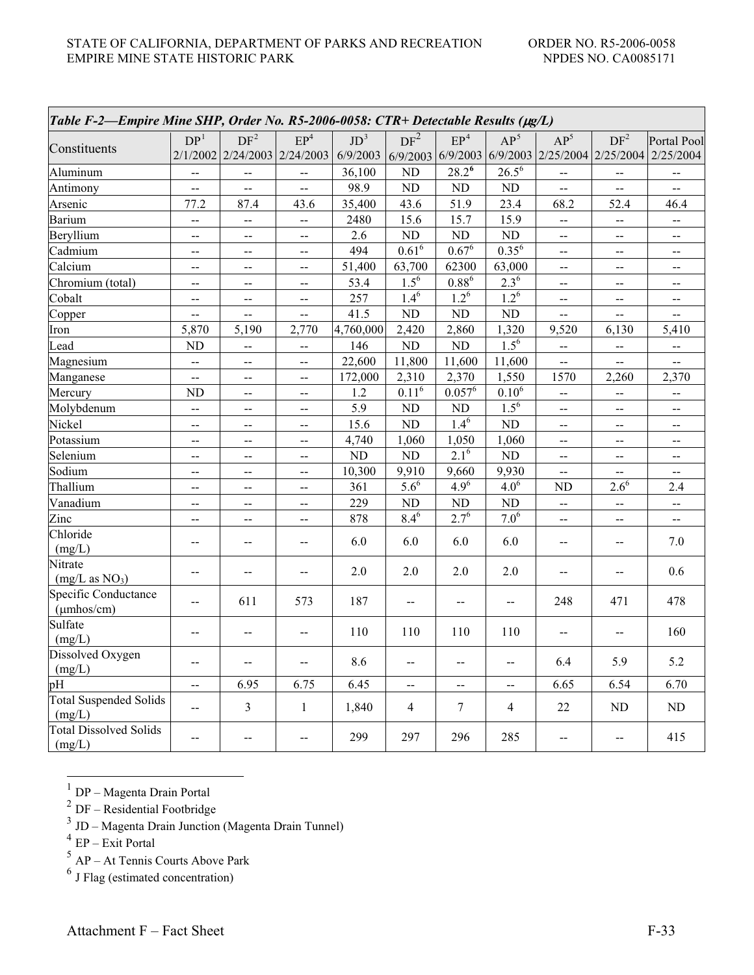| Table F-2-Empire Mine SHP, Order No. R5-2006-0058: CTR+ Detectable Results (µg/L) |                           |                                                 |                                               |                             |                             |                          |                       |                                                   |                           |                             |
|-----------------------------------------------------------------------------------|---------------------------|-------------------------------------------------|-----------------------------------------------|-----------------------------|-----------------------------|--------------------------|-----------------------|---------------------------------------------------|---------------------------|-----------------------------|
| Constituents                                                                      | DP <sup>1</sup>           | DF <sup>2</sup><br>2/1/2002 2/24/2003 2/24/2003 | EP <sup>4</sup>                               | JD <sup>3</sup><br>6/9/2003 | DF <sup>2</sup><br>6/9/2003 | $\mathrm{EP}^4$          | $AP^5$                | $AP^5$<br>$6/9/2003$ 6/9/2003 2/25/2004 2/25/2004 | DF <sup>2</sup>           | Portal Pool<br>2/25/2004    |
| Aluminum                                                                          | $\mathbf{u}$              | $\overline{\phantom{a}}$                        | 44                                            | 36,100                      | N <sub>D</sub>              | $28.2^6$                 | $26.5^{\overline{6}}$ | $\overline{\phantom{a}}$                          | $\overline{a}$            | $\overline{\phantom{a}}$    |
| Antimony                                                                          | $\mathbf{u} = \mathbf{0}$ | $\mathbf{u}$                                    | цц.                                           | 98.9                        | ND                          | $\rm ND$                 | $\rm ND$              | $\rightarrow$                                     | --                        | $\sim$ $\sim$               |
| Arsenic                                                                           | 77.2                      | 87.4                                            | 43.6                                          | 35,400                      | 43.6                        | 51.9                     | 23.4                  | 68.2                                              | 52.4                      | 46.4                        |
| Barium                                                                            | $\mathbb{L} \mathbb{L}$   | --                                              | Ц,                                            | 2480                        | 15.6                        | 15.7                     | 15.9                  | Ц.,                                               | --                        | $\overline{\phantom{a}}$    |
| Beryllium                                                                         | $\overline{a}$            | $\overline{a}$                                  | $\overline{a}$                                | 2.6                         | $\rm ND$                    | ND                       | ${\rm ND}$            | $\overline{a}$                                    | $\overline{a}$            | $\overline{a}$              |
| Cadmium                                                                           | $\sim$ $\sim$             | $\sim$ $\sim$                                   | <u>.,</u>                                     | 494                         | $0.61^6$                    | $0.67^6$                 | $0.35^{6}$            | $\overline{a}$                                    | $\mathbb{L}^{\mathbb{L}}$ | н.                          |
| Calcium                                                                           | $\mathbf{u}$              | $\mathcal{L}_{\mathcal{F}}$                     | $\overline{\phantom{a}}$                      | 51,400                      | 63,700                      | 62300                    | 63,000                | --                                                | $\overline{\phantom{m}}$  | $\overline{\phantom{a}}$    |
| Chromium (total)                                                                  | $\overline{a}$            | $\overline{a}$                                  | $\overline{a}$                                | 53.4                        | $1.5^{6}$                   | $0.88^{6}$               | $2.3^{\overline{6}}$  | $\overline{a}$                                    | $\overline{a}$            | $\overline{a}$              |
| Cobalt                                                                            | $\rightarrow$             | $\sim$ $-$                                      | $\overline{\phantom{a}}$                      | 257                         | $1.4^{6}$                   | $1.2^{6}$                | $1.2^{6}$             | --                                                | $\mathbf{u}$              | $\overline{\phantom{a}}$    |
| Copper                                                                            | $\overline{a}$            | $\overline{a}$                                  | --                                            | 41.5                        | ND                          | $\rm ND$                 | ND                    | Ц.,                                               | Ц.                        | ш.,                         |
| Iron                                                                              | 5,870                     | 5,190                                           | 2,770                                         | 4,760,000                   | 2,420                       | 2,860                    | 1,320                 | 9,520                                             | 6,130                     | 5,410                       |
| Lead                                                                              | ND                        | $\sim$ $\sim$                                   | ц.                                            | 146                         | ND                          | $\rm ND$                 | $1.5^{6}$             | $\frac{1}{2}$                                     | $\omega_{\rm{m}}$         | $\bar{\phantom{a}}$         |
| Magnesium                                                                         | ÷,                        | --                                              | $\frac{1}{2}$                                 | 22,600                      | 11,800                      | 11,600                   | 11,600                | $\overline{\phantom{a}}$                          | $\mathbf{m}$              | <u>.,</u>                   |
| Manganese                                                                         | $\mathbf{u} = \mathbf{0}$ | $\overline{a}$                                  | $\overline{\phantom{a}}$                      | 172,000                     | 2,310                       | 2,370                    | 1,550                 | 1570                                              | 2,260                     | 2,370                       |
| Mercury                                                                           | <b>ND</b>                 | $\overline{a}$                                  | $\overline{a}$                                | 1.2                         | $0.11^{6}$                  | $0.057^6$                | $0.10^6$              | --                                                | $\overline{a}$            | $\overline{a}$              |
| Molybdenum                                                                        | $\frac{1}{2}$             | $\frac{1}{2}$                                   | $\bar{\omega}$                                | 5.9                         | <b>ND</b>                   | $\rm ND$                 | $1.5^{6}$             | --                                                | $\mathbb{Z}^2$            | $\frac{1}{2}$               |
| Nickel                                                                            | $\mathbf{u} = \mathbf{0}$ | $\overline{a}$                                  | $\frac{1}{2}$                                 | 15.6                        | $\rm ND$                    | $1.4^{6}$                | $\rm ND$              | $\rightarrow$                                     | $\mathbf{u}$              | --                          |
| Potassium                                                                         | $\sim$                    | $\sim$                                          | $\mathord{\hspace{1pt}\text{--}\hspace{1pt}}$ | 4,740                       | 1,060                       | 1,050                    | 1,060                 | $\mathord{\hspace{1pt}\text{--}\hspace{1pt}}$     | $\sim$                    | $\mathcal{L}_{\mathcal{F}}$ |
| Selenium                                                                          | --                        | $\bar{\phantom{a}}$                             | --                                            | <b>ND</b>                   | ND                          | $2.1^{6}$                | ND                    | --                                                | $\frac{1}{2}$             | $\overline{\phantom{a}}$    |
| Sodium                                                                            | $-$                       | $\sim$                                          | $\frac{1}{2}$                                 | 10,300                      | 9,910                       | 9,660                    | 9,930                 | $\overline{a}$                                    | $-$                       | $-$                         |
| Thallium                                                                          | $\overline{a}$            | $\overline{a}$                                  | $\sim$                                        | 361                         | $5.6^{6}$                   | $4.9^{6}$                | $4.0^{6}$             | ND                                                | $2.6^{6}$                 | 2.4                         |
| Vanadium                                                                          | --                        | $\sim$ $\sim$                                   | ш.                                            | 229                         | <b>ND</b>                   | ND                       | ND                    | 44                                                | ц.                        | Щ,                          |
| Zinc                                                                              | $\overline{a}$            | $\mathbf{u}$                                    | $\overline{\phantom{a}}$                      | 878                         | $8.4^{6}$                   | $2.7^{6}$                | $7.0^{6}$             | $\overline{a}$                                    | $\mathbb{L}^{\mathbb{L}}$ | $\sim$                      |
| Chloride<br>(mg/L)                                                                | $\overline{a}$            | $\overline{a}$                                  | --                                            | 6.0                         | 6.0                         | 6.0                      | 6.0                   | $\overline{a}$                                    | $\overline{\phantom{a}}$  | 7.0                         |
| Nitrate<br>(mg/L as NO <sub>3</sub> )                                             | $\overline{a}$            | $\overline{a}$                                  | $\overline{a}$                                | 2.0                         | 2.0                         | 2.0                      | 2.0                   | $\rightarrow$                                     | $\mathbf{u}$              | 0.6                         |
| Specific Conductance<br>$(\mu$ mhos/cm)                                           | $\overline{a}$            | 611                                             | 573                                           | 187                         | ш.                          | $\overline{a}$           | $\overline{a}$        | 248                                               | 471                       | 478                         |
| Sulfate<br>(mg/L)                                                                 | $\sim$                    | $\rightarrow$                                   | $\sim$ $\sim$                                 | 110                         | 110                         | 110                      | 110                   | $\sim$ $\sim$                                     | $\overline{\phantom{a}}$  | 160                         |
| Dissolved Oxygen<br>(mg/L)                                                        | $\sim$                    | $\rightarrow$                                   | $\mathbf{u}$                                  | 8.6                         | $\mathcal{L}_{\mathcal{F}}$ | $\overline{\phantom{a}}$ | $\rightarrow$         | 6.4                                               | 5.9                       | 5.2                         |
| pH                                                                                | $\mathbf{u}$              | 6.95                                            | 6.75                                          | 6.45                        | $\sim$ $\sim$               | $\sim$ $\sim$            | $\sim$                | 6.65                                              | 6.54                      | 6.70                        |
| <b>Total Suspended Solids</b><br>(mg/L)                                           | $\frac{1}{2}$             | 3                                               | $\mathbf{1}$                                  | 1,840                       | $\overline{4}$              | $\tau$                   | $\overline{4}$        | 22                                                | ND                        | ND                          |
| <b>Total Dissolved Solids</b><br>(mg/L)                                           | $\overline{\phantom{a}}$  | $\sim$                                          | $\sim$                                        | 299                         | 297                         | 296                      | 285                   | $\sim$ $\sim$                                     | $\mathbf{u}$              | 415                         |

 $^{\rm 1}$  DP – Magenta Drain Portal

 $2 \text{ DF} - \text{Residual Footbridge}$ 

 $3$  JD – Magenta Drain Junction (Magenta Drain Tunnel)

 $4$  EP – Exit Portal

 $5 \text{ AP} - \text{At Tennis}$  Courts Above Park

 $6 \text{ J Flag}$  (estimated concentration)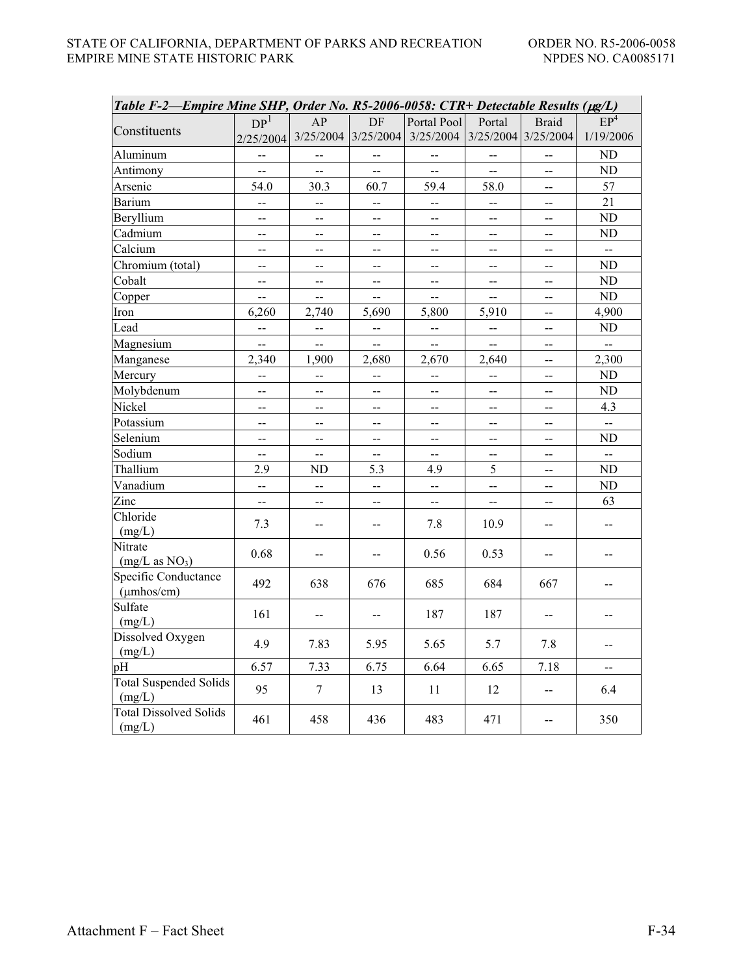| Table F-2—Empire Mine SHP, Order No. R5-2006-0058: CTR+ Detectable Results (µg/L) |                          |                                               |                |                |                          |                                       |                 |
|-----------------------------------------------------------------------------------|--------------------------|-----------------------------------------------|----------------|----------------|--------------------------|---------------------------------------|-----------------|
|                                                                                   | DP <sup>1</sup>          | AP                                            | DF             | Portal Pool    | Portal                   | <b>Braid</b>                          | EP <sup>4</sup> |
| Constituents                                                                      | 2/25/2004                | 3/25/2004                                     | 3/25/2004      | 3/25/2004      |                          | $3/25/2004$ 3/25/2004                 | 1/19/2006       |
| Aluminum                                                                          |                          |                                               |                |                |                          |                                       | ND              |
| Antimony                                                                          | --                       | -−                                            | $\overline{a}$ | $\overline{a}$ | $\overline{a}$           | --                                    | ND              |
| Arsenic                                                                           | 54.0                     | 30.3                                          | 60.7           | 59.4           | 58.0                     | $-$                                   | 57              |
| Barium                                                                            | $\overline{\phantom{a}}$ | --                                            | $-$            | $\sim$ $\sim$  | --                       | $\overline{\phantom{m}}$              | 21              |
| Beryllium                                                                         | $\qquad \qquad -$        | $\mathord{\hspace{1pt}\text{--}\hspace{1pt}}$ | $\sim$ $-$     | $\sim$ $-$     | $\overline{\phantom{a}}$ | $\overline{\phantom{m}}$              | ND              |
| Cadmium                                                                           | --                       | --                                            | --             | --             | --                       | --                                    | ND              |
| Calcium                                                                           | --                       | --                                            | --             | --             | --                       | --                                    | --              |
| Chromium (total)                                                                  | --                       | $-$                                           | --             | --             | --                       | $\overline{a}$                        | ND              |
| Cobalt                                                                            | --                       | $\rightarrow$                                 | --             | $\overline{a}$ | --                       | $-$                                   | ND              |
| Copper                                                                            | --                       | --                                            | $\overline{a}$ | --             | $\overline{a}$           | $\overline{\phantom{a}}$              | ND              |
| Iron                                                                              | 6,260                    | 2,740                                         | 5,690          | 5,800          | 5,910                    | $\overline{\phantom{a}}$              | 4,900           |
| Lead                                                                              | --                       | --                                            | --             | --             | --                       | $-$                                   | ND              |
| Magnesium                                                                         | --                       | $\overline{a}$                                | $\overline{a}$ | $\sim$         | $\equiv$                 | $\sim$ $\sim$                         | $\overline{a}$  |
| Manganese                                                                         | 2,340                    | 1,900                                         | 2,680          | 2,670          | 2,640                    |                                       | 2,300           |
| Mercury                                                                           | $\overline{a}$           | $\overline{a}$                                |                |                |                          | $\overline{a}$                        | ND              |
| Molybdenum                                                                        |                          |                                               |                |                |                          |                                       | ND              |
| Nickel                                                                            | $\overline{a}$           | $\overline{a}$                                | $-$            | --             | --                       | --                                    | 4.3             |
| Potassium                                                                         | $\overline{a}$           | --                                            |                |                |                          |                                       |                 |
| Selenium                                                                          | $-$                      | $\overline{a}$                                | --             | $\overline{a}$ | $=$                      | $\overline{\phantom{a}}$              | ND              |
| Sodium                                                                            | $\overline{a}$           | $-$                                           |                |                |                          |                                       | $\overline{a}$  |
| Thallium                                                                          | 2.9                      | ND                                            | 5.3            | 4.9            | 5                        | $\sim$ $\sim$                         | ND              |
| Vanadium                                                                          | --                       | $\overline{a}$                                | $\equiv$       | $\overline{a}$ | $-$                      |                                       | ND              |
| Zinc                                                                              | $\overline{a}$           | $-$                                           | $-$            | $\overline{a}$ | $-$                      | --                                    | 63              |
| Chloride<br>(mg/L)                                                                | 7.3                      |                                               |                | 7.8            | 10.9                     |                                       |                 |
| Nitrate                                                                           |                          |                                               |                |                |                          |                                       |                 |
| (mg/L as NO <sub>3</sub> )                                                        | 0.68                     | --                                            | --             | 0.56           | 0.53                     | --                                    | --              |
| Specific Conductance<br>$(\mu m \text{hos/cm})$                                   | 492                      | 638                                           | 676            | 685            | 684                      | 667                                   | --              |
| Sulfate<br>(mg/L)                                                                 | 161                      | --                                            |                | 187            | 187                      |                                       |                 |
| Dissolved Oxygen<br>(mg/L)                                                        | 4.9                      | 7.83                                          | 5.95           | 5.65           | 5.7                      | $7.8\,$                               | --              |
| pH                                                                                | 6.57                     | 7.33                                          | 6.75           | 6.64           | 6.65                     | 7.18                                  | --              |
| Total Suspended Solids<br>(mg/L)                                                  | 95                       | $\tau$                                        | 13             | 11             | 12                       | $\hspace{0.05cm}$ – $\hspace{0.05cm}$ | 6.4             |
| <b>Total Dissolved Solids</b><br>(mg/L)                                           | 461                      | 458                                           | 436            | 483            | 471                      | --                                    | 350             |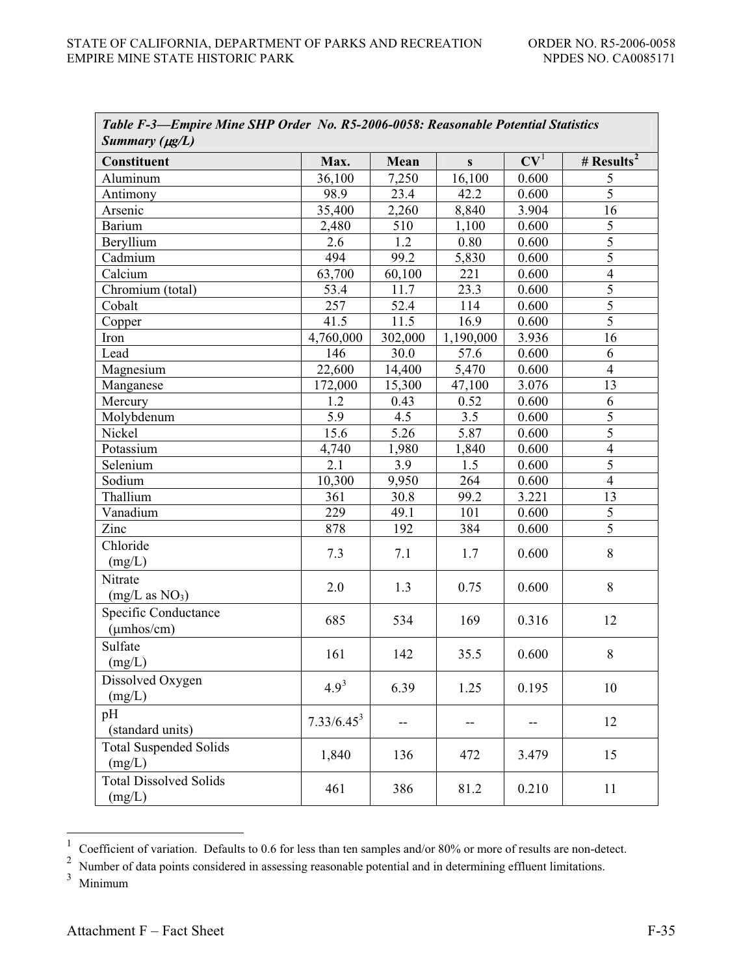| Table F-3—Empire Mine SHP Order No. R5-2006-0058: Reasonable Potential Statistics<br>Summary $(\mu g/L)$ |               |         |           |                 |                |
|----------------------------------------------------------------------------------------------------------|---------------|---------|-----------|-----------------|----------------|
| Constituent                                                                                              | Max.          | Mean    | S         | CV <sup>1</sup> | # $Results2$   |
| Aluminum                                                                                                 | 36,100        | 7,250   | 16,100    | 0.600           | 5              |
| Antimony                                                                                                 | 98.9          | 23.4    | 42.2      | 0.600           | $\overline{5}$ |
| Arsenic                                                                                                  | 35,400        | 2,260   | 8,840     | 3.904           | 16             |
| Barium                                                                                                   | 2,480         | 510     | 1,100     | 0.600           | 5              |
| Beryllium                                                                                                | 2.6           | 1.2     | 0.80      | 0.600           | 5              |
| Cadmium                                                                                                  | 494           | 99.2    | 5,830     | 0.600           | $\overline{5}$ |
| Calcium                                                                                                  | 63,700        | 60,100  | 221       | 0.600           | $\overline{4}$ |
| Chromium (total)                                                                                         | 53.4          | 11.7    | 23.3      | 0.600           | $\overline{5}$ |
| Cobalt                                                                                                   | 257           | 52.4    | 114       | 0.600           | $\overline{5}$ |
| Copper                                                                                                   | 41.5          | 11.5    | 16.9      | 0.600           | $\overline{5}$ |
| Iron                                                                                                     | 4,760,000     | 302,000 | 1,190,000 | 3.936           | 16             |
| Lead                                                                                                     | 146           | 30.0    | 57.6      | 0.600           | 6              |
| Magnesium                                                                                                | 22,600        | 14,400  | 5,470     | 0.600           | $\overline{4}$ |
| Manganese                                                                                                | 172,000       | 15,300  | 47,100    | 3.076           | 13             |
| Mercury                                                                                                  | 1.2           | 0.43    | 0.52      | 0.600           | 6              |
| Molybdenum                                                                                               | 5.9           | 4.5     | 3.5       | 0.600           | 5              |
| Nickel                                                                                                   | 15.6          | 5.26    | 5.87      | 0.600           | $\overline{5}$ |
| Potassium                                                                                                | 4,740         | 1,980   | 1,840     | 0.600           | $\overline{4}$ |
| Selenium                                                                                                 | 2.1           | 3.9     | 1.5       | 0.600           | $\overline{5}$ |
| Sodium                                                                                                   | 10,300        | 9,950   | 264       | 0.600           | $\overline{4}$ |
| Thallium                                                                                                 | 361           | 30.8    | 99.2      | 3.221           | 13             |
| Vanadium                                                                                                 | 229           | 49.1    | 101       | 0.600           | 5              |
| Zinc                                                                                                     | 878           | 192     | 384       | 0.600           | 5              |
| Chloride<br>(mg/L)                                                                                       | 7.3           | 7.1     | 1.7       | 0.600           | 8              |
| Nitrate<br>(mg/L as NO <sub>3</sub> )                                                                    | 2.0           | 1.3     | 0.75      | 0.600           | $8\,$          |
| Specific Conductance<br>$(\mu$ mhos/cm $)$                                                               | 685           | 534     | 169       | 0.316           | 12             |
| Sulfate<br>(mg/L)                                                                                        | 161           | 142     | 35.5      | 0.600           | 8              |
| Dissolved Oxygen<br>(mg/L)                                                                               | $4.9^{3}$     | 6.39    | 1.25      | 0.195           | 10             |
| pH<br>(standard units)                                                                                   | $7.33/6.45^3$ | $-$     |           |                 | 12             |
| <b>Total Suspended Solids</b><br>(mg/L)                                                                  | 1,840         | 136     | 472       | 3.479           | 15             |
| <b>Total Dissolved Solids</b><br>(mg/L)                                                                  | 461           | 386     | 81.2      | 0.210           | 11             |

<sup>&</sup>lt;sup>1</sup> Coefficient of variation. Defaults to 0.6 for less than ten samples and/or 80% or more of results are non-detect.<br><sup>2</sup> Number of data points considered in assessing reasonable potential and in determining effluent limi

<sup>2</sup> Number of data points considered in assessing reasonable potential and in determining effluent limitations.

<sup>3</sup> Minimum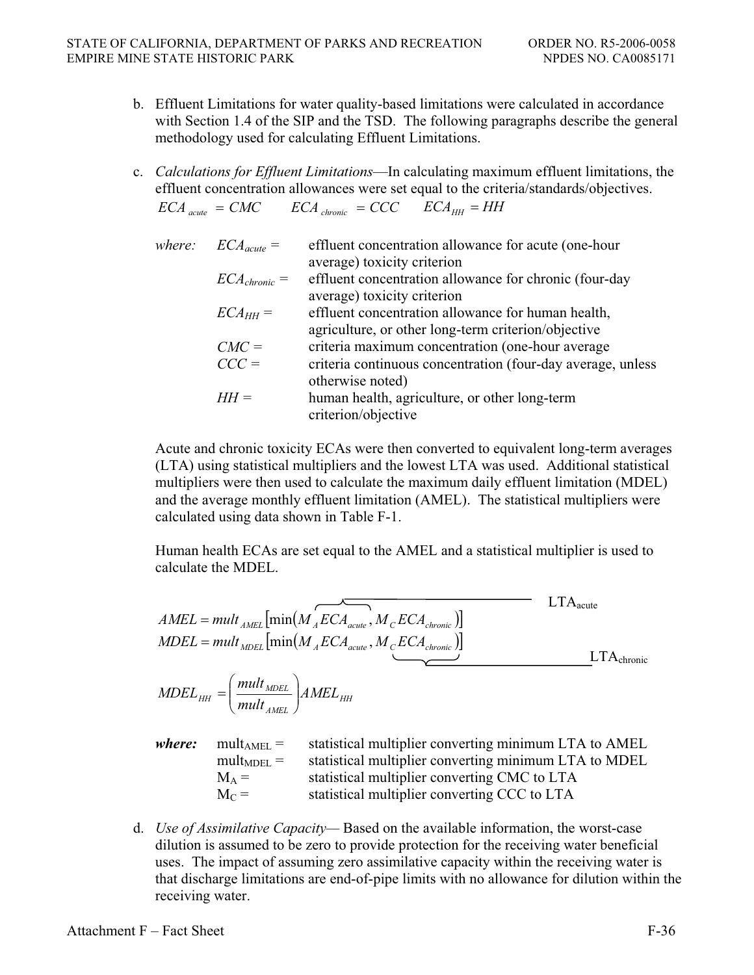- b. Effluent Limitations for water quality-based limitations were calculated in accordance with Section 1.4 of the SIP and the TSD. The following paragraphs describe the general methodology used for calculating Effluent Limitations.
- c. *Calculations for Effluent Limitations*—In calculating maximum effluent limitations, the effluent concentration allowances were set equal to the criteria/standards/objectives.  $ECA$ <sub>*acute*</sub>  $= CMC$   $ECA$ <sub>*chronic*</sub>  $= CCC$   $ECA$ <sub>HH</sub>  $= HH$

| where: $ECA_{acute}$ = | effluent concentration allowance for acute (one-hour                                  |
|------------------------|---------------------------------------------------------------------------------------|
|                        | average) toxicity criterion                                                           |
| $ECA_{chronic} =$      | effluent concentration allowance for chronic (four-day<br>average) toxicity criterion |
|                        |                                                                                       |
| $ECA_{HH} =$           | effluent concentration allowance for human health,                                    |
|                        | agriculture, or other long-term criterion/objective                                   |
| $CMC =$                | criteria maximum concentration (one-hour average                                      |
| $CCC =$                | criteria continuous concentration (four-day average, unless                           |
|                        | otherwise noted)                                                                      |
| $HH =$                 | human health, agriculture, or other long-term                                         |
|                        | criterion/objective                                                                   |

Acute and chronic toxicity ECAs were then converted to equivalent long-term averages (LTA) using statistical multipliers and the lowest LTA was used. Additional statistical multipliers were then used to calculate the maximum daily effluent limitation (MDEL) and the average monthly effluent limitation (AMEL). The statistical multipliers were calculated using data shown in Table F-1.

Human health ECAs are set equal to the AMEL and a statistical multiplier is used to calculate the MDEL.

$$
AMEL = mult_{AMEL} [min(M_{A}ECA_{acute}, M_{c}ECA_{chromic})]
$$
  
\n
$$
MDEL = mult_{ADEL} [min(M_{A}ECA_{acute}, M_{c}ECA_{chromic})]
$$
  
\n
$$
MDEL_{HH} = \left(\frac{mult_{MDEL}}{mult_{AMEL}}\right) AMEL_{HH}
$$
  
\n
$$
where:
$$
 
$$
mult_{AMEL} =
$$
 statistical multiplier converting minimum LTA to AMEL  
\n
$$
ML_{AME} =
$$
 statistical multiplier converting CMC to LTA  
\n
$$
M_{A} =
$$
 statistical multiplier converting CMC to LTA  
\n
$$
M_{C} =
$$
 statistical multiplier converting CCC to LTA

d. *Use of Assimilative Capacity—* Based on the available information, the worst-case dilution is assumed to be zero to provide protection for the receiving water beneficial uses. The impact of assuming zero assimilative capacity within the receiving water is that discharge limitations are end-of-pipe limits with no allowance for dilution within the receiving water.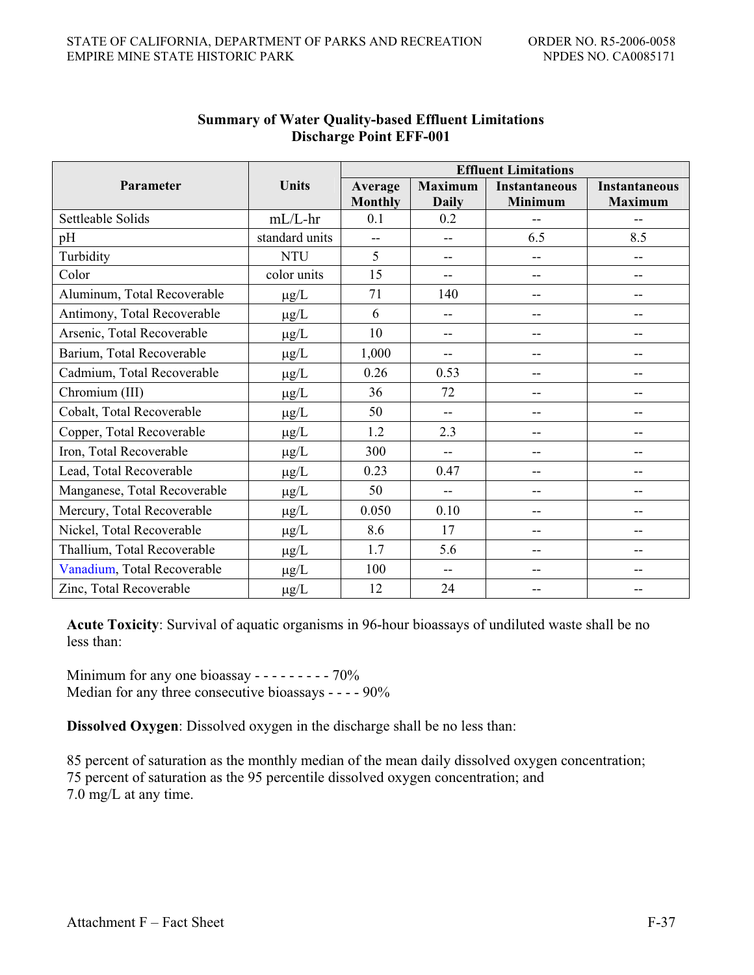|                              |                | <b>Effluent Limitations</b> |                          |                      |                      |  |  |  |
|------------------------------|----------------|-----------------------------|--------------------------|----------------------|----------------------|--|--|--|
| Parameter                    | Units          | Average                     | <b>Maximum</b>           | <b>Instantaneous</b> | <b>Instantaneous</b> |  |  |  |
|                              |                | <b>Monthly</b>              | <b>Daily</b>             | Minimum              | <b>Maximum</b>       |  |  |  |
| Settleable Solids            | $mL/L$ -hr     | 0.1                         | 0.2                      | --                   | --                   |  |  |  |
| pH                           | standard units | $-$                         | $-$                      | 6.5                  | 8.5                  |  |  |  |
| Turbidity                    | <b>NTU</b>     | 5                           | $-$                      | $-$                  | $-$                  |  |  |  |
| Color                        | color units    | 15                          | --                       |                      |                      |  |  |  |
| Aluminum, Total Recoverable  | $\mu g/L$      | 71                          | 140                      |                      |                      |  |  |  |
| Antimony, Total Recoverable  | $\mu$ g/L      | 6                           | $-$                      | --                   | --                   |  |  |  |
| Arsenic, Total Recoverable   | $\mu g/L$      | 10                          | --                       | --                   | --                   |  |  |  |
| Barium, Total Recoverable    | $\mu$ g/L      | 1,000                       | --                       |                      |                      |  |  |  |
| Cadmium, Total Recoverable   | $\mu g/L$      | 0.26                        | 0.53                     | --                   | --                   |  |  |  |
| Chromium (III)               | $\mu g/L$      | 36                          | 72                       | --                   | --                   |  |  |  |
| Cobalt, Total Recoverable    | $\mu g/L$      | 50                          | --                       |                      |                      |  |  |  |
| Copper, Total Recoverable    | $\mu$ g/L      | 1.2                         | 2.3                      | --                   | --                   |  |  |  |
| Iron, Total Recoverable      | $\mu g/L$      | 300                         | $-$                      |                      | --                   |  |  |  |
| Lead, Total Recoverable      | $\mu$ g/L      | 0.23                        | 0.47                     |                      |                      |  |  |  |
| Manganese, Total Recoverable | $\mu$ g/L      | 50                          | --                       | --                   | --                   |  |  |  |
| Mercury, Total Recoverable   | $\mu g/L$      | 0.050                       | 0.10                     | --                   | --                   |  |  |  |
| Nickel, Total Recoverable    | $\mu$ g/L      | 8.6                         | 17                       |                      |                      |  |  |  |
| Thallium, Total Recoverable  | $\mu$ g/L      | 1.7                         | 5.6                      | --                   | --                   |  |  |  |
| Vanadium, Total Recoverable  | $\mu g/L$      | 100                         | $\overline{\phantom{m}}$ | --                   | --                   |  |  |  |
| Zinc, Total Recoverable      | $\mu$ g/L      | 12                          | 24                       |                      |                      |  |  |  |

# **Summary of Water Quality-based Effluent Limitations Discharge Point EFF-001**

**Acute Toxicity**: Survival of aquatic organisms in 96-hour bioassays of undiluted waste shall be no less than:

Minimum for any one bioassay  $- - - - - - - - - - -$  70% Median for any three consecutive bioassays - - - - 90%

**Dissolved Oxygen**: Dissolved oxygen in the discharge shall be no less than:

85 percent of saturation as the monthly median of the mean daily dissolved oxygen concentration; 75 percent of saturation as the 95 percentile dissolved oxygen concentration; and 7.0 mg/L at any time.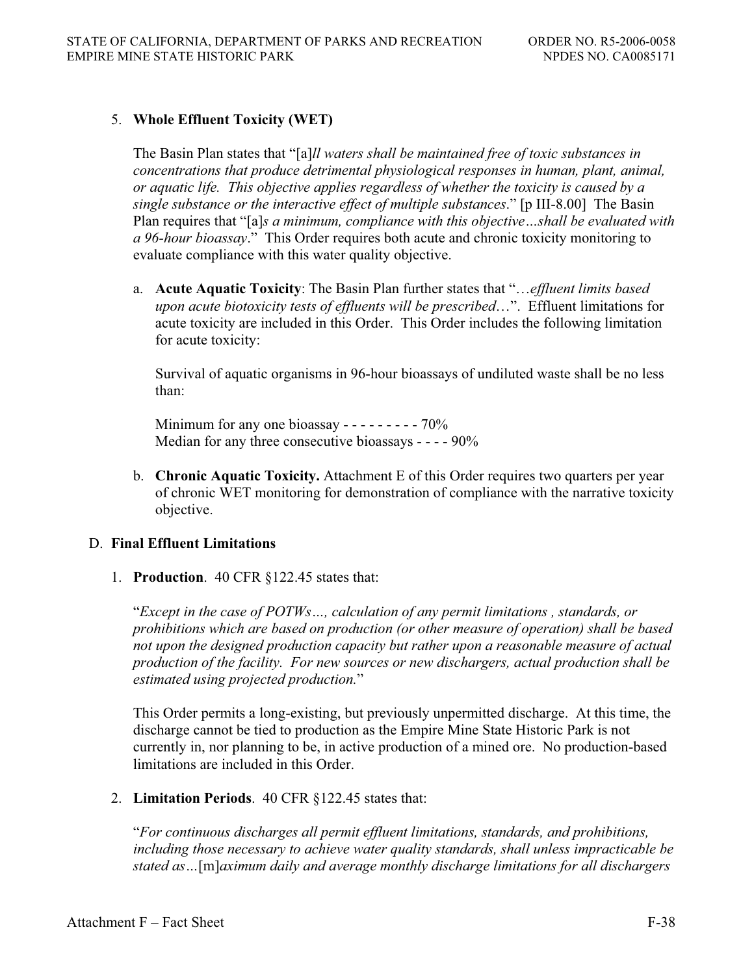### 5. **Whole Effluent Toxicity (WET)**

The Basin Plan states that "[a]*ll waters shall be maintained free of toxic substances in concentrations that produce detrimental physiological responses in human, plant, animal, or aquatic life. This objective applies regardless of whether the toxicity is caused by a single substance or the interactive effect of multiple substances*." [p III-8.00] The Basin Plan requires that "[a]*s a minimum, compliance with this objective…shall be evaluated with a 96-hour bioassay*." This Order requires both acute and chronic toxicity monitoring to evaluate compliance with this water quality objective.

a. **Acute Aquatic Toxicity**: The Basin Plan further states that "…*effluent limits based upon acute biotoxicity tests of effluents will be prescribed*…". Effluent limitations for acute toxicity are included in this Order. This Order includes the following limitation for acute toxicity:

Survival of aquatic organisms in 96-hour bioassays of undiluted waste shall be no less than:

Minimum for any one bioassay - - - - - - - - - 70% Median for any three consecutive bioassays - - - - 90%

b. **Chronic Aquatic Toxicity.** Attachment E of this Order requires two quarters per year of chronic WET monitoring for demonstration of compliance with the narrative toxicity objective.

### D. **Final Effluent Limitations**

1. **Production**. 40 CFR §122.45 states that:

"*Except in the case of POTWs…, calculation of any permit limitations , standards, or prohibitions which are based on production (or other measure of operation) shall be based not upon the designed production capacity but rather upon a reasonable measure of actual production of the facility. For new sources or new dischargers, actual production shall be estimated using projected production.*"

This Order permits a long-existing, but previously unpermitted discharge. At this time, the discharge cannot be tied to production as the Empire Mine State Historic Park is not currently in, nor planning to be, in active production of a mined ore. No production-based limitations are included in this Order.

2. **Limitation Periods**. 40 CFR §122.45 states that:

"*For continuous discharges all permit effluent limitations, standards, and prohibitions, including those necessary to achieve water quality standards, shall unless impracticable be stated as…*[m]*aximum daily and average monthly discharge limitations for all dischargers*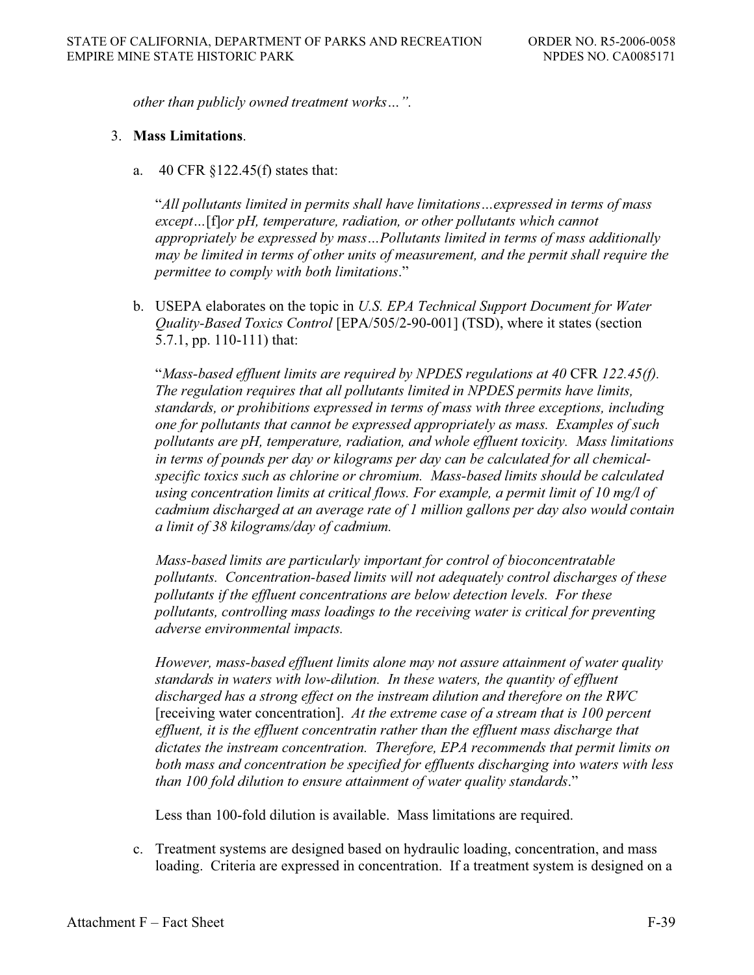*other than publicly owned treatment works…".*

#### 3. **Mass Limitations**.

a. 40 CFR §122.45(f) states that:

"*All pollutants limited in permits shall have limitations…expressed in terms of mass except…*[f]*or pH, temperature, radiation, or other pollutants which cannot appropriately be expressed by mass…Pollutants limited in terms of mass additionally may be limited in terms of other units of measurement, and the permit shall require the permittee to comply with both limitations*."

b. USEPA elaborates on the topic in *U.S. EPA Technical Support Document for Water Quality-Based Toxics Control* [EPA/505/2-90-001] (TSD), where it states (section 5.7.1, pp. 110-111) that:

"*Mass-based effluent limits are required by NPDES regulations at 40* CFR *122.45(f). The regulation requires that all pollutants limited in NPDES permits have limits, standards, or prohibitions expressed in terms of mass with three exceptions, including one for pollutants that cannot be expressed appropriately as mass. Examples of such pollutants are pH, temperature, radiation, and whole effluent toxicity. Mass limitations in terms of pounds per day or kilograms per day can be calculated for all chemicalspecific toxics such as chlorine or chromium. Mass-based limits should be calculated using concentration limits at critical flows. For example, a permit limit of 10 mg/l of cadmium discharged at an average rate of 1 million gallons per day also would contain a limit of 38 kilograms/day of cadmium.*

*Mass-based limits are particularly important for control of bioconcentratable pollutants. Concentration-based limits will not adequately control discharges of these pollutants if the effluent concentrations are below detection levels. For these pollutants, controlling mass loadings to the receiving water is critical for preventing adverse environmental impacts.* 

*However, mass-based effluent limits alone may not assure attainment of water quality standards in waters with low-dilution. In these waters, the quantity of effluent discharged has a strong effect on the instream dilution and therefore on the RWC*  [receiving water concentration]. *At the extreme case of a stream that is 100 percent effluent, it is the effluent concentratin rather than the effluent mass discharge that dictates the instream concentration. Therefore, EPA recommends that permit limits on both mass and concentration be specified for effluents discharging into waters with less than 100 fold dilution to ensure attainment of water quality standards*."

Less than 100-fold dilution is available. Mass limitations are required.

c. Treatment systems are designed based on hydraulic loading, concentration, and mass loading. Criteria are expressed in concentration. If a treatment system is designed on a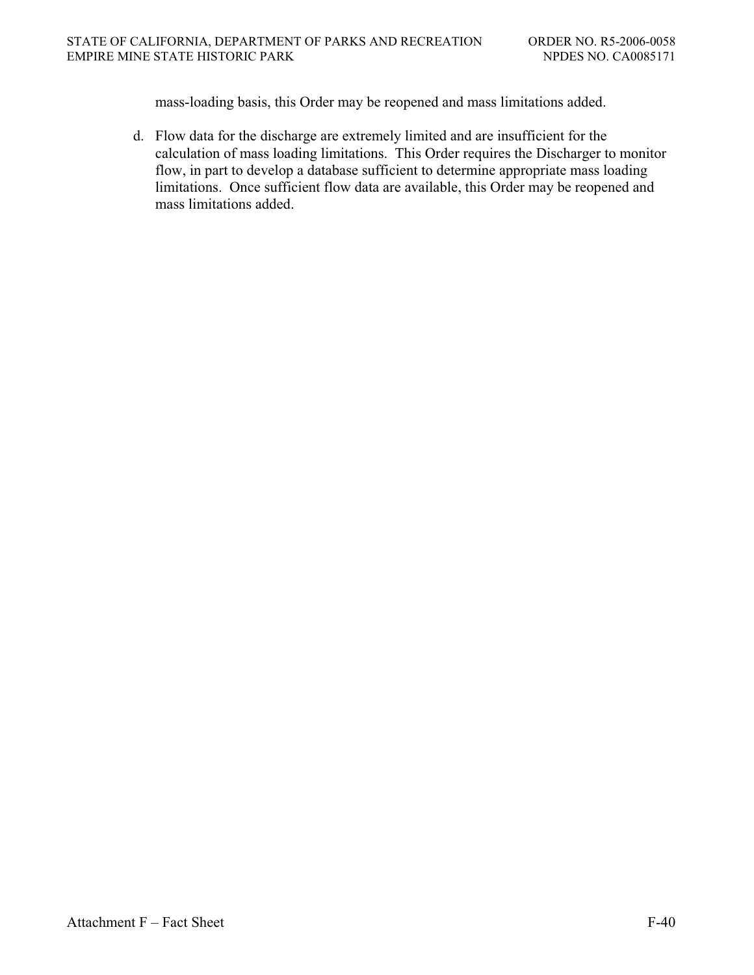mass-loading basis, this Order may be reopened and mass limitations added.

d. Flow data for the discharge are extremely limited and are insufficient for the calculation of mass loading limitations. This Order requires the Discharger to monitor flow, in part to develop a database sufficient to determine appropriate mass loading limitations. Once sufficient flow data are available, this Order may be reopened and mass limitations added.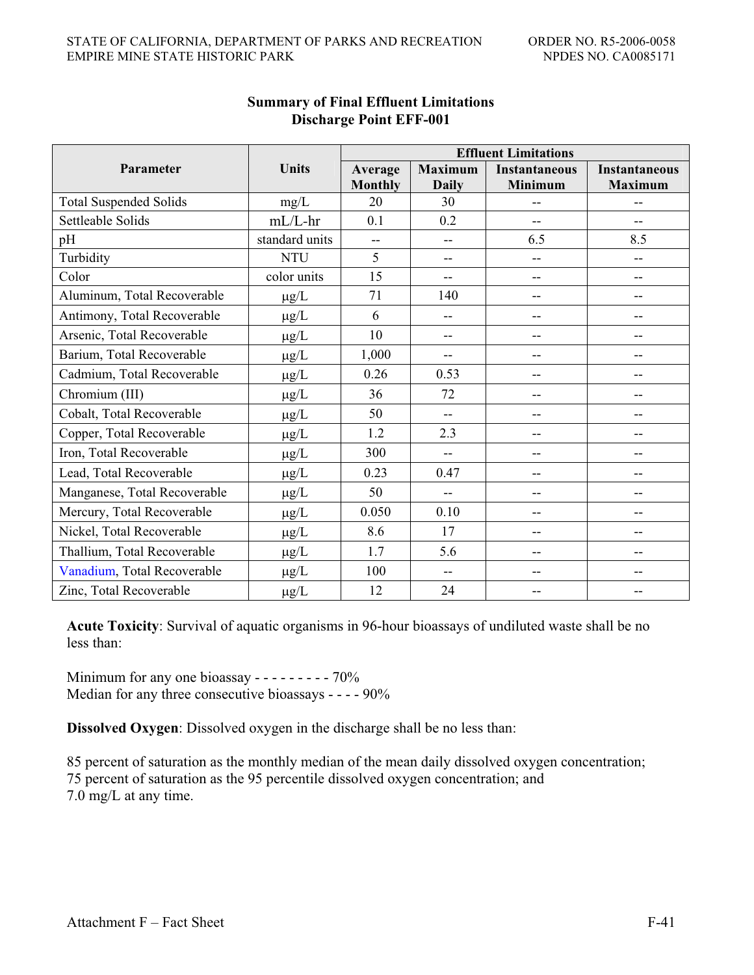|                               |                 | <b>Effluent Limitations</b> |                |                      |                      |  |  |  |
|-------------------------------|-----------------|-----------------------------|----------------|----------------------|----------------------|--|--|--|
| Parameter                     | <b>Units</b>    | Average                     | <b>Maximum</b> | <b>Instantaneous</b> | <b>Instantaneous</b> |  |  |  |
|                               |                 | <b>Monthly</b>              | <b>Daily</b>   | <b>Minimum</b>       | <b>Maximum</b>       |  |  |  |
| <b>Total Suspended Solids</b> | mg/L            | 20                          | 30             | --                   | --                   |  |  |  |
| Settleable Solids             | $mL/L$ -hr      | 0.1                         | 0.2            | $-$                  | $-$                  |  |  |  |
| pH                            | standard units  | $\overline{a}$              | $-$            | 6.5                  | 8.5                  |  |  |  |
| Turbidity                     | <b>NTU</b>      | 5                           | --             | --                   | $-$                  |  |  |  |
| Color                         | color units     | 15                          | --             | --                   | --                   |  |  |  |
| Aluminum, Total Recoverable   | $\mu\text{g}/L$ | 71                          | 140            | --                   | --                   |  |  |  |
| Antimony, Total Recoverable   | $\mu$ g/L       | 6                           | --             | --                   | --                   |  |  |  |
| Arsenic, Total Recoverable    | $\mu g/L$       | 10                          | $-$            | $-$                  | --                   |  |  |  |
| Barium, Total Recoverable     | $\mu g/L$       | 1,000                       | --             | --                   | --                   |  |  |  |
| Cadmium, Total Recoverable    | $\mu$ g/L       | 0.26                        | 0.53           | --                   | --                   |  |  |  |
| Chromium (III)                | $\mu g/L$       | 36                          | 72             | --                   |                      |  |  |  |
| Cobalt, Total Recoverable     | $\mu$ g/L       | 50                          | $-$            | --                   | --                   |  |  |  |
| Copper, Total Recoverable     | $\mu g/L$       | 1.2                         | 2.3            | --                   | --                   |  |  |  |
| Iron, Total Recoverable       | $\mu g/L$       | 300                         | $-$            | --                   | $-$                  |  |  |  |
| Lead, Total Recoverable       | $\mu$ g/L       | 0.23                        | 0.47           | --                   | --                   |  |  |  |
| Manganese, Total Recoverable  | $\mu$ g/L       | 50                          | --             | --                   | --                   |  |  |  |
| Mercury, Total Recoverable    | $\mu$ g/L       | 0.050                       | 0.10           | $-$                  | --                   |  |  |  |
| Nickel, Total Recoverable     | $\mu g/L$       | 8.6                         | 17             | --                   | --                   |  |  |  |
| Thallium, Total Recoverable   | $\mu g/L$       | 1.7                         | 5.6            | --                   | --                   |  |  |  |
| Vanadium, Total Recoverable   | $\mu$ g/L       | 100                         | $-$            | --                   | --                   |  |  |  |
| Zinc, Total Recoverable       | $\mu$ g/L       | 12                          | 24             |                      |                      |  |  |  |

### **Summary of Final Effluent Limitations Discharge Point EFF-001**

**Acute Toxicity**: Survival of aquatic organisms in 96-hour bioassays of undiluted waste shall be no less than:

Minimum for any one bioassay  $- - - - - - - - - - - - -$ Median for any three consecutive bioassays - - - - 90%

**Dissolved Oxygen**: Dissolved oxygen in the discharge shall be no less than:

85 percent of saturation as the monthly median of the mean daily dissolved oxygen concentration; 75 percent of saturation as the 95 percentile dissolved oxygen concentration; and 7.0 mg/L at any time.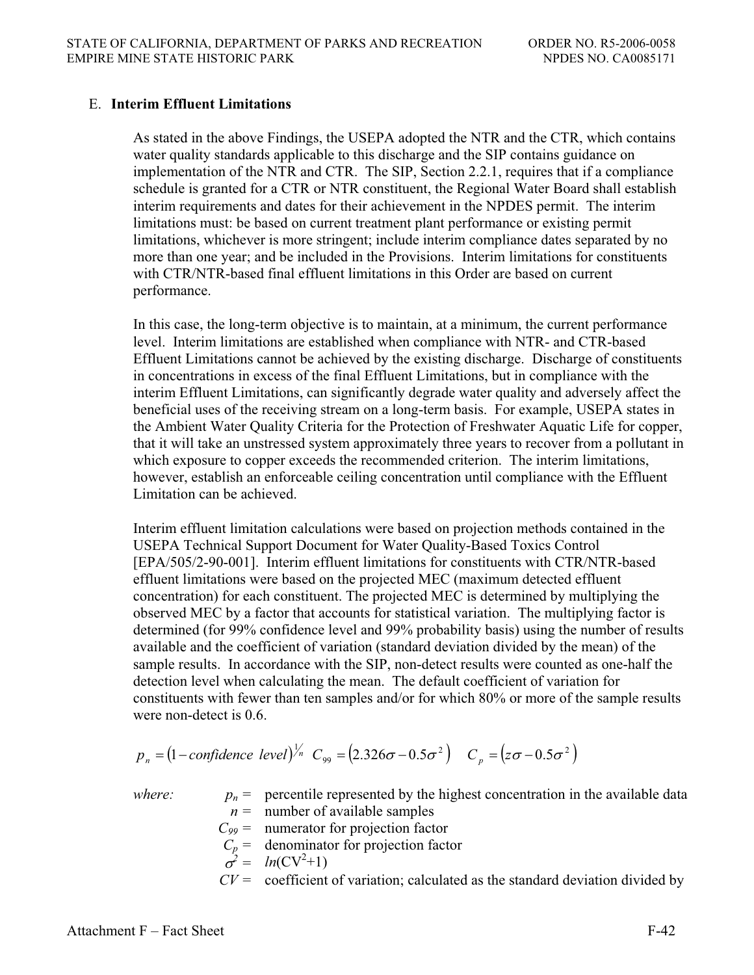### E. **Interim Effluent Limitations**

As stated in the above Findings, the USEPA adopted the NTR and the CTR, which contains water quality standards applicable to this discharge and the SIP contains guidance on implementation of the NTR and CTR. The SIP, Section 2.2.1, requires that if a compliance schedule is granted for a CTR or NTR constituent, the Regional Water Board shall establish interim requirements and dates for their achievement in the NPDES permit. The interim limitations must: be based on current treatment plant performance or existing permit limitations, whichever is more stringent; include interim compliance dates separated by no more than one year; and be included in the Provisions. Interim limitations for constituents with CTR/NTR-based final effluent limitations in this Order are based on current performance.

In this case, the long-term objective is to maintain, at a minimum, the current performance level. Interim limitations are established when compliance with NTR- and CTR-based Effluent Limitations cannot be achieved by the existing discharge. Discharge of constituents in concentrations in excess of the final Effluent Limitations, but in compliance with the interim Effluent Limitations, can significantly degrade water quality and adversely affect the beneficial uses of the receiving stream on a long-term basis. For example, USEPA states in the Ambient Water Quality Criteria for the Protection of Freshwater Aquatic Life for copper, that it will take an unstressed system approximately three years to recover from a pollutant in which exposure to copper exceeds the recommended criterion. The interim limitations, however, establish an enforceable ceiling concentration until compliance with the Effluent Limitation can be achieved.

Interim effluent limitation calculations were based on projection methods contained in the USEPA Technical Support Document for Water Quality-Based Toxics Control [EPA/505/2-90-001]. Interim effluent limitations for constituents with CTR/NTR-based effluent limitations were based on the projected MEC (maximum detected effluent concentration) for each constituent. The projected MEC is determined by multiplying the observed MEC by a factor that accounts for statistical variation. The multiplying factor is determined (for 99% confidence level and 99% probability basis) using the number of results available and the coefficient of variation (standard deviation divided by the mean) of the sample results. In accordance with the SIP, non-detect results were counted as one-half the detection level when calculating the mean. The default coefficient of variation for constituents with fewer than ten samples and/or for which 80% or more of the sample results were non-detect is 0.6.

$$
p_n = (1 - confidence \ level)^{1/n} C_{99} = (2.326\sigma - 0.5\sigma^2) C_p = (z\sigma - 0.5\sigma^2)
$$

*where:*  $p_n =$  percentile represented by the highest concentration in the available data  $n =$  number of available samples

- $C_{99}$  = numerator for projection factor
- $C_p$  = denominator for projection factor

$$
\sigma^2 = ln(CV^2 + 1)
$$

 $CV =$  coefficient of variation; calculated as the standard deviation divided by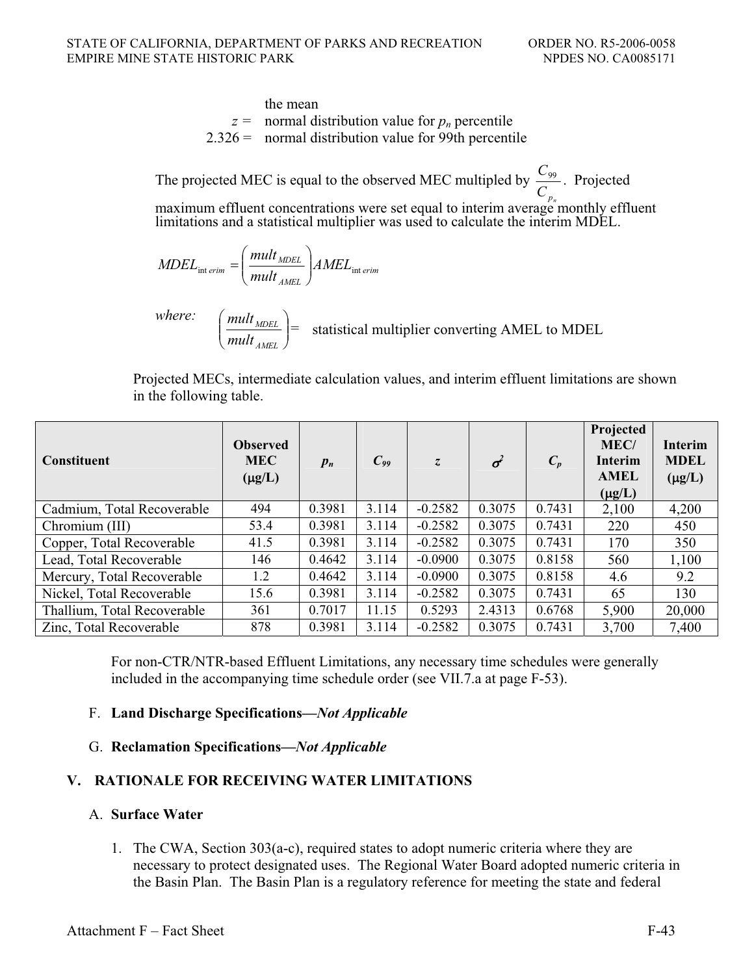### the mean  $z =$  normal distribution value for  $p_n$  percentile  $2.326 =$  normal distribution value for 99th percentile

The projected MEC is equal to the observed MEC multipled by  $C_{p_n}$  $\frac{C_{99}}{2}$ . Projected maximum effluent concentrations were set equal to interim average monthly effluent

limitations and a statistical multiplier was used to calculate the interim MDEL.

$$
MDEL_{int\,erim} = \left(\frac{mult_{MDEL}}{mult_{AMEL}}\right) AMEL_{int\,erim}
$$

*where:*  $\bigg\}$  $\overline{y}$ ·  $\overline{\phantom{a}}$  $\setminus$ § *AMEL MDEL mult*  $\left(\frac{mult_{MDEL}}{l}\right)$  = statistical multiplier converting AMEL to MDEL

Projected MECs, intermediate calculation values, and interim effluent limitations are shown in the following table.

| <b>Constituent</b>          | <b>Observed</b><br><b>MEC</b><br>$(\mu g/L)$ | $p_n$  | $C_{99}$ | $\overline{z}$ | $\sigma^2$ | $C_p$  | Projected<br>MEC/<br><b>Interim</b><br><b>AMEL</b><br>$(\mu g/L)$ | <b>Interim</b><br><b>MDEL</b><br>$(\mu g/L)$ |
|-----------------------------|----------------------------------------------|--------|----------|----------------|------------|--------|-------------------------------------------------------------------|----------------------------------------------|
| Cadmium, Total Recoverable  | 494                                          | 0.3981 | 3.114    | $-0.2582$      | 0.3075     | 0.7431 | 2,100                                                             | 4,200                                        |
| Chromium (III)              | 53.4                                         | 0.3981 | 3.114    | $-0.2582$      | 0.3075     | 0.7431 | 220                                                               | 450                                          |
| Copper, Total Recoverable   | 41.5                                         | 0.3981 | 3.114    | $-0.2582$      | 0.3075     | 0.7431 | 170                                                               | 350                                          |
| Lead, Total Recoverable     | 146                                          | 0.4642 | 3.114    | $-0.0900$      | 0.3075     | 0.8158 | 560                                                               | 1,100                                        |
| Mercury, Total Recoverable  | 1.2                                          | 0.4642 | 3.114    | $-0.0900$      | 0.3075     | 0.8158 | 4.6                                                               | 9.2                                          |
| Nickel, Total Recoverable   | 15.6                                         | 0.3981 | 3.114    | $-0.2582$      | 0.3075     | 0.7431 | 65                                                                | 130                                          |
| Thallium, Total Recoverable | 361                                          | 0.7017 | 11.15    | 0.5293         | 2.4313     | 0.6768 | 5,900                                                             | 20,000                                       |
| Zinc, Total Recoverable     | 878                                          | 0.3981 | 3.114    | $-0.2582$      | 0.3075     | 0.7431 | 3,700                                                             | 7,400                                        |

For non-CTR/NTR-based Effluent Limitations, any necessary time schedules were generally included in the accompanying time schedule order (see VII.7.a at page F-53).

# F. **Land Discharge Specifications—***Not Applicable*

### G. **Reclamation Specifications—***Not Applicable*

# **V. RATIONALE FOR RECEIVING WATER LIMITATIONS**

### A. **Surface Water**

1. The CWA, Section 303(a-c), required states to adopt numeric criteria where they are necessary to protect designated uses. The Regional Water Board adopted numeric criteria in the Basin Plan. The Basin Plan is a regulatory reference for meeting the state and federal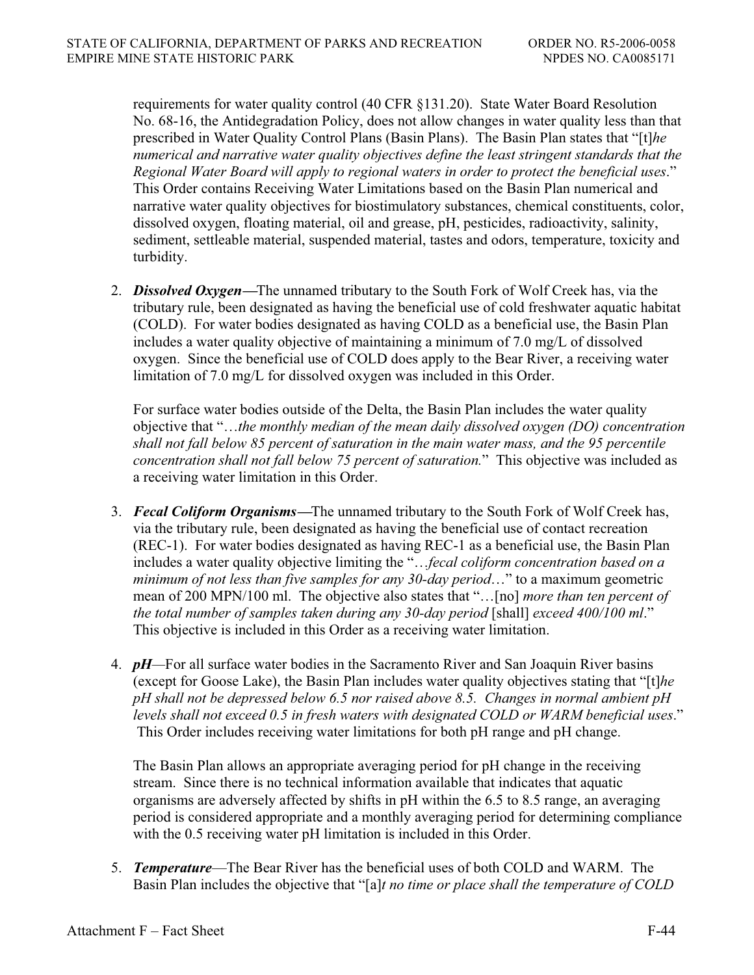requirements for water quality control (40 CFR §131.20). State Water Board Resolution No. 68-16, the Antidegradation Policy, does not allow changes in water quality less than that prescribed in Water Quality Control Plans (Basin Plans). The Basin Plan states that "[t]*he numerical and narrative water quality objectives define the least stringent standards that the Regional Water Board will apply to regional waters in order to protect the beneficial uses*." This Order contains Receiving Water Limitations based on the Basin Plan numerical and narrative water quality objectives for biostimulatory substances, chemical constituents, color, dissolved oxygen, floating material, oil and grease, pH, pesticides, radioactivity, salinity, sediment, settleable material, suspended material, tastes and odors, temperature, toxicity and turbidity.

2. *Dissolved Oxygen***—**The unnamed tributary to the South Fork of Wolf Creek has, via the tributary rule, been designated as having the beneficial use of cold freshwater aquatic habitat (COLD). For water bodies designated as having COLD as a beneficial use, the Basin Plan includes a water quality objective of maintaining a minimum of 7.0 mg/L of dissolved oxygen. Since the beneficial use of COLD does apply to the Bear River, a receiving water limitation of 7.0 mg/L for dissolved oxygen was included in this Order.

For surface water bodies outside of the Delta, the Basin Plan includes the water quality objective that "…*the monthly median of the mean daily dissolved oxygen (DO) concentration shall not fall below 85 percent of saturation in the main water mass, and the 95 percentile concentration shall not fall below 75 percent of saturation.*" This objective was included as a receiving water limitation in this Order.

- 3. *Fecal Coliform Organisms***—**The unnamed tributary to the South Fork of Wolf Creek has, via the tributary rule, been designated as having the beneficial use of contact recreation (REC-1). For water bodies designated as having REC-1 as a beneficial use, the Basin Plan includes a water quality objective limiting the "…*fecal coliform concentration based on a minimum of not less than five samples for any 30-day period*…" to a maximum geometric mean of 200 MPN/100 ml. The objective also states that "…[no] *more than ten percent of the total number of samples taken during any 30-day period* [shall] *exceed 400/100 ml.*" This objective is included in this Order as a receiving water limitation.
- 4. *pH—*For all surface water bodies in the Sacramento River and San Joaquin River basins (except for Goose Lake), the Basin Plan includes water quality objectives stating that "[t]*he pH shall not be depressed below 6.5 nor raised above 8.5. Changes in normal ambient pH levels shall not exceed 0.5 in fresh waters with designated COLD or WARM beneficial uses*." This Order includes receiving water limitations for both pH range and pH change.

The Basin Plan allows an appropriate averaging period for pH change in the receiving stream. Since there is no technical information available that indicates that aquatic organisms are adversely affected by shifts in pH within the 6.5 to 8.5 range, an averaging period is considered appropriate and a monthly averaging period for determining compliance with the 0.5 receiving water pH limitation is included in this Order.

5. *Temperature*—The Bear River has the beneficial uses of both COLD and WARM. The Basin Plan includes the objective that "[a]*t no time or place shall the temperature of COLD*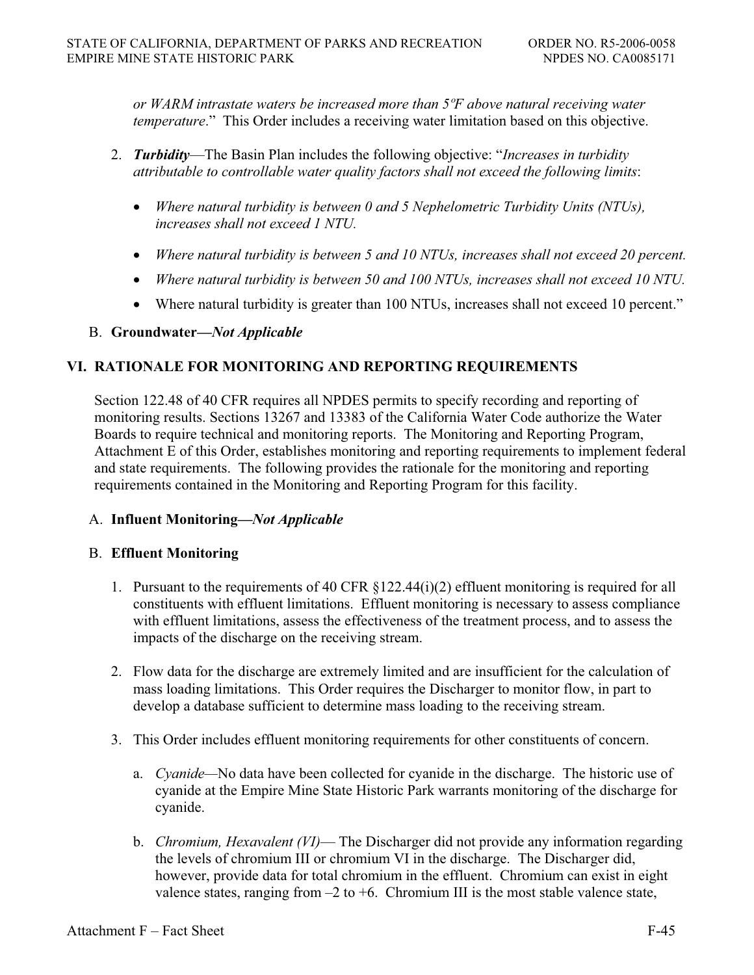*or WARM intrastate waters be increased more than 5ºF above natural receiving water temperature*." This Order includes a receiving water limitation based on this objective.

- 2. *Turbidity*—The Basin Plan includes the following objective: "*Increases in turbidity attributable to controllable water quality factors shall not exceed the following limits*:
	- *Where natural turbidity is between 0 and 5 Nephelometric Turbidity Units (NTUs), increases shall not exceed 1 NTU.*
	- *Where natural turbidity is between 5 and 10 NTUs, increases shall not exceed 20 percent.*
	- x *Where natural turbidity is between 50 and 100 NTUs, increases shall not exceed 10 NTU.*
	- Where natural turbidity is greater than 100 NTUs, increases shall not exceed 10 percent."

# B. **Groundwater—***Not Applicable*

# **VI. RATIONALE FOR MONITORING AND REPORTING REQUIREMENTS**

Section 122.48 of 40 CFR requires all NPDES permits to specify recording and reporting of monitoring results. Sections 13267 and 13383 of the California Water Code authorize the Water Boards to require technical and monitoring reports. The Monitoring and Reporting Program, Attachment E of this Order, establishes monitoring and reporting requirements to implement federal and state requirements. The following provides the rationale for the monitoring and reporting requirements contained in the Monitoring and Reporting Program for this facility.

# A. **Influent Monitoring—***Not Applicable*

# B. **Effluent Monitoring**

- 1. Pursuant to the requirements of 40 CFR  $\S 122.44(i)(2)$  effluent monitoring is required for all constituents with effluent limitations. Effluent monitoring is necessary to assess compliance with effluent limitations, assess the effectiveness of the treatment process, and to assess the impacts of the discharge on the receiving stream.
- 2. Flow data for the discharge are extremely limited and are insufficient for the calculation of mass loading limitations. This Order requires the Discharger to monitor flow, in part to develop a database sufficient to determine mass loading to the receiving stream.
- 3. This Order includes effluent monitoring requirements for other constituents of concern.
	- a. *Cyanide—*No data have been collected for cyanide in the discharge. The historic use of cyanide at the Empire Mine State Historic Park warrants monitoring of the discharge for cyanide.
	- b. *Chromium, Hexavalent (VI)* The Discharger did not provide any information regarding the levels of chromium III or chromium VI in the discharge. The Discharger did, however, provide data for total chromium in the effluent. Chromium can exist in eight valence states, ranging from  $-2$  to  $+6$ . Chromium III is the most stable valence state,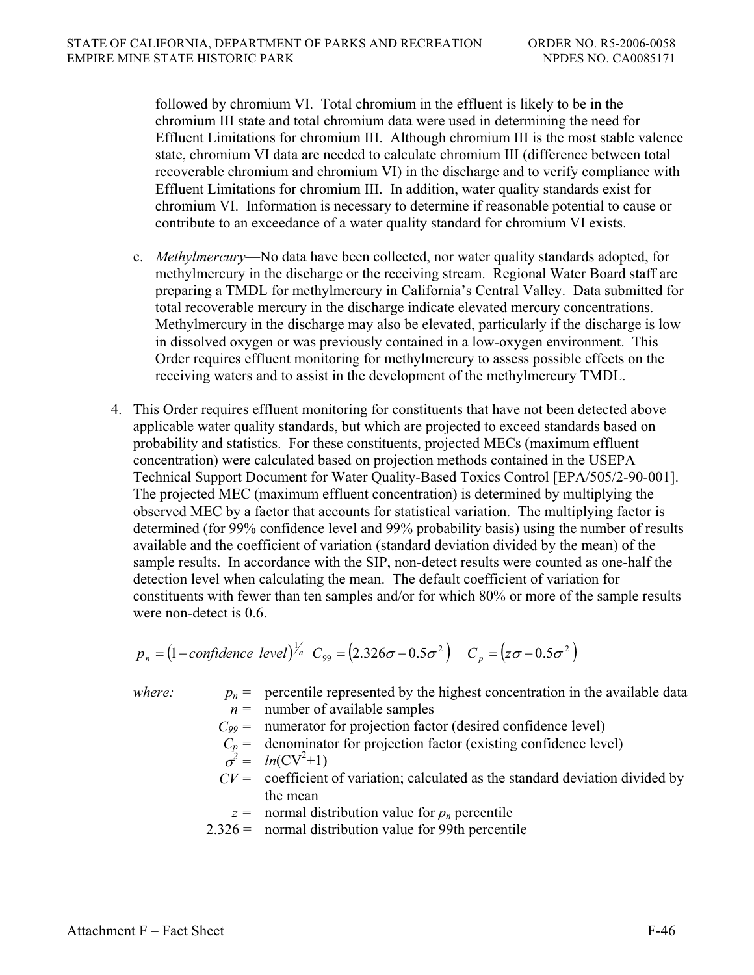followed by chromium VI. Total chromium in the effluent is likely to be in the chromium III state and total chromium data were used in determining the need for Effluent Limitations for chromium III. Although chromium III is the most stable valence state, chromium VI data are needed to calculate chromium III (difference between total recoverable chromium and chromium VI) in the discharge and to verify compliance with Effluent Limitations for chromium III. In addition, water quality standards exist for chromium VI. Information is necessary to determine if reasonable potential to cause or contribute to an exceedance of a water quality standard for chromium VI exists.

- c. *Methylmercury*—No data have been collected, nor water quality standards adopted, for methylmercury in the discharge or the receiving stream. Regional Water Board staff are preparing a TMDL for methylmercury in California's Central Valley. Data submitted for total recoverable mercury in the discharge indicate elevated mercury concentrations. Methylmercury in the discharge may also be elevated, particularly if the discharge is low in dissolved oxygen or was previously contained in a low-oxygen environment. This Order requires effluent monitoring for methylmercury to assess possible effects on the receiving waters and to assist in the development of the methylmercury TMDL.
- 4. This Order requires effluent monitoring for constituents that have not been detected above applicable water quality standards, but which are projected to exceed standards based on probability and statistics. For these constituents, projected MECs (maximum effluent concentration) were calculated based on projection methods contained in the USEPA Technical Support Document for Water Quality-Based Toxics Control [EPA/505/2-90-001]. The projected MEC (maximum effluent concentration) is determined by multiplying the observed MEC by a factor that accounts for statistical variation. The multiplying factor is determined (for 99% confidence level and 99% probability basis) using the number of results available and the coefficient of variation (standard deviation divided by the mean) of the sample results. In accordance with the SIP, non-detect results were counted as one-half the detection level when calculating the mean. The default coefficient of variation for constituents with fewer than ten samples and/or for which 80% or more of the sample results were non-detect is 0.6.

$$
p_n = (1 - confidence \ level)^{1/n} C_{99} = (2.326\sigma - 0.5\sigma^2) C_p = (z\sigma - 0.5\sigma^2)
$$

*where:*  $p_n =$  percentile represented by the highest concentration in the available data  $n =$  number of available samples

- $C_{99}$  = numerator for projection factor (desired confidence level)
- $C_p$  = denominator for projection factor (existing confidence level)

$$
\sigma^2 = ln(CV^2 + 1)
$$

- $CV =$  coefficient of variation; calculated as the standard deviation divided by the mean
	- $z =$  normal distribution value for  $p_n$  percentile
- $2.326 =$  normal distribution value for 99th percentile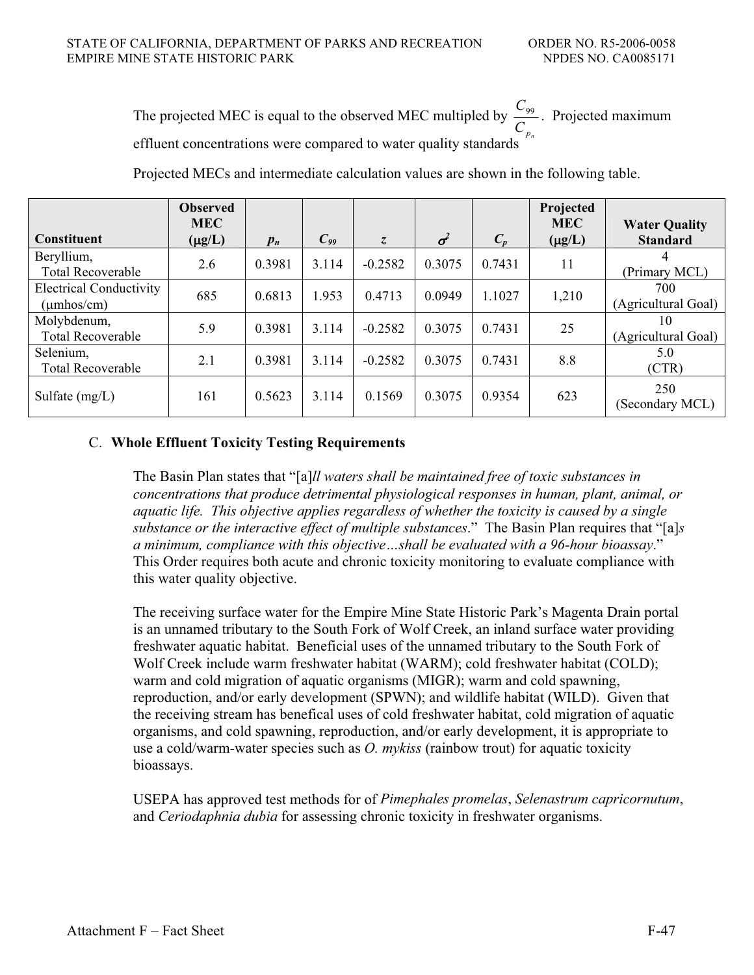The projected MEC is equal to the observed MEC multipled by  $C_{p_n}$  $\frac{C_{99}}{2}$ . Projected maximum effluent concentrations were compared to water quality standards

| <b>Constituent</b>                                   | <b>Observed</b><br><b>MEC</b><br>$(\mu g/L)$ | $p_n$  | $C_{99}$ | $\overline{\mathcal{L}}$ | $\sigma^2$ | $C_p$  | Projected<br><b>MEC</b><br>$(\mu g/L)$ | <b>Water Quality</b><br><b>Standard</b> |
|------------------------------------------------------|----------------------------------------------|--------|----------|--------------------------|------------|--------|----------------------------------------|-----------------------------------------|
| Beryllium,<br><b>Total Recoverable</b>               | 2.6                                          | 0.3981 | 3.114    | $-0.2582$                | 0.3075     | 0.7431 | 11                                     | (Primary MCL)                           |
| <b>Electrical Conductivity</b><br>$(\mu$ mhos/cm $)$ | 685                                          | 0.6813 | 1.953    | 0.4713                   | 0.0949     | 1.1027 | 1,210                                  | 700<br>(Agricultural Goal)              |
| Molybdenum,<br><b>Total Recoverable</b>              | 5.9                                          | 0.3981 | 3.114    | $-0.2582$                | 0.3075     | 0.7431 | 25                                     | 10<br>(Agricultural Goal)               |
| Selenium,<br><b>Total Recoverable</b>                | 2.1                                          | 0.3981 | 3.114    | $-0.2582$                | 0.3075     | 0.7431 | 8.8                                    | 5.0<br>(CTR)                            |
| Sulfate $(mg/L)$                                     | 161                                          | 0.5623 | 3.114    | 0.1569                   | 0.3075     | 0.9354 | 623                                    | 250<br>(Secondary MCL)                  |

Projected MECs and intermediate calculation values are shown in the following table.

# C. **Whole Effluent Toxicity Testing Requirements**

The Basin Plan states that "[a]*ll waters shall be maintained free of toxic substances in concentrations that produce detrimental physiological responses in human, plant, animal, or aquatic life. This objective applies regardless of whether the toxicity is caused by a single substance or the interactive effect of multiple substances*." The Basin Plan requires that "[a]*s a minimum, compliance with this objective…shall be evaluated with a 96-hour bioassay*." This Order requires both acute and chronic toxicity monitoring to evaluate compliance with this water quality objective.

The receiving surface water for the Empire Mine State Historic Park's Magenta Drain portal is an unnamed tributary to the South Fork of Wolf Creek, an inland surface water providing freshwater aquatic habitat. Beneficial uses of the unnamed tributary to the South Fork of Wolf Creek include warm freshwater habitat (WARM); cold freshwater habitat (COLD); warm and cold migration of aquatic organisms (MIGR); warm and cold spawning, reproduction, and/or early development (SPWN); and wildlife habitat (WILD). Given that the receiving stream has benefical uses of cold freshwater habitat, cold migration of aquatic organisms, and cold spawning, reproduction, and/or early development, it is appropriate to use a cold/warm-water species such as *O. mykiss* (rainbow trout) for aquatic toxicity bioassays.

USEPA has approved test methods for of *Pimephales promelas*, *Selenastrum capricornutum*, and *Ceriodaphnia dubia* for assessing chronic toxicity in freshwater organisms.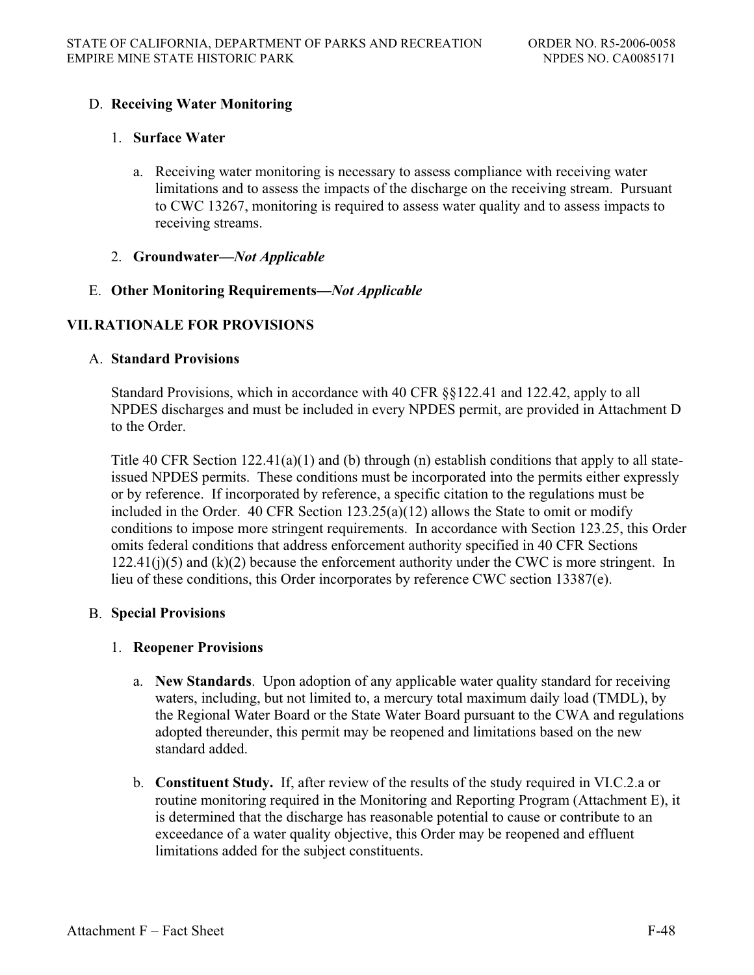# D. **Receiving Water Monitoring**

### 1. **Surface Water**

- a. Receiving water monitoring is necessary to assess compliance with receiving water limitations and to assess the impacts of the discharge on the receiving stream. Pursuant to CWC 13267, monitoring is required to assess water quality and to assess impacts to receiving streams.
- 2. **Groundwater—***Not Applicable*

### E. **Other Monitoring Requirements—***Not Applicable*

# **VII. RATIONALE FOR PROVISIONS**

### A. **Standard Provisions**

Standard Provisions, which in accordance with 40 CFR §§122.41 and 122.42, apply to all NPDES discharges and must be included in every NPDES permit, are provided in Attachment D to the Order.

Title 40 CFR Section  $122.41(a)(1)$  and (b) through (n) establish conditions that apply to all stateissued NPDES permits. These conditions must be incorporated into the permits either expressly or by reference. If incorporated by reference, a specific citation to the regulations must be included in the Order. 40 CFR Section 123.25(a)(12) allows the State to omit or modify conditions to impose more stringent requirements. In accordance with Section 123.25, this Order omits federal conditions that address enforcement authority specified in 40 CFR Sections  $122.41(i)$ (5) and (k)(2) because the enforcement authority under the CWC is more stringent. In lieu of these conditions, this Order incorporates by reference CWC section 13387(e).

### B. **Special Provisions**

### 1. **Reopener Provisions**

- a. **New Standards**. Upon adoption of any applicable water quality standard for receiving waters, including, but not limited to, a mercury total maximum daily load (TMDL), by the Regional Water Board or the State Water Board pursuant to the CWA and regulations adopted thereunder, this permit may be reopened and limitations based on the new standard added.
- b. **Constituent Study.** If, after review of the results of the study required in VI.C.2.a or routine monitoring required in the Monitoring and Reporting Program (Attachment E), it is determined that the discharge has reasonable potential to cause or contribute to an exceedance of a water quality objective, this Order may be reopened and effluent limitations added for the subject constituents.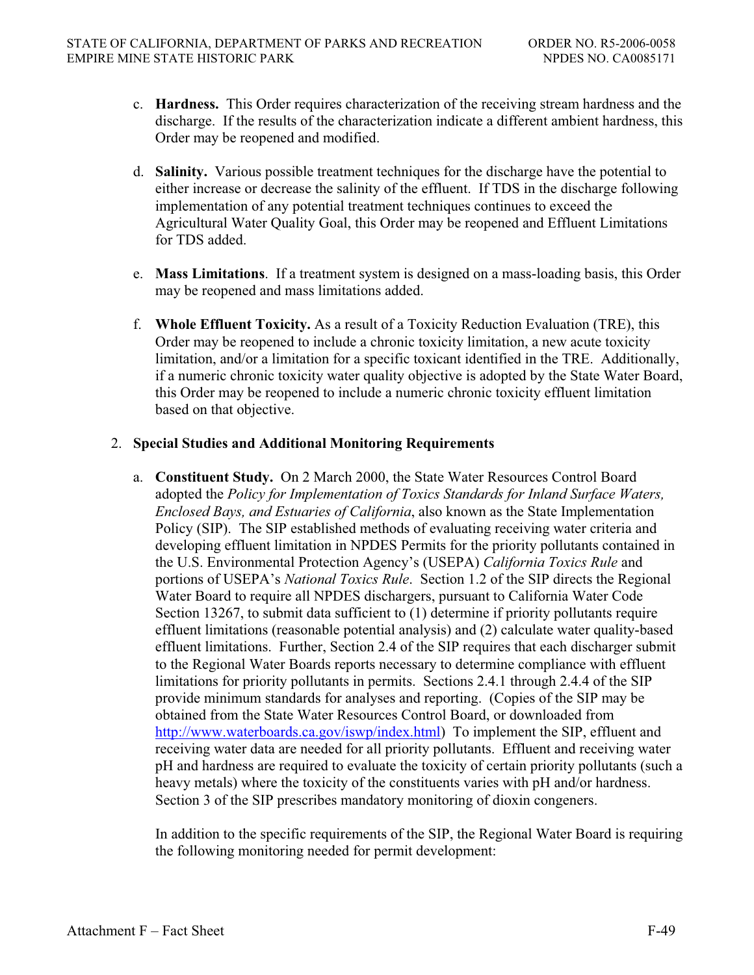- c. **Hardness.** This Order requires characterization of the receiving stream hardness and the discharge. If the results of the characterization indicate a different ambient hardness, this Order may be reopened and modified.
- d. **Salinity.** Various possible treatment techniques for the discharge have the potential to either increase or decrease the salinity of the effluent. If TDS in the discharge following implementation of any potential treatment techniques continues to exceed the Agricultural Water Quality Goal, this Order may be reopened and Effluent Limitations for TDS added.
- e. **Mass Limitations**. If a treatment system is designed on a mass-loading basis, this Order may be reopened and mass limitations added.
- f. **Whole Effluent Toxicity.** As a result of a Toxicity Reduction Evaluation (TRE), this Order may be reopened to include a chronic toxicity limitation, a new acute toxicity limitation, and/or a limitation for a specific toxicant identified in the TRE. Additionally, if a numeric chronic toxicity water quality objective is adopted by the State Water Board, this Order may be reopened to include a numeric chronic toxicity effluent limitation based on that objective.

### 2. **Special Studies and Additional Monitoring Requirements**

a. **Constituent Study.** On 2 March 2000, the State Water Resources Control Board adopted the *Policy for Implementation of Toxics Standards for Inland Surface Waters, Enclosed Bays, and Estuaries of California*, also known as the State Implementation Policy (SIP). The SIP established methods of evaluating receiving water criteria and developing effluent limitation in NPDES Permits for the priority pollutants contained in the U.S. Environmental Protection Agency's (USEPA) *California Toxics Rule* and portions of USEPA's *National Toxics Rule*. Section 1.2 of the SIP directs the Regional Water Board to require all NPDES dischargers, pursuant to California Water Code Section 13267, to submit data sufficient to (1) determine if priority pollutants require effluent limitations (reasonable potential analysis) and (2) calculate water quality-based effluent limitations. Further, Section 2.4 of the SIP requires that each discharger submit to the Regional Water Boards reports necessary to determine compliance with effluent limitations for priority pollutants in permits. Sections 2.4.1 through 2.4.4 of the SIP provide minimum standards for analyses and reporting. (Copies of the SIP may be obtained from the State Water Resources Control Board, or downloaded from http://www.waterboards.ca.gov/iswp/index.html) To implement the SIP, effluent and receiving water data are needed for all priority pollutants. Effluent and receiving water pH and hardness are required to evaluate the toxicity of certain priority pollutants (such a heavy metals) where the toxicity of the constituents varies with pH and/or hardness. Section 3 of the SIP prescribes mandatory monitoring of dioxin congeners.

In addition to the specific requirements of the SIP, the Regional Water Board is requiring the following monitoring needed for permit development: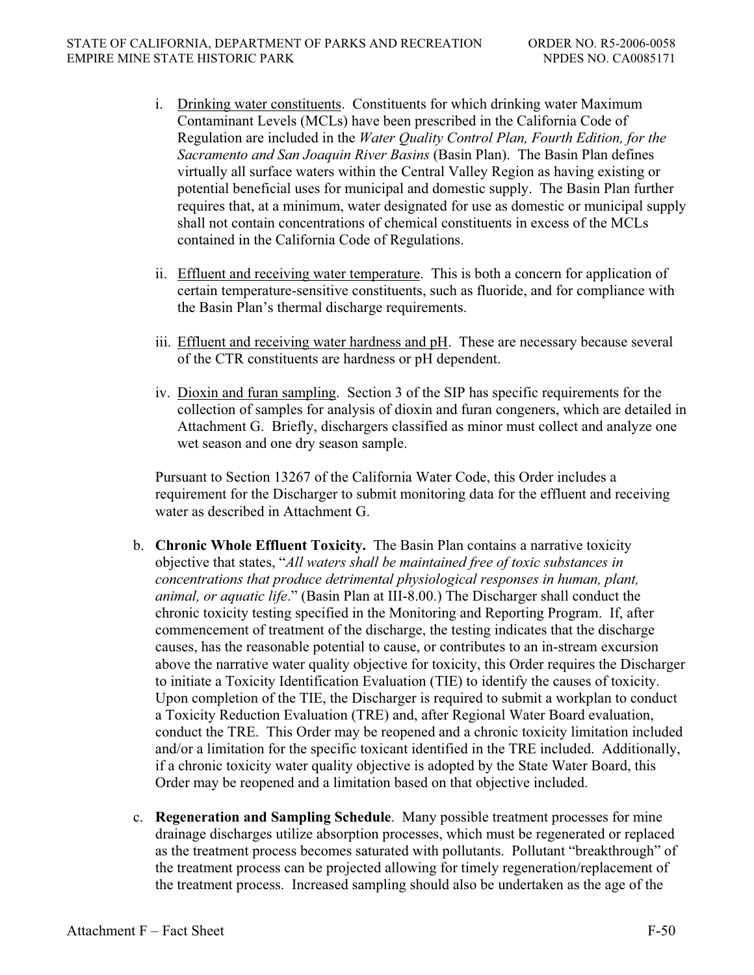- i. Drinking water constituents. Constituents for which drinking water Maximum Contaminant Levels (MCLs) have been prescribed in the California Code of Regulation are included in the *Water Quality Control Plan, Fourth Edition, for the Sacramento and San Joaquin River Basins* (Basin Plan). The Basin Plan defines virtually all surface waters within the Central Valley Region as having existing or potential beneficial uses for municipal and domestic supply. The Basin Plan further requires that, at a minimum, water designated for use as domestic or municipal supply shall not contain concentrations of chemical constituents in excess of the MCLs contained in the California Code of Regulations.
- ii. Effluent and receiving water temperature. This is both a concern for application of certain temperature-sensitive constituents, such as fluoride, and for compliance with the Basin Plan's thermal discharge requirements.
- iii. Effluent and receiving water hardness and pH. These are necessary because several of the CTR constituents are hardness or pH dependent.
- iv. Dioxin and furan sampling. Section 3 of the SIP has specific requirements for the collection of samples for analysis of dioxin and furan congeners, which are detailed in Attachment G. Briefly, dischargers classified as minor must collect and analyze one wet season and one dry season sample.

Pursuant to Section 13267 of the California Water Code, this Order includes a requirement for the Discharger to submit monitoring data for the effluent and receiving water as described in Attachment G.

- b. **Chronic Whole Effluent Toxicity.** The Basin Plan contains a narrative toxicity objective that states, "*All waters shall be maintained free of toxic substances in concentrations that produce detrimental physiological responses in human, plant, animal, or aquatic life*." (Basin Plan at III-8.00.) The Discharger shall conduct the chronic toxicity testing specified in the Monitoring and Reporting Program. If, after commencement of treatment of the discharge, the testing indicates that the discharge causes, has the reasonable potential to cause, or contributes to an in-stream excursion above the narrative water quality objective for toxicity, this Order requires the Discharger to initiate a Toxicity Identification Evaluation (TIE) to identify the causes of toxicity. Upon completion of the TIE, the Discharger is required to submit a workplan to conduct a Toxicity Reduction Evaluation (TRE) and, after Regional Water Board evaluation, conduct the TRE. This Order may be reopened and a chronic toxicity limitation included and/or a limitation for the specific toxicant identified in the TRE included. Additionally, if a chronic toxicity water quality objective is adopted by the State Water Board, this Order may be reopened and a limitation based on that objective included.
- c. **Regeneration and Sampling Schedule**. Many possible treatment processes for mine drainage discharges utilize absorption processes, which must be regenerated or replaced as the treatment process becomes saturated with pollutants. Pollutant "breakthrough" of the treatment process can be projected allowing for timely regeneration/replacement of the treatment process. Increased sampling should also be undertaken as the age of the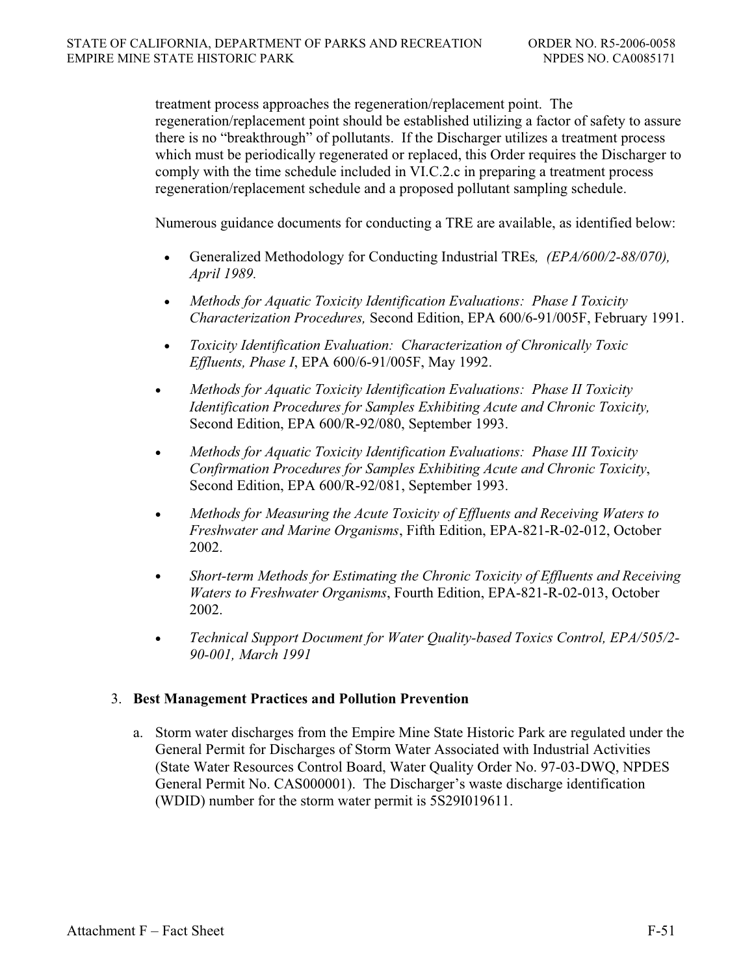treatment process approaches the regeneration/replacement point. The regeneration/replacement point should be established utilizing a factor of safety to assure there is no "breakthrough" of pollutants. If the Discharger utilizes a treatment process which must be periodically regenerated or replaced, this Order requires the Discharger to comply with the time schedule included in VI.C.2.c in preparing a treatment process regeneration/replacement schedule and a proposed pollutant sampling schedule.

Numerous guidance documents for conducting a TRE are available, as identified below:

- x Generalized Methodology for Conducting Industrial TREs*, (EPA/600/2-88/070), April 1989.*
- x *Methods for Aquatic Toxicity Identification Evaluations: Phase I Toxicity Characterization Procedures,* Second Edition, EPA 600/6-91/005F, February 1991.
- x *Toxicity Identification Evaluation: Characterization of Chronically Toxic Effluents, Phase I*, EPA 600/6-91/005F, May 1992.
- x *Methods for Aquatic Toxicity Identification Evaluations: Phase II Toxicity Identification Procedures for Samples Exhibiting Acute and Chronic Toxicity,*  Second Edition, EPA 600/R-92/080, September 1993.
- x *Methods for Aquatic Toxicity Identification Evaluations: Phase III Toxicity Confirmation Procedures for Samples Exhibiting Acute and Chronic Toxicity*, Second Edition, EPA 600/R-92/081, September 1993.
- x *Methods for Measuring the Acute Toxicity of Effluents and Receiving Waters to Freshwater and Marine Organisms*, Fifth Edition, EPA-821-R-02-012, October 2002.
- x *Short-term Methods for Estimating the Chronic Toxicity of Effluents and Receiving Waters to Freshwater Organisms*, Fourth Edition, EPA-821-R-02-013, October 2002.
- x *Technical Support Document for Water Quality-based Toxics Control, EPA/505/2- 90-001, March 1991*

# 3. **Best Management Practices and Pollution Prevention**

a. Storm water discharges from the Empire Mine State Historic Park are regulated under the General Permit for Discharges of Storm Water Associated with Industrial Activities (State Water Resources Control Board, Water Quality Order No. 97-03-DWQ, NPDES General Permit No. CAS000001). The Discharger's waste discharge identification (WDID) number for the storm water permit is 5S29I019611.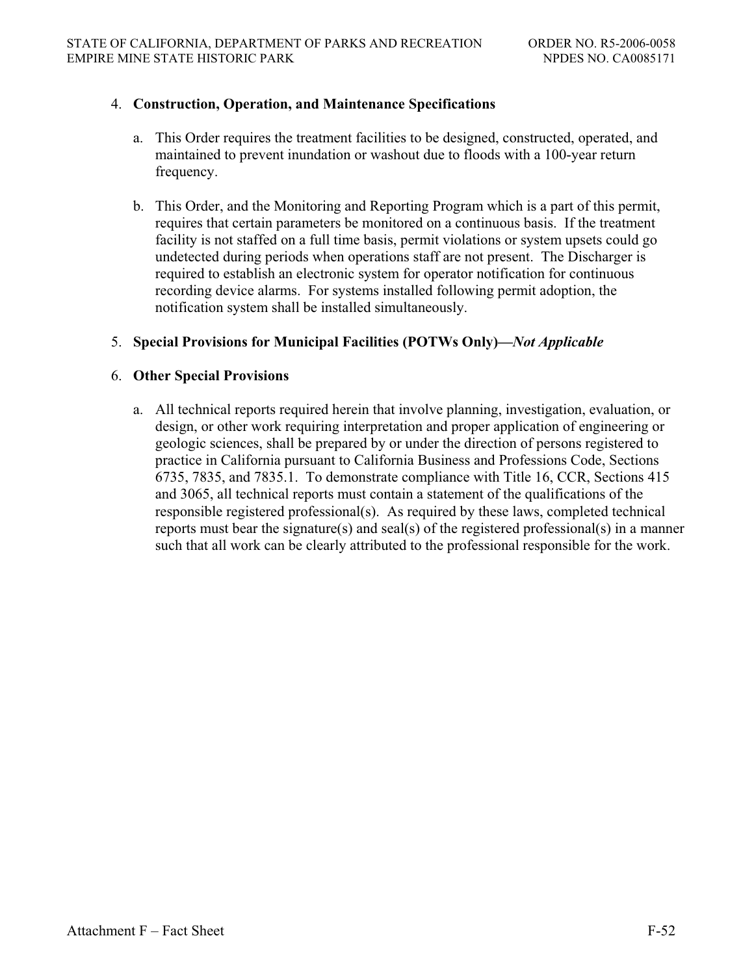### 4. **Construction, Operation, and Maintenance Specifications**

- a. This Order requires the treatment facilities to be designed, constructed, operated, and maintained to prevent inundation or washout due to floods with a 100-year return frequency.
- b. This Order, and the Monitoring and Reporting Program which is a part of this permit, requires that certain parameters be monitored on a continuous basis. If the treatment facility is not staffed on a full time basis, permit violations or system upsets could go undetected during periods when operations staff are not present. The Discharger is required to establish an electronic system for operator notification for continuous recording device alarms. For systems installed following permit adoption, the notification system shall be installed simultaneously.

### 5. **Special Provisions for Municipal Facilities (POTWs Only)—***Not Applicable*

### 6. **Other Special Provisions**

a. All technical reports required herein that involve planning, investigation, evaluation, or design, or other work requiring interpretation and proper application of engineering or geologic sciences, shall be prepared by or under the direction of persons registered to practice in California pursuant to California Business and Professions Code, Sections 6735, 7835, and 7835.1. To demonstrate compliance with Title 16, CCR, Sections 415 and 3065, all technical reports must contain a statement of the qualifications of the responsible registered professional(s). As required by these laws, completed technical reports must bear the signature(s) and seal(s) of the registered professional(s) in a manner such that all work can be clearly attributed to the professional responsible for the work.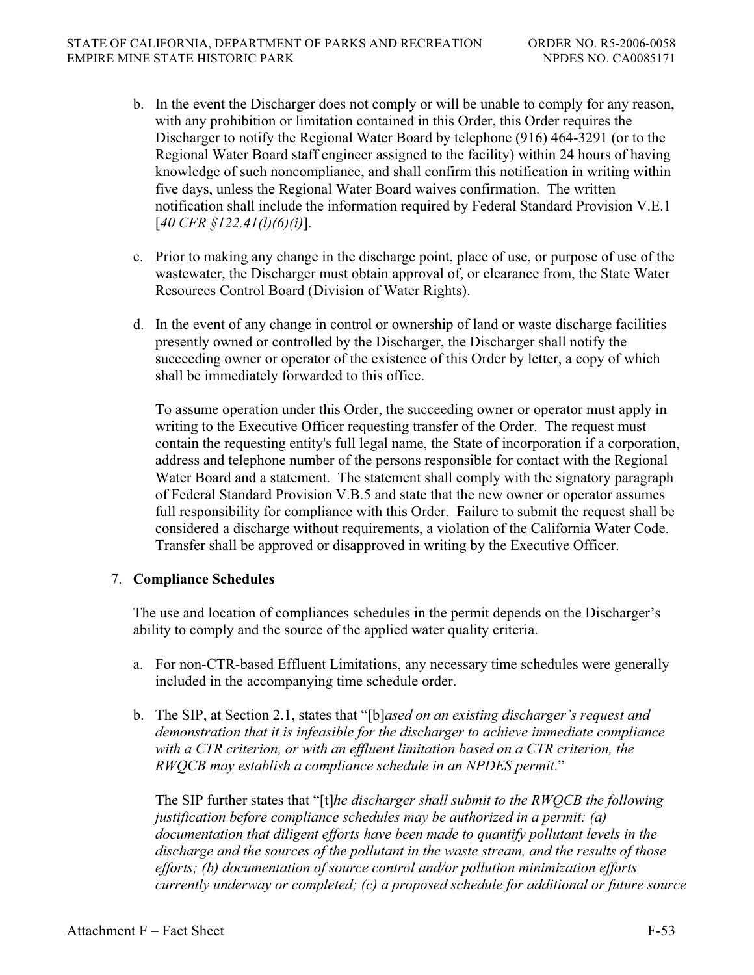- b. In the event the Discharger does not comply or will be unable to comply for any reason, with any prohibition or limitation contained in this Order, this Order requires the Discharger to notify the Regional Water Board by telephone (916) 464-3291 (or to the Regional Water Board staff engineer assigned to the facility) within 24 hours of having knowledge of such noncompliance, and shall confirm this notification in writing within five days, unless the Regional Water Board waives confirmation. The written notification shall include the information required by Federal Standard Provision V.E.1 [*40 CFR §122.41(l)(6)(i)*].
- c. Prior to making any change in the discharge point, place of use, or purpose of use of the wastewater, the Discharger must obtain approval of, or clearance from, the State Water Resources Control Board (Division of Water Rights).
- d. In the event of any change in control or ownership of land or waste discharge facilities presently owned or controlled by the Discharger, the Discharger shall notify the succeeding owner or operator of the existence of this Order by letter, a copy of which shall be immediately forwarded to this office.

To assume operation under this Order, the succeeding owner or operator must apply in writing to the Executive Officer requesting transfer of the Order. The request must contain the requesting entity's full legal name, the State of incorporation if a corporation, address and telephone number of the persons responsible for contact with the Regional Water Board and a statement. The statement shall comply with the signatory paragraph of Federal Standard Provision V.B.5 and state that the new owner or operator assumes full responsibility for compliance with this Order. Failure to submit the request shall be considered a discharge without requirements, a violation of the California Water Code. Transfer shall be approved or disapproved in writing by the Executive Officer.

# 7. **Compliance Schedules**

The use and location of compliances schedules in the permit depends on the Discharger's ability to comply and the source of the applied water quality criteria.

- a. For non-CTR-based Effluent Limitations, any necessary time schedules were generally included in the accompanying time schedule order.
- b. The SIP, at Section 2.1, states that "[b]*ased on an existing discharger's request and demonstration that it is infeasible for the discharger to achieve immediate compliance with a CTR criterion, or with an effluent limitation based on a CTR criterion, the RWQCB may establish a compliance schedule in an NPDES permit*."

The SIP further states that "[t]*he discharger shall submit to the RWQCB the following justification before compliance schedules may be authorized in a permit: (a) documentation that diligent efforts have been made to quantify pollutant levels in the discharge and the sources of the pollutant in the waste stream, and the results of those efforts; (b) documentation of source control and/or pollution minimization efforts currently underway or completed; (c) a proposed schedule for additional or future source*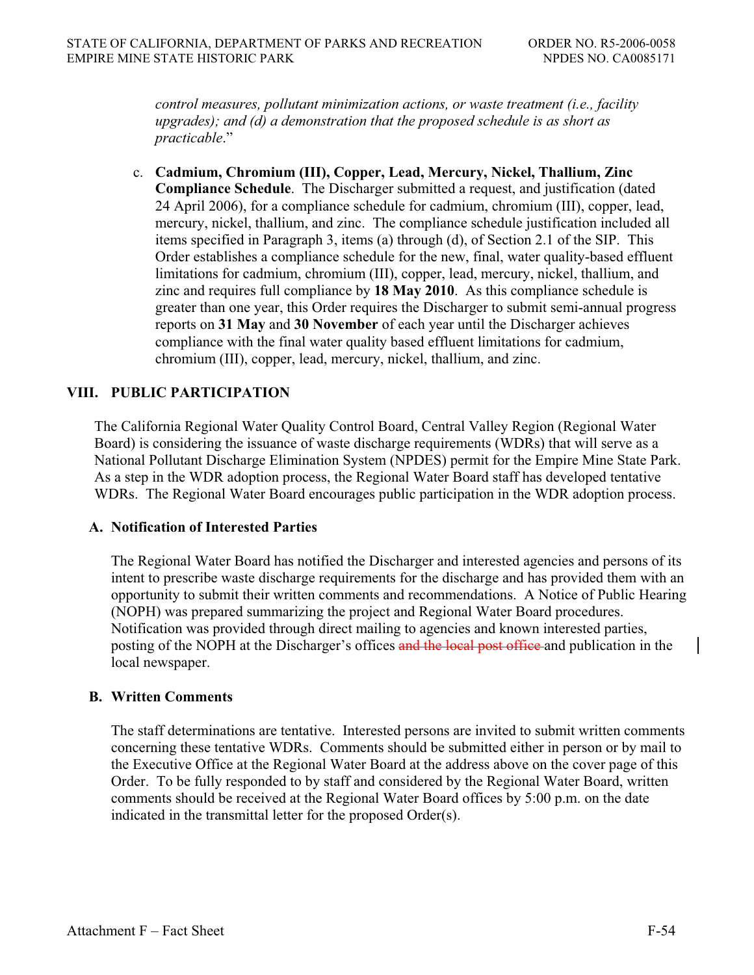*control measures, pollutant minimization actions, or waste treatment (i.e., facility upgrades); and (d) a demonstration that the proposed schedule is as short as practicable*."

c. **Cadmium, Chromium (III), Copper, Lead, Mercury, Nickel, Thallium, Zinc Compliance Schedule**. The Discharger submitted a request, and justification (dated 24 April 2006), for a compliance schedule for cadmium, chromium (III), copper, lead, mercury, nickel, thallium, and zinc. The compliance schedule justification included all items specified in Paragraph 3, items (a) through (d), of Section 2.1 of the SIP. This Order establishes a compliance schedule for the new, final, water quality-based effluent limitations for cadmium, chromium (III), copper, lead, mercury, nickel, thallium, and zinc and requires full compliance by **18 May 2010**. As this compliance schedule is greater than one year, this Order requires the Discharger to submit semi-annual progress reports on **31 May** and **30 November** of each year until the Discharger achieves compliance with the final water quality based effluent limitations for cadmium, chromium (III), copper, lead, mercury, nickel, thallium, and zinc.

# **VIII. PUBLIC PARTICIPATION**

The California Regional Water Quality Control Board, Central Valley Region (Regional Water Board) is considering the issuance of waste discharge requirements (WDRs) that will serve as a National Pollutant Discharge Elimination System (NPDES) permit for the Empire Mine State Park. As a step in the WDR adoption process, the Regional Water Board staff has developed tentative WDRs. The Regional Water Board encourages public participation in the WDR adoption process.

### **A. Notification of Interested Parties**

The Regional Water Board has notified the Discharger and interested agencies and persons of its intent to prescribe waste discharge requirements for the discharge and has provided them with an opportunity to submit their written comments and recommendations. A Notice of Public Hearing (NOPH) was prepared summarizing the project and Regional Water Board procedures. Notification was provided through direct mailing to agencies and known interested parties, posting of the NOPH at the Discharger's offices and the local post office and publication in the local newspaper.

#### **B. Written Comments**

The staff determinations are tentative. Interested persons are invited to submit written comments concerning these tentative WDRs. Comments should be submitted either in person or by mail to the Executive Office at the Regional Water Board at the address above on the cover page of this Order. To be fully responded to by staff and considered by the Regional Water Board, written comments should be received at the Regional Water Board offices by 5:00 p.m. on the date indicated in the transmittal letter for the proposed Order(s).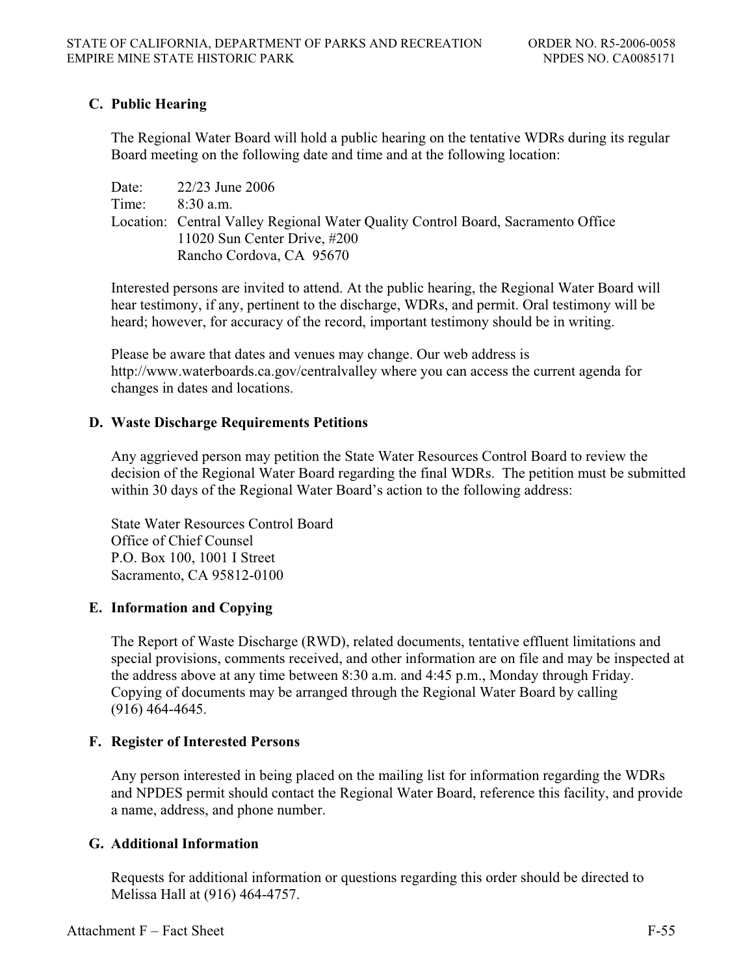# **C. Public Hearing**

The Regional Water Board will hold a public hearing on the tentative WDRs during its regular Board meeting on the following date and time and at the following location:

Date: 22/23 June 2006 Time: 8:30 a.m. Location: Central Valley Regional Water Quality Control Board, Sacramento Office 11020 Sun Center Drive, #200 Rancho Cordova, CA 95670

Interested persons are invited to attend. At the public hearing, the Regional Water Board will hear testimony, if any, pertinent to the discharge, WDRs, and permit. Oral testimony will be heard; however, for accuracy of the record, important testimony should be in writing.

Please be aware that dates and venues may change. Our web address is http://www.waterboards.ca.gov/centralvalley where you can access the current agenda for changes in dates and locations.

### **D. Waste Discharge Requirements Petitions**

Any aggrieved person may petition the State Water Resources Control Board to review the decision of the Regional Water Board regarding the final WDRs. The petition must be submitted within 30 days of the Regional Water Board's action to the following address:

State Water Resources Control Board Office of Chief Counsel P.O. Box 100, 1001 I Street Sacramento, CA 95812-0100

# **E. Information and Copying**

The Report of Waste Discharge (RWD), related documents, tentative effluent limitations and special provisions, comments received, and other information are on file and may be inspected at the address above at any time between 8:30 a.m. and 4:45 p.m., Monday through Friday. Copying of documents may be arranged through the Regional Water Board by calling (916) 464-4645.

# **F. Register of Interested Persons**

Any person interested in being placed on the mailing list for information regarding the WDRs and NPDES permit should contact the Regional Water Board, reference this facility, and provide a name, address, and phone number.

# **G. Additional Information**

Requests for additional information or questions regarding this order should be directed to Melissa Hall at (916) 464-4757.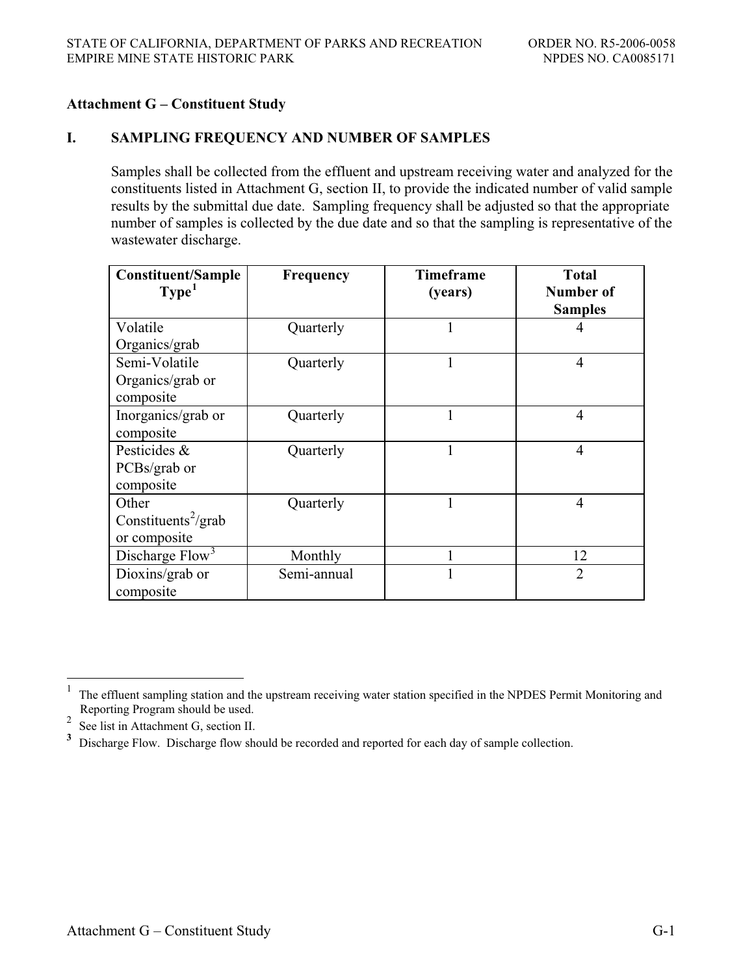# **Attachment G – Constituent Study**

### **I. SAMPLING FREQUENCY AND NUMBER OF SAMPLES**

Samples shall be collected from the effluent and upstream receiving water and analyzed for the constituents listed in Attachment G, section II, to provide the indicated number of valid sample results by the submittal due date. Sampling frequency shall be adjusted so that the appropriate number of samples is collected by the due date and so that the sampling is representative of the wastewater discharge.

| <b>Constituent/Sample</b><br>Type <sup>1</sup> | Frequency   | <b>Timeframe</b><br>(years) | <b>Total</b><br>Number of |
|------------------------------------------------|-------------|-----------------------------|---------------------------|
|                                                |             |                             | <b>Samples</b>            |
| Volatile                                       | Quarterly   |                             | 4                         |
| Organics/grab                                  |             |                             |                           |
| Semi-Volatile                                  | Quarterly   |                             | $\overline{4}$            |
| Organics/grab or                               |             |                             |                           |
| composite                                      |             |                             |                           |
| Inorganics/grab or                             | Quarterly   |                             | $\overline{4}$            |
| composite                                      |             |                             |                           |
| Pesticides &                                   | Quarterly   |                             | $\overline{4}$            |
| PCBs/grab or                                   |             |                             |                           |
| composite                                      |             |                             |                           |
| Other                                          | Quarterly   |                             | $\overline{4}$            |
| Constituents <sup>2</sup> /grab                |             |                             |                           |
| or composite                                   |             |                             |                           |
| Discharge Flow <sup>3</sup>                    | Monthly     |                             | 12                        |
| Dioxins/grab or                                | Semi-annual |                             | $\overline{2}$            |
| composite                                      |             |                             |                           |

 $\overline{a}$ 

<sup>&</sup>lt;sup>1</sup> The effluent sampling station and the upstream receiving water station specified in the NPDES Permit Monitoring and Reporting Program should be used.

<sup>&</sup>lt;sup>2</sup> See list in Attachment G, section II.

**<sup>3</sup>** Discharge Flow. Discharge flow should be recorded and reported for each day of sample collection.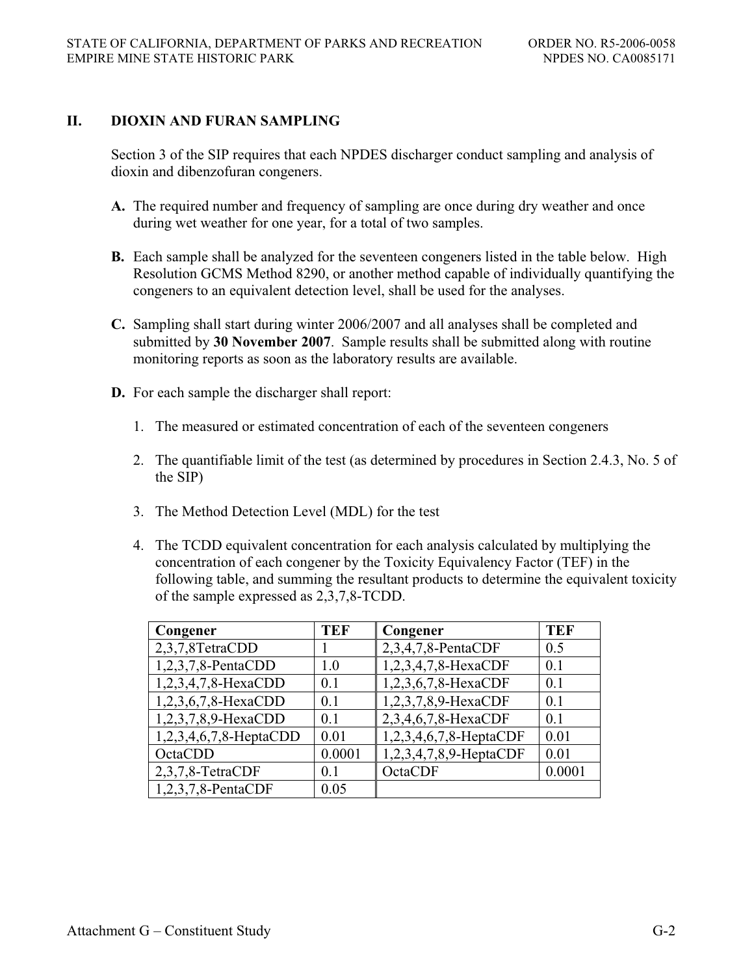### **II. DIOXIN AND FURAN SAMPLING**

Section 3 of the SIP requires that each NPDES discharger conduct sampling and analysis of dioxin and dibenzofuran congeners.

- **A.** The required number and frequency of sampling are once during dry weather and once during wet weather for one year, for a total of two samples.
- **B.** Each sample shall be analyzed for the seventeen congeners listed in the table below. High Resolution GCMS Method 8290, or another method capable of individually quantifying the congeners to an equivalent detection level, shall be used for the analyses.
- **C.** Sampling shall start during winter 2006/2007 and all analyses shall be completed and submitted by **30 November 2007**. Sample results shall be submitted along with routine monitoring reports as soon as the laboratory results are available.
- **D.** For each sample the discharger shall report:
	- 1. The measured or estimated concentration of each of the seventeen congeners
	- 2. The quantifiable limit of the test (as determined by procedures in Section 2.4.3, No. 5 of the SIP)
	- 3. The Method Detection Level (MDL) for the test
	- 4. The TCDD equivalent concentration for each analysis calculated by multiplying the concentration of each congener by the Toxicity Equivalency Factor (TEF) in the following table, and summing the resultant products to determine the equivalent toxicity of the sample expressed as 2,3,7,8-TCDD.

| Congener               | TEF    | Congener               | TEF    |
|------------------------|--------|------------------------|--------|
| 2,3,7,8TetraCDD        |        | 2,3,4,7,8-PentaCDF     | 0.5    |
| 1,2,3,7,8-PentaCDD     | 1.0    | 1,2,3,4,7,8-HexaCDF    | 0.1    |
| 1,2,3,4,7,8-HexaCDD    | 0.1    | 1,2,3,6,7,8-HexaCDF    | 0.1    |
| 1,2,3,6,7,8-HexaCDD    | 0.1    | 1,2,3,7,8,9-HexaCDF    | 0.1    |
| 1,2,3,7,8,9-HexaCDD    | 0.1    | 2,3,4,6,7,8-HexaCDF    | 0.1    |
| 1,2,3,4,6,7,8-HeptaCDD | 0.01   | 1,2,3,4,6,7,8-HeptaCDF | 0.01   |
| OctaCDD                | 0.0001 | 1,2,3,4,7,8,9-HeptaCDF | 0.01   |
| 2,3,7,8-TetraCDF       | 0.1    | OctaCDF                | 0.0001 |
| 1,2,3,7,8-PentaCDF     | 0.05   |                        |        |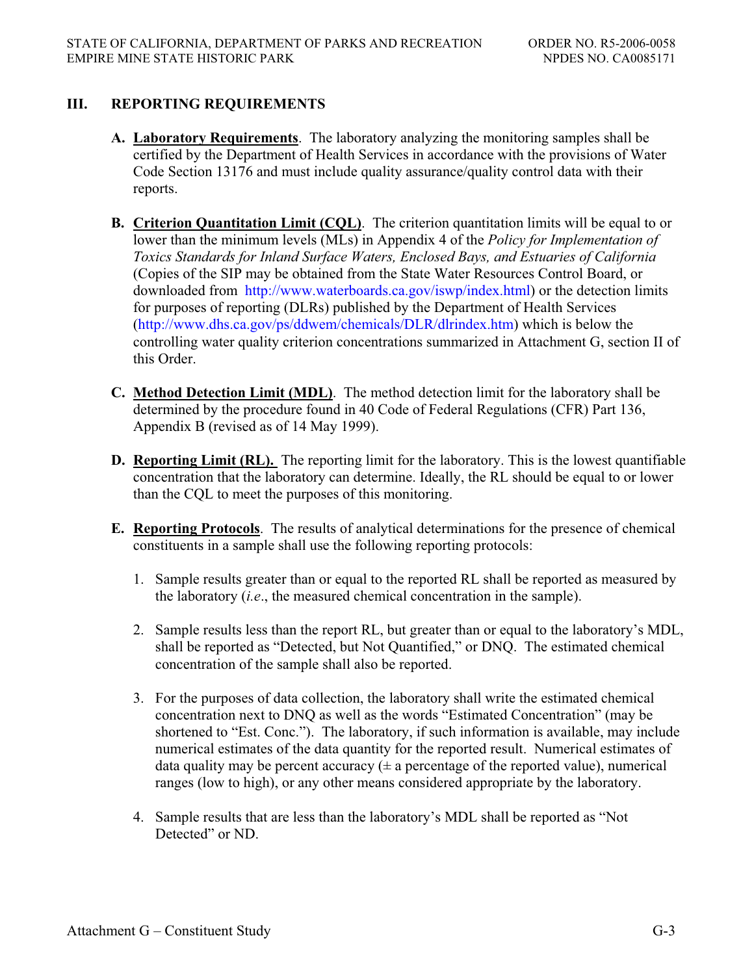# **III. REPORTING REQUIREMENTS**

- **A. Laboratory Requirements**. The laboratory analyzing the monitoring samples shall be certified by the Department of Health Services in accordance with the provisions of Water Code Section 13176 and must include quality assurance/quality control data with their reports.
- **B. Criterion Quantitation Limit (CQL)**. The criterion quantitation limits will be equal to or lower than the minimum levels (MLs) in Appendix 4 of the *Policy for Implementation of Toxics Standards for Inland Surface Waters, Enclosed Bays, and Estuaries of California* (Copies of the SIP may be obtained from the State Water Resources Control Board, or downloaded from http://www.waterboards.ca.gov/iswp/index.html) or the detection limits for purposes of reporting (DLRs) published by the Department of Health Services (http://www.dhs.ca.gov/ps/ddwem/chemicals/DLR/dlrindex.htm) which is below the controlling water quality criterion concentrations summarized in Attachment G, section II of this Order.
- **C. Method Detection Limit (MDL)**. The method detection limit for the laboratory shall be determined by the procedure found in 40 Code of Federal Regulations (CFR) Part 136, Appendix B (revised as of 14 May 1999).
- **D. Reporting Limit (RL).** The reporting limit for the laboratory. This is the lowest quantifiable concentration that the laboratory can determine. Ideally, the RL should be equal to or lower than the CQL to meet the purposes of this monitoring.
- **E. Reporting Protocols**. The results of analytical determinations for the presence of chemical constituents in a sample shall use the following reporting protocols:
	- 1. Sample results greater than or equal to the reported RL shall be reported as measured by the laboratory (*i.e*., the measured chemical concentration in the sample).
	- 2. Sample results less than the report RL, but greater than or equal to the laboratory's MDL, shall be reported as "Detected, but Not Quantified," or DNQ. The estimated chemical concentration of the sample shall also be reported.
	- 3. For the purposes of data collection, the laboratory shall write the estimated chemical concentration next to DNQ as well as the words "Estimated Concentration" (may be shortened to "Est. Conc."). The laboratory, if such information is available, may include numerical estimates of the data quantity for the reported result. Numerical estimates of data quality may be percent accuracy  $(\pm a$  percentage of the reported value), numerical ranges (low to high), or any other means considered appropriate by the laboratory.
	- 4. Sample results that are less than the laboratory's MDL shall be reported as "Not Detected" or ND.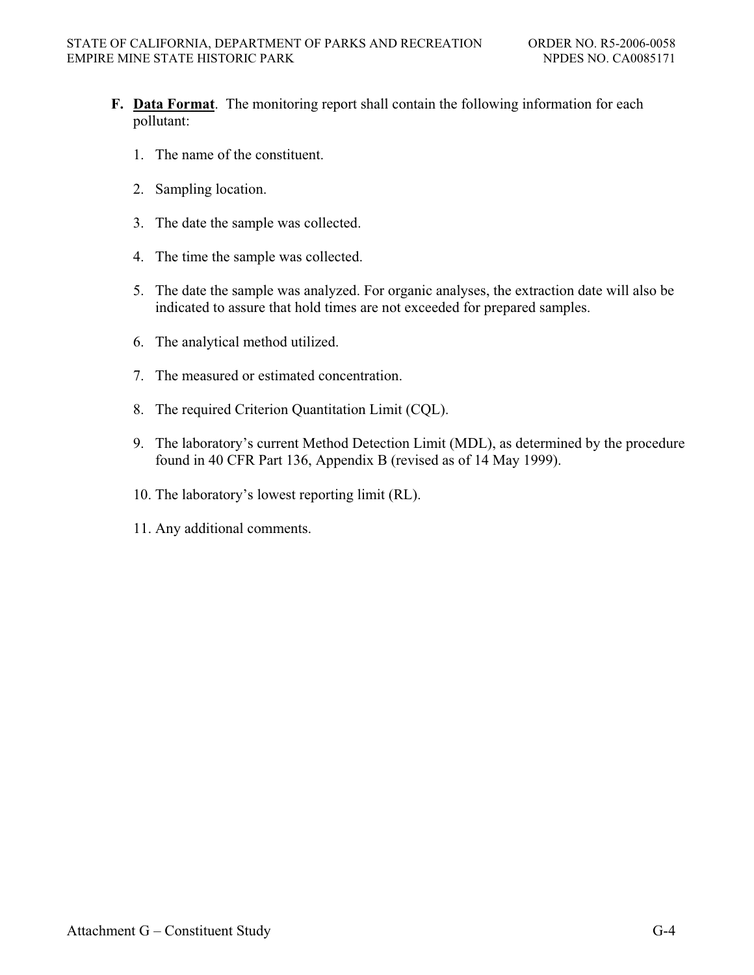- **F. Data Format**. The monitoring report shall contain the following information for each pollutant:
	- 1. The name of the constituent.
	- 2. Sampling location.
	- 3. The date the sample was collected.
	- 4. The time the sample was collected.
	- 5. The date the sample was analyzed. For organic analyses, the extraction date will also be indicated to assure that hold times are not exceeded for prepared samples.
	- 6. The analytical method utilized.
	- 7. The measured or estimated concentration.
	- 8. The required Criterion Quantitation Limit (CQL).
	- 9. The laboratory's current Method Detection Limit (MDL), as determined by the procedure found in 40 CFR Part 136, Appendix B (revised as of 14 May 1999).
	- 10. The laboratory's lowest reporting limit (RL).
	- 11. Any additional comments.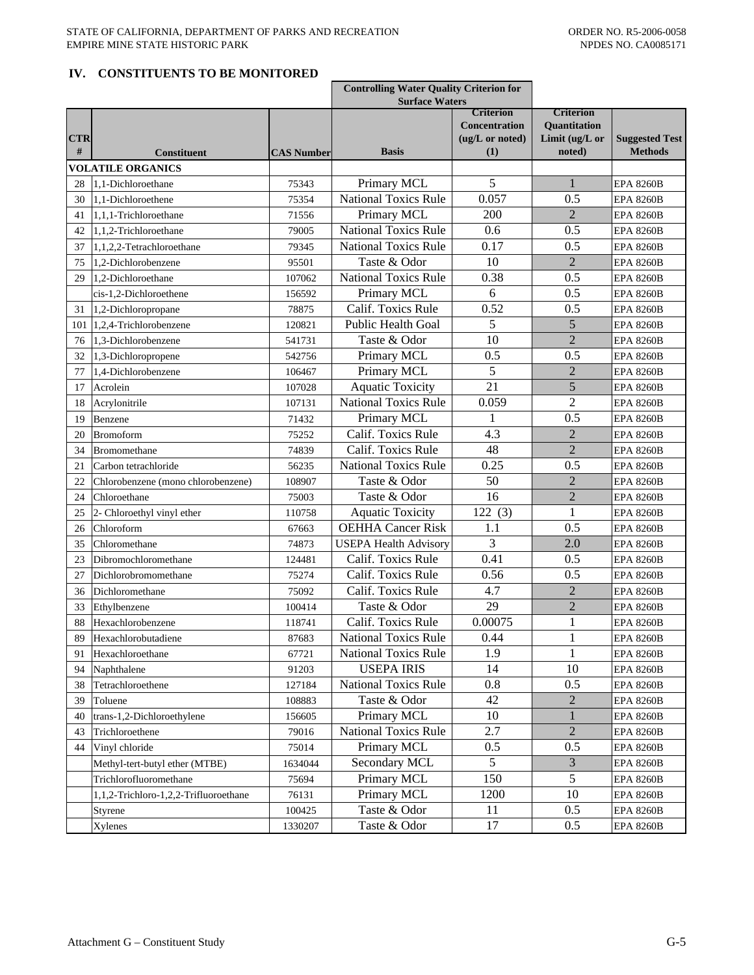#### **IV. CONSTITUENTS TO BE MONITORED**

|            |                                       |                   | <b>Controlling Water Quality Criterion for</b> |                      |                     |                       |
|------------|---------------------------------------|-------------------|------------------------------------------------|----------------------|---------------------|-----------------------|
|            |                                       |                   | <b>Surface Waters</b>                          | Criterion            | <b>Criterion</b>    |                       |
|            |                                       |                   |                                                | <b>Concentration</b> | <b>Ouantitation</b> |                       |
| <b>CTR</b> |                                       |                   |                                                | (ug/L or noted)      | Limit (ug/L or      | <b>Suggested Test</b> |
| #          | <b>Constituent</b>                    | <b>CAS Number</b> | <b>Basis</b>                                   | (1)                  | noted)              | <b>Methods</b>        |
|            | <b>VOLATILE ORGANICS</b>              |                   |                                                |                      |                     |                       |
| 28         | 1.1-Dichloroethane                    | 75343             | Primary MCL                                    | 5                    |                     | <b>EPA 8260B</b>      |
| 30         | 1,1-Dichloroethene                    | 75354             | <b>National Toxics Rule</b>                    | 0.057                | 0.5                 | <b>EPA 8260B</b>      |
| 41         | 1,1,1-Trichloroethane                 | 71556             | Primary MCL                                    | 200                  | $\overline{2}$      | <b>EPA 8260B</b>      |
| 42         | 1.1.2-Trichloroethane                 | 79005             | <b>National Toxics Rule</b>                    | 0.6                  | 0.5                 | <b>EPA 8260B</b>      |
| 37         | 1,1,2,2-Tetrachloroethane             | 79345             | <b>National Toxics Rule</b>                    | 0.17                 | 0.5                 | <b>EPA 8260B</b>      |
| 75         | 1,2-Dichlorobenzene                   | 95501             | Taste & Odor                                   | 10                   | $\overline{2}$      | <b>EPA 8260B</b>      |
| 29         | 1,2-Dichloroethane                    | 107062            | <b>National Toxics Rule</b>                    | 0.38                 | 0.5                 | <b>EPA 8260B</b>      |
|            | cis-1,2-Dichloroethene                | 156592            | Primary MCL                                    | 6                    | 0.5                 | <b>EPA 8260B</b>      |
| 31         | 1,2-Dichloropropane                   | 78875             | Calif. Toxics Rule                             | 0.52                 | 0.5                 | <b>EPA 8260B</b>      |
| 101        | 1,2,4-Trichlorobenzene                | 120821            | Public Health Goal                             | 5                    | 5                   | <b>EPA 8260B</b>      |
| 76         | 1,3-Dichlorobenzene                   | 541731            | Taste & Odor                                   | 10                   | $\overline{2}$      | <b>EPA 8260B</b>      |
| 32         | 1,3-Dichloropropene                   | 542756            | Primary MCL                                    | 0.5                  | 0.5                 | <b>EPA 8260B</b>      |
| 77         | 1,4-Dichlorobenzene                   | 106467            | Primary MCL                                    | 5                    | $\overline{2}$      | <b>EPA 8260B</b>      |
| 17         | Acrolein                              | 107028            | <b>Aquatic Toxicity</b>                        | 21                   | 5                   | <b>EPA 8260B</b>      |
| 18         | Acrylonitrile                         | 107131            | <b>National Toxics Rule</b>                    | 0.059                | $\overline{c}$      | <b>EPA 8260B</b>      |
| 19         | Benzene                               | 71432             | Primary MCL                                    | 1                    | 0.5                 | <b>EPA 8260B</b>      |
| 20         | <b>Bromoform</b>                      | 75252             | Calif. Toxics Rule                             | 4.3                  | $\overline{2}$      | <b>EPA 8260B</b>      |
| 34         | Bromomethane                          | 74839             | Calif. Toxics Rule                             | 48                   | $\overline{2}$      | <b>EPA 8260B</b>      |
| 21         | Carbon tetrachloride                  | 56235             | <b>National Toxics Rule</b>                    | 0.25                 | 0.5                 | <b>EPA 8260B</b>      |
| 22         | Chlorobenzene (mono chlorobenzene)    | 108907            | Taste & Odor                                   | 50                   | $\overline{2}$      | <b>EPA 8260B</b>      |
| 24         | Chloroethane                          | 75003             | Taste & Odor                                   | 16                   | $\overline{2}$      | <b>EPA 8260B</b>      |
| 25         | 2- Chloroethyl vinyl ether            | 110758            | <b>Aquatic Toxicity</b>                        | 122(3)               | 1                   | <b>EPA 8260B</b>      |
| 26         | Chloroform                            | 67663             | <b>OEHHA Cancer Risk</b>                       | 1.1                  | 0.5                 | <b>EPA 8260B</b>      |
| 35         | Chloromethane                         | 74873             | <b>USEPA Health Advisory</b>                   | 3                    | 2.0                 | <b>EPA 8260B</b>      |
| 23         | Dibromochloromethane                  | 124481            | Calif. Toxics Rule                             | 0.41                 | 0.5                 | <b>EPA 8260B</b>      |
| 27         | Dichlorobromomethane                  | 75274             | Calif. Toxics Rule                             | 0.56                 | 0.5                 | <b>EPA 8260B</b>      |
| 36         | Dichloromethane                       | 75092             | Calif. Toxics Rule                             | 4.7                  | $\overline{2}$      | <b>EPA 8260B</b>      |
| 33         | Ethylbenzene                          | 100414            | Taste & Odor                                   | 29                   | $\overline{2}$      | <b>EPA 8260B</b>      |
| 88         | Hexachlorobenzene                     | 118741            | Calif. Toxics Rule                             | 0.00075              | 1                   | <b>EPA 8260B</b>      |
| 89         | Hexachlorobutadiene                   | 87683             | <b>National Toxics Rule</b>                    | 0.44                 | $\mathbf{1}$        | <b>EPA 8260B</b>      |
| 91         | Hexachloroethane                      | 67721             | <b>National Toxics Rule</b>                    | 1.9                  | 1                   | <b>EPA 8260B</b>      |
| 94         | Naphthalene                           | 91203             | <b>USEPA IRIS</b>                              | 14                   | 10                  | <b>EPA 8260B</b>      |
| 38         | Tetrachloroethene                     | 127184            | <b>National Toxics Rule</b>                    | 0.8                  | 0.5                 | <b>EPA 8260B</b>      |
| 39         | Toluene                               | 108883            | Taste & Odor                                   | 42                   | 2                   | <b>EPA 8260B</b>      |
| 40         | trans-1,2-Dichloroethylene            | 156605            | Primary MCL                                    | 10                   |                     | <b>EPA 8260B</b>      |
| 43         | Trichloroethene                       | 79016             | <b>National Toxics Rule</b>                    | 2.7                  | 2                   | <b>EPA 8260B</b>      |
| 44         | Vinyl chloride                        | 75014             | Primary MCL                                    | 0.5                  | 0.5                 | <b>EPA 8260B</b>      |
|            | Methyl-tert-butyl ether (MTBE)        | 1634044           | Secondary MCL                                  | 5                    | 3                   | <b>EPA 8260B</b>      |
|            | Trichlorofluoromethane                | 75694             | Primary MCL                                    | 150                  | 5                   | <b>EPA 8260B</b>      |
|            | 1,1,2-Trichloro-1,2,2-Trifluoroethane | 76131             | Primary MCL                                    | 1200                 | 10                  | <b>EPA 8260B</b>      |
|            | Styrene                               | 100425            | Taste & Odor                                   | 11                   | 0.5                 | <b>EPA 8260B</b>      |
|            | Xylenes                               | 1330207           | Taste & Odor                                   | 17                   | 0.5                 | <b>EPA 8260B</b>      |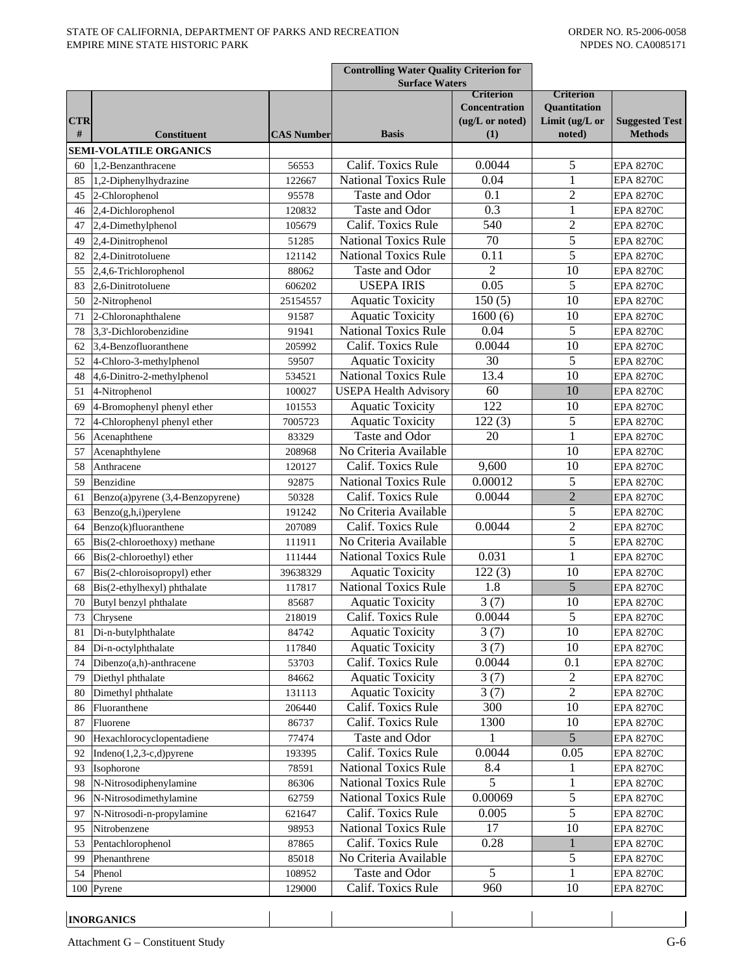|            |                                                  |                   | <b>Controlling Water Quality Criterion for</b>             |                      |                                         |                                      |
|------------|--------------------------------------------------|-------------------|------------------------------------------------------------|----------------------|-----------------------------------------|--------------------------------------|
|            |                                                  |                   | <b>Surface Waters</b><br><b>Criterion</b>                  |                      |                                         |                                      |
|            |                                                  |                   |                                                            | <b>Concentration</b> | <b>Criterion</b><br><b>Ouantitation</b> |                                      |
| <b>CTR</b> |                                                  |                   |                                                            | (ug/L or noted)      | Limit (ug/L or                          | <b>Suggested Test</b>                |
| #          | <b>Constituent</b>                               | <b>CAS Number</b> | <b>Basis</b>                                               | (1)                  | noted)                                  | <b>Methods</b>                       |
|            | <b>SEMI-VOLATILE ORGANICS</b>                    |                   |                                                            |                      |                                         |                                      |
| 60         | 1.2-Benzanthracene                               | 56553             | Calif. Toxics Rule                                         | 0.0044               | 5                                       | <b>EPA 8270C</b>                     |
| 85         | 1,2-Diphenylhydrazine                            | 122667            | <b>National Toxics Rule</b>                                | 0.04                 | 1                                       | <b>EPA 8270C</b>                     |
| 45         | 2-Chlorophenol                                   | 95578             | Taste and Odor                                             | 0.1                  | $\overline{c}$                          | <b>EPA 8270C</b>                     |
| 46         | 2,4-Dichlorophenol                               | 120832            | Taste and Odor                                             | 0.3                  | $\mathbf{1}$                            | <b>EPA 8270C</b>                     |
| 47         | 2,4-Dimethylphenol                               | 105679            | Calif. Toxics Rule                                         | 540                  | $\overline{c}$                          | <b>EPA 8270C</b>                     |
| 49         | 2,4-Dinitrophenol                                | 51285             | <b>National Toxics Rule</b>                                | 70                   | 5                                       | <b>EPA 8270C</b>                     |
| 82         | 2,4-Dinitrotoluene                               | 121142            | <b>National Toxics Rule</b>                                | 0.11                 | 5                                       | <b>EPA 8270C</b>                     |
| 55         | 2,4,6-Trichlorophenol                            | 88062             | Taste and Odor                                             | $\overline{2}$       | 10                                      | <b>EPA 8270C</b>                     |
| 83         | 2,6-Dinitrotoluene                               | 606202            | <b>USEPA IRIS</b>                                          | 0.05                 | 5                                       | <b>EPA 8270C</b>                     |
| 50         | 2-Nitrophenol                                    | 25154557          | <b>Aquatic Toxicity</b>                                    | 150(5)               | 10                                      | <b>EPA 8270C</b>                     |
| 71         | 2-Chloronaphthalene                              | 91587             | <b>Aquatic Toxicity</b>                                    | 1600(6)              | 10                                      | <b>EPA 8270C</b>                     |
| 78         | 3,3'-Dichlorobenzidine                           | 91941             | <b>National Toxics Rule</b>                                | 0.04                 | 5                                       | <b>EPA 8270C</b>                     |
| 62         | 3.4-Benzofluoranthene                            | 205992            | Calif. Toxics Rule                                         | 0.0044               | 10                                      | <b>EPA 8270C</b>                     |
| 52         | 4-Chloro-3-methylphenol                          | 59507             | <b>Aquatic Toxicity</b>                                    | 30                   | 5                                       | <b>EPA 8270C</b>                     |
| 48         | 4,6-Dinitro-2-methylphenol                       | 534521            | <b>National Toxics Rule</b>                                | 13.4                 | 10                                      | <b>EPA 8270C</b>                     |
| 51         | 4-Nitrophenol                                    | 100027            | <b>USEPA Health Advisory</b>                               | 60                   | 10                                      | <b>EPA 8270C</b>                     |
| 69         | 4-Bromophenyl phenyl ether                       | 101553            | <b>Aquatic Toxicity</b>                                    | 122                  | 10                                      | <b>EPA 8270C</b>                     |
| 72         | 4-Chlorophenyl phenyl ether                      | 7005723           | <b>Aquatic Toxicity</b>                                    | 122(3)               | 5                                       | <b>EPA 8270C</b>                     |
| 56         | Acenaphthene                                     | 83329             | Taste and Odor                                             | 20                   | 1                                       | <b>EPA 8270C</b>                     |
| 57         | Acenaphthylene                                   | 208968            | No Criteria Available                                      |                      | 10                                      | <b>EPA 8270C</b>                     |
| 58         | Anthracene                                       | 120127            | Calif. Toxics Rule                                         | 9,600                | 10                                      | <b>EPA 8270C</b>                     |
| 59         | Benzidine                                        | 92875             | <b>National Toxics Rule</b>                                | 0.00012              | 5                                       | <b>EPA 8270C</b>                     |
| 61         | Benzo(a)pyrene (3,4-Benzopyrene)                 | 50328             | Calif. Toxics Rule                                         | 0.0044               | $\overline{2}$                          | <b>EPA 8270C</b>                     |
| 63         | Benzo(g,h,i)perylene                             | 191242            | No Criteria Available                                      |                      | 5                                       | <b>EPA 8270C</b>                     |
| 64         | Benzo(k)fluoranthene                             | 207089            | Calif. Toxics Rule                                         | 0.0044               | $\overline{2}$                          | <b>EPA 8270C</b>                     |
| 65         | Bis(2-chloroethoxy) methane                      | 111911            | No Criteria Available                                      |                      | 5                                       | <b>EPA 8270C</b>                     |
| 66         | Bis(2-chloroethyl) ether                         | 111444            | <b>National Toxics Rule</b>                                | 0.031                | 1                                       | <b>EPA 8270C</b>                     |
| 67         | Bis(2-chloroisopropyl) ether                     | 39638329          | <b>Aquatic Toxicity</b>                                    | 122(3)               | 10                                      | <b>EPA 8270C</b>                     |
| 68         | Bis(2-ethylhexyl) phthalate                      | 117817            | <b>National Toxics Rule</b>                                | 1.8                  | 5                                       | <b>EPA 8270C</b>                     |
| 70         | Butyl benzyl phthalate                           | 85687             | <b>Aquatic Toxicity</b>                                    | 3(7)                 | 10                                      | <b>EPA 8270C</b>                     |
| 73         | Chrysene                                         | 218019            | Calif. Toxics Rule                                         | 0.0044               | 5                                       | <b>EPA 8270C</b>                     |
| 81         | Di-n-butylphthalate                              | 84742             | <b>Aquatic Toxicity</b>                                    | 3(7)                 | 10                                      | <b>EPA 8270C</b>                     |
| 84         | Di-n-octylphthalate                              | 117840            | <b>Aquatic Toxicity</b>                                    | 3(7)                 | 10                                      | <b>EPA 8270C</b>                     |
| 74         | Dibenzo(a,h)-anthracene                          | 53703             | Calif. Toxics Rule                                         | 0.0044               | 0.1                                     | <b>EPA 8270C</b>                     |
| 79         | Diethyl phthalate                                | 84662             | <b>Aquatic Toxicity</b>                                    | 3(7)                 | 2                                       | <b>EPA 8270C</b>                     |
| 80         | Dimethyl phthalate                               | 131113            | <b>Aquatic Toxicity</b>                                    | 3(7)                 | 2                                       | <b>EPA 8270C</b>                     |
| 86         | Fluoranthene                                     | 206440            | Calif. Toxics Rule                                         | 300                  | 10                                      | <b>EPA 8270C</b>                     |
| 87         | Fluorene                                         | 86737             | Calif. Toxics Rule                                         | 1300                 | 10                                      | <b>EPA 8270C</b>                     |
| 90         | Hexachlorocyclopentadiene                        | 77474             | Taste and Odor                                             | 1                    | 5                                       | <b>EPA 8270C</b>                     |
| 92         | $Indeno(1,2,3-c,d)pyrene$                        | 193395            | Calif. Toxics Rule                                         | 0.0044               | 0.05                                    | <b>EPA 8270C</b>                     |
| 93         | Isophorone                                       | 78591             | <b>National Toxics Rule</b>                                | 8.4                  | 1                                       | <b>EPA 8270C</b>                     |
| 98         | N-Nitrosodiphenylamine<br>N-Nitrosodimethylamine | 86306<br>62759    | <b>National Toxics Rule</b><br><b>National Toxics Rule</b> | 5<br>0.00069         | 5                                       | <b>EPA 8270C</b><br><b>EPA 8270C</b> |
| 96         |                                                  |                   |                                                            |                      | 5                                       |                                      |
| 97         | N-Nitrosodi-n-propylamine                        | 621647            | Calif. Toxics Rule                                         | 0.005<br>17          | 10                                      | <b>EPA 8270C</b>                     |
| 95         | Nitrobenzene                                     | 98953             | <b>National Toxics Rule</b><br>Calif. Toxics Rule          | 0.28                 |                                         | <b>EPA 8270C</b>                     |
| 53         | Pentachlorophenol                                | 87865             | No Criteria Available                                      |                      | 5                                       | <b>EPA 8270C</b>                     |
| 99<br>54   | Phenanthrene<br>Phenol                           | 85018<br>108952   | Taste and Odor                                             | 5                    | 1                                       | <b>EPA 8270C</b><br><b>EPA 8270C</b> |
| 100        | Pyrene                                           | 129000            | Calif. Toxics Rule                                         | 960                  | 10                                      | <b>EPA 8270C</b>                     |
|            |                                                  |                   |                                                            |                      |                                         |                                      |

**INORGANICS**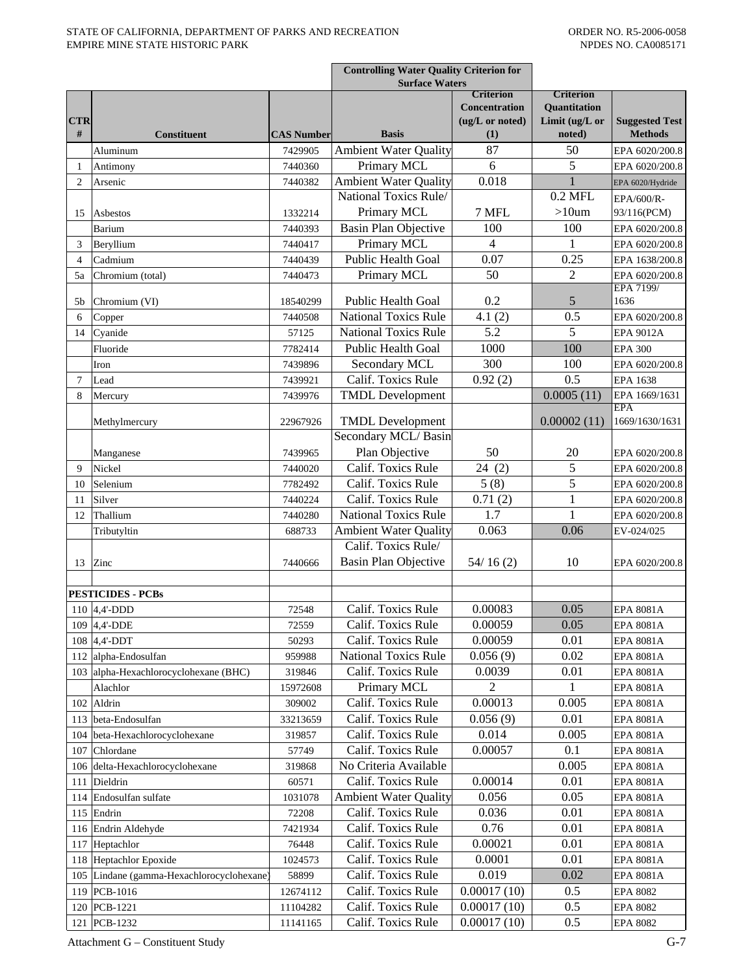|                 |                                                               |                   | <b>Controlling Water Quality Criterion for</b><br><b>Surface Waters</b> |                                                                    |                                                                     |                                         |
|-----------------|---------------------------------------------------------------|-------------------|-------------------------------------------------------------------------|--------------------------------------------------------------------|---------------------------------------------------------------------|-----------------------------------------|
| <b>CTR</b><br># | <b>Constituent</b>                                            | <b>CAS Number</b> | <b>Basis</b>                                                            | <b>Criterion</b><br><b>Concentration</b><br>(ug/L or noted)<br>(1) | <b>Criterion</b><br><b>Ouantitation</b><br>Limit (ug/L or<br>noted) | <b>Suggested Test</b><br><b>Methods</b> |
|                 | Aluminum                                                      | 7429905           | <b>Ambient Water Quality</b>                                            | 87                                                                 | 50                                                                  | EPA 6020/200.8                          |
| 1               | Antimony                                                      | 7440360           | Primary MCL                                                             | 6                                                                  | 5                                                                   | EPA 6020/200.8                          |
| $\overline{2}$  | Arsenic                                                       | 7440382           | <b>Ambient Water Quality</b>                                            | 0.018                                                              | 1                                                                   | EPA 6020/Hydride                        |
|                 |                                                               |                   | National Toxics Rule/                                                   |                                                                    | $0.2$ MFL                                                           | EPA/600/R-                              |
| 15              | Asbestos                                                      | 1332214           | Primary MCL                                                             | 7 MFL                                                              | $>10$ um                                                            | 93/116(PCM)                             |
|                 | Barium                                                        | 7440393           | <b>Basin Plan Objective</b>                                             | 100                                                                | 100                                                                 | EPA 6020/200.8                          |
| 3               | Beryllium                                                     | 7440417           | Primary MCL                                                             | 4                                                                  | 1                                                                   | EPA 6020/200.8                          |
| 4               | Cadmium                                                       | 7440439           | Public Health Goal                                                      | 0.07                                                               | 0.25                                                                | EPA 1638/200.8                          |
| 5a              | Chromium (total)                                              | 7440473           | Primary MCL                                                             | 50                                                                 | 2                                                                   | EPA 6020/200.8                          |
| 5b              | Chromium (VI)                                                 | 18540299          | Public Health Goal                                                      | 0.2                                                                | 5                                                                   | EPA 7199/<br>1636                       |
| 6               | Copper                                                        | 7440508           | <b>National Toxics Rule</b>                                             | 4.1(2)                                                             | 0.5                                                                 | EPA 6020/200.8                          |
| 14              | Cyanide                                                       | 57125             | <b>National Toxics Rule</b>                                             | 5.2                                                                | 5                                                                   | <b>EPA 9012A</b>                        |
|                 | Fluoride                                                      | 7782414           | Public Health Goal                                                      | 1000                                                               | 100                                                                 | <b>EPA 300</b>                          |
|                 | Iron                                                          | 7439896           | Secondary MCL                                                           | 300                                                                | 100                                                                 | EPA 6020/200.8                          |
| $\overline{7}$  | Lead                                                          | 7439921           | Calif. Toxics Rule                                                      | 0.92(2)                                                            | 0.5                                                                 | EPA 1638                                |
| 8               | Mercury                                                       | 7439976           | <b>TMDL Development</b>                                                 |                                                                    | 0.0005(11)                                                          | EPA 1669/1631                           |
|                 |                                                               |                   |                                                                         |                                                                    |                                                                     | <b>EPA</b>                              |
|                 | Methylmercury                                                 | 22967926          | <b>TMDL</b> Development                                                 |                                                                    | 0.00002(11)                                                         | 1669/1630/1631                          |
|                 |                                                               |                   | Secondary MCL/Basin                                                     |                                                                    |                                                                     |                                         |
|                 | Manganese                                                     | 7439965           | Plan Objective                                                          | 50                                                                 | 20                                                                  | EPA 6020/200.8                          |
| 9               | Nickel                                                        | 7440020           | Calif. Toxics Rule                                                      | 24(2)                                                              | 5                                                                   | EPA 6020/200.8                          |
| 10              | Selenium                                                      | 7782492           | Calif. Toxics Rule                                                      | 5(8)                                                               | 5                                                                   | EPA 6020/200.8                          |
| 11              | Silver                                                        | 7440224           | Calif. Toxics Rule                                                      | 0.71(2)                                                            | 1                                                                   | EPA 6020/200.8                          |
| 12              | Thallium                                                      | 7440280           | <b>National Toxics Rule</b>                                             | 1.7                                                                | 1                                                                   | EPA 6020/200.8                          |
|                 | Tributyltin                                                   | 688733            | <b>Ambient Water Quality</b>                                            | 0.063                                                              | 0.06                                                                | EV-024/025                              |
|                 |                                                               |                   | Calif. Toxics Rule/                                                     |                                                                    |                                                                     |                                         |
| 13              | Zinc                                                          | 7440666           | Basin Plan Objective                                                    | 54/16(2)                                                           | 10                                                                  | EPA 6020/200.8                          |
|                 |                                                               |                   |                                                                         |                                                                    |                                                                     |                                         |
|                 | <b>PESTICIDES - PCBs</b><br>110 $ 4,4$ -DDD                   | 72548             | Calif. Toxics Rule                                                      | 0.00083                                                            | 0.05                                                                | <b>EPA 8081A</b>                        |
|                 |                                                               | 72559             | Calif. Toxics Rule                                                      | 0.00059                                                            | 0.05                                                                |                                         |
|                 | 109 4,4'-DDE<br>108 4,4'-DDT                                  | 50293             | Calif. Toxics Rule                                                      | 0.00059                                                            | 0.01                                                                | EPA 8081A<br><b>EPA 8081A</b>           |
|                 |                                                               | 959988            | <b>National Toxics Rule</b>                                             | 0.056(9)                                                           | 0.02                                                                | <b>EPA 8081A</b>                        |
|                 | 112 alpha-Endosulfan<br>103 alpha-Hexachlorocyclohexane (BHC) | 319846            | Calif. Toxics Rule                                                      | 0.0039                                                             | 0.01                                                                |                                         |
|                 | Alachlor                                                      | 15972608          | Primary MCL                                                             | 2                                                                  | 1                                                                   | EPA 8081A<br>EPA 8081A                  |
|                 | 102 Aldrin                                                    | 309002            | Calif. Toxics Rule                                                      | 0.00013                                                            | 0.005                                                               | <b>EPA 8081A</b>                        |
|                 | 113 beta-Endosulfan                                           | 33213659          | Calif. Toxics Rule                                                      | 0.056(9)                                                           | 0.01                                                                | EPA 8081A                               |
| 104             | beta-Hexachlorocyclohexane                                    | 319857            | Calif. Toxics Rule                                                      | 0.014                                                              | 0.005                                                               | <b>EPA 8081A</b>                        |
| 107             | Chlordane                                                     | 57749             | Calif. Toxics Rule                                                      | 0.00057                                                            | 0.1                                                                 | <b>EPA 8081A</b>                        |
| 106             | delta-Hexachlorocyclohexane                                   | 319868            | No Criteria Available                                                   |                                                                    | 0.005                                                               | EPA 8081A                               |
| 111             | Dieldrin                                                      | 60571             | Calif. Toxics Rule                                                      | 0.00014                                                            | 0.01                                                                | EPA 8081A                               |
| 114             | Endosulfan sulfate                                            | 1031078           | <b>Ambient Water Quality</b>                                            | 0.056                                                              | 0.05                                                                | EPA 8081A                               |
|                 | 115 Endrin                                                    | 72208             | Calif. Toxics Rule                                                      | 0.036                                                              | 0.01                                                                | EPA 8081A                               |
|                 | 116 Endrin Aldehyde                                           | 7421934           | Calif. Toxics Rule                                                      | 0.76                                                               | 0.01                                                                | EPA 8081A                               |
|                 | 117 Heptachlor                                                | 76448             | Calif. Toxics Rule                                                      | 0.00021                                                            | 0.01                                                                | EPA 8081A                               |
|                 | 118 Heptachlor Epoxide                                        | 1024573           | Calif. Toxics Rule                                                      | 0.0001                                                             | 0.01                                                                | EPA 8081A                               |
| 105             | Lindane (gamma-Hexachlorocyclohexane)                         | 58899             | Calif. Toxics Rule                                                      | 0.019                                                              | 0.02                                                                | EPA 8081A                               |
|                 | 119 PCB-1016                                                  | 12674112          | Calif. Toxics Rule                                                      | 0.00017(10)                                                        | 0.5                                                                 | EPA 8082                                |
| 120             | PCB-1221                                                      | 11104282          | Calif. Toxics Rule                                                      | 0.00017(10)                                                        | 0.5                                                                 | <b>EPA 8082</b>                         |
|                 | 121 PCB-1232                                                  | 11141165          | Calif. Toxics Rule                                                      | 0.00017(10)                                                        | 0.5                                                                 | <b>EPA 8082</b>                         |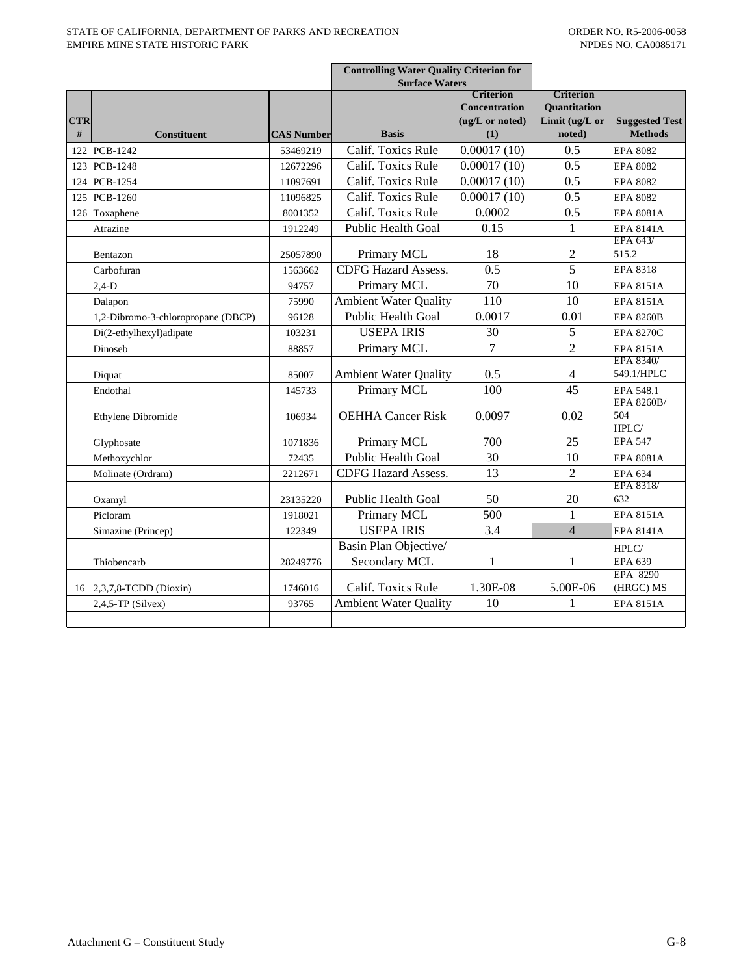|                 |                                    |                   | <b>Controlling Water Quality Criterion for</b><br><b>Surface Waters</b> |                                                                    |                                                                     |                                         |
|-----------------|------------------------------------|-------------------|-------------------------------------------------------------------------|--------------------------------------------------------------------|---------------------------------------------------------------------|-----------------------------------------|
| <b>CTR</b><br># | <b>Constituent</b>                 | <b>CAS Number</b> | <b>Basis</b>                                                            | <b>Criterion</b><br><b>Concentration</b><br>(ug/L or noted)<br>(1) | <b>Criterion</b><br><b>Ouantitation</b><br>Limit (ug/L or<br>noted) | <b>Suggested Test</b><br><b>Methods</b> |
|                 | 122 PCB-1242                       | 53469219          | Calif. Toxics Rule                                                      | 0.00017(10)                                                        | 0.5                                                                 | <b>EPA 8082</b>                         |
|                 | 123 PCB-1248                       | 12672296          | Calif. Toxics Rule                                                      | 0.00017(10)                                                        | 0.5                                                                 | <b>EPA 8082</b>                         |
|                 | 124 PCB-1254                       | 11097691          | Calif. Toxics Rule                                                      | 0.00017(10)                                                        | 0.5                                                                 | <b>EPA 8082</b>                         |
|                 | 125 PCB-1260                       | 11096825          | Calif. Toxics Rule                                                      | 0.00017(10)                                                        | 0.5                                                                 | <b>EPA 8082</b>                         |
|                 | 126 Toxaphene                      | 8001352           | Calif. Toxics Rule                                                      | 0.0002                                                             | 0.5                                                                 | <b>EPA 8081A</b>                        |
|                 | Atrazine                           | 1912249           | <b>Public Health Goal</b>                                               | 0.15                                                               | 1                                                                   | <b>EPA 8141A</b>                        |
|                 | Bentazon                           | 25057890          | Primary MCL                                                             | 18                                                                 | $\overline{c}$                                                      | EPA 643/<br>515.2                       |
|                 | Carbofuran                         | 1563662           | <b>CDFG Hazard Assess.</b>                                              | 0.5                                                                | 5                                                                   | <b>EPA 8318</b>                         |
|                 | $2,4-D$                            | 94757             | Primary MCL                                                             | 70                                                                 | 10                                                                  | <b>EPA 8151A</b>                        |
|                 | Dalapon                            | 75990             | <b>Ambient Water Quality</b>                                            | 110                                                                | 10                                                                  | <b>EPA 8151A</b>                        |
|                 | 1,2-Dibromo-3-chloropropane (DBCP) | 96128             | <b>Public Health Goal</b>                                               | 0.0017                                                             | 0.01                                                                | <b>EPA 8260B</b>                        |
|                 | Di(2-ethylhexyl)adipate            | 103231            | <b>USEPA IRIS</b>                                                       | 30                                                                 | 5                                                                   | <b>EPA 8270C</b>                        |
|                 | Dinoseb                            | 88857             | Primary MCL                                                             | $\overline{7}$                                                     | $\overline{2}$                                                      | <b>EPA 8151A</b>                        |
|                 | Diquat                             | 85007             | <b>Ambient Water Quality</b>                                            | 0.5                                                                | 4                                                                   | EPA 8340/<br>549.1/HPLC                 |
|                 | Endothal                           | 145733            | Primary MCL                                                             | 100                                                                | 45                                                                  | EPA 548.1                               |
|                 | Ethylene Dibromide                 | 106934            | <b>OEHHA Cancer Risk</b>                                                | 0.0097                                                             | 0.02                                                                | EPA 8260B/<br>504<br>HPLC/              |
|                 | Glyphosate                         | 1071836           | Primary MCL                                                             | 700                                                                | 25                                                                  | <b>EPA 547</b>                          |
|                 | Methoxychlor                       | 72435             | <b>Public Health Goal</b>                                               | 30                                                                 | 10                                                                  | <b>EPA 8081A</b>                        |
|                 | Molinate (Ordram)                  | 2212671           | <b>CDFG Hazard Assess.</b>                                              | 13                                                                 | $\overline{c}$                                                      | <b>EPA 634</b>                          |
|                 | Oxamyl                             | 23135220          | <b>Public Health Goal</b>                                               | 50                                                                 | 20                                                                  | EPA 8318/<br>632                        |
|                 | Picloram                           | 1918021           | Primary MCL                                                             | 500                                                                | 1                                                                   | <b>EPA 8151A</b>                        |
|                 | Simazine (Princep)                 | 122349            | <b>USEPA IRIS</b>                                                       | 3.4                                                                | $\overline{4}$                                                      | <b>EPA 8141A</b>                        |
|                 | Thiobencarb                        | 28249776          | Basin Plan Objective/<br>Secondary MCL                                  | $\mathbf{1}$                                                       | 1                                                                   | HPLC/<br><b>EPA 639</b>                 |
|                 | 16 2,3,7,8-TCDD (Dioxin)           | 1746016           | Calif. Toxics Rule                                                      | 1.30E-08                                                           | 5.00E-06                                                            | EPA 8290<br>(HRGC) MS                   |
|                 | $2,4,5$ -TP (Silvex)               | 93765             | <b>Ambient Water Quality</b>                                            | 10                                                                 | 1                                                                   | <b>EPA 8151A</b>                        |
|                 |                                    |                   |                                                                         |                                                                    |                                                                     |                                         |